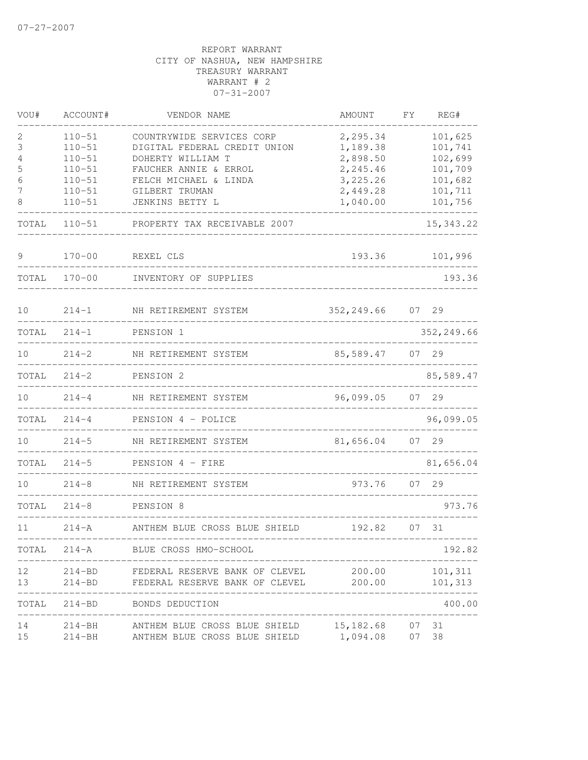| VOU#  | ACCOUNT#   | VENDOR NAME                    | AMOUNT     | FΥ | REG#        |
|-------|------------|--------------------------------|------------|----|-------------|
| 2     | $110 - 51$ | COUNTRYWIDE SERVICES CORP      | 2,295.34   |    | 101,625     |
| 3     | $110 - 51$ | DIGITAL FEDERAL CREDIT UNION   | 1,189.38   |    | 101,741     |
| 4     | $110 - 51$ | DOHERTY WILLIAM T              | 2,898.50   |    | 102,699     |
| 5     | $110 - 51$ | FAUCHER ANNIE & ERROL          | 2,245.46   |    | 101,709     |
| 6     | $110 - 51$ | FELCH MICHAEL & LINDA          | 3,225.26   |    | 101,682     |
| 7     | $110 - 51$ | GILBERT TRUMAN                 | 2,449.28   |    | 101,711     |
| 8     | $110 - 51$ | JENKINS BETTY L                | 1,040.00   |    | 101,756     |
| TOTAL | $110 - 51$ | PROPERTY TAX RECEIVABLE 2007   |            |    | 15, 343.22  |
| 9     | $170 - 00$ | REXEL CLS                      | 193.36     |    | 101,996     |
| TOTAL | $170 - 00$ | INVENTORY OF SUPPLIES          |            |    | 193.36      |
| 10    | $214 - 1$  | NH RETIREMENT SYSTEM           | 352,249.66 |    | 07 29       |
| TOTAL | $214 - 1$  | PENSION 1                      |            |    | 352, 249.66 |
|       |            |                                |            |    |             |
| 10    | $214 - 2$  | NH RETIREMENT SYSTEM           | 85,589.47  |    | 07 29       |
| TOTAL | $214 - 2$  | PENSION 2                      |            |    | 85,589.47   |
| 10    | $214 - 4$  | NH RETIREMENT SYSTEM           | 96,099.05  | 07 | 29          |
| TOTAL | $214 - 4$  | PENSION 4 - POLICE             |            |    | 96,099.05   |
| 10    | $214 - 5$  | NH RETIREMENT SYSTEM           | 81,656.04  | 07 | 29          |
| TOTAL | $214 - 5$  | PENSION 4 - FIRE               |            |    | 81,656.04   |
| 10    | $214 - 8$  | NH RETIREMENT SYSTEM           | 973.76     |    | 07 29       |
| TOTAL | $214 - 8$  | PENSION 8                      |            |    | 973.76      |
| 11    | $214 - A$  | ANTHEM BLUE CROSS BLUE SHIELD  | 192.82     |    | 07 31       |
| TOTAL | $214 - A$  | BLUE CROSS HMO-SCHOOL          |            |    | 192.82      |
| 12    | 214-BD     | FEDERAL RESERVE BANK OF CLEVEL | 200.00     |    | 101,311     |
| 13    | $214 - BD$ | FEDERAL RESERVE BANK OF CLEVEL | 200.00     |    | 101,313     |
| TOTAL | 214-BD     | BONDS DEDUCTION                |            |    | 400.00      |
| 14    | $214 - BH$ | ANTHEM BLUE CROSS BLUE SHIELD  | 15,182.68  | 07 | 31          |
| 15    | $214 - BH$ | ANTHEM BLUE CROSS BLUE SHIELD  | 1,094.08   | 07 | 38          |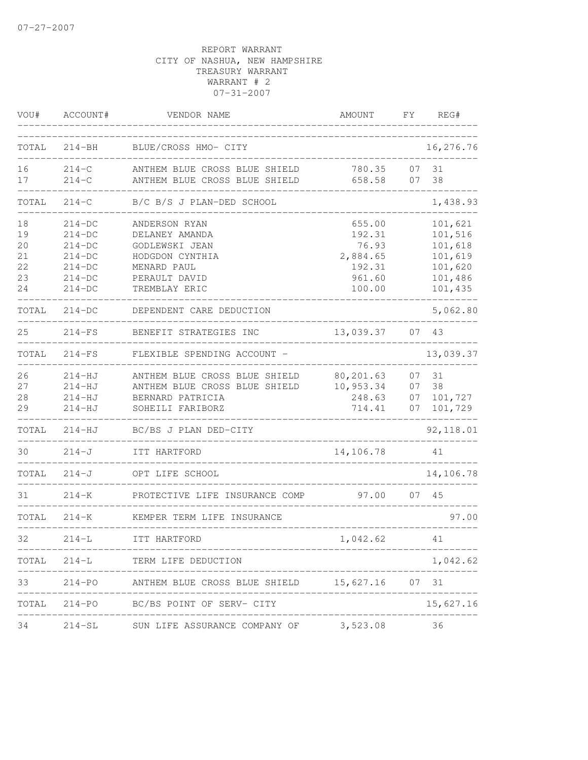| VOU#  | ACCOUNT#   | VENDOR NAME                                          | AMOUNT                 | FΥ | REG#       |
|-------|------------|------------------------------------------------------|------------------------|----|------------|
| TOTAL | $214 - BH$ | BLUE/CROSS HMO- CITY                                 |                        |    | 16,276.76  |
| 16    | $214-C$    | ANTHEM BLUE CROSS BLUE SHIELD                        | 780.35                 | 07 | 31         |
| 17    | $214-C$    | ANTHEM BLUE CROSS BLUE SHIELD                        | 658.58                 | 07 | 38         |
| TOTAL | $214-C$    | B/C B/S J PLAN-DED SCHOOL                            |                        |    | 1,438.93   |
| 18    | $214-DC$   | ANDERSON RYAN                                        | 655.00                 |    | 101,621    |
| 19    | $214-DC$   | DELANEY AMANDA                                       | 192.31                 |    | 101,516    |
| 20    | $214-DC$   | GODLEWSKI JEAN                                       | 76.93                  |    | 101,618    |
| 21    | $214-DC$   | HODGDON CYNTHIA                                      | 2,884.65               |    | 101,619    |
| 22    | $214-DC$   | MENARD PAUL                                          | 192.31                 |    | 101,620    |
| 23    | $214-DC$   | PERAULT DAVID                                        | 961.60                 |    | 101,486    |
| 24    | $214-DC$   | TREMBLAY ERIC                                        | 100.00                 |    | 101,435    |
| TOTAL | $214-DC$   | DEPENDENT CARE DEDUCTION                             |                        |    | 5,062.80   |
| 25    | $214-FS$   | BENEFIT STRATEGIES INC                               | 13,039.37              |    | 07 43      |
| TOTAL | $214-FS$   | FLEXIBLE SPENDING ACCOUNT -                          |                        |    | 13,039.37  |
| 26    | $214 - HJ$ | ANTHEM BLUE CROSS BLUE SHIELD                        | 80,201.63              | 07 | 31         |
| 27    | $214-HJ$   | ANTHEM BLUE CROSS BLUE SHIELD                        | 10,953.34              | 07 | 38         |
| 28    | $214 - HJ$ | BERNARD PATRICIA                                     | 248.63                 | 07 | 101,727    |
| 29    | $214-HJ$   | SOHEILI FARIBORZ                                     | 714.41                 | 07 | 101,729    |
| TOTAL | $214-HJ$   | BC/BS J PLAN DED-CITY                                |                        |    | 92, 118.01 |
| 30    | $214 - J$  | ITT HARTFORD                                         | 14,106.78              |    | 41         |
| TOTAL | $214-J$    | OPT LIFE SCHOOL                                      |                        |    | 14,106.78  |
| 31    | $214 - K$  | PROTECTIVE LIFE INSURANCE COMP                       | 97.00                  |    | 07 45      |
| TOTAL | $214 - K$  | KEMPER TERM LIFE INSURANCE                           |                        |    | 97.00      |
| 32.   | $214 - L$  | ITT HARTFORD                                         | 1,042.62               |    | 41         |
|       |            | TOTAL 214-L TERM LIFE DEDUCTION                      |                        |    | 1,042.62   |
| 33    |            | 214-PO ANTHEM BLUE CROSS BLUE SHIELD 15,627.16 07 31 | ---------------------- |    |            |
|       |            | TOTAL 214-PO BC/BS POINT OF SERV- CITY               |                        |    | 15,627.16  |
|       |            | 34 214-SL SUN LIFE ASSURANCE COMPANY OF 3,523.08 36  |                        |    |            |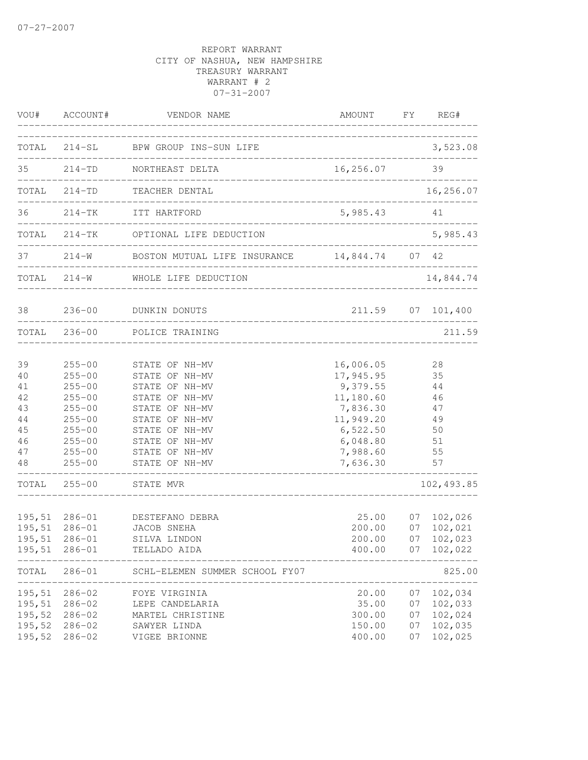| VOU#                                                     | ACCOUNT#                                                                                                                                 | VENDOR NAME                                                                                                                                                                      | AMOUNT FY REG#                                                                                                           |                            |                                                          |
|----------------------------------------------------------|------------------------------------------------------------------------------------------------------------------------------------------|----------------------------------------------------------------------------------------------------------------------------------------------------------------------------------|--------------------------------------------------------------------------------------------------------------------------|----------------------------|----------------------------------------------------------|
|                                                          |                                                                                                                                          | TOTAL 214-SL BPW GROUP INS-SUN LIFE                                                                                                                                              |                                                                                                                          |                            | 3,523.08                                                 |
| 35                                                       |                                                                                                                                          | 214-TD NORTHEAST DELTA                                                                                                                                                           | 16,256.07                                                                                                                | 39                         |                                                          |
|                                                          | TOTAL 214-TD                                                                                                                             | TEACHER DENTAL                                                                                                                                                                   |                                                                                                                          |                            | 16,256.07                                                |
| 36                                                       |                                                                                                                                          | 214-TK ITT HARTFORD<br>____________________________                                                                                                                              | 5,985.43                                                                                                                 |                            | 41                                                       |
| TOTAL                                                    |                                                                                                                                          | 214-TK OPTIONAL LIFE DEDUCTION                                                                                                                                                   |                                                                                                                          |                            | 5,985.43                                                 |
| 37                                                       |                                                                                                                                          | 214-W BOSTON MUTUAL LIFE INSURANCE 14,844.74 07 42                                                                                                                               |                                                                                                                          |                            |                                                          |
|                                                          |                                                                                                                                          | TOTAL 214-W WHOLE LIFE DEDUCTION                                                                                                                                                 |                                                                                                                          |                            | 14,844.74                                                |
| 38                                                       | $236 - 00$                                                                                                                               | DUNKIN DONUTS<br>____________________________                                                                                                                                    |                                                                                                                          |                            | 211.59 07 101,400                                        |
|                                                          | TOTAL 236-00                                                                                                                             | POLICE TRAINING                                                                                                                                                                  |                                                                                                                          |                            | 211.59                                                   |
| 39<br>40<br>41<br>42<br>43<br>44<br>45<br>46<br>47<br>48 | $255 - 00$<br>$255 - 00$<br>$255 - 00$<br>$255 - 00$<br>$255 - 00$<br>$255 - 00$<br>$255 - 00$<br>$255 - 00$<br>$255 - 00$<br>$255 - 00$ | STATE OF NH-MV<br>STATE OF NH-MV<br>STATE OF NH-MV<br>STATE OF NH-MV<br>STATE OF NH-MV<br>STATE OF NH-MV<br>STATE OF NH-MV<br>STATE OF NH-MV<br>STATE OF NH-MV<br>STATE OF NH-MV | 16,006.05<br>17,945.95<br>9,379.55<br>11,180.60<br>7,836.30<br>11,949.20<br>6,522.50<br>6,048.80<br>7,988.60<br>7,636.30 |                            | 28<br>35<br>44<br>46<br>47<br>49<br>50<br>51<br>55<br>57 |
| TOTAL                                                    | $255 - 00$                                                                                                                               | STATE MVR                                                                                                                                                                        |                                                                                                                          |                            | 102, 493.85                                              |
| 195,51<br>195,51                                         | 195,51 286-01<br>$286 - 01$<br>195,51 286-01<br>$286 - 01$                                                                               | DESTEFANO DEBRA<br>JACOB SNEHA<br>SILVA LINDON<br>TELLADO AIDA                                                                                                                   | 25.00<br>00.00<br>200.00<br>200.00<br>400.00                                                                             | 07<br>07                   | 07 102,026<br>102,021<br>07 102,023<br>102,022           |
| TOTAL                                                    | $286 - 01$                                                                                                                               | SCHL-ELEMEN SUMMER SCHOOL FY07                                                                                                                                                   |                                                                                                                          |                            | 825.00                                                   |
| 195,51<br>195,51<br>195,52<br>195,52<br>195,52           | $286 - 02$<br>$286 - 02$<br>$286 - 02$<br>$286 - 02$<br>$286 - 02$                                                                       | FOYE VIRGINIA<br>LEPE CANDELARIA<br>MARTEL CHRISTINE<br>SAWYER LINDA<br>VIGEE BRIONNE                                                                                            | 20.00<br>35.00<br>300.00<br>150.00<br>400.00                                                                             | 07<br>07<br>07<br>07<br>07 | 102,034<br>102,033<br>102,024<br>102,035<br>102,025      |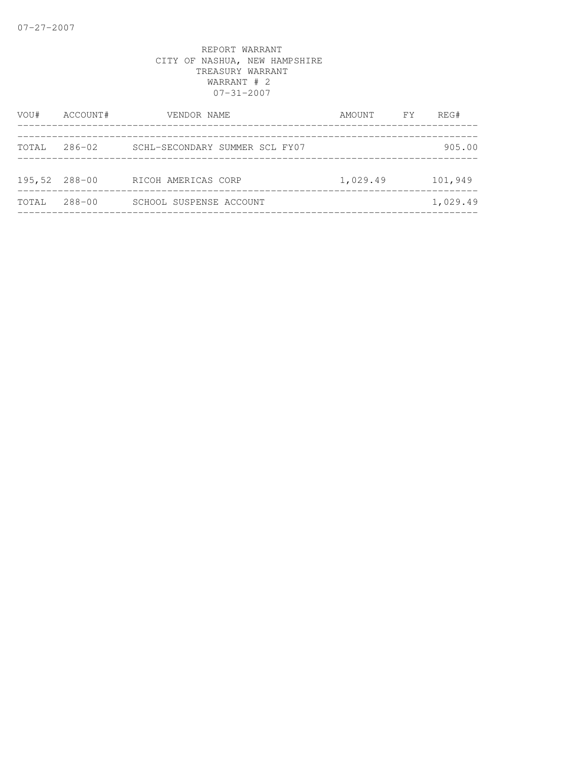| VOU#  | ACCOUNT#      | VENDOR NAME                    | AMOUNT FY | REG#     |
|-------|---------------|--------------------------------|-----------|----------|
|       |               |                                |           |          |
| TOTAL | 286-02        | SCHL-SECONDARY SUMMER SCL FY07 |           | 905.00   |
|       |               |                                |           |          |
|       | 195,52 288-00 | RICOH AMERICAS CORP            | 1,029.49  | 101,949  |
| TOTAL | 288-00        | SCHOOL SUSPENSE ACCOUNT        |           | 1,029.49 |
|       |               |                                |           |          |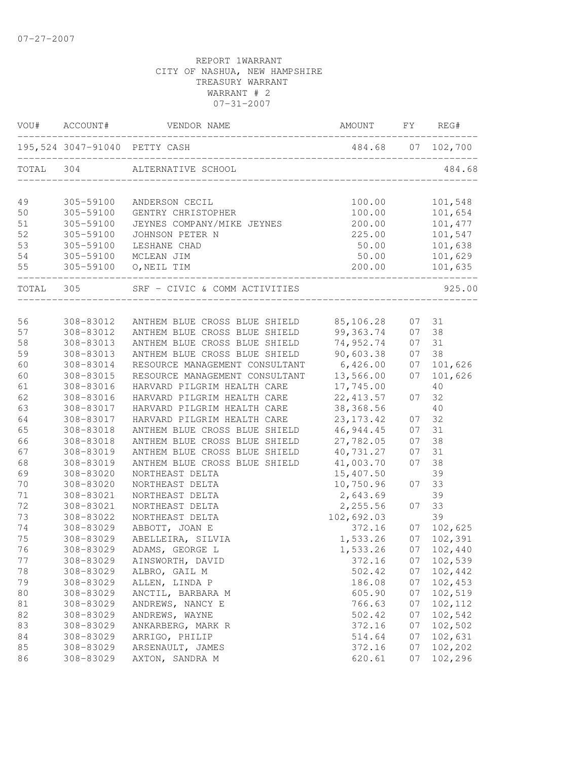|           | VOU# ACCOUNT# | VENDOR NAME                             | AMOUNT      | FY | REG#       |
|-----------|---------------|-----------------------------------------|-------------|----|------------|
|           |               | 195,524 3047-91040 PETTY CASH           |             |    |            |
| TOTAL 304 |               | ALTERNATIVE SCHOOL                      |             |    | 484.68     |
| 49        | 305-59100     | ANDERSON CECIL                          | 100.00      |    | 101,548    |
| 50        | 305-59100     | GENTRY CHRISTOPHER                      | 100.00      |    | 101,654    |
| 51        | 305-59100     | JEYNES COMPANY/MIKE JEYNES              | 200.00      |    | 101,477    |
| 52        | 305-59100     | JOHNSON PETER N                         | 225.00      |    | 101,547    |
| 53        | 305-59100     | LESHANE CHAD                            | 50.00       |    | 101,638    |
| 54        | 305-59100     | MCLEAN JIM                              | 50.00       |    | 101,629    |
| 55        | 305-59100     | O, NEIL TIM                             | 200.00      |    | 101,635    |
| TOTAL 305 |               | SRF - CIVIC & COMM ACTIVITIES           |             |    | 925.00     |
|           |               |                                         |             |    |            |
| 56        | 308-83012     | ANTHEM BLUE CROSS BLUE SHIELD 85,106.28 |             | 07 | 31         |
| 57        | 308-83012     | ANTHEM BLUE CROSS BLUE SHIELD           | 99,363.74   | 07 | 38         |
| 58        | 308-83013     | ANTHEM BLUE CROSS BLUE SHIELD           | 74,952.74   | 07 | 31         |
| 59        | 308-83013     | ANTHEM BLUE CROSS BLUE SHIELD           | 90,603.38   | 07 | 38         |
| 60        | 308-83014     | RESOURCE MANAGEMENT CONSULTANT          | 6,426.00    | 07 | 101,626    |
| 60        | 308-83015     | RESOURCE MANAGEMENT CONSULTANT          | 13,566.00   | 07 | 101,626    |
| 61        | 308-83016     | HARVARD PILGRIM HEALTH CARE             | 17,745.00   |    | 40         |
| 62        | 308-83016     | HARVARD PILGRIM HEALTH CARE             | 22, 413.57  | 07 | 32         |
| 63        | 308-83017     | HARVARD PILGRIM HEALTH CARE             | 38,368.56   |    | 40         |
| 64        | 308-83017     | HARVARD PILGRIM HEALTH CARE             | 23, 173. 42 | 07 | 32         |
| 65        | 308-83018     | ANTHEM BLUE CROSS BLUE SHIELD           | 46,944.45   | 07 | 31         |
| 66        | 308-83018     | ANTHEM BLUE CROSS BLUE SHIELD           | 27,782.05   | 07 | 38         |
| 67        | 308-83019     | ANTHEM BLUE CROSS BLUE SHIELD           | 40,731.27   | 07 | 31         |
| 68        | 308-83019     | ANTHEM BLUE CROSS BLUE SHIELD           | 41,003.70   | 07 | 38         |
| 69        | 308-83020     | NORTHEAST DELTA                         | 15,407.50   |    | 39         |
| 70        | 308-83020     | NORTHEAST DELTA                         | 10,750.96   | 07 | 33         |
| 71        | 308-83021     | NORTHEAST DELTA                         | 2,643.69    |    | 39         |
| 72        | 308-83021     | NORTHEAST DELTA                         | 2,255.56    | 07 | 33         |
| 73        | 308-83022     | NORTHEAST DELTA                         | 102,692.03  |    | 39         |
| 74        | 308-83029     | ABBOTT, JOAN E                          | 372.16      | 07 | 102,625    |
| 75        | 308-83029     | ABELLEIRA, SILVIA                       | 1,533.26    | 07 | 102,391    |
| 76        | 308-83029     | ADAMS, GEORGE L                         | 1,533.26    |    | 07 102,440 |
| 77        | 308-83029     | AINSWORTH, DAVID                        | 372.16      | 07 | 102,539    |
| 78        | 308-83029     | ALBRO, GAIL M                           | 502.42      | 07 | 102,442    |
| 79        | 308-83029     | ALLEN, LINDA P                          | 186.08      | 07 | 102,453    |
| 80        | 308-83029     | ANCTIL, BARBARA M                       | 605.90      | 07 | 102,519    |
| 81        | 308-83029     | ANDREWS, NANCY E                        | 766.63      | 07 | 102,112    |
| 82        | 308-83029     | ANDREWS, WAYNE                          | 502.42      | 07 | 102,542    |
| 83        | 308-83029     | ANKARBERG, MARK R                       | 372.16      | 07 | 102,502    |
| 84        | 308-83029     | ARRIGO, PHILIP                          | 514.64      | 07 | 102,631    |
| 85        | 308-83029     | ARSENAULT, JAMES                        | 372.16      | 07 | 102,202    |
| 86        | 308-83029     | AXTON, SANDRA M                         | 620.61      | 07 | 102,296    |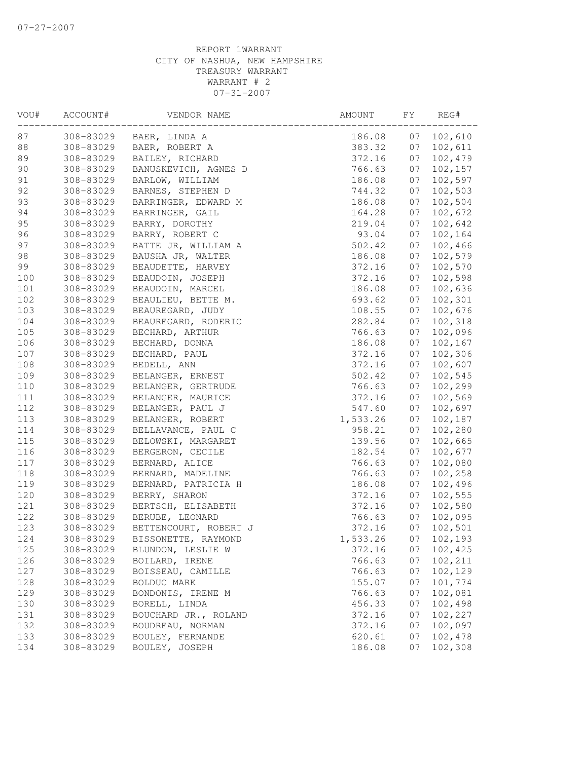| 308-83029<br>BAER, LINDA A<br>186.08<br>07<br>102,610<br>308-83029<br>BAER, ROBERT A<br>383.32<br>07<br>102,611<br>89<br>308-83029<br>BAILEY, RICHARD<br>372.16<br>07<br>102,479<br>90<br>308-83029<br>BANUSKEVICH, AGNES D<br>766.63<br>07<br>102,157<br>91<br>102,597<br>308-83029<br>BARLOW, WILLIAM<br>186.08<br>07<br>92<br>102,503<br>308-83029<br>BARNES, STEPHEN D<br>744.32<br>07<br>102,504<br>93<br>BARRINGER, EDWARD M<br>308-83029<br>186.08<br>07<br>94<br>102,672<br>308-83029<br>BARRINGER, GAIL<br>164.28<br>07<br>95<br>308-83029<br>07<br>102,642<br>BARRY, DOROTHY<br>219.04<br>308-83029<br>BARRY, ROBERT C<br>93.04<br>07<br>102,164<br>308-83029<br>BATTE JR, WILLIAM A<br>502.42<br>07<br>102,466<br>07<br>102,579<br>308-83029<br>BAUSHA JR, WALTER<br>186.08<br>308-83029<br>BEAUDETTE, HARVEY<br>372.16<br>102,570<br>07<br>102,598<br>308-83029<br>BEAUDOIN, JOSEPH<br>372.16<br>07<br>BEAUDOIN, MARCEL<br>102,636<br>308-83029<br>186.08<br>07<br>102,301<br>BEAULIEU, BETTE M.<br>308-83029<br>693.62<br>07<br>102,676<br>308-83029<br>BEAUREGARD, JUDY<br>108.55<br>07<br>308-83029<br>BEAUREGARD, RODERIC<br>282.84<br>07<br>102,318<br>07<br>102,096<br>308-83029<br>BECHARD, ARTHUR<br>766.63<br>308-83029<br>BECHARD, DONNA<br>186.08<br>07<br>102,167<br>BECHARD, PAUL<br>372.16<br>07<br>102,306<br>308-83029<br>308-83029<br>372.16<br>07<br>102,607<br>BEDELL, ANN<br>102,545<br>502.42<br>07<br>308-83029<br>BELANGER, ERNEST<br>BELANGER, GERTRUDE<br>102,299<br>308-83029<br>766.63<br>07<br>BELANGER, MAURICE<br>102,569<br>308-83029<br>372.16<br>07<br>BELANGER, PAUL J<br>102,697<br>308-83029<br>547.60<br>07<br>308-83029<br>BELANGER, ROBERT<br>1,533.26<br>07<br>102,187<br>308-83029<br>958.21<br>07<br>102,280<br>BELLAVANCE, PAUL C<br>308-83029<br>BELOWSKI, MARGARET<br>139.56<br>07<br>102,665<br>308-83029<br>BERGERON, CECILE<br>182.54<br>07<br>102,677<br>102,080<br>308-83029<br>766.63<br>07<br>BERNARD, ALICE<br>102,258<br>308-83029<br>BERNARD, MADELINE<br>766.63<br>07<br>308-83029<br>BERNARD, PATRICIA H<br>186.08<br>07<br>102,496<br>102,555<br>308-83029<br>BERRY, SHARON<br>372.16<br>07<br>102,580<br>308-83029<br>BERTSCH, ELISABETH<br>372.16<br>07<br>102,095<br>BERUBE, LEONARD<br>766.63<br>07<br>308-83029<br>308-83029<br>BETTENCOURT, ROBERT J<br>372.16<br>07<br>102,501<br>308-83029<br>07<br>BISSONETTE, RAYMOND<br>1,533.26<br>102,193<br>102,425<br>308-83029<br>372.16<br>07<br>BLUNDON, LESLIE W<br>308-83029<br>766.63<br>102,211<br>BOILARD, IRENE<br>07<br>102,129<br>308-83029<br>BOISSEAU, CAMILLE<br>766.63<br>07<br>308-83029<br>BOLDUC MARK<br>155.07<br>07<br>101,774<br>BONDONIS, IRENE M<br>766.63<br>07<br>102,081<br>308-83029<br>BORELL, LINDA<br>102,498<br>130<br>308-83029<br>456.33<br>07<br>308-83029<br>BOUCHARD JR., ROLAND<br>07<br>102,227<br>372.16<br>308-83029<br>BOUDREAU, NORMAN<br>372.16<br>102,097<br>07<br>620.61<br>07<br>102,478<br>308-83029<br>BOULEY, FERNANDE<br>308-83029<br>BOULEY, JOSEPH<br>186.08<br>07<br>102,308 | VOU# | ACCOUNT# | VENDOR NAME | AMOUNT | FY | REG# |
|--------------------------------------------------------------------------------------------------------------------------------------------------------------------------------------------------------------------------------------------------------------------------------------------------------------------------------------------------------------------------------------------------------------------------------------------------------------------------------------------------------------------------------------------------------------------------------------------------------------------------------------------------------------------------------------------------------------------------------------------------------------------------------------------------------------------------------------------------------------------------------------------------------------------------------------------------------------------------------------------------------------------------------------------------------------------------------------------------------------------------------------------------------------------------------------------------------------------------------------------------------------------------------------------------------------------------------------------------------------------------------------------------------------------------------------------------------------------------------------------------------------------------------------------------------------------------------------------------------------------------------------------------------------------------------------------------------------------------------------------------------------------------------------------------------------------------------------------------------------------------------------------------------------------------------------------------------------------------------------------------------------------------------------------------------------------------------------------------------------------------------------------------------------------------------------------------------------------------------------------------------------------------------------------------------------------------------------------------------------------------------------------------------------------------------------------------------------------------------------------------------------------------------------------------------------------------------------------------------------------------------------------------------------------------------------------------------------------------------------------------------------------------------------------------------------------------------------------------------------------------------------------------------------------------------------------------------------------------------------------------------------------------------------------------------|------|----------|-------------|--------|----|------|
|                                                                                                                                                                                                                                                                                                                                                                                                                                                                                                                                                                                                                                                                                                                                                                                                                                                                                                                                                                                                                                                                                                                                                                                                                                                                                                                                                                                                                                                                                                                                                                                                                                                                                                                                                                                                                                                                                                                                                                                                                                                                                                                                                                                                                                                                                                                                                                                                                                                                                                                                                                                                                                                                                                                                                                                                                                                                                                                                                                                                                                                        | 87   |          |             |        |    |      |
|                                                                                                                                                                                                                                                                                                                                                                                                                                                                                                                                                                                                                                                                                                                                                                                                                                                                                                                                                                                                                                                                                                                                                                                                                                                                                                                                                                                                                                                                                                                                                                                                                                                                                                                                                                                                                                                                                                                                                                                                                                                                                                                                                                                                                                                                                                                                                                                                                                                                                                                                                                                                                                                                                                                                                                                                                                                                                                                                                                                                                                                        | 88   |          |             |        |    |      |
|                                                                                                                                                                                                                                                                                                                                                                                                                                                                                                                                                                                                                                                                                                                                                                                                                                                                                                                                                                                                                                                                                                                                                                                                                                                                                                                                                                                                                                                                                                                                                                                                                                                                                                                                                                                                                                                                                                                                                                                                                                                                                                                                                                                                                                                                                                                                                                                                                                                                                                                                                                                                                                                                                                                                                                                                                                                                                                                                                                                                                                                        |      |          |             |        |    |      |
|                                                                                                                                                                                                                                                                                                                                                                                                                                                                                                                                                                                                                                                                                                                                                                                                                                                                                                                                                                                                                                                                                                                                                                                                                                                                                                                                                                                                                                                                                                                                                                                                                                                                                                                                                                                                                                                                                                                                                                                                                                                                                                                                                                                                                                                                                                                                                                                                                                                                                                                                                                                                                                                                                                                                                                                                                                                                                                                                                                                                                                                        |      |          |             |        |    |      |
|                                                                                                                                                                                                                                                                                                                                                                                                                                                                                                                                                                                                                                                                                                                                                                                                                                                                                                                                                                                                                                                                                                                                                                                                                                                                                                                                                                                                                                                                                                                                                                                                                                                                                                                                                                                                                                                                                                                                                                                                                                                                                                                                                                                                                                                                                                                                                                                                                                                                                                                                                                                                                                                                                                                                                                                                                                                                                                                                                                                                                                                        |      |          |             |        |    |      |
|                                                                                                                                                                                                                                                                                                                                                                                                                                                                                                                                                                                                                                                                                                                                                                                                                                                                                                                                                                                                                                                                                                                                                                                                                                                                                                                                                                                                                                                                                                                                                                                                                                                                                                                                                                                                                                                                                                                                                                                                                                                                                                                                                                                                                                                                                                                                                                                                                                                                                                                                                                                                                                                                                                                                                                                                                                                                                                                                                                                                                                                        |      |          |             |        |    |      |
|                                                                                                                                                                                                                                                                                                                                                                                                                                                                                                                                                                                                                                                                                                                                                                                                                                                                                                                                                                                                                                                                                                                                                                                                                                                                                                                                                                                                                                                                                                                                                                                                                                                                                                                                                                                                                                                                                                                                                                                                                                                                                                                                                                                                                                                                                                                                                                                                                                                                                                                                                                                                                                                                                                                                                                                                                                                                                                                                                                                                                                                        |      |          |             |        |    |      |
|                                                                                                                                                                                                                                                                                                                                                                                                                                                                                                                                                                                                                                                                                                                                                                                                                                                                                                                                                                                                                                                                                                                                                                                                                                                                                                                                                                                                                                                                                                                                                                                                                                                                                                                                                                                                                                                                                                                                                                                                                                                                                                                                                                                                                                                                                                                                                                                                                                                                                                                                                                                                                                                                                                                                                                                                                                                                                                                                                                                                                                                        |      |          |             |        |    |      |
|                                                                                                                                                                                                                                                                                                                                                                                                                                                                                                                                                                                                                                                                                                                                                                                                                                                                                                                                                                                                                                                                                                                                                                                                                                                                                                                                                                                                                                                                                                                                                                                                                                                                                                                                                                                                                                                                                                                                                                                                                                                                                                                                                                                                                                                                                                                                                                                                                                                                                                                                                                                                                                                                                                                                                                                                                                                                                                                                                                                                                                                        |      |          |             |        |    |      |
|                                                                                                                                                                                                                                                                                                                                                                                                                                                                                                                                                                                                                                                                                                                                                                                                                                                                                                                                                                                                                                                                                                                                                                                                                                                                                                                                                                                                                                                                                                                                                                                                                                                                                                                                                                                                                                                                                                                                                                                                                                                                                                                                                                                                                                                                                                                                                                                                                                                                                                                                                                                                                                                                                                                                                                                                                                                                                                                                                                                                                                                        | 96   |          |             |        |    |      |
|                                                                                                                                                                                                                                                                                                                                                                                                                                                                                                                                                                                                                                                                                                                                                                                                                                                                                                                                                                                                                                                                                                                                                                                                                                                                                                                                                                                                                                                                                                                                                                                                                                                                                                                                                                                                                                                                                                                                                                                                                                                                                                                                                                                                                                                                                                                                                                                                                                                                                                                                                                                                                                                                                                                                                                                                                                                                                                                                                                                                                                                        | 97   |          |             |        |    |      |
|                                                                                                                                                                                                                                                                                                                                                                                                                                                                                                                                                                                                                                                                                                                                                                                                                                                                                                                                                                                                                                                                                                                                                                                                                                                                                                                                                                                                                                                                                                                                                                                                                                                                                                                                                                                                                                                                                                                                                                                                                                                                                                                                                                                                                                                                                                                                                                                                                                                                                                                                                                                                                                                                                                                                                                                                                                                                                                                                                                                                                                                        | 98   |          |             |        |    |      |
|                                                                                                                                                                                                                                                                                                                                                                                                                                                                                                                                                                                                                                                                                                                                                                                                                                                                                                                                                                                                                                                                                                                                                                                                                                                                                                                                                                                                                                                                                                                                                                                                                                                                                                                                                                                                                                                                                                                                                                                                                                                                                                                                                                                                                                                                                                                                                                                                                                                                                                                                                                                                                                                                                                                                                                                                                                                                                                                                                                                                                                                        | 99   |          |             |        |    |      |
|                                                                                                                                                                                                                                                                                                                                                                                                                                                                                                                                                                                                                                                                                                                                                                                                                                                                                                                                                                                                                                                                                                                                                                                                                                                                                                                                                                                                                                                                                                                                                                                                                                                                                                                                                                                                                                                                                                                                                                                                                                                                                                                                                                                                                                                                                                                                                                                                                                                                                                                                                                                                                                                                                                                                                                                                                                                                                                                                                                                                                                                        | 100  |          |             |        |    |      |
|                                                                                                                                                                                                                                                                                                                                                                                                                                                                                                                                                                                                                                                                                                                                                                                                                                                                                                                                                                                                                                                                                                                                                                                                                                                                                                                                                                                                                                                                                                                                                                                                                                                                                                                                                                                                                                                                                                                                                                                                                                                                                                                                                                                                                                                                                                                                                                                                                                                                                                                                                                                                                                                                                                                                                                                                                                                                                                                                                                                                                                                        | 101  |          |             |        |    |      |
|                                                                                                                                                                                                                                                                                                                                                                                                                                                                                                                                                                                                                                                                                                                                                                                                                                                                                                                                                                                                                                                                                                                                                                                                                                                                                                                                                                                                                                                                                                                                                                                                                                                                                                                                                                                                                                                                                                                                                                                                                                                                                                                                                                                                                                                                                                                                                                                                                                                                                                                                                                                                                                                                                                                                                                                                                                                                                                                                                                                                                                                        | 102  |          |             |        |    |      |
|                                                                                                                                                                                                                                                                                                                                                                                                                                                                                                                                                                                                                                                                                                                                                                                                                                                                                                                                                                                                                                                                                                                                                                                                                                                                                                                                                                                                                                                                                                                                                                                                                                                                                                                                                                                                                                                                                                                                                                                                                                                                                                                                                                                                                                                                                                                                                                                                                                                                                                                                                                                                                                                                                                                                                                                                                                                                                                                                                                                                                                                        | 103  |          |             |        |    |      |
|                                                                                                                                                                                                                                                                                                                                                                                                                                                                                                                                                                                                                                                                                                                                                                                                                                                                                                                                                                                                                                                                                                                                                                                                                                                                                                                                                                                                                                                                                                                                                                                                                                                                                                                                                                                                                                                                                                                                                                                                                                                                                                                                                                                                                                                                                                                                                                                                                                                                                                                                                                                                                                                                                                                                                                                                                                                                                                                                                                                                                                                        | 104  |          |             |        |    |      |
|                                                                                                                                                                                                                                                                                                                                                                                                                                                                                                                                                                                                                                                                                                                                                                                                                                                                                                                                                                                                                                                                                                                                                                                                                                                                                                                                                                                                                                                                                                                                                                                                                                                                                                                                                                                                                                                                                                                                                                                                                                                                                                                                                                                                                                                                                                                                                                                                                                                                                                                                                                                                                                                                                                                                                                                                                                                                                                                                                                                                                                                        | 105  |          |             |        |    |      |
|                                                                                                                                                                                                                                                                                                                                                                                                                                                                                                                                                                                                                                                                                                                                                                                                                                                                                                                                                                                                                                                                                                                                                                                                                                                                                                                                                                                                                                                                                                                                                                                                                                                                                                                                                                                                                                                                                                                                                                                                                                                                                                                                                                                                                                                                                                                                                                                                                                                                                                                                                                                                                                                                                                                                                                                                                                                                                                                                                                                                                                                        | 106  |          |             |        |    |      |
|                                                                                                                                                                                                                                                                                                                                                                                                                                                                                                                                                                                                                                                                                                                                                                                                                                                                                                                                                                                                                                                                                                                                                                                                                                                                                                                                                                                                                                                                                                                                                                                                                                                                                                                                                                                                                                                                                                                                                                                                                                                                                                                                                                                                                                                                                                                                                                                                                                                                                                                                                                                                                                                                                                                                                                                                                                                                                                                                                                                                                                                        | 107  |          |             |        |    |      |
|                                                                                                                                                                                                                                                                                                                                                                                                                                                                                                                                                                                                                                                                                                                                                                                                                                                                                                                                                                                                                                                                                                                                                                                                                                                                                                                                                                                                                                                                                                                                                                                                                                                                                                                                                                                                                                                                                                                                                                                                                                                                                                                                                                                                                                                                                                                                                                                                                                                                                                                                                                                                                                                                                                                                                                                                                                                                                                                                                                                                                                                        | 108  |          |             |        |    |      |
|                                                                                                                                                                                                                                                                                                                                                                                                                                                                                                                                                                                                                                                                                                                                                                                                                                                                                                                                                                                                                                                                                                                                                                                                                                                                                                                                                                                                                                                                                                                                                                                                                                                                                                                                                                                                                                                                                                                                                                                                                                                                                                                                                                                                                                                                                                                                                                                                                                                                                                                                                                                                                                                                                                                                                                                                                                                                                                                                                                                                                                                        | 109  |          |             |        |    |      |
|                                                                                                                                                                                                                                                                                                                                                                                                                                                                                                                                                                                                                                                                                                                                                                                                                                                                                                                                                                                                                                                                                                                                                                                                                                                                                                                                                                                                                                                                                                                                                                                                                                                                                                                                                                                                                                                                                                                                                                                                                                                                                                                                                                                                                                                                                                                                                                                                                                                                                                                                                                                                                                                                                                                                                                                                                                                                                                                                                                                                                                                        | 110  |          |             |        |    |      |
|                                                                                                                                                                                                                                                                                                                                                                                                                                                                                                                                                                                                                                                                                                                                                                                                                                                                                                                                                                                                                                                                                                                                                                                                                                                                                                                                                                                                                                                                                                                                                                                                                                                                                                                                                                                                                                                                                                                                                                                                                                                                                                                                                                                                                                                                                                                                                                                                                                                                                                                                                                                                                                                                                                                                                                                                                                                                                                                                                                                                                                                        | 111  |          |             |        |    |      |
|                                                                                                                                                                                                                                                                                                                                                                                                                                                                                                                                                                                                                                                                                                                                                                                                                                                                                                                                                                                                                                                                                                                                                                                                                                                                                                                                                                                                                                                                                                                                                                                                                                                                                                                                                                                                                                                                                                                                                                                                                                                                                                                                                                                                                                                                                                                                                                                                                                                                                                                                                                                                                                                                                                                                                                                                                                                                                                                                                                                                                                                        | 112  |          |             |        |    |      |
|                                                                                                                                                                                                                                                                                                                                                                                                                                                                                                                                                                                                                                                                                                                                                                                                                                                                                                                                                                                                                                                                                                                                                                                                                                                                                                                                                                                                                                                                                                                                                                                                                                                                                                                                                                                                                                                                                                                                                                                                                                                                                                                                                                                                                                                                                                                                                                                                                                                                                                                                                                                                                                                                                                                                                                                                                                                                                                                                                                                                                                                        | 113  |          |             |        |    |      |
|                                                                                                                                                                                                                                                                                                                                                                                                                                                                                                                                                                                                                                                                                                                                                                                                                                                                                                                                                                                                                                                                                                                                                                                                                                                                                                                                                                                                                                                                                                                                                                                                                                                                                                                                                                                                                                                                                                                                                                                                                                                                                                                                                                                                                                                                                                                                                                                                                                                                                                                                                                                                                                                                                                                                                                                                                                                                                                                                                                                                                                                        | 114  |          |             |        |    |      |
|                                                                                                                                                                                                                                                                                                                                                                                                                                                                                                                                                                                                                                                                                                                                                                                                                                                                                                                                                                                                                                                                                                                                                                                                                                                                                                                                                                                                                                                                                                                                                                                                                                                                                                                                                                                                                                                                                                                                                                                                                                                                                                                                                                                                                                                                                                                                                                                                                                                                                                                                                                                                                                                                                                                                                                                                                                                                                                                                                                                                                                                        | 115  |          |             |        |    |      |
|                                                                                                                                                                                                                                                                                                                                                                                                                                                                                                                                                                                                                                                                                                                                                                                                                                                                                                                                                                                                                                                                                                                                                                                                                                                                                                                                                                                                                                                                                                                                                                                                                                                                                                                                                                                                                                                                                                                                                                                                                                                                                                                                                                                                                                                                                                                                                                                                                                                                                                                                                                                                                                                                                                                                                                                                                                                                                                                                                                                                                                                        | 116  |          |             |        |    |      |
|                                                                                                                                                                                                                                                                                                                                                                                                                                                                                                                                                                                                                                                                                                                                                                                                                                                                                                                                                                                                                                                                                                                                                                                                                                                                                                                                                                                                                                                                                                                                                                                                                                                                                                                                                                                                                                                                                                                                                                                                                                                                                                                                                                                                                                                                                                                                                                                                                                                                                                                                                                                                                                                                                                                                                                                                                                                                                                                                                                                                                                                        | 117  |          |             |        |    |      |
|                                                                                                                                                                                                                                                                                                                                                                                                                                                                                                                                                                                                                                                                                                                                                                                                                                                                                                                                                                                                                                                                                                                                                                                                                                                                                                                                                                                                                                                                                                                                                                                                                                                                                                                                                                                                                                                                                                                                                                                                                                                                                                                                                                                                                                                                                                                                                                                                                                                                                                                                                                                                                                                                                                                                                                                                                                                                                                                                                                                                                                                        | 118  |          |             |        |    |      |
|                                                                                                                                                                                                                                                                                                                                                                                                                                                                                                                                                                                                                                                                                                                                                                                                                                                                                                                                                                                                                                                                                                                                                                                                                                                                                                                                                                                                                                                                                                                                                                                                                                                                                                                                                                                                                                                                                                                                                                                                                                                                                                                                                                                                                                                                                                                                                                                                                                                                                                                                                                                                                                                                                                                                                                                                                                                                                                                                                                                                                                                        | 119  |          |             |        |    |      |
|                                                                                                                                                                                                                                                                                                                                                                                                                                                                                                                                                                                                                                                                                                                                                                                                                                                                                                                                                                                                                                                                                                                                                                                                                                                                                                                                                                                                                                                                                                                                                                                                                                                                                                                                                                                                                                                                                                                                                                                                                                                                                                                                                                                                                                                                                                                                                                                                                                                                                                                                                                                                                                                                                                                                                                                                                                                                                                                                                                                                                                                        | 120  |          |             |        |    |      |
|                                                                                                                                                                                                                                                                                                                                                                                                                                                                                                                                                                                                                                                                                                                                                                                                                                                                                                                                                                                                                                                                                                                                                                                                                                                                                                                                                                                                                                                                                                                                                                                                                                                                                                                                                                                                                                                                                                                                                                                                                                                                                                                                                                                                                                                                                                                                                                                                                                                                                                                                                                                                                                                                                                                                                                                                                                                                                                                                                                                                                                                        | 121  |          |             |        |    |      |
|                                                                                                                                                                                                                                                                                                                                                                                                                                                                                                                                                                                                                                                                                                                                                                                                                                                                                                                                                                                                                                                                                                                                                                                                                                                                                                                                                                                                                                                                                                                                                                                                                                                                                                                                                                                                                                                                                                                                                                                                                                                                                                                                                                                                                                                                                                                                                                                                                                                                                                                                                                                                                                                                                                                                                                                                                                                                                                                                                                                                                                                        | 122  |          |             |        |    |      |
|                                                                                                                                                                                                                                                                                                                                                                                                                                                                                                                                                                                                                                                                                                                                                                                                                                                                                                                                                                                                                                                                                                                                                                                                                                                                                                                                                                                                                                                                                                                                                                                                                                                                                                                                                                                                                                                                                                                                                                                                                                                                                                                                                                                                                                                                                                                                                                                                                                                                                                                                                                                                                                                                                                                                                                                                                                                                                                                                                                                                                                                        | 123  |          |             |        |    |      |
|                                                                                                                                                                                                                                                                                                                                                                                                                                                                                                                                                                                                                                                                                                                                                                                                                                                                                                                                                                                                                                                                                                                                                                                                                                                                                                                                                                                                                                                                                                                                                                                                                                                                                                                                                                                                                                                                                                                                                                                                                                                                                                                                                                                                                                                                                                                                                                                                                                                                                                                                                                                                                                                                                                                                                                                                                                                                                                                                                                                                                                                        | 124  |          |             |        |    |      |
|                                                                                                                                                                                                                                                                                                                                                                                                                                                                                                                                                                                                                                                                                                                                                                                                                                                                                                                                                                                                                                                                                                                                                                                                                                                                                                                                                                                                                                                                                                                                                                                                                                                                                                                                                                                                                                                                                                                                                                                                                                                                                                                                                                                                                                                                                                                                                                                                                                                                                                                                                                                                                                                                                                                                                                                                                                                                                                                                                                                                                                                        | 125  |          |             |        |    |      |
|                                                                                                                                                                                                                                                                                                                                                                                                                                                                                                                                                                                                                                                                                                                                                                                                                                                                                                                                                                                                                                                                                                                                                                                                                                                                                                                                                                                                                                                                                                                                                                                                                                                                                                                                                                                                                                                                                                                                                                                                                                                                                                                                                                                                                                                                                                                                                                                                                                                                                                                                                                                                                                                                                                                                                                                                                                                                                                                                                                                                                                                        | 126  |          |             |        |    |      |
|                                                                                                                                                                                                                                                                                                                                                                                                                                                                                                                                                                                                                                                                                                                                                                                                                                                                                                                                                                                                                                                                                                                                                                                                                                                                                                                                                                                                                                                                                                                                                                                                                                                                                                                                                                                                                                                                                                                                                                                                                                                                                                                                                                                                                                                                                                                                                                                                                                                                                                                                                                                                                                                                                                                                                                                                                                                                                                                                                                                                                                                        | 127  |          |             |        |    |      |
|                                                                                                                                                                                                                                                                                                                                                                                                                                                                                                                                                                                                                                                                                                                                                                                                                                                                                                                                                                                                                                                                                                                                                                                                                                                                                                                                                                                                                                                                                                                                                                                                                                                                                                                                                                                                                                                                                                                                                                                                                                                                                                                                                                                                                                                                                                                                                                                                                                                                                                                                                                                                                                                                                                                                                                                                                                                                                                                                                                                                                                                        | 128  |          |             |        |    |      |
|                                                                                                                                                                                                                                                                                                                                                                                                                                                                                                                                                                                                                                                                                                                                                                                                                                                                                                                                                                                                                                                                                                                                                                                                                                                                                                                                                                                                                                                                                                                                                                                                                                                                                                                                                                                                                                                                                                                                                                                                                                                                                                                                                                                                                                                                                                                                                                                                                                                                                                                                                                                                                                                                                                                                                                                                                                                                                                                                                                                                                                                        | 129  |          |             |        |    |      |
|                                                                                                                                                                                                                                                                                                                                                                                                                                                                                                                                                                                                                                                                                                                                                                                                                                                                                                                                                                                                                                                                                                                                                                                                                                                                                                                                                                                                                                                                                                                                                                                                                                                                                                                                                                                                                                                                                                                                                                                                                                                                                                                                                                                                                                                                                                                                                                                                                                                                                                                                                                                                                                                                                                                                                                                                                                                                                                                                                                                                                                                        |      |          |             |        |    |      |
|                                                                                                                                                                                                                                                                                                                                                                                                                                                                                                                                                                                                                                                                                                                                                                                                                                                                                                                                                                                                                                                                                                                                                                                                                                                                                                                                                                                                                                                                                                                                                                                                                                                                                                                                                                                                                                                                                                                                                                                                                                                                                                                                                                                                                                                                                                                                                                                                                                                                                                                                                                                                                                                                                                                                                                                                                                                                                                                                                                                                                                                        | 131  |          |             |        |    |      |
|                                                                                                                                                                                                                                                                                                                                                                                                                                                                                                                                                                                                                                                                                                                                                                                                                                                                                                                                                                                                                                                                                                                                                                                                                                                                                                                                                                                                                                                                                                                                                                                                                                                                                                                                                                                                                                                                                                                                                                                                                                                                                                                                                                                                                                                                                                                                                                                                                                                                                                                                                                                                                                                                                                                                                                                                                                                                                                                                                                                                                                                        | 132  |          |             |        |    |      |
|                                                                                                                                                                                                                                                                                                                                                                                                                                                                                                                                                                                                                                                                                                                                                                                                                                                                                                                                                                                                                                                                                                                                                                                                                                                                                                                                                                                                                                                                                                                                                                                                                                                                                                                                                                                                                                                                                                                                                                                                                                                                                                                                                                                                                                                                                                                                                                                                                                                                                                                                                                                                                                                                                                                                                                                                                                                                                                                                                                                                                                                        | 133  |          |             |        |    |      |
|                                                                                                                                                                                                                                                                                                                                                                                                                                                                                                                                                                                                                                                                                                                                                                                                                                                                                                                                                                                                                                                                                                                                                                                                                                                                                                                                                                                                                                                                                                                                                                                                                                                                                                                                                                                                                                                                                                                                                                                                                                                                                                                                                                                                                                                                                                                                                                                                                                                                                                                                                                                                                                                                                                                                                                                                                                                                                                                                                                                                                                                        | 134  |          |             |        |    |      |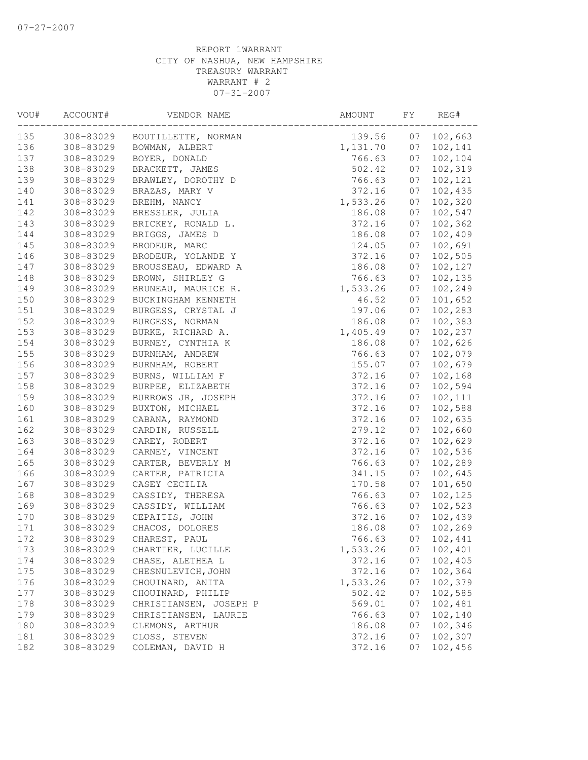| VOU# | ACCOUNT#  | VENDOR NAME            | AMOUNT   | FY | REG#    |
|------|-----------|------------------------|----------|----|---------|
| 135  | 308-83029 | BOUTILLETTE, NORMAN    | 139.56   | 07 | 102,663 |
| 136  | 308-83029 | BOWMAN, ALBERT         | 1,131.70 | 07 | 102,141 |
| 137  | 308-83029 | BOYER, DONALD          | 766.63   | 07 | 102,104 |
| 138  | 308-83029 | BRACKETT, JAMES        | 502.42   | 07 | 102,319 |
| 139  | 308-83029 | BRAWLEY, DOROTHY D     | 766.63   | 07 | 102,121 |
| 140  | 308-83029 | BRAZAS, MARY V         | 372.16   | 07 | 102,435 |
| 141  | 308-83029 | BREHM, NANCY           | 1,533.26 | 07 | 102,320 |
| 142  | 308-83029 | BRESSLER, JULIA        | 186.08   | 07 | 102,547 |
| 143  | 308-83029 | BRICKEY, RONALD L.     | 372.16   | 07 | 102,362 |
| 144  | 308-83029 | BRIGGS, JAMES D        | 186.08   | 07 | 102,409 |
| 145  | 308-83029 | BRODEUR, MARC          | 124.05   | 07 | 102,691 |
| 146  | 308-83029 | BRODEUR, YOLANDE Y     | 372.16   | 07 | 102,505 |
| 147  | 308-83029 | BROUSSEAU, EDWARD A    | 186.08   | 07 | 102,127 |
| 148  | 308-83029 | BROWN, SHIRLEY G       | 766.63   | 07 | 102,135 |
| 149  | 308-83029 | BRUNEAU, MAURICE R.    | 1,533.26 | 07 | 102,249 |
| 150  | 308-83029 | BUCKINGHAM KENNETH     | 46.52    | 07 | 101,652 |
| 151  | 308-83029 | BURGESS, CRYSTAL J     | 197.06   | 07 | 102,283 |
| 152  | 308-83029 | BURGESS, NORMAN        | 186.08   | 07 | 102,383 |
| 153  | 308-83029 | BURKE, RICHARD A.      | 1,405.49 | 07 | 102,237 |
| 154  | 308-83029 | BURNEY, CYNTHIA K      | 186.08   | 07 | 102,626 |
| 155  | 308-83029 | BURNHAM, ANDREW        | 766.63   | 07 | 102,079 |
| 156  | 308-83029 | BURNHAM, ROBERT        | 155.07   | 07 | 102,679 |
| 157  | 308-83029 | BURNS, WILLIAM F       | 372.16   | 07 | 102,168 |
| 158  | 308-83029 | BURPEE, ELIZABETH      | 372.16   | 07 | 102,594 |
| 159  | 308-83029 | BURROWS JR, JOSEPH     | 372.16   | 07 | 102,111 |
| 160  | 308-83029 | BUXTON, MICHAEL        | 372.16   | 07 | 102,588 |
| 161  | 308-83029 | CABANA, RAYMOND        | 372.16   | 07 | 102,635 |
| 162  | 308-83029 | CARDIN, RUSSELL        | 279.12   | 07 | 102,660 |
| 163  | 308-83029 | CAREY, ROBERT          | 372.16   | 07 | 102,629 |
| 164  | 308-83029 | CARNEY, VINCENT        | 372.16   | 07 | 102,536 |
| 165  | 308-83029 | CARTER, BEVERLY M      | 766.63   | 07 | 102,289 |
| 166  | 308-83029 | CARTER, PATRICIA       | 341.15   | 07 | 102,645 |
| 167  | 308-83029 | CASEY CECILIA          | 170.58   | 07 | 101,650 |
| 168  | 308-83029 | CASSIDY, THERESA       | 766.63   | 07 | 102,125 |
| 169  | 308-83029 | CASSIDY, WILLIAM       | 766.63   | 07 | 102,523 |
| 170  | 308-83029 | CEPAITIS, JOHN         | 372.16   | 07 | 102,439 |
| 171  | 308-83029 | CHACOS, DOLORES        | 186.08   | 07 | 102,269 |
| 172  | 308-83029 | CHAREST, PAUL          | 766.63   | 07 | 102,441 |
| 173  | 308-83029 | CHARTIER, LUCILLE      | 1,533.26 | 07 | 102,401 |
| 174  | 308-83029 | CHASE, ALETHEA L       | 372.16   | 07 | 102,405 |
| 175  | 308-83029 | CHESNULEVICH, JOHN     | 372.16   | 07 | 102,364 |
| 176  | 308-83029 | CHOUINARD, ANITA       | 1,533.26 | 07 | 102,379 |
| 177  | 308-83029 | CHOUINARD, PHILIP      | 502.42   | 07 | 102,585 |
| 178  | 308-83029 | CHRISTIANSEN, JOSEPH P | 569.01   | 07 | 102,481 |
| 179  | 308-83029 | CHRISTIANSEN, LAURIE   | 766.63   | 07 | 102,140 |
| 180  | 308-83029 | CLEMONS, ARTHUR        | 186.08   | 07 | 102,346 |
| 181  | 308-83029 | CLOSS, STEVEN          | 372.16   | 07 | 102,307 |
| 182  | 308-83029 | COLEMAN, DAVID H       | 372.16   | 07 | 102,456 |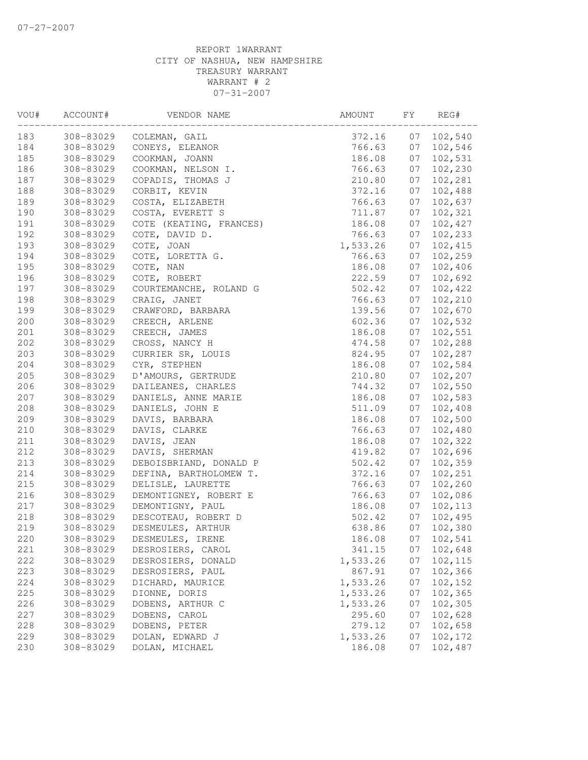| VOU#  | ACCOUNT#                                                                                                          | VENDOR NAME             | AMOUNT   | FY | REG#    |
|-------|-------------------------------------------------------------------------------------------------------------------|-------------------------|----------|----|---------|
| 183   | 308-83029                                                                                                         | COLEMAN, GAIL           | 372.16   | 07 | 102,540 |
| 184   | 308-83029                                                                                                         | CONEYS, ELEANOR         | 766.63   | 07 | 102,546 |
| 185   | 308-83029                                                                                                         | COOKMAN, JOANN          | 186.08   | 07 | 102,531 |
| 186   | 308-83029                                                                                                         | COOKMAN, NELSON I.      | 766.63   | 07 | 102,230 |
| 187   | 308-83029                                                                                                         | COPADIS, THOMAS J       | 210.80   | 07 | 102,281 |
| 188   | 308-83029                                                                                                         | CORBIT, KEVIN           | 372.16   | 07 | 102,488 |
| 189   | 308-83029                                                                                                         | COSTA, ELIZABETH        | 766.63   | 07 | 102,637 |
| 190   | 308-83029                                                                                                         | COSTA, EVERETT S        | 711.87   | 07 | 102,321 |
| 191   | 308-83029                                                                                                         | COTE (KEATING, FRANCES) | 186.08   | 07 | 102,427 |
| 192   | 308-83029                                                                                                         | COTE, DAVID D.          | 766.63   | 07 | 102,233 |
| 193   | 308-83029                                                                                                         | COTE, JOAN              | 1,533.26 | 07 | 102,415 |
| 194   | 308-83029                                                                                                         | COTE, LORETTA G.        | 766.63   | 07 | 102,259 |
| 195   | 308-83029                                                                                                         | COTE, NAN               | 186.08   | 07 | 102,406 |
| 196   | 308-83029<br>308-83029<br>308-83029<br>308-83029<br>308-83029<br>308-83029<br>308-83029<br>308-83029<br>308-83029 | COTE, ROBERT            | 222.59   | 07 | 102,692 |
| 197   |                                                                                                                   | COURTEMANCHE, ROLAND G  | 502.42   | 07 | 102,422 |
| 198   |                                                                                                                   | CRAIG, JANET            | 766.63   | 07 | 102,210 |
| 199   |                                                                                                                   | CRAWFORD, BARBARA       | 139.56   | 07 | 102,670 |
| 200   |                                                                                                                   | CREECH, ARLENE          | 602.36   | 07 | 102,532 |
| $201$ |                                                                                                                   | CREECH, JAMES           | 186.08   | 07 | 102,551 |
| 202   |                                                                                                                   | CROSS, NANCY H          | 474.58   | 07 | 102,288 |
| 203   |                                                                                                                   | CURRIER SR, LOUIS       | 824.95   | 07 | 102,287 |
| 204   |                                                                                                                   | CYR, STEPHEN            | 186.08   | 07 | 102,584 |
| 205   | 308-83029                                                                                                         | D'AMOURS, GERTRUDE      | 210.80   | 07 | 102,207 |
| 206   | 308-83029                                                                                                         | DAILEANES, CHARLES      | 744.32   | 07 | 102,550 |
| 207   | 308-83029                                                                                                         | DANIELS, ANNE MARIE     | 186.08   | 07 | 102,583 |
| 208   | 308-83029                                                                                                         | DANIELS, JOHN E         | 511.09   | 07 | 102,408 |
| 209   | 308-83029                                                                                                         | DAVIS, BARBARA          | 186.08   | 07 | 102,500 |
| $210$ | 308-83029                                                                                                         | DAVIS, CLARKE           | 766.63   | 07 | 102,480 |
| 211   | 308-83029                                                                                                         | DAVIS, JEAN             | 186.08   | 07 | 102,322 |
| 212   | 308-83029                                                                                                         | DAVIS, SHERMAN          | 419.82   | 07 | 102,696 |
| 213   | 308-83029                                                                                                         | DEBOISBRIAND, DONALD P  | 502.42   | 07 | 102,359 |
| 214   | 308-83029                                                                                                         | DEFINA, BARTHOLOMEW T.  | 372.16   | 07 | 102,251 |
| 215   | 308-83029                                                                                                         | DELISLE, LAURETTE       | 766.63   | 07 | 102,260 |
| 216   | 308-83029                                                                                                         | DEMONTIGNEY, ROBERT E   | 766.63   | 07 | 102,086 |
| 217   | 308-83029                                                                                                         | DEMONTIGNY, PAUL        | 186.08   | 07 | 102,113 |
| 218   | 308-83029                                                                                                         | DESCOTEAU, ROBERT D     | 502.42   | 07 | 102,495 |
| 219   | 308-83029                                                                                                         | DESMEULES, ARTHUR       | 638.86   | 07 | 102,380 |
| 220   | 308-83029                                                                                                         | DESMEULES, IRENE        | 186.08   | 07 | 102,541 |
| 221   | 308-83029                                                                                                         | DESROSIERS, CAROL       | 341.15   | 07 | 102,648 |
| 222   | 308-83029                                                                                                         | DESROSIERS, DONALD      | 1,533.26 | 07 | 102,115 |
| 223   | 308-83029                                                                                                         | DESROSIERS, PAUL        | 867.91   | 07 | 102,366 |
| 224   | 308-83029                                                                                                         | DICHARD, MAURICE        | 1,533.26 | 07 | 102,152 |
| 225   | 308-83029                                                                                                         | DIONNE, DORIS           | 1,533.26 | 07 | 102,365 |
| 226   | 308-83029                                                                                                         | DOBENS, ARTHUR C        | 1,533.26 | 07 | 102,305 |
| 227   | 308-83029                                                                                                         | DOBENS, CAROL           | 295.60   | 07 | 102,628 |
| 228   | 308-83029                                                                                                         | DOBENS, PETER           | 279.12   | 07 | 102,658 |
| 229   | 308-83029                                                                                                         | DOLAN, EDWARD J         | 1,533.26 | 07 | 102,172 |
| 230   | 308-83029                                                                                                         | DOLAN, MICHAEL          | 186.08   | 07 | 102,487 |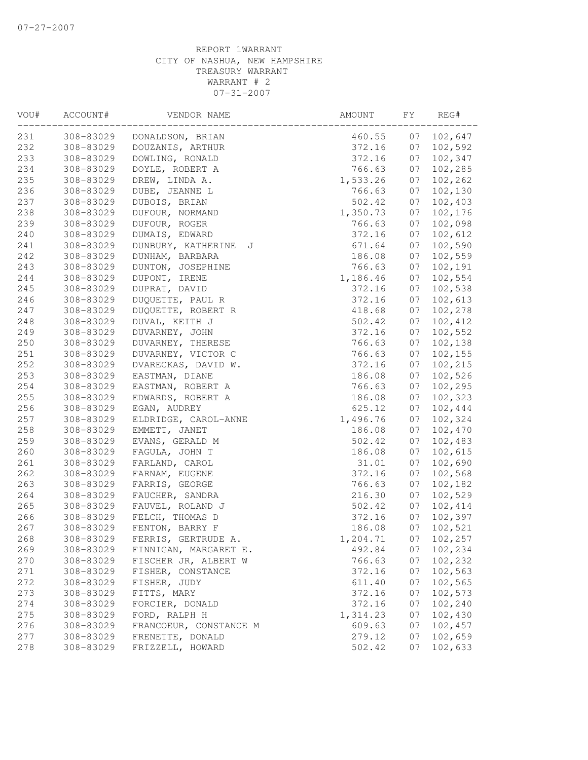| VOU#       | ACCOUNT#                                                                                                                                                                                                                                                                                                                                                                                                                                                                                                                                                                                                                               | VENDOR NAME                      | AMOUNT           | FY       | REG#               |
|------------|----------------------------------------------------------------------------------------------------------------------------------------------------------------------------------------------------------------------------------------------------------------------------------------------------------------------------------------------------------------------------------------------------------------------------------------------------------------------------------------------------------------------------------------------------------------------------------------------------------------------------------------|----------------------------------|------------------|----------|--------------------|
| 231        | 308-83029                                                                                                                                                                                                                                                                                                                                                                                                                                                                                                                                                                                                                              | DONALDSON, BRIAN                 | 460.55           | 07       | 102,647            |
| 232        | 308-83029                                                                                                                                                                                                                                                                                                                                                                                                                                                                                                                                                                                                                              | DOUZANIS, ARTHUR                 | 372.16           | 07       | 102,592            |
| 233        | 308-83029                                                                                                                                                                                                                                                                                                                                                                                                                                                                                                                                                                                                                              | DOWLING, RONALD                  | 372.16           | 07       | 102,347            |
| 234        |                                                                                                                                                                                                                                                                                                                                                                                                                                                                                                                                                                                                                                        | DOYLE, ROBERT A                  | 766.63           | 07       | 102,285            |
| 235        |                                                                                                                                                                                                                                                                                                                                                                                                                                                                                                                                                                                                                                        | DREW, LINDA A.                   | 1,533.26         | 07       | 102,262            |
| 236        |                                                                                                                                                                                                                                                                                                                                                                                                                                                                                                                                                                                                                                        | DUBE, JEANNE L                   | 766.63           | 07       | 102,130            |
| 237        |                                                                                                                                                                                                                                                                                                                                                                                                                                                                                                                                                                                                                                        | DUBOIS, BRIAN                    | 502.42           | 07       | 102,403            |
| 238        |                                                                                                                                                                                                                                                                                                                                                                                                                                                                                                                                                                                                                                        | DUFOUR, NORMAND                  | 1,350.73         | 07       | 102,176            |
| 239        |                                                                                                                                                                                                                                                                                                                                                                                                                                                                                                                                                                                                                                        | DUFOUR, ROGER                    | 766.63           | 07       | 102,098            |
| 240        |                                                                                                                                                                                                                                                                                                                                                                                                                                                                                                                                                                                                                                        | DUMAIS, EDWARD                   | 372.16           | 07       | 102,612            |
| 241        |                                                                                                                                                                                                                                                                                                                                                                                                                                                                                                                                                                                                                                        | DUNBURY, KATHERINE J             | 671.64           | 07       | 102,590            |
| 242        |                                                                                                                                                                                                                                                                                                                                                                                                                                                                                                                                                                                                                                        | DUNHAM, BARBARA                  | 186.08           | 07       | 102,559            |
| 243        |                                                                                                                                                                                                                                                                                                                                                                                                                                                                                                                                                                                                                                        | DUNTON, JOSEPHINE                | 766.63           | 07       | 102,191            |
| 244        | 308-83029<br>308-83029<br>308-83029<br>308-83029<br>308-83029<br>308-83029<br>308-83029<br>308-83029<br>308-83029<br>308-83029<br>308-83029<br>308-83029<br>308-83029<br>308-83029<br>308-83029<br>308-83029<br>308-83029<br>308-83029<br>308-83029<br>308-83029<br>308-83029<br>308-83029<br>308-83029<br>308-83029<br>258<br>308-83029<br>308-83029<br>308-83029<br>261<br>308-83029<br>262<br>308-83029<br>263<br>308-83029<br>264<br>308-83029<br>265<br>308-83029<br>266<br>308-83029<br>267<br>308-83029<br>268<br>308-83029<br>269<br>308-83029<br>270<br>308-83029<br>271<br>308-83029<br>272<br>308-83029<br>273<br>308-83029 | DUPONT, IRENE                    | 1,186.46         | 07       | 102,554            |
| 245        |                                                                                                                                                                                                                                                                                                                                                                                                                                                                                                                                                                                                                                        | DUPRAT, DAVID                    | 372.16           | 07       | 102,538            |
| 246        |                                                                                                                                                                                                                                                                                                                                                                                                                                                                                                                                                                                                                                        | DUQUETTE, PAUL R                 | 372.16           | 07       | 102,613            |
| 247        |                                                                                                                                                                                                                                                                                                                                                                                                                                                                                                                                                                                                                                        | DUQUETTE, ROBERT R               | 418.68           | 07       | 102,278            |
| 248        |                                                                                                                                                                                                                                                                                                                                                                                                                                                                                                                                                                                                                                        | DUVAL, KEITH J                   | 502.42           | 07       | 102,412            |
| 249        |                                                                                                                                                                                                                                                                                                                                                                                                                                                                                                                                                                                                                                        | DUVARNEY, JOHN                   | 372.16           | 07       | 102,552            |
| 250        |                                                                                                                                                                                                                                                                                                                                                                                                                                                                                                                                                                                                                                        | DUVARNEY, THERESE                | 766.63           | 07       | 102,138            |
| 251        |                                                                                                                                                                                                                                                                                                                                                                                                                                                                                                                                                                                                                                        | DUVARNEY, VICTOR C               | 766.63           | 07       | 102, 155           |
| 252        |                                                                                                                                                                                                                                                                                                                                                                                                                                                                                                                                                                                                                                        | DVARECKAS, DAVID W.              | 372.16           | 07       | 102,215            |
| 253        |                                                                                                                                                                                                                                                                                                                                                                                                                                                                                                                                                                                                                                        | EASTMAN, DIANE                   | 186.08           | 07       | 102,526            |
| 254        |                                                                                                                                                                                                                                                                                                                                                                                                                                                                                                                                                                                                                                        | EASTMAN, ROBERT A                | 766.63           | 07       | 102,295            |
| 255        |                                                                                                                                                                                                                                                                                                                                                                                                                                                                                                                                                                                                                                        | EDWARDS, ROBERT A                | 186.08           | 07       | 102,323            |
| 256        |                                                                                                                                                                                                                                                                                                                                                                                                                                                                                                                                                                                                                                        | EGAN, AUDREY                     | 625.12           | 07       | 102,444            |
| 257        |                                                                                                                                                                                                                                                                                                                                                                                                                                                                                                                                                                                                                                        | ELDRIDGE, CAROL-ANNE             | 1,496.76         | 07       | 102,324            |
|            |                                                                                                                                                                                                                                                                                                                                                                                                                                                                                                                                                                                                                                        | EMMETT, JANET                    | 186.08           | 07       | 102,470            |
| 259        |                                                                                                                                                                                                                                                                                                                                                                                                                                                                                                                                                                                                                                        | EVANS, GERALD M                  | 502.42           | 07       | 102,483            |
| 260        |                                                                                                                                                                                                                                                                                                                                                                                                                                                                                                                                                                                                                                        | FAGULA, JOHN T                   | 186.08           | 07       | 102,615            |
|            |                                                                                                                                                                                                                                                                                                                                                                                                                                                                                                                                                                                                                                        | FARLAND, CAROL                   | 31.01            | 07       | 102,690            |
|            |                                                                                                                                                                                                                                                                                                                                                                                                                                                                                                                                                                                                                                        | FARNAM, EUGENE                   | 372.16           | 07       | 102,568            |
|            |                                                                                                                                                                                                                                                                                                                                                                                                                                                                                                                                                                                                                                        | FARRIS, GEORGE                   | 766.63           | 07       | 102,182            |
|            |                                                                                                                                                                                                                                                                                                                                                                                                                                                                                                                                                                                                                                        | FAUCHER, SANDRA                  | 216.30           | 07       | 102,529            |
|            |                                                                                                                                                                                                                                                                                                                                                                                                                                                                                                                                                                                                                                        | FAUVEL, ROLAND J                 | 502.42           | 07       | 102,414            |
|            |                                                                                                                                                                                                                                                                                                                                                                                                                                                                                                                                                                                                                                        | FELCH, THOMAS D                  | 372.16           | 07       | 102,397            |
|            |                                                                                                                                                                                                                                                                                                                                                                                                                                                                                                                                                                                                                                        | FENTON, BARRY F                  | 186.08           | 07       | 102,521            |
|            |                                                                                                                                                                                                                                                                                                                                                                                                                                                                                                                                                                                                                                        | FERRIS, GERTRUDE A.              | 1,204.71         | 07       | 102,257            |
|            |                                                                                                                                                                                                                                                                                                                                                                                                                                                                                                                                                                                                                                        | FINNIGAN, MARGARET E.            | 492.84           | 07       | 102,234            |
|            |                                                                                                                                                                                                                                                                                                                                                                                                                                                                                                                                                                                                                                        | FISCHER JR, ALBERT W             | 766.63<br>372.16 | 07       | 102,232            |
|            |                                                                                                                                                                                                                                                                                                                                                                                                                                                                                                                                                                                                                                        | FISHER, CONSTANCE                |                  | 07       | 102,563<br>102,565 |
|            |                                                                                                                                                                                                                                                                                                                                                                                                                                                                                                                                                                                                                                        | FISHER, JUDY                     | 611.40           | 07<br>07 | 102,573            |
|            | 308-83029                                                                                                                                                                                                                                                                                                                                                                                                                                                                                                                                                                                                                              | FITTS, MARY                      | 372.16<br>372.16 |          |                    |
| 274        |                                                                                                                                                                                                                                                                                                                                                                                                                                                                                                                                                                                                                                        | FORCIER, DONALD<br>FORD, RALPH H |                  | 07       | 102,240            |
| 275<br>276 | 308-83029<br>308-83029                                                                                                                                                                                                                                                                                                                                                                                                                                                                                                                                                                                                                 | FRANCOEUR, CONSTANCE M           | 1,314.23         | 07<br>07 | 102,430<br>102,457 |
| 277        | 308-83029                                                                                                                                                                                                                                                                                                                                                                                                                                                                                                                                                                                                                              | FRENETTE, DONALD                 | 609.63<br>279.12 | 07       | 102,659            |
| 278        | 308-83029                                                                                                                                                                                                                                                                                                                                                                                                                                                                                                                                                                                                                              | FRIZZELL, HOWARD                 | 502.42           | 07       | 102,633            |
|            |                                                                                                                                                                                                                                                                                                                                                                                                                                                                                                                                                                                                                                        |                                  |                  |          |                    |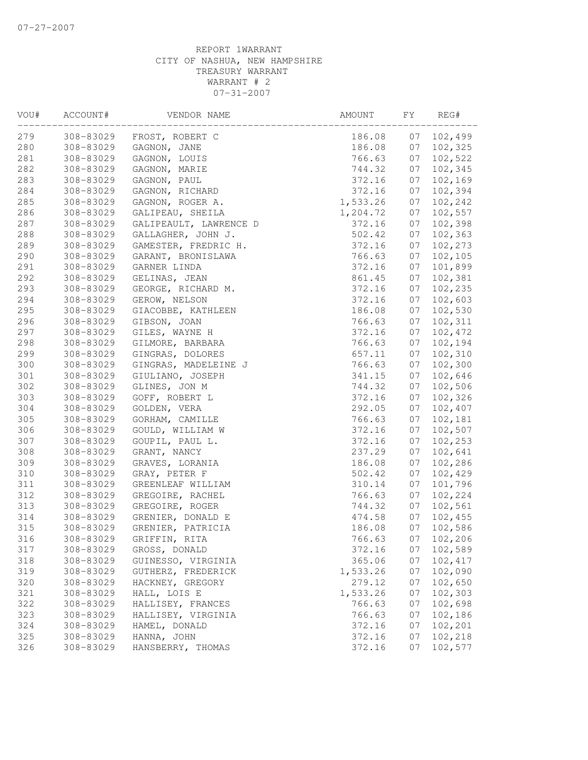| VOU# | ACCOUNT#                                                                                                                                                                                      | VENDOR NAME            | AMOUNT   | FY | REG#    |
|------|-----------------------------------------------------------------------------------------------------------------------------------------------------------------------------------------------|------------------------|----------|----|---------|
| 279  | 308-83029                                                                                                                                                                                     | FROST, ROBERT C        | 186.08   | 07 | 102,499 |
| 280  | 308-83029                                                                                                                                                                                     | GAGNON, JANE           | 186.08   | 07 | 102,325 |
| 281  | 308-83029                                                                                                                                                                                     | GAGNON, LOUIS          | 766.63   | 07 | 102,522 |
| 282  | 308-83029                                                                                                                                                                                     | GAGNON, MARIE          | 744.32   | 07 | 102,345 |
| 283  | 308-83029                                                                                                                                                                                     | GAGNON, PAUL           | 372.16   | 07 | 102,169 |
| 284  | 308-83029                                                                                                                                                                                     | GAGNON, RICHARD        | 372.16   | 07 | 102,394 |
| 285  | 308-83029                                                                                                                                                                                     | GAGNON, ROGER A.       | 1,533.26 | 07 | 102,242 |
| 286  | 308-83029                                                                                                                                                                                     | GALIPEAU, SHEILA       | 1,204.72 | 07 | 102,557 |
| 287  | 308-83029                                                                                                                                                                                     | GALIPEAULT, LAWRENCE D | 372.16   | 07 | 102,398 |
| 288  | 308-83029                                                                                                                                                                                     | GALLAGHER, JOHN J.     | 502.42   | 07 | 102,363 |
| 289  | 308-83029                                                                                                                                                                                     | GAMESTER, FREDRIC H.   | 372.16   | 07 | 102,273 |
| 290  | 308-83029                                                                                                                                                                                     | GARANT, BRONISLAWA     | 766.63   | 07 | 102,105 |
| 291  | 308-83029                                                                                                                                                                                     | GARNER LINDA           | 372.16   | 07 | 101,899 |
| 292  | 308-83029                                                                                                                                                                                     | GELINAS, JEAN          | 861.45   | 07 | 102,381 |
| 293  | GEORGE, RICHARD M.<br>308-83029<br>GEROW, NELSON<br>308-83029<br>308-83029<br>GIACOBBE, KATHLEEN<br>308-83029<br>GIBSON, JOAN<br>308-83029<br>GILES, WAYNE H<br>308-83029<br>GILMORE, BARBARA |                        | 372.16   | 07 | 102,235 |
| 294  |                                                                                                                                                                                               |                        | 372.16   | 07 | 102,603 |
| 295  |                                                                                                                                                                                               |                        | 186.08   | 07 | 102,530 |
| 296  |                                                                                                                                                                                               |                        | 766.63   | 07 | 102,311 |
| 297  |                                                                                                                                                                                               |                        | 372.16   | 07 | 102,472 |
| 298  |                                                                                                                                                                                               |                        | 766.63   | 07 | 102,194 |
| 299  | 308-83029                                                                                                                                                                                     | GINGRAS, DOLORES       | 657.11   | 07 | 102,310 |
| 300  | 308-83029                                                                                                                                                                                     | GINGRAS, MADELEINE J   | 766.63   | 07 | 102,300 |
| 301  | 308-83029                                                                                                                                                                                     | GIULIANO, JOSEPH       | 341.15   | 07 | 102,646 |
| 302  | 308-83029                                                                                                                                                                                     | GLINES, JON M          | 744.32   | 07 | 102,506 |
| 303  | 308-83029                                                                                                                                                                                     | GOFF, ROBERT L         | 372.16   | 07 | 102,326 |
| 304  | 308-83029                                                                                                                                                                                     | GOLDEN, VERA           | 292.05   | 07 | 102,407 |
| 305  | 308-83029                                                                                                                                                                                     | GORHAM, CAMILLE        | 766.63   | 07 | 102,181 |
| 306  | 308-83029                                                                                                                                                                                     | GOULD, WILLIAM W       | 372.16   | 07 | 102,507 |
| 307  | 308-83029                                                                                                                                                                                     | GOUPIL, PAUL L.        | 372.16   | 07 | 102,253 |
| 308  | 308-83029                                                                                                                                                                                     | GRANT, NANCY           | 237.29   | 07 | 102,641 |
| 309  | 308-83029                                                                                                                                                                                     | GRAVES, LORANIA        | 186.08   | 07 | 102,286 |
| 310  | 308-83029                                                                                                                                                                                     | GRAY, PETER F          | 502.42   | 07 | 102,429 |
| 311  | 308-83029                                                                                                                                                                                     | GREENLEAF WILLIAM      | 310.14   | 07 | 101,796 |
| 312  | 308-83029                                                                                                                                                                                     | GREGOIRE, RACHEL       | 766.63   | 07 | 102,224 |
| 313  | 308-83029                                                                                                                                                                                     | GREGOIRE, ROGER        | 744.32   | 07 | 102,561 |
| 314  | 308-83029                                                                                                                                                                                     | GRENIER, DONALD E      | 474.58   | 07 | 102,455 |
| 315  | 308-83029                                                                                                                                                                                     | GRENIER, PATRICIA      | 186.08   | 07 | 102,586 |
| 316  | 308-83029                                                                                                                                                                                     | GRIFFIN, RITA          | 766.63   | 07 | 102,206 |
| 317  | 308-83029                                                                                                                                                                                     | GROSS, DONALD          | 372.16   | 07 | 102,589 |
| 318  | 308-83029                                                                                                                                                                                     | GUINESSO, VIRGINIA     | 365.06   | 07 | 102,417 |
| 319  | 308-83029                                                                                                                                                                                     | GUTHERZ, FREDERICK     | 1,533.26 | 07 | 102,090 |
| 320  | 308-83029                                                                                                                                                                                     | HACKNEY, GREGORY       | 279.12   | 07 | 102,650 |
| 321  | 308-83029                                                                                                                                                                                     | HALL, LOIS E           | 1,533.26 | 07 | 102,303 |
| 322  | 308-83029                                                                                                                                                                                     | HALLISEY, FRANCES      | 766.63   | 07 | 102,698 |
| 323  | 308-83029                                                                                                                                                                                     | HALLISEY, VIRGINIA     | 766.63   | 07 | 102,186 |
| 324  | 308-83029                                                                                                                                                                                     | HAMEL, DONALD          | 372.16   | 07 | 102,201 |
| 325  | 308-83029                                                                                                                                                                                     | HANNA, JOHN            | 372.16   | 07 | 102,218 |
| 326  | 308-83029                                                                                                                                                                                     | HANSBERRY, THOMAS      | 372.16   | 07 | 102,577 |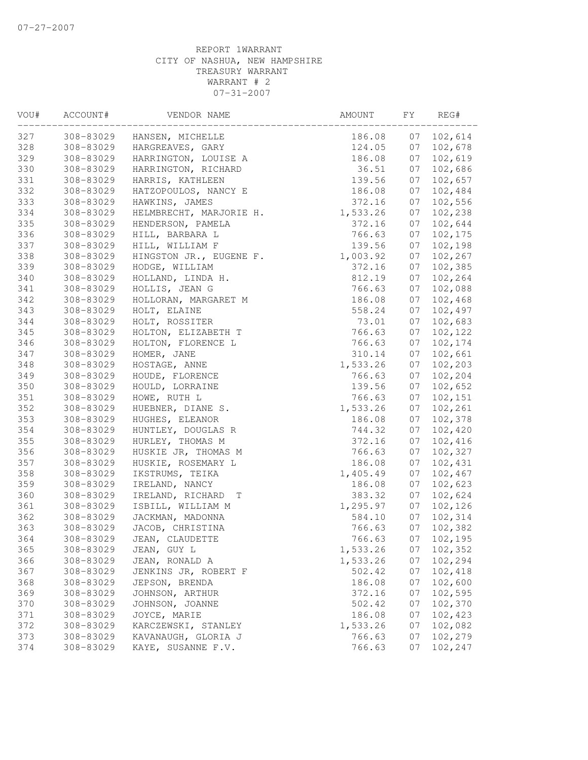| VOU# | ACCOUNT#                                                                                                          | VENDOR NAME             | AMOUNT   | FY | REG#    |
|------|-------------------------------------------------------------------------------------------------------------------|-------------------------|----------|----|---------|
| 327  | 308-83029                                                                                                         | HANSEN, MICHELLE        | 186.08   | 07 | 102,614 |
| 328  | 308-83029                                                                                                         | HARGREAVES, GARY        | 124.05   | 07 | 102,678 |
| 329  | 308-83029                                                                                                         | HARRINGTON, LOUISE A    | 186.08   | 07 | 102,619 |
| 330  | 308-83029                                                                                                         | HARRINGTON, RICHARD     | 36.51    | 07 | 102,686 |
| 331  | 308-83029                                                                                                         | HARRIS, KATHLEEN        | 139.56   | 07 | 102,657 |
| 332  | 308-83029                                                                                                         | HATZOPOULOS, NANCY E    | 186.08   | 07 | 102,484 |
| 333  | 308-83029                                                                                                         | HAWKINS, JAMES          | 372.16   | 07 | 102,556 |
| 334  | 308-83029                                                                                                         | HELMBRECHT, MARJORIE H. | 1,533.26 | 07 | 102,238 |
| 335  | 308-83029                                                                                                         | HENDERSON, PAMELA       | 372.16   | 07 | 102,644 |
| 336  | 308-83029                                                                                                         | HILL, BARBARA L         | 766.63   | 07 | 102,175 |
| 337  | 308-83029                                                                                                         | HILL, WILLIAM F         | 139.56   | 07 | 102,198 |
| 338  | 308-83029                                                                                                         | HINGSTON JR., EUGENE F. | 1,003.92 | 07 | 102,267 |
| 339  | 308-83029<br>308-83029<br>308-83029<br>308-83029<br>308-83029<br>308-83029<br>308-83029<br>308-83029<br>308-83029 | HODGE, WILLIAM          | 372.16   | 07 | 102,385 |
| 340  |                                                                                                                   | HOLLAND, LINDA H.       | 812.19   | 07 | 102,264 |
| 341  |                                                                                                                   | HOLLIS, JEAN G          | 766.63   | 07 | 102,088 |
| 342  |                                                                                                                   | HOLLORAN, MARGARET M    | 186.08   | 07 | 102,468 |
| 343  |                                                                                                                   | HOLT, ELAINE            | 558.24   | 07 | 102,497 |
| 344  |                                                                                                                   | HOLT, ROSSITER          | 73.01    | 07 | 102,683 |
| 345  |                                                                                                                   | HOLTON, ELIZABETH T     | 766.63   | 07 | 102,122 |
| 346  |                                                                                                                   | HOLTON, FLORENCE L      | 766.63   | 07 | 102,174 |
| 347  |                                                                                                                   | HOMER, JANE             | 310.14   | 07 | 102,661 |
| 348  | 308-83029                                                                                                         | HOSTAGE, ANNE           | 1,533.26 | 07 | 102,203 |
| 349  | 308-83029                                                                                                         | HOUDE, FLORENCE         | 766.63   | 07 | 102,204 |
| 350  | 308-83029                                                                                                         | HOULD, LORRAINE         | 139.56   | 07 | 102,652 |
| 351  | 308-83029                                                                                                         | HOWE, RUTH L            | 766.63   | 07 | 102,151 |
| 352  | 308-83029                                                                                                         | HUEBNER, DIANE S.       | 1,533.26 | 07 | 102,261 |
| 353  | 308-83029                                                                                                         | HUGHES, ELEANOR         | 186.08   | 07 | 102,378 |
| 354  | 308-83029                                                                                                         | HUNTLEY, DOUGLAS R      | 744.32   | 07 | 102,420 |
| 355  | 308-83029                                                                                                         | HURLEY, THOMAS M        | 372.16   | 07 | 102,416 |
| 356  | 308-83029                                                                                                         | HUSKIE JR, THOMAS M     | 766.63   | 07 | 102,327 |
| 357  | 308-83029                                                                                                         | HUSKIE, ROSEMARY L      | 186.08   | 07 | 102,431 |
| 358  | 308-83029                                                                                                         | IKSTRUMS, TEIKA         | 1,405.49 | 07 | 102,467 |
| 359  | 308-83029                                                                                                         | IRELAND, NANCY          | 186.08   | 07 | 102,623 |
| 360  | 308-83029                                                                                                         | IRELAND, RICHARD<br>T   | 383.32   | 07 | 102,624 |
| 361  | 308-83029                                                                                                         | ISBILL, WILLIAM M       | 1,295.97 | 07 | 102,126 |
| 362  | 308-83029                                                                                                         | JACKMAN, MADONNA        | 584.10   | 07 | 102,314 |
| 363  | 308-83029                                                                                                         | JACOB, CHRISTINA        | 766.63   | 07 | 102,382 |
| 364  | 308-83029                                                                                                         | JEAN, CLAUDETTE         | 766.63   | 07 | 102,195 |
| 365  | 308-83029                                                                                                         | JEAN, GUY L             | 1,533.26 | 07 | 102,352 |
| 366  | 308-83029                                                                                                         | JEAN, RONALD A          | 1,533.26 | 07 | 102,294 |
| 367  | 308-83029                                                                                                         | JENKINS JR, ROBERT F    | 502.42   | 07 | 102,418 |
| 368  | 308-83029                                                                                                         | JEPSON, BRENDA          | 186.08   | 07 | 102,600 |
| 369  | 308-83029                                                                                                         | JOHNSON, ARTHUR         | 372.16   | 07 | 102,595 |
| 370  | 308-83029                                                                                                         | JOHNSON, JOANNE         | 502.42   | 07 | 102,370 |
| 371  | 308-83029                                                                                                         | JOYCE, MARIE            | 186.08   | 07 | 102,423 |
| 372  | 308-83029                                                                                                         | KARCZEWSKI, STANLEY     | 1,533.26 | 07 | 102,082 |
| 373  | 308-83029                                                                                                         | KAVANAUGH, GLORIA J     | 766.63   | 07 | 102,279 |
| 374  | 308-83029                                                                                                         | KAYE, SUSANNE F.V.      | 766.63   | 07 | 102,247 |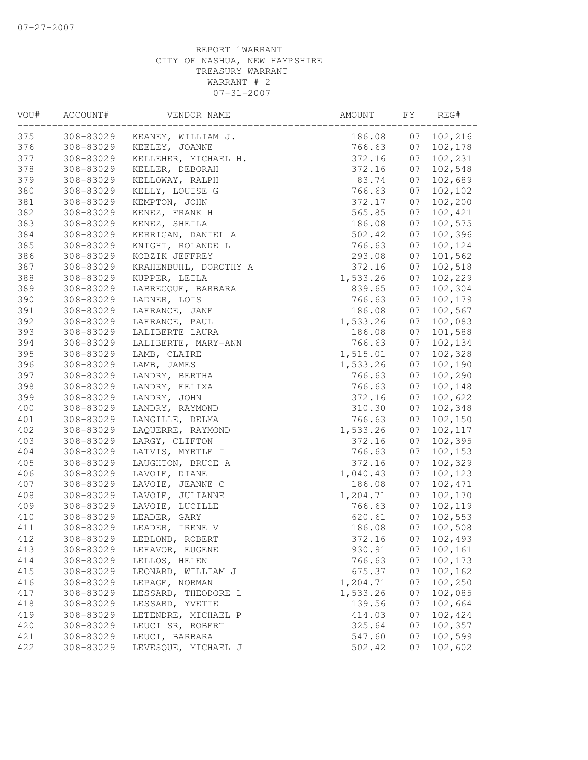| VOU# | ACCOUNT#  | VENDOR NAME                    | AMOUNT FY |    | REG#       |
|------|-----------|--------------------------------|-----------|----|------------|
| 375  |           | 308-83029 KEANEY, WILLIAM J.   | 186.08    | 07 | 102,216    |
| 376  | 308-83029 | KEELEY, JOANNE                 | 766.63    | 07 | 102,178    |
| 377  | 308-83029 | KELLEHER, MICHAEL H.           | 372.16    | 07 | 102,231    |
| 378  | 308-83029 | KELLER, DEBORAH                | 372.16    | 07 | 102,548    |
| 379  | 308-83029 | KELLOWAY, RALPH                | 83.74     | 07 | 102,689    |
| 380  | 308-83029 | KELLY, LOUISE G                | 766.63    | 07 | 102,102    |
| 381  | 308-83029 | KEMPTON, JOHN                  | 372.17    | 07 | 102,200    |
| 382  | 308-83029 | KENEZ, FRANK H                 | 565.85    | 07 | 102,421    |
| 383  | 308-83029 | KENEZ, SHEILA                  | 186.08    | 07 | 102,575    |
| 384  | 308-83029 | KERRIGAN, DANIEL A             | 502.42    | 07 | 102,396    |
| 385  | 308-83029 | KNIGHT, ROLANDE L              | 766.63    | 07 | 102,124    |
| 386  | 308-83029 | KOBZIK JEFFREY                 | 293.08    | 07 | 101,562    |
| 387  | 308-83029 | KRAHENBUHL, DOROTHY A          | 372.16    | 07 | 102,518    |
| 388  | 308-83029 | KUPPER, LEILA                  | 1,533.26  | 07 | 102,229    |
| 389  | 308-83029 | LABRECQUE, BARBARA             | 839.65    | 07 | 102,304    |
| 390  | 308-83029 | LADNER, LOIS                   | 766.63    | 07 | 102,179    |
| 391  | 308-83029 | LADNER, LOIS<br>LAFRANCE, JANE | 186.08    | 07 | 102,567    |
| 392  | 308-83029 | LAFRANCE, PAUL                 | 1,533.26  | 07 | 102,083    |
| 393  | 308-83029 | LALIBERTE LAURA                | 186.08    | 07 | 101,588    |
| 394  | 308-83029 | LALIBERTE, MARY-ANN            | 766.63    | 07 | 102,134    |
| 395  | 308-83029 | LAMB, CLAIRE                   | 1,515.01  | 07 | 102,328    |
| 396  | 308-83029 | LAMB, JAMES                    | 1,533.26  | 07 | 102,190    |
| 397  | 308-83029 | LANDRY, BERTHA                 | 766.63    | 07 | 102,290    |
| 398  | 308-83029 | LANDRY, FELIXA                 | 766.63    | 07 | 102,148    |
| 399  | 308-83029 | LANDRY, JOHN                   | 372.16    | 07 | 102,622    |
| 400  | 308-83029 | LANDRY, RAYMOND                | 310.30    | 07 | 102,348    |
| 401  | 308-83029 | LANGILLE, DELMA                | 766.63    | 07 | 102,150    |
| 402  | 308-83029 | LAQUERRE, RAYMOND              | 1,533.26  | 07 | 102,117    |
| 403  | 308-83029 | LARGY, CLIFTON                 | 372.16    | 07 | 102,395    |
| 404  | 308-83029 | LATVIS, MYRTLE I               | 766.63    | 07 | 102,153    |
| 405  | 308-83029 | LAUGHTON, BRUCE A              | 372.16    | 07 | 102,329    |
| 406  | 308-83029 | LAVOIE, DIANE                  | 1,040.43  | 07 | 102,123    |
| 407  | 308-83029 | LAVOIE, JEANNE C               | 186.08    | 07 | 102,471    |
| 408  | 308-83029 | LAVOIE, JULIANNE               | 1,204.71  | 07 | 102,170    |
| 409  | 308-83029 | LAVOIE, LUCILLE                | 766.63    | 07 | 102,119    |
| 410  | 308-83029 | LEADER, GARY                   | 620.61    | 07 | 102,553    |
| 411  | 308-83029 | LEADER, IRENE V                | 186.08    | 07 | 102,508    |
| 412  | 308-83029 | LEBLOND, ROBERT                | 372.16    |    | 07 102,493 |
| 413  | 308-83029 | LEFAVOR, EUGENE                | 930.91    | 07 | 102,161    |
| 414  | 308-83029 | LELLOS, HELEN                  | 766.63    | 07 | 102,173    |
| 415  | 308-83029 | LEONARD, WILLIAM J             | 675.37    | 07 | 102,162    |
|      | 308-83029 | LEPAGE, NORMAN                 | 1,204.71  |    | 102,250    |
| 416  | 308-83029 |                                |           | 07 |            |
| 417  |           | LESSARD, THEODORE L            | 1,533.26  | 07 | 102,085    |
| 418  | 308-83029 | LESSARD, YVETTE                | 139.56    | 07 | 102,664    |
| 419  | 308-83029 | LETENDRE, MICHAEL P            | 414.03    | 07 | 102,424    |
| 420  | 308-83029 | LEUCI SR, ROBERT               | 325.64    | 07 | 102,357    |
| 421  | 308-83029 | LEUCI, BARBARA                 | 547.60    | 07 | 102,599    |
| 422  | 308-83029 | LEVESQUE, MICHAEL J            | 502.42    | 07 | 102,602    |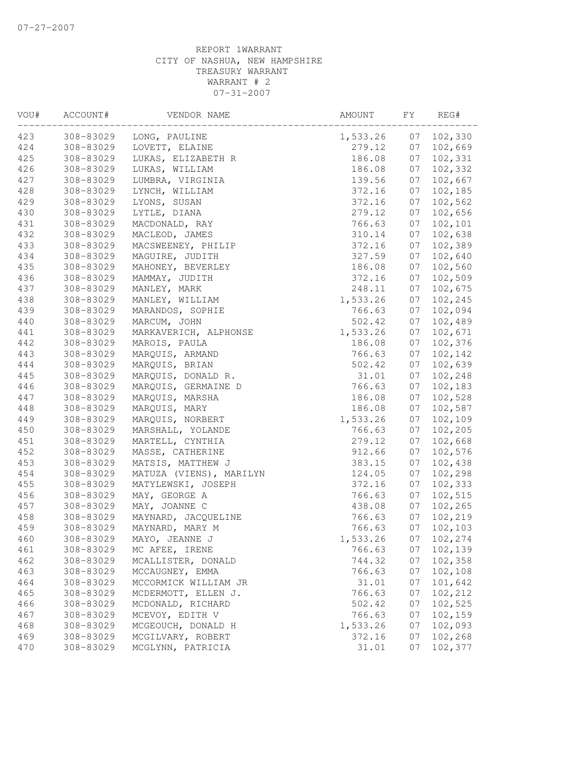| VOU#       | ACCOUNT#               | VENDOR NAME                            | AMOUNT             | FY       | REG#               |
|------------|------------------------|----------------------------------------|--------------------|----------|--------------------|
| 423        | 308-83029              | LONG, PAULINE                          | 1,533.26           | 07       | 102,330            |
| 424        | 308-83029              | LOVETT, ELAINE                         | 279.12             | 07       | 102,669            |
| 425        | 308-83029              | LUKAS, ELIZABETH R                     | 186.08             | 07       | 102,331            |
| 426        | 308-83029              | LUKAS, WILLIAM                         | 186.08             | 07       | 102,332            |
| 427        | 308-83029              | LUMBRA, VIRGINIA                       | 139.56             | 07       | 102,667            |
| 428        | 308-83029              | LYNCH, WILLIAM                         | 372.16             | 07       | 102,185            |
| 429        | 308-83029              | LYONS, SUSAN                           | 372.16             | 07       | 102,562            |
| 430        | 308-83029              | LYTLE, DIANA                           | 279.12             | 07       | 102,656            |
| 431        | 308-83029              | MACDONALD, RAY                         | 766.63             | 07       | 102,101            |
| 432        | 308-83029              | MACLEOD, JAMES                         | 310.14             | 07       | 102,638            |
| 433        | 308-83029              | MACSWEENEY, PHILIP                     | 372.16             | 07       | 102,389            |
| 434        | 308-83029              | MAGUIRE, JUDITH                        | 327.59             | 07       | 102,640            |
| 435        | 308-83029              | MAHONEY, BEVERLEY                      | 186.08             | 07       | 102,560            |
| 436        | 308-83029              | MAMMAY, JUDITH                         | 372.16             | 07       | 102,509            |
| 437        | 308-83029              | MANLEY, MARK                           | 248.11             | 07       | 102,675            |
| 438        | 308-83029              | MANLEY, WILLIAM                        | 1,533.26           | 07       | 102,245            |
| 439        | 308-83029              | MARANDOS, SOPHIE                       | 766.63             | 07       | 102,094            |
| 440        | 308-83029              | MARCUM, JOHN                           | 502.42             | 07       | 102,489            |
| 441<br>442 | 308-83029<br>308-83029 | MARKAVERICH, ALPHONSE<br>MAROIS, PAULA | 1,533.26<br>186.08 | 07<br>07 | 102,671<br>102,376 |
| 443        | 308-83029              | MARQUIS, ARMAND                        | 766.63             | 07       | 102,142            |
| 444        | 308-83029              | MARQUIS, BRIAN                         | 502.42             | 07       | 102,639            |
| 445        | 308-83029              | MARQUIS, DONALD R.                     | 31.01              | 07       | 102,248            |
| 446        | 308-83029              | MARQUIS, GERMAINE D                    | 766.63             | 07       | 102,183            |
| 447        | 308-83029              | MARQUIS, MARSHA                        | 186.08             | 07       | 102,528            |
| 448        | 308-83029              | MARQUIS, MARY                          | 186.08             | 07       | 102,587            |
| 449        | 308-83029              | MARQUIS, NORBERT                       | 1,533.26           | 07       | 102,109            |
| 450        | 308-83029              | MARSHALL, YOLANDE                      | 766.63             | 07       | 102,205            |
| 451        | 308-83029              | MARTELL, CYNTHIA                       | 279.12             | 07       | 102,668            |
| 452        | 308-83029              | MASSE, CATHERINE                       | 912.66             | 07       | 102,576            |
| 453        | 308-83029              | MATSIS, MATTHEW J                      | 383.15             | 07       | 102,438            |
| 454        | 308-83029              | MATUZA (VIENS), MARILYN                | 124.05             | 07       | 102,298            |
| 455        | 308-83029              | MATYLEWSKI, JOSEPH                     | 372.16             | 07       | 102,333            |
| 456        | 308-83029              | MAY, GEORGE A                          | 766.63             | 07       | 102,515            |
| 457        | 308-83029              | MAY, JOANNE C                          | 438.08             | 07       | 102,265            |
| 458        | 308-83029              | MAYNARD, JACQUELINE                    | 766.63             | 07       | 102,219            |
| 459        | 308-83029              | MAYNARD, MARY M                        | 766.63             | 07       | 102,103            |
| 460        | 308-83029              | MAYO, JEANNE J                         | 1,533.26           | 07       | 102,274            |
| 461        | 308-83029              | MC AFEE, IRENE                         | 766.63             | 07       | 102,139            |
| 462        | 308-83029              | MCALLISTER, DONALD                     | 744.32             | 07       | 102,358            |
| 463        | 308-83029              | MCCAUGNEY, EMMA                        | 766.63             | 07       | 102,108            |
| 464        | 308-83029              | MCCORMICK WILLIAM JR                   | 31.01              | 07       | 101,642            |
| 465        | 308-83029              | MCDERMOTT, ELLEN J.                    | 766.63             | 07       | 102,212            |
| 466        | 308-83029              | MCDONALD, RICHARD                      | 502.42             | 07       | 102,525            |
| 467        | 308-83029              | MCEVOY, EDITH V                        | 766.63             | 07       | 102,159            |
| 468        | 308-83029              | MCGEOUCH, DONALD H                     | 1,533.26           | 07       | 102,093            |
| 469        | 308-83029              | MCGILVARY, ROBERT                      | 372.16             | 07       | 102,268            |
| 470        | 308-83029              | MCGLYNN, PATRICIA                      | 31.01              | 07       | 102,377            |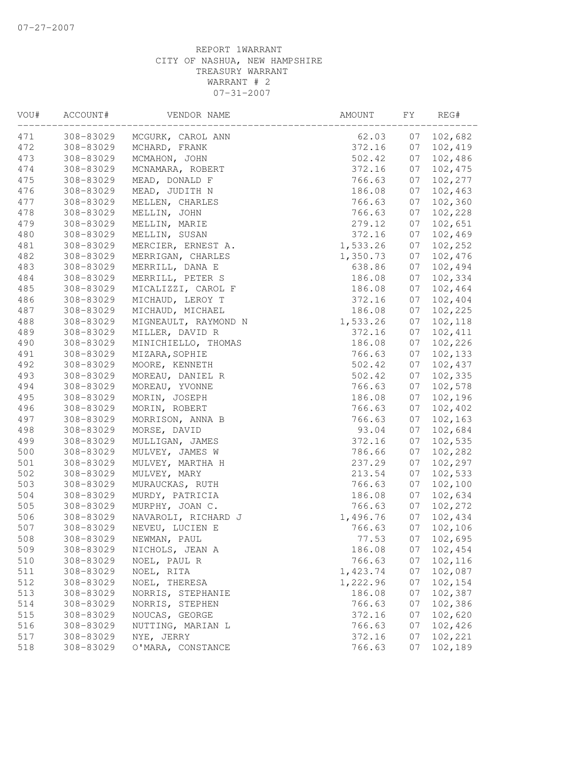| VOU# | ACCOUNT#  | VENDOR NAME          | AMOUNT   | FY | REG#    |
|------|-----------|----------------------|----------|----|---------|
| 471  | 308-83029 | MCGURK, CAROL ANN    | 62.03    | 07 | 102,682 |
| 472  | 308-83029 | MCHARD, FRANK        | 372.16   | 07 | 102,419 |
| 473  | 308-83029 | MCMAHON, JOHN        | 502.42   | 07 | 102,486 |
| 474  | 308-83029 | MCNAMARA, ROBERT     | 372.16   | 07 | 102,475 |
| 475  | 308-83029 | MEAD, DONALD F       | 766.63   | 07 | 102,277 |
| 476  | 308-83029 | MEAD, JUDITH N       | 186.08   | 07 | 102,463 |
| 477  | 308-83029 | MELLEN, CHARLES      | 766.63   | 07 | 102,360 |
| 478  | 308-83029 | MELLIN, JOHN         | 766.63   | 07 | 102,228 |
| 479  | 308-83029 | MELLIN, MARIE        | 279.12   | 07 | 102,651 |
| 480  | 308-83029 | MELLIN, SUSAN        | 372.16   | 07 | 102,469 |
| 481  | 308-83029 | MERCIER, ERNEST A.   | 1,533.26 | 07 | 102,252 |
| 482  | 308-83029 | MERRIGAN, CHARLES    | 1,350.73 | 07 | 102,476 |
| 483  | 308-83029 | MERRILL, DANA E      | 638.86   | 07 | 102,494 |
| 484  | 308-83029 | MERRILL, PETER S     | 186.08   | 07 | 102,334 |
| 485  | 308-83029 | MICALIZZI, CAROL F   | 186.08   | 07 | 102,464 |
| 486  | 308-83029 | MICHAUD, LEROY T     | 372.16   | 07 | 102,404 |
| 487  | 308-83029 | MICHAUD, MICHAEL     | 186.08   | 07 | 102,225 |
| 488  | 308-83029 | MIGNEAULT, RAYMOND N | 1,533.26 | 07 | 102,118 |
| 489  | 308-83029 | MILLER, DAVID R      | 372.16   | 07 | 102,411 |
| 490  | 308-83029 | MINICHIELLO, THOMAS  | 186.08   | 07 | 102,226 |
| 491  | 308-83029 | MIZARA, SOPHIE       | 766.63   | 07 | 102,133 |
| 492  | 308-83029 | MOORE, KENNETH       | 502.42   | 07 | 102,437 |
| 493  | 308-83029 | MOREAU, DANIEL R     | 502.42   | 07 | 102,335 |
| 494  | 308-83029 | MOREAU, YVONNE       | 766.63   | 07 | 102,578 |
| 495  | 308-83029 | MORIN, JOSEPH        | 186.08   | 07 | 102,196 |
| 496  | 308-83029 | MORIN, ROBERT        | 766.63   | 07 | 102,402 |
| 497  | 308-83029 | MORRISON, ANNA B     | 766.63   | 07 | 102,163 |
| 498  | 308-83029 | MORSE, DAVID         | 93.04    | 07 | 102,684 |
| 499  | 308-83029 | MULLIGAN, JAMES      | 372.16   | 07 | 102,535 |
| 500  | 308-83029 | MULVEY, JAMES W      | 786.66   | 07 | 102,282 |
| 501  | 308-83029 | MULVEY, MARTHA H     | 237.29   | 07 | 102,297 |
| 502  | 308-83029 | MULVEY, MARY         | 213.54   | 07 | 102,533 |
| 503  | 308-83029 | MURAUCKAS, RUTH      | 766.63   | 07 | 102,100 |
| 504  | 308-83029 | MURDY, PATRICIA      | 186.08   | 07 | 102,634 |
| 505  | 308-83029 | MURPHY, JOAN C.      | 766.63   | 07 | 102,272 |
| 506  | 308-83029 | NAVAROLI, RICHARD J  | 1,496.76 | 07 | 102,434 |
| 507  | 308-83029 | NEVEU, LUCIEN E      | 766.63   | 07 | 102,106 |
| 508  | 308-83029 | NEWMAN, PAUL         | 77.53    | 07 | 102,695 |
| 509  | 308-83029 | NICHOLS, JEAN A      | 186.08   | 07 | 102,454 |
| 510  | 308-83029 | NOEL, PAUL R         | 766.63   | 07 | 102,116 |
| 511  | 308-83029 | NOEL, RITA           | 1,423.74 | 07 | 102,087 |
| 512  | 308-83029 | NOEL, THERESA        | 1,222.96 | 07 | 102,154 |
| 513  | 308-83029 | NORRIS, STEPHANIE    | 186.08   | 07 | 102,387 |
| 514  | 308-83029 | NORRIS, STEPHEN      | 766.63   | 07 | 102,386 |
| 515  | 308-83029 | NOUCAS, GEORGE       | 372.16   | 07 | 102,620 |
| 516  | 308-83029 | NUTTING, MARIAN L    | 766.63   | 07 | 102,426 |
| 517  | 308-83029 | NYE, JERRY           | 372.16   | 07 | 102,221 |
| 518  | 308-83029 | O'MARA, CONSTANCE    | 766.63   | 07 | 102,189 |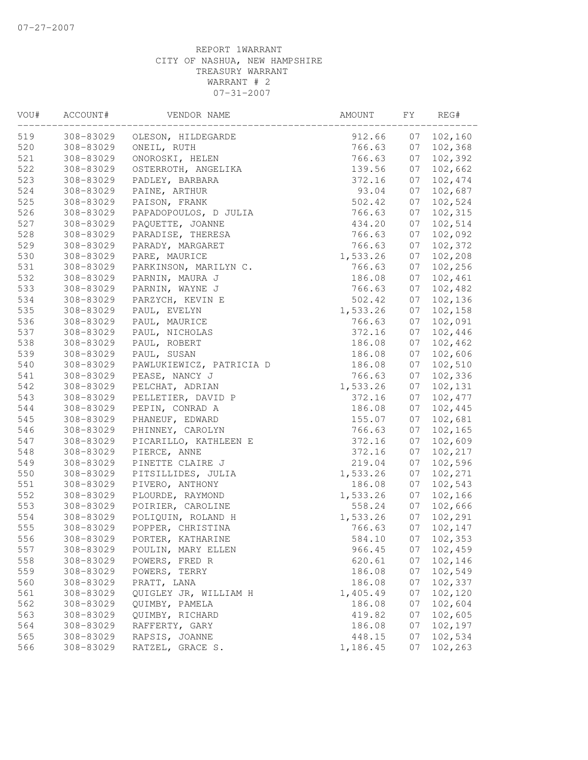| VOU# | ACCOUNT#  | VENDOR NAME              | AMOUNT   | FY | REG#     |
|------|-----------|--------------------------|----------|----|----------|
| 519  | 308-83029 | OLESON, HILDEGARDE       | 912.66   | 07 | 102, 160 |
| 520  | 308-83029 | ONEIL, RUTH              | 766.63   | 07 | 102,368  |
| 521  | 308-83029 | ONOROSKI, HELEN          | 766.63   | 07 | 102,392  |
| 522  | 308-83029 | OSTERROTH, ANGELIKA      | 139.56   | 07 | 102,662  |
| 523  | 308-83029 | PADLEY, BARBARA          | 372.16   | 07 | 102,474  |
| 524  | 308-83029 | PAINE, ARTHUR            | 93.04    | 07 | 102,687  |
| 525  | 308-83029 | PAISON, FRANK            | 502.42   | 07 | 102,524  |
| 526  | 308-83029 | PAPADOPOULOS, D JULIA    | 766.63   | 07 | 102,315  |
| 527  | 308-83029 | PAQUETTE, JOANNE         | 434.20   | 07 | 102,514  |
| 528  | 308-83029 | PARADISE, THERESA        | 766.63   | 07 | 102,092  |
| 529  | 308-83029 | PARADY, MARGARET         | 766.63   | 07 | 102,372  |
| 530  | 308-83029 | PARE, MAURICE            | 1,533.26 | 07 | 102,208  |
| 531  | 308-83029 | PARKINSON, MARILYN C.    | 766.63   | 07 | 102,256  |
| 532  | 308-83029 | PARNIN, MAURA J          | 186.08   | 07 | 102,461  |
| 533  | 308-83029 | PARNIN, WAYNE J          | 766.63   | 07 | 102,482  |
| 534  | 308-83029 | PARZYCH, KEVIN E         | 502.42   | 07 | 102,136  |
| 535  | 308-83029 | PAUL, EVELYN             | 1,533.26 | 07 | 102,158  |
| 536  | 308-83029 | PAUL, MAURICE            | 766.63   | 07 | 102,091  |
| 537  | 308-83029 | PAUL, NICHOLAS           | 372.16   | 07 | 102,446  |
| 538  | 308-83029 | PAUL, ROBERT             | 186.08   | 07 | 102,462  |
| 539  | 308-83029 | PAUL, SUSAN              | 186.08   | 07 | 102,606  |
| 540  | 308-83029 | PAWLUKIEWICZ, PATRICIA D | 186.08   | 07 | 102,510  |
| 541  | 308-83029 | PEASE, NANCY J           | 766.63   | 07 | 102,336  |
| 542  | 308-83029 | PELCHAT, ADRIAN          | 1,533.26 | 07 | 102,131  |
| 543  | 308-83029 | PELLETIER, DAVID P       | 372.16   | 07 | 102,477  |
| 544  | 308-83029 | PEPIN, CONRAD A          | 186.08   | 07 | 102,445  |
| 545  | 308-83029 | PHANEUF, EDWARD          | 155.07   | 07 | 102,681  |
| 546  | 308-83029 | PHINNEY, CAROLYN         | 766.63   | 07 | 102,165  |
| 547  | 308-83029 | PICARILLO, KATHLEEN E    | 372.16   | 07 | 102,609  |
| 548  | 308-83029 | PIERCE, ANNE             | 372.16   | 07 | 102,217  |
| 549  | 308-83029 | PINETTE CLAIRE J         | 219.04   | 07 | 102,596  |
| 550  | 308-83029 | PITSILLIDES, JULIA       | 1,533.26 | 07 | 102,271  |
| 551  | 308-83029 | PIVERO, ANTHONY          | 186.08   | 07 | 102,543  |
| 552  | 308-83029 | PLOURDE, RAYMOND         | 1,533.26 | 07 | 102,166  |
| 553  | 308-83029 | POIRIER, CAROLINE        | 558.24   | 07 | 102,666  |
| 554  | 308-83029 | POLIQUIN, ROLAND H       | 1,533.26 | 07 | 102,291  |
| 555  | 308-83029 | POPPER, CHRISTINA        | 766.63   | 07 | 102,147  |
| 556  | 308-83029 | PORTER, KATHARINE        | 584.10   | 07 | 102, 353 |
| 557  | 308-83029 | POULIN, MARY ELLEN       | 966.45   | 07 | 102,459  |
| 558  | 308-83029 | POWERS, FRED R           | 620.61   | 07 | 102,146  |
| 559  | 308-83029 | POWERS, TERRY            | 186.08   | 07 | 102,549  |
| 560  | 308-83029 | PRATT, LANA              | 186.08   | 07 | 102,337  |
| 561  | 308-83029 | QUIGLEY JR, WILLIAM H    | 1,405.49 | 07 | 102,120  |
| 562  | 308-83029 | QUIMBY, PAMELA           | 186.08   | 07 | 102,604  |
| 563  | 308-83029 | QUIMBY, RICHARD          | 419.82   | 07 | 102,605  |
| 564  | 308-83029 | RAFFERTY, GARY           | 186.08   | 07 | 102,197  |
| 565  | 308-83029 | RAPSIS, JOANNE           | 448.15   | 07 | 102,534  |
| 566  | 308-83029 | RATZEL, GRACE S.         | 1,186.45 | 07 | 102,263  |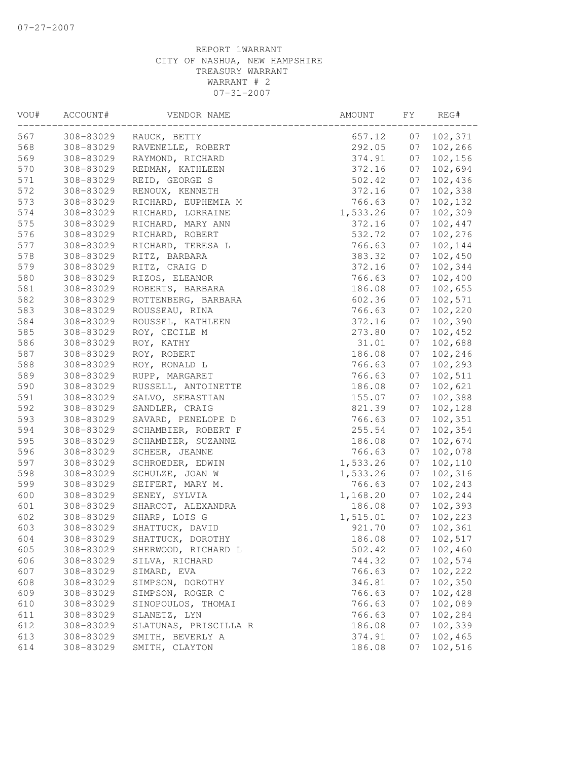| VOU# | ACCOUNT#  | VENDOR NAME           | AMOUNT   | FY | REG#    |
|------|-----------|-----------------------|----------|----|---------|
| 567  | 308-83029 | RAUCK, BETTY          | 657.12   | 07 | 102,371 |
| 568  | 308-83029 | RAVENELLE, ROBERT     | 292.05   | 07 | 102,266 |
| 569  | 308-83029 | RAYMOND, RICHARD      | 374.91   | 07 | 102,156 |
| 570  | 308-83029 | REDMAN, KATHLEEN      | 372.16   | 07 | 102,694 |
| 571  | 308-83029 | REID, GEORGE S        | 502.42   | 07 | 102,436 |
| 572  | 308-83029 | RENOUX, KENNETH       | 372.16   | 07 | 102,338 |
| 573  | 308-83029 | RICHARD, EUPHEMIA M   | 766.63   | 07 | 102,132 |
| 574  | 308-83029 | RICHARD, LORRAINE     | 1,533.26 | 07 | 102,309 |
| 575  | 308-83029 | RICHARD, MARY ANN     | 372.16   | 07 | 102,447 |
| 576  | 308-83029 | RICHARD, ROBERT       | 532.72   | 07 | 102,276 |
| 577  | 308-83029 | RICHARD, TERESA L     | 766.63   | 07 | 102,144 |
| 578  | 308-83029 | RITZ, BARBARA         | 383.32   | 07 | 102,450 |
| 579  | 308-83029 | RITZ, CRAIG D         | 372.16   | 07 | 102,344 |
| 580  | 308-83029 | RIZOS, ELEANOR        | 766.63   | 07 | 102,400 |
| 581  | 308-83029 | ROBERTS, BARBARA      | 186.08   | 07 | 102,655 |
| 582  | 308-83029 | ROTTENBERG, BARBARA   | 602.36   | 07 | 102,571 |
| 583  | 308-83029 | ROUSSEAU, RINA        | 766.63   | 07 | 102,220 |
| 584  | 308-83029 | ROUSSEL, KATHLEEN     | 372.16   | 07 | 102,390 |
| 585  | 308-83029 | ROY, CECILE M         | 273.80   | 07 | 102,452 |
| 586  | 308-83029 | ROY, KATHY            | 31.01    | 07 | 102,688 |
| 587  | 308-83029 | ROY, ROBERT           | 186.08   | 07 | 102,246 |
| 588  | 308-83029 | ROY, RONALD L         | 766.63   | 07 | 102,293 |
| 589  | 308-83029 | RUPP, MARGARET        | 766.63   | 07 | 102,511 |
| 590  | 308-83029 | RUSSELL, ANTOINETTE   | 186.08   | 07 | 102,621 |
| 591  | 308-83029 | SALVO, SEBASTIAN      | 155.07   | 07 | 102,388 |
| 592  | 308-83029 | SANDLER, CRAIG        | 821.39   | 07 | 102,128 |
| 593  | 308-83029 | SAVARD, PENELOPE D    | 766.63   | 07 | 102,351 |
| 594  | 308-83029 | SCHAMBIER, ROBERT F   | 255.54   | 07 | 102,354 |
| 595  | 308-83029 | SCHAMBIER, SUZANNE    | 186.08   | 07 | 102,674 |
| 596  | 308-83029 | SCHEER, JEANNE        | 766.63   | 07 | 102,078 |
| 597  | 308-83029 | SCHROEDER, EDWIN      | 1,533.26 | 07 | 102,110 |
| 598  | 308-83029 | SCHULZE, JOAN W       | 1,533.26 | 07 | 102,316 |
| 599  | 308-83029 | SEIFERT, MARY M.      | 766.63   | 07 | 102,243 |
| 600  | 308-83029 | SENEY, SYLVIA         | 1,168.20 | 07 | 102,244 |
| 601  | 308-83029 | SHARCOT, ALEXANDRA    | 186.08   | 07 | 102,393 |
| 602  | 308-83029 | SHARP, LOIS G         | 1,515.01 | 07 | 102,223 |
| 603  | 308-83029 | SHATTUCK, DAVID       | 921.70   | 07 | 102,361 |
| 604  | 308-83029 | SHATTUCK, DOROTHY     | 186.08   | 07 | 102,517 |
| 605  | 308-83029 | SHERWOOD, RICHARD L   | 502.42   | 07 | 102,460 |
| 606  | 308-83029 | SILVA, RICHARD        | 744.32   | 07 | 102,574 |
| 607  | 308-83029 | SIMARD, EVA           | 766.63   | 07 | 102,222 |
| 608  | 308-83029 | SIMPSON, DOROTHY      | 346.81   | 07 | 102,350 |
| 609  | 308-83029 | SIMPSON, ROGER C      | 766.63   | 07 | 102,428 |
| 610  | 308-83029 | SINOPOULOS, THOMAI    | 766.63   | 07 | 102,089 |
| 611  | 308-83029 | SLANETZ, LYN          | 766.63   | 07 | 102,284 |
| 612  | 308-83029 | SLATUNAS, PRISCILLA R | 186.08   | 07 | 102,339 |
| 613  | 308-83029 | SMITH, BEVERLY A      | 374.91   | 07 | 102,465 |
| 614  | 308-83029 | SMITH, CLAYTON        | 186.08   | 07 | 102,516 |
|      |           |                       |          |    |         |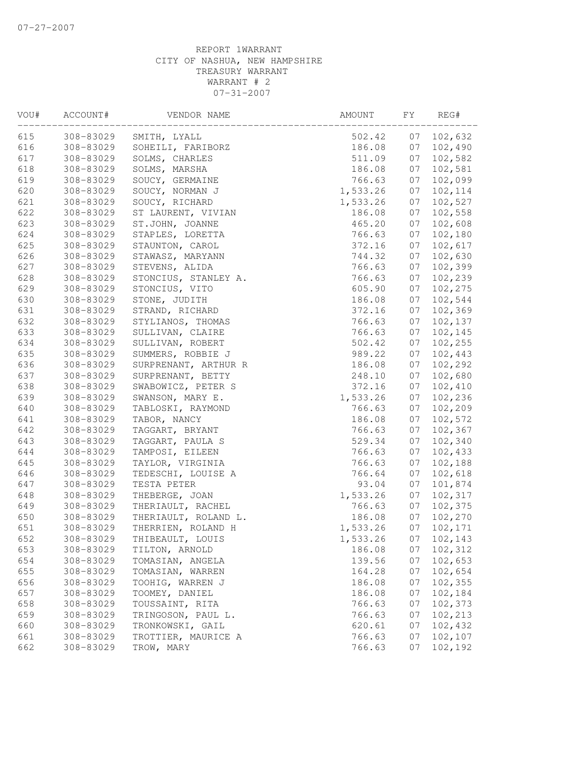| VOU# | ACCOUNT#  | VENDOR NAME          | AMOUNT   | FY | REG#     |
|------|-----------|----------------------|----------|----|----------|
| 615  | 308-83029 | SMITH, LYALL         | 502.42   | 07 | 102,632  |
| 616  | 308-83029 | SOHEILI, FARIBORZ    | 186.08   | 07 | 102,490  |
| 617  | 308-83029 | SOLMS, CHARLES       | 511.09   | 07 | 102,582  |
| 618  | 308-83029 | SOLMS, MARSHA        | 186.08   | 07 | 102,581  |
| 619  | 308-83029 | SOUCY, GERMAINE      | 766.63   | 07 | 102,099  |
| 620  | 308-83029 | SOUCY, NORMAN J      | 1,533.26 | 07 | 102, 114 |
| 621  | 308-83029 | SOUCY, RICHARD       | 1,533.26 | 07 | 102,527  |
| 622  | 308-83029 | ST LAURENT, VIVIAN   | 186.08   | 07 | 102,558  |
| 623  | 308-83029 | ST.JOHN, JOANNE      | 465.20   | 07 | 102,608  |
| 624  | 308-83029 | STAPLES, LORETTA     | 766.63   | 07 | 102,180  |
| 625  | 308-83029 | STAUNTON, CAROL      | 372.16   | 07 | 102,617  |
| 626  | 308-83029 | STAWASZ, MARYANN     | 744.32   | 07 | 102,630  |
| 627  | 308-83029 | STEVENS, ALIDA       | 766.63   | 07 | 102,399  |
| 628  | 308-83029 | STONCIUS, STANLEY A. | 766.63   | 07 | 102,239  |
| 629  | 308-83029 | STONCIUS, VITO       | 605.90   | 07 | 102,275  |
| 630  | 308-83029 | STONE, JUDITH        | 186.08   | 07 | 102,544  |
| 631  | 308-83029 | STRAND, RICHARD      | 372.16   | 07 | 102,369  |
| 632  | 308-83029 | STYLIANOS, THOMAS    | 766.63   | 07 | 102,137  |
| 633  | 308-83029 | SULLIVAN, CLAIRE     | 766.63   | 07 | 102,145  |
| 634  | 308-83029 | SULLIVAN, ROBERT     | 502.42   | 07 | 102,255  |
| 635  | 308-83029 | SUMMERS, ROBBIE J    | 989.22   | 07 | 102,443  |
| 636  | 308-83029 | SURPRENANT, ARTHUR R | 186.08   | 07 | 102,292  |
| 637  | 308-83029 | SURPRENANT, BETTY    | 248.10   | 07 | 102,680  |
| 638  | 308-83029 | SWABOWICZ, PETER S   | 372.16   | 07 | 102,410  |
| 639  | 308-83029 | SWANSON, MARY E.     | 1,533.26 | 07 | 102,236  |
| 640  | 308-83029 | TABLOSKI, RAYMOND    | 766.63   | 07 | 102,209  |
| 641  | 308-83029 | TABOR, NANCY         | 186.08   | 07 | 102,572  |
| 642  | 308-83029 | TAGGART, BRYANT      | 766.63   | 07 | 102,367  |
| 643  | 308-83029 | TAGGART, PAULA S     | 529.34   | 07 | 102,340  |
| 644  | 308-83029 | TAMPOSI, EILEEN      | 766.63   | 07 | 102,433  |
| 645  | 308-83029 | TAYLOR, VIRGINIA     | 766.63   | 07 | 102,188  |
| 646  | 308-83029 | TEDESCHI, LOUISE A   | 766.64   | 07 | 102,618  |
| 647  | 308-83029 | TESTA PETER          | 93.04    | 07 | 101,874  |
| 648  | 308-83029 | THEBERGE, JOAN       | 1,533.26 | 07 | 102,317  |
| 649  | 308-83029 | THERIAULT, RACHEL    | 766.63   | 07 | 102,375  |
| 650  | 308-83029 | THERIAULT, ROLAND L. | 186.08   | 07 | 102,270  |
| 651  | 308-83029 | THERRIEN, ROLAND H   | 1,533.26 | 07 | 102,171  |
| 652  | 308-83029 | THIBEAULT, LOUIS     | 1,533.26 | 07 | 102,143  |
| 653  | 308-83029 | TILTON, ARNOLD       | 186.08   | 07 | 102,312  |
| 654  | 308-83029 | TOMASIAN, ANGELA     | 139.56   | 07 | 102,653  |
| 655  | 308-83029 | TOMASIAN, WARREN     | 164.28   | 07 | 102,654  |
| 656  | 308-83029 | TOOHIG, WARREN J     | 186.08   | 07 | 102,355  |
| 657  | 308-83029 | TOOMEY, DANIEL       | 186.08   | 07 | 102,184  |
| 658  | 308-83029 | TOUSSAINT, RITA      | 766.63   | 07 | 102,373  |
| 659  | 308-83029 | TRINGOSON, PAUL L.   | 766.63   | 07 | 102,213  |
| 660  | 308-83029 | TRONKOWSKI, GAIL     | 620.61   | 07 | 102,432  |
| 661  | 308-83029 | TROTTIER, MAURICE A  | 766.63   | 07 | 102,107  |
| 662  | 308-83029 | TROW, MARY           | 766.63   | 07 | 102,192  |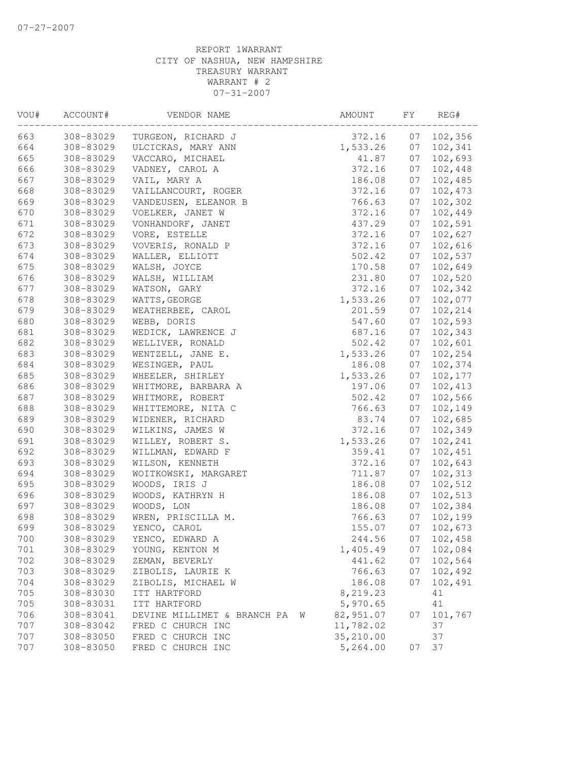| VOU# | ACCOUNT#  | VENDOR NAME                      | AMOUNT    | FY | REG#    |
|------|-----------|----------------------------------|-----------|----|---------|
| 663  | 308-83029 | TURGEON, RICHARD J               | 372.16    | 07 | 102,356 |
| 664  | 308-83029 | ULCICKAS, MARY ANN               | 1,533.26  | 07 | 102,341 |
| 665  | 308-83029 | VACCARO, MICHAEL                 | 41.87     | 07 | 102,693 |
| 666  | 308-83029 | VADNEY, CAROL A                  | 372.16    | 07 | 102,448 |
| 667  | 308-83029 | VAIL, MARY A                     | 186.08    | 07 | 102,485 |
| 668  | 308-83029 | VAILLANCOURT, ROGER              | 372.16    | 07 | 102,473 |
| 669  | 308-83029 | VANDEUSEN, ELEANOR B             | 766.63    | 07 | 102,302 |
| 670  | 308-83029 | VOELKER, JANET W                 | 372.16    | 07 | 102,449 |
| 671  | 308-83029 | VONHANDORF, JANET                | 437.29    | 07 | 102,591 |
| 672  | 308-83029 | VORE, ESTELLE                    | 372.16    | 07 | 102,627 |
| 673  | 308-83029 | VOVERIS, RONALD P                | 372.16    | 07 | 102,616 |
| 674  | 308-83029 | WALLER, ELLIOTT                  | 502.42    | 07 | 102,537 |
| 675  | 308-83029 | WALSH, JOYCE                     | 170.58    | 07 | 102,649 |
| 676  | 308-83029 | WALSH, WILLIAM                   | 231.80    | 07 | 102,520 |
| 677  | 308-83029 | WATSON, GARY                     | 372.16    | 07 | 102,342 |
| 678  | 308-83029 | WATTS, GEORGE                    | 1,533.26  | 07 | 102,077 |
| 679  | 308-83029 | WEATHERBEE, CAROL                | 201.59    | 07 | 102,214 |
| 680  | 308-83029 | WEBB, DORIS                      | 547.60    | 07 | 102,593 |
| 681  | 308-83029 | WEDICK, LAWRENCE J               | 687.16    | 07 | 102,343 |
| 682  | 308-83029 | WELLIVER, RONALD                 | 502.42    | 07 | 102,601 |
| 683  | 308-83029 | WENTZELL, JANE E.                | 1,533.26  | 07 | 102,254 |
| 684  | 308-83029 | WESINGER, PAUL                   | 186.08    | 07 | 102,374 |
| 685  | 308-83029 | WHEELER, SHIRLEY                 | 1,533.26  | 07 | 102,177 |
| 686  | 308-83029 | WHITMORE, BARBARA A              | 197.06    | 07 | 102,413 |
| 687  | 308-83029 | WHITMORE, ROBERT                 | 502.42    | 07 | 102,566 |
| 688  | 308-83029 | WHITTEMORE, NITA C               | 766.63    | 07 | 102,149 |
| 689  | 308-83029 | WIDENER, RICHARD                 | 83.74     | 07 | 102,685 |
| 690  | 308-83029 | WILKINS, JAMES W                 | 372.16    | 07 | 102,349 |
| 691  | 308-83029 | WILLEY, ROBERT S.                | 1,533.26  | 07 | 102,241 |
| 692  | 308-83029 | WILLMAN, EDWARD F                | 359.41    | 07 | 102,451 |
| 693  | 308-83029 | WILSON, KENNETH                  | 372.16    | 07 | 102,643 |
| 694  | 308-83029 | WOITKOWSKI, MARGARET             | 711.87    | 07 | 102,313 |
| 695  | 308-83029 | WOODS, IRIS J                    | 186.08    | 07 | 102,512 |
| 696  | 308-83029 | WOODS, KATHRYN H                 | 186.08    | 07 | 102,513 |
| 697  | 308-83029 | WOODS, LON                       | 186.08    | 07 | 102,384 |
| 698  | 308-83029 | WREN, PRISCILLA M.               | 766.63    | 07 | 102,199 |
| 699  | 308-83029 | YENCO, CAROL                     |           | 07 |         |
| 700  |           |                                  | 155.07    |    | 102,673 |
|      | 308-83029 | YENCO, EDWARD A                  | 244.56    | 07 | 102,458 |
| 701  | 308-83029 | YOUNG, KENTON M                  | 1,405.49  | 07 | 102,084 |
| 702  | 308-83029 | ZEMAN, BEVERLY                   | 441.62    | 07 | 102,564 |
| 703  | 308-83029 | ZIBOLIS, LAURIE K                | 766.63    | 07 | 102,492 |
| 704  | 308-83029 | ZIBOLIS, MICHAEL W               | 186.08    | 07 | 102,491 |
| 705  | 308-83030 | ITT HARTFORD                     | 8,219.23  |    | 41      |
| 705  | 308-83031 | ITT HARTFORD                     | 5,970.65  |    | 41      |
| 706  | 308-83041 | DEVINE MILLIMET & BRANCH PA<br>W | 82,951.07 | 07 | 101,767 |
| 707  | 308-83042 | FRED C CHURCH INC                | 11,782.02 |    | 37      |
| 707  | 308-83050 | FRED C CHURCH INC                | 35,210.00 |    | 37      |
| 707  | 308-83050 | FRED C CHURCH INC                | 5,264.00  | 07 | 37      |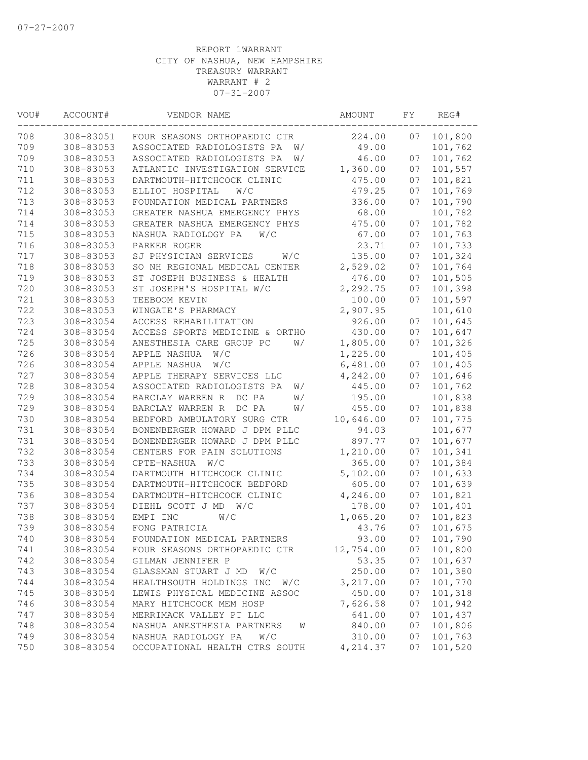| VOU# | ACCOUNT#  | VENDOR NAME                      | AMOUNT    | FΥ | REG#    |
|------|-----------|----------------------------------|-----------|----|---------|
| 708  | 308-83051 | FOUR SEASONS ORTHOPAEDIC CTR     | 224.00    | 07 | 101,800 |
| 709  | 308-83053 | ASSOCIATED RADIOLOGISTS PA<br>W/ | 49.00     |    | 101,762 |
| 709  | 308-83053 | ASSOCIATED RADIOLOGISTS PA<br>W/ | 46.00     | 07 | 101,762 |
| 710  | 308-83053 | ATLANTIC INVESTIGATION SERVICE   | 1,360.00  | 07 | 101,557 |
| 711  | 308-83053 | DARTMOUTH-HITCHCOCK CLINIC       | 475.00    | 07 | 101,821 |
| 712  | 308-83053 | ELLIOT HOSPITAL<br>W/C           | 479.25    | 07 | 101,769 |
| 713  | 308-83053 | FOUNDATION MEDICAL PARTNERS      | 336.00    | 07 | 101,790 |
| 714  | 308-83053 | GREATER NASHUA EMERGENCY PHYS    | 68.00     |    | 101,782 |
| 714  | 308-83053 | GREATER NASHUA EMERGENCY PHYS    | 475.00    | 07 | 101,782 |
| 715  | 308-83053 | NASHUA RADIOLOGY PA<br>W/C       | 67.00     | 07 | 101,763 |
| 716  | 308-83053 | PARKER ROGER                     | 23.71     | 07 | 101,733 |
| 717  | 308-83053 | SJ PHYSICIAN SERVICES<br>W/C     | 135.00    | 07 | 101,324 |
| 718  | 308-83053 | SO NH REGIONAL MEDICAL CENTER    | 2,529.02  | 07 | 101,764 |
| 719  | 308-83053 | ST JOSEPH BUSINESS & HEALTH      | 476.00    | 07 | 101,505 |
| 720  | 308-83053 | ST JOSEPH'S HOSPITAL W/C         | 2,292.75  | 07 | 101,398 |
| 721  | 308-83053 | TEEBOOM KEVIN                    | 100.00    | 07 | 101,597 |
| 722  | 308-83053 | WINGATE'S PHARMACY               | 2,907.95  |    | 101,610 |
| 723  | 308-83054 | ACCESS REHABILITATION            | 926.00    | 07 | 101,645 |
| 724  | 308-83054 | ACCESS SPORTS MEDICINE & ORTHO   | 430.00    | 07 | 101,647 |
| 725  | 308-83054 | ANESTHESIA CARE GROUP PC<br>W/   | 1,805.00  | 07 | 101,326 |
| 726  | 308-83054 | APPLE NASHUA<br>W/C              | 1,225.00  |    | 101,405 |
| 726  | 308-83054 | APPLE NASHUA<br>W/C              | 6,481.00  | 07 | 101,405 |
| 727  | 308-83054 | APPLE THERAPY SERVICES LLC       | 4,242.00  | 07 | 101,646 |
| 728  | 308-83054 | ASSOCIATED RADIOLOGISTS PA<br>W/ | 445.00    | 07 | 101,762 |
| 729  | 308-83054 | BARCLAY WARREN R DC PA<br>W/     | 195.00    |    | 101,838 |
| 729  | 308-83054 | BARCLAY WARREN R<br>DC PA<br>W/  | 455.00    | 07 | 101,838 |
| 730  | 308-83054 | BEDFORD AMBULATORY SURG CTR      | 10,646.00 | 07 | 101,775 |
| 731  | 308-83054 | BONENBERGER HOWARD J DPM PLLC    | 94.03     |    | 101,677 |
| 731  | 308-83054 | BONENBERGER HOWARD J DPM PLLC    | 897.77    | 07 | 101,677 |
| 732  | 308-83054 | CENTERS FOR PAIN SOLUTIONS       | 1,210.00  | 07 | 101,341 |
| 733  | 308-83054 | CPTE-NASHUA<br>W/C               | 365.00    | 07 | 101,384 |
| 734  | 308-83054 | DARTMOUTH HITCHCOCK CLINIC       | 5,102.00  | 07 | 101,633 |
| 735  | 308-83054 | DARTMOUTH-HITCHCOCK BEDFORD      | 605.00    | 07 | 101,639 |
| 736  | 308-83054 | DARTMOUTH-HITCHCOCK CLINIC       | 4,246.00  | 07 | 101,821 |
| 737  | 308-83054 | DIEHL SCOTT J MD<br>W/C          | 178.00    | 07 | 101,401 |
| 738  | 308-83054 | EMPI INC<br>W/C                  | 1,065.20  | 07 | 101,823 |
| 739  | 308-83054 | FONG PATRICIA                    | 43.76     | 07 | 101,675 |
| 740  | 308-83054 | FOUNDATION MEDICAL PARTNERS      | 93.00     | 07 | 101,790 |
| 741  | 308-83054 | FOUR SEASONS ORTHOPAEDIC CTR     | 12,754.00 | 07 | 101,800 |
| 742  | 308-83054 | GILMAN JENNIFER P                | 53.35     | 07 | 101,637 |
| 743  | 308-83054 | GLASSMAN STUART J MD<br>W/C      | 250.00    | 07 | 101,380 |
| 744  | 308-83054 | HEALTHSOUTH HOLDINGS INC<br>W/C  | 3,217.00  | 07 | 101,770 |
| 745  | 308-83054 | LEWIS PHYSICAL MEDICINE ASSOC    | 450.00    | 07 | 101,318 |
| 746  | 308-83054 | MARY HITCHCOCK MEM HOSP          | 7,626.58  | 07 | 101,942 |
| 747  | 308-83054 | MERRIMACK VALLEY PT LLC          | 641.00    | 07 | 101,437 |
| 748  | 308-83054 | NASHUA ANESTHESIA PARTNERS<br>W  | 840.00    | 07 | 101,806 |
| 749  | 308-83054 | NASHUA RADIOLOGY PA<br>W/C       | 310.00    | 07 | 101,763 |
| 750  | 308-83054 | OCCUPATIONAL HEALTH CTRS SOUTH   | 4,214.37  | 07 | 101,520 |
|      |           |                                  |           |    |         |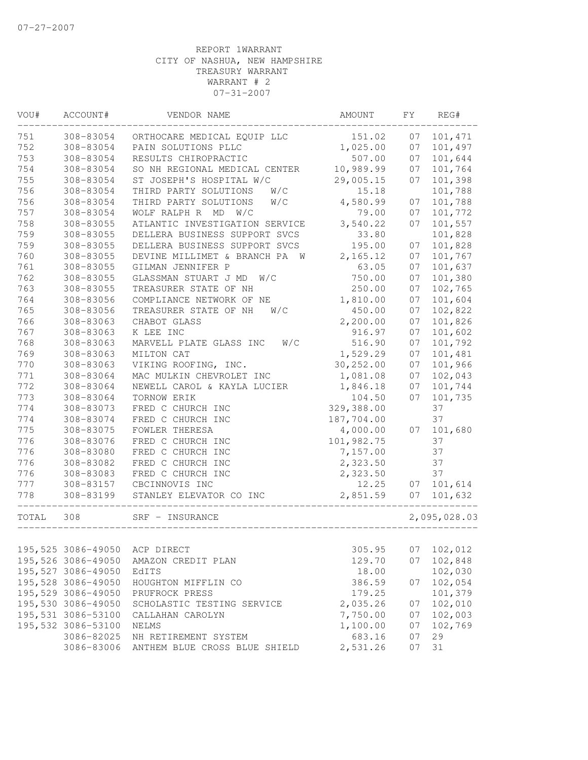| VOU#  | ACCOUNT#           | VENDOR NAME                    | AMOUNT     | FY | REG#         |
|-------|--------------------|--------------------------------|------------|----|--------------|
| 751   | 308-83054          | ORTHOCARE MEDICAL EQUIP LLC    | 151.02     | 07 | 101,471      |
| 752   | 308-83054          | PAIN SOLUTIONS PLLC            | 1,025.00   | 07 | 101,497      |
| 753   | 308-83054          | RESULTS CHIROPRACTIC           | 507.00     | 07 | 101,644      |
| 754   | 308-83054          | SO NH REGIONAL MEDICAL CENTER  | 10,989.99  | 07 | 101,764      |
| 755   | 308-83054          | ST JOSEPH'S HOSPITAL W/C       | 29,005.15  | 07 | 101,398      |
| 756   | 308-83054          | THIRD PARTY SOLUTIONS<br>W/C   | 15.18      |    | 101,788      |
| 756   | 308-83054          | THIRD PARTY SOLUTIONS<br>W/C   | 4,580.99   | 07 | 101,788      |
| 757   | 308-83054          | WOLF RALPH R MD<br>W/C         | 79.00      | 07 | 101,772      |
| 758   | 308-83055          | ATLANTIC INVESTIGATION SERVICE | 3,540.22   | 07 | 101,557      |
| 759   | 308-83055          | DELLERA BUSINESS SUPPORT SVCS  | 33.80      |    | 101,828      |
| 759   | 308-83055          | DELLERA BUSINESS SUPPORT SVCS  | 195.00     | 07 | 101,828      |
| 760   | 308-83055          | DEVINE MILLIMET & BRANCH PA W  | 2,165.12   | 07 | 101,767      |
| 761   | 308-83055          | GILMAN JENNIFER P              | 63.05      | 07 | 101,637      |
| 762   | 308-83055          | GLASSMAN STUART J MD<br>W/C    | 750.00     | 07 | 101,380      |
| 763   | 308-83055          | TREASURER STATE OF NH          | 250.00     | 07 | 102,765      |
| 764   | 308-83056          | COMPLIANCE NETWORK OF NE       | 1,810.00   | 07 | 101,604      |
| 765   | 308-83056          | TREASURER STATE OF NH<br>W/C   | 450.00     | 07 | 102,822      |
| 766   | 308-83063          | CHABOT GLASS                   | 2,200.00   | 07 | 101,826      |
| 767   | 308-83063          | K LEE INC                      | 916.97     | 07 | 101,602      |
| 768   | 308-83063          | W/C<br>MARVELL PLATE GLASS INC | 516.90     | 07 | 101,792      |
| 769   | 308-83063          | MILTON CAT                     | 1,529.29   | 07 | 101,481      |
| 770   | 308-83063          | VIKING ROOFING, INC.           | 30,252.00  | 07 | 101,966      |
| 771   | 308-83064          | MAC MULKIN CHEVROLET INC       | 1,081.08   | 07 | 102,043      |
| 772   | 308-83064          | NEWELL CAROL & KAYLA LUCIER    | 1,846.18   | 07 | 101,744      |
| 773   | 308-83064          | TORNOW ERIK                    | 104.50     | 07 | 101,735      |
| 774   | 308-83073          | FRED C CHURCH INC              | 329,388.00 |    | 37           |
| 774   | 308-83074          | FRED C CHURCH INC              | 187,704.00 |    | 37           |
| 775   | 308-83075          | FOWLER THERESA                 | 4,000.00   | 07 | 101,680      |
| 776   | 308-83076          | FRED C CHURCH INC              | 101,982.75 |    | 37           |
| 776   | 308-83080          | FRED C CHURCH INC              | 7,157.00   |    | 37           |
| 776   | 308-83082          | FRED C CHURCH INC              | 2,323.50   |    | 37           |
| 776   | 308-83083          | FRED C CHURCH INC              | 2,323.50   |    | 37           |
| 777   | 308-83157          | CBCINNOVIS INC                 | 12.25      | 07 | 101,614      |
| 778   | 308-83199          | STANLEY ELEVATOR CO INC        | 2,851.59   | 07 | 101,632      |
| TOTAL | 308                | SRF - INSURANCE                |            |    | 2,095,028.03 |
|       |                    |                                |            |    |              |
|       | 195,525 3086-49050 | ACP DIRECT                     | 305.95     | 07 | 102,012      |
|       | 195,526 3086-49050 | AMAZON CREDIT PLAN             | 129.70     | 07 | 102,848      |
|       | 195,527 3086-49050 | EdITS                          | 18.00      |    | 102,030      |
|       | 195,528 3086-49050 | HOUGHTON MIFFLIN CO            | 386.59     | 07 | 102,054      |
|       | 195,529 3086-49050 | PRUFROCK PRESS                 | 179.25     |    | 101,379      |
|       | 195,530 3086-49050 | SCHOLASTIC TESTING SERVICE     | 2,035.26   | 07 | 102,010      |
|       | 195,531 3086-53100 | CALLAHAN CAROLYN               | 7,750.00   | 07 | 102,003      |
|       | 195,532 3086-53100 | NELMS                          | 1,100.00   | 07 | 102,769      |
|       | 3086-82025         | NH RETIREMENT SYSTEM           | 683.16     | 07 | 29           |
|       | 3086-83006         | ANTHEM BLUE CROSS BLUE SHIELD  | 2,531.26   | 07 | 31           |
|       |                    |                                |            |    |              |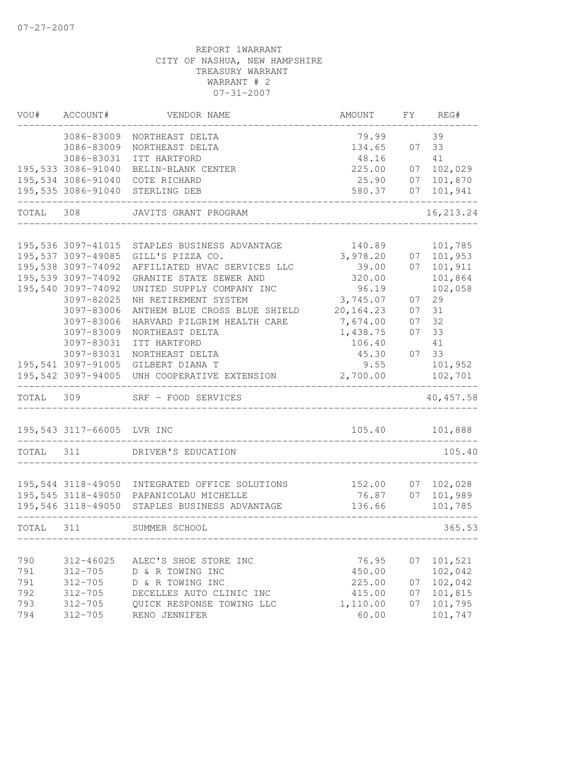| VOU#      | ACCOUNT#                                 | VENDOR NAME                                                                              | AMOUNT                 |          | FY REG#            |
|-----------|------------------------------------------|------------------------------------------------------------------------------------------|------------------------|----------|--------------------|
|           | 3086-83009                               | NORTHEAST DELTA                                                                          | 79.99                  |          | 39                 |
|           | 3086-83009                               | NORTHEAST DELTA                                                                          | 134.65                 | 07       | 33                 |
|           | 3086-83031                               | ITT HARTFORD                                                                             | 48.16                  |          | 41<br>102,029      |
|           | 195,533 3086-91040<br>195,534 3086-91040 | BELIN-BLANK CENTER<br>COTE RICHARD                                                       | 225.00                 | 07<br>07 |                    |
|           | 195,535 3086-91040                       | STERLING DEB                                                                             | 25.90<br>580.37        | 07       | 101,870<br>101,941 |
|           |                                          |                                                                                          |                        |          |                    |
| TOTAL     | 308                                      | JAVITS GRANT PROGRAM                                                                     |                        |          | 16, 213.24         |
|           |                                          |                                                                                          |                        |          |                    |
|           | 195,536 3097-41015                       | STAPLES BUSINESS ADVANTAGE                                                               | 140.89                 |          | 101,785            |
|           | 195,537 3097-49085                       | GILL'S PIZZA CO.                                                                         | 3,978.20               | 07       | 101,953            |
|           | 195,538 3097-74092                       | AFFILIATED HVAC SERVICES LLC                                                             | 39.00                  | 07       | 101,911            |
|           | 195,539 3097-74092                       | GRANITE STATE SEWER AND                                                                  | 320.00                 |          | 101,864            |
|           | 195,540 3097-74092                       | UNITED SUPPLY COMPANY INC                                                                | 96.19                  |          | 102,058            |
|           | 3097-82025                               | NH RETIREMENT SYSTEM                                                                     | 3,745.07               | 07       | 29                 |
|           | 3097-83006<br>3097-83006                 | ANTHEM BLUE CROSS BLUE SHIELD                                                            | 20, 164.23<br>7,674.00 | 07       | 31<br>32           |
|           | 3097-83009                               | HARVARD PILGRIM HEALTH CARE<br>NORTHEAST DELTA                                           | 1,438.75               | 07<br>07 | 33                 |
|           | 3097-83031                               | ITT HARTFORD                                                                             | 106.40                 |          | 41                 |
|           | 3097-83031                               | NORTHEAST DELTA                                                                          | 45.30                  | 07       | 33                 |
|           | 195,541 3097-91005                       | GILBERT DIANA T                                                                          | 9.55                   |          | 101,952            |
|           | 195,542 3097-94005                       | UNH COOPERATIVE EXTENSION                                                                | 2,700.00               |          | 102,701            |
| TOTAL     | 309                                      | SRF - FOOD SERVICES                                                                      |                        |          | 40, 457.58         |
|           |                                          |                                                                                          |                        |          |                    |
|           | 195,543 3117-66005 LVR INC               |                                                                                          | 105.40<br>_________    |          | 101,888            |
| TOTAL 311 |                                          | DRIVER'S EDUCATION                                                                       |                        |          | 105.40             |
|           |                                          |                                                                                          |                        |          |                    |
|           | 195,544 3118-49050                       | INTEGRATED OFFICE SOLUTIONS                                                              | 152.00                 | 07       | 102,028            |
|           |                                          | 195,545 3118-49050 PAPANICOLAU MICHELLE<br>195,546 3118-49050 STAPLES BUSINESS ADVANTAGE | 76.87<br>136.66        | 07       | 101,989<br>101,785 |
| TOTAL 311 |                                          | SUMMER SCHOOL                                                                            |                        |          | 365.53             |
|           |                                          |                                                                                          |                        |          |                    |
| 790       | 312-46025                                | ALEC'S SHOE STORE INC                                                                    | 76.95                  | 07       | 101,521            |
| 791       | $312 - 705$                              | D & R TOWING INC                                                                         | 450.00                 |          | 102,042            |
| 791       | $312 - 705$                              | D & R TOWING INC                                                                         | 225.00                 | 07       | 102,042            |
| 792       | $312 - 705$                              | DECELLES AUTO CLINIC INC                                                                 | 415.00                 | 07       | 101,815            |
| 793       | $312 - 705$                              | QUICK RESPONSE TOWING LLC                                                                | 1,110.00               | 07       | 101,795            |
| 794       | $312 - 705$                              | RENO JENNIFER                                                                            | 60.00                  |          | 101,747            |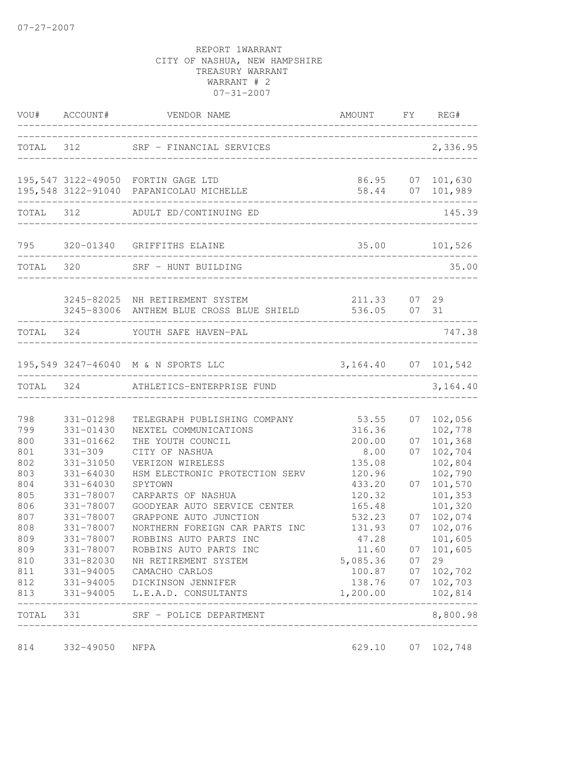|                                                                                                                     |                                                                                                                                                                                                  | VOU# ACCOUNT# VENDOR NAME                                                                                                                                                                                                                                                                                                                                                                                                                                 | AMOUNT FY REG#                                                                                                                                                        |                                        |                                                                                                                                                                                             |
|---------------------------------------------------------------------------------------------------------------------|--------------------------------------------------------------------------------------------------------------------------------------------------------------------------------------------------|-----------------------------------------------------------------------------------------------------------------------------------------------------------------------------------------------------------------------------------------------------------------------------------------------------------------------------------------------------------------------------------------------------------------------------------------------------------|-----------------------------------------------------------------------------------------------------------------------------------------------------------------------|----------------------------------------|---------------------------------------------------------------------------------------------------------------------------------------------------------------------------------------------|
|                                                                                                                     |                                                                                                                                                                                                  | TOTAL 312 SRF - FINANCIAL SERVICES<br>_____________________________________                                                                                                                                                                                                                                                                                                                                                                               |                                                                                                                                                                       |                                        | 2,336.95                                                                                                                                                                                    |
|                                                                                                                     |                                                                                                                                                                                                  | 195,547 3122-49050 FORTIN GAGE LTD<br>195,548 3122-91040 PAPANICOLAU MICHELLE                                                                                                                                                                                                                                                                                                                                                                             | 86.95<br>58.44                                                                                                                                                        |                                        | 07 101,630<br>07 101,989                                                                                                                                                                    |
|                                                                                                                     |                                                                                                                                                                                                  | TOTAL 312 ADULT ED/CONTINUING ED                                                                                                                                                                                                                                                                                                                                                                                                                          |                                                                                                                                                                       |                                        | 145.39                                                                                                                                                                                      |
|                                                                                                                     |                                                                                                                                                                                                  | 795 320-01340 GRIFFITHS ELAINE                                                                                                                                                                                                                                                                                                                                                                                                                            | 35.00 101,526                                                                                                                                                         |                                        |                                                                                                                                                                                             |
|                                                                                                                     |                                                                                                                                                                                                  | TOTAL 320 SRF - HUNT BUILDING                                                                                                                                                                                                                                                                                                                                                                                                                             |                                                                                                                                                                       |                                        | 35.00                                                                                                                                                                                       |
|                                                                                                                     |                                                                                                                                                                                                  | 3245-82025 NH RETIREMENT SYSTEM<br>3245-83006 ANTHEM BLUE CROSS BLUE SHIELD                                                                                                                                                                                                                                                                                                                                                                               | 211.33<br>536.05 07 31                                                                                                                                                |                                        | 07 29                                                                                                                                                                                       |
|                                                                                                                     |                                                                                                                                                                                                  | TOTAL 324 YOUTH SAFE HAVEN-PAL                                                                                                                                                                                                                                                                                                                                                                                                                            |                                                                                                                                                                       |                                        | 747.38                                                                                                                                                                                      |
|                                                                                                                     |                                                                                                                                                                                                  | 195,549 3247-46040 M & N SPORTS LLC                                                                                                                                                                                                                                                                                                                                                                                                                       | 3, 164. 40 07 101, 542                                                                                                                                                |                                        | -----------------                                                                                                                                                                           |
|                                                                                                                     |                                                                                                                                                                                                  | TOTAL 324 ATHLETICS-ENTERPRISE FUND                                                                                                                                                                                                                                                                                                                                                                                                                       |                                                                                                                                                                       | ________________                       | 3,164.40                                                                                                                                                                                    |
| 798<br>799<br>800<br>801<br>802<br>803<br>804<br>805<br>806<br>807<br>808<br>809<br>809<br>810<br>811<br>812<br>813 | 331-01298<br>$331 - 01430$<br>331-01662<br>$331 - 309$<br>331-31050<br>$331 - 64030$<br>$331 - 64030$<br>331-78007<br>331-78007<br>331-78007<br>331-78007<br>331-78007<br>331-78007<br>331-82030 | TELEGRAPH PUBLISHING COMPANY<br>NEXTEL COMMUNICATIONS<br>THE YOUTH COUNCIL<br>CITY OF NASHUA<br>VERIZON WIRELESS<br>HSM ELECTRONIC PROTECTION SERV<br>SPYTOWN<br>CARPARTS OF NASHUA<br>GOODYEAR AUTO SERVICE CENTER<br>GRAPPONE AUTO JUNCTION<br>NORTHERN FOREIGN CAR PARTS INC<br>ROBBINS AUTO PARTS INC<br>ROBBINS AUTO PARTS INC<br>NH RETIREMENT SYSTEM<br>331-94005 CAMACHO CARLOS<br>331-94005 DICKINSON JENNIFER<br>331-94005 L.E.A.D. CONSULTANTS | 53.55<br>316.36<br>200.00<br>8.00<br>135.08<br>120.96<br>433.20<br>120.32<br>165.48<br>532.23<br>131.93<br>47.28<br>11.60<br>5,085.36<br>100.87<br>138.76<br>1,200.00 | 07<br>07<br>07<br>07<br>07<br>07<br>07 | 07 102,056<br>102,778<br>101,368<br>102,704<br>102,804<br>102,790<br>101,570<br>101,353<br>101,320<br>07 102,074<br>07 102,076<br>101,605<br>101,605<br>29<br>102,702<br>102,703<br>102,814 |
| TOTAL                                                                                                               | 331                                                                                                                                                                                              | SRF - POLICE DEPARTMENT                                                                                                                                                                                                                                                                                                                                                                                                                                   |                                                                                                                                                                       |                                        | 8,800.98                                                                                                                                                                                    |
| 814                                                                                                                 | 332-49050                                                                                                                                                                                        | __________________<br>NFPA                                                                                                                                                                                                                                                                                                                                                                                                                                | 629.10                                                                                                                                                                | 07                                     | 102,748                                                                                                                                                                                     |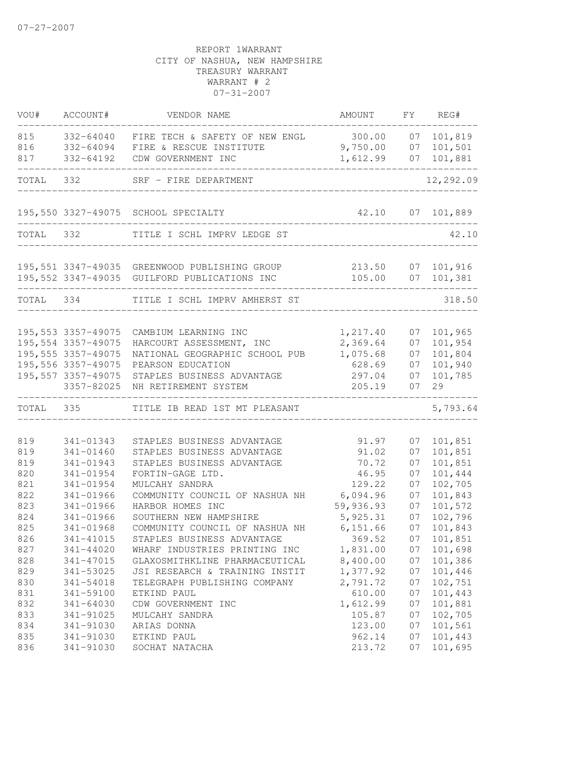| VOU#                                          | ACCOUNT#                                                                                                                    | VENDOR NAME                                                                                                                                                                        | AMOUNT                                                              | FY                                     | REG#                                                                      |
|-----------------------------------------------|-----------------------------------------------------------------------------------------------------------------------------|------------------------------------------------------------------------------------------------------------------------------------------------------------------------------------|---------------------------------------------------------------------|----------------------------------------|---------------------------------------------------------------------------|
| 815<br>816<br>817                             | 332-64040<br>332-64094<br>332-64192                                                                                         | FIRE TECH & SAFETY OF NEW ENGL 300.00<br>FIRE & RESCUE INSTITUTE<br>CDW GOVERNMENT INC                                                                                             | 9,750.00<br>1,612.99                                                | 07<br>07<br>07                         | 101,819<br>101,501<br>101,881                                             |
| TOTAL 332                                     |                                                                                                                             | SRF - FIRE DEPARTMENT                                                                                                                                                              |                                                                     |                                        | 12,292.09                                                                 |
|                                               |                                                                                                                             | 195,550 3327-49075 SCHOOL SPECIALTY                                                                                                                                                |                                                                     |                                        | 42.10 07 101,889                                                          |
|                                               | TOTAL 332                                                                                                                   | TITLE I SCHL IMPRV LEDGE ST                                                                                                                                                        | _________________________                                           |                                        | 42.10                                                                     |
|                                               |                                                                                                                             | 195,551 3347-49035 GREENWOOD PUBLISHING GROUP<br>195,552 3347-49035 GUILFORD PUBLICATIONS INC                                                                                      |                                                                     |                                        | 213.50 07 101,916<br>105.00 07 101,381                                    |
|                                               | TOTAL 334                                                                                                                   | TITLE I SCHL IMPRV AMHERST ST                                                                                                                                                      |                                                                     |                                        | 318.50                                                                    |
|                                               | 195, 553 3357-49075<br>195,554 3357-49075<br>195, 555 3357-49075<br>195,556 3357-49075<br>195, 557 3357-49075<br>3357-82025 | CAMBIUM LEARNING INC<br>HARCOURT ASSESSMENT, INC<br>NATIONAL GEOGRAPHIC SCHOOL PUB<br>PEARSON EDUCATION<br>STAPLES BUSINESS ADVANTAGE<br>NH RETIREMENT SYSTEM                      | 1,217.40<br>2,369.64<br>1,075.68<br>628.69<br>297.04<br>205.19      | 07<br>07<br>07<br>07<br>07<br>07       | 101,965<br>101,954<br>101,804<br>101,940<br>101,785<br>29                 |
| TOTAL 335                                     |                                                                                                                             | TITLE IB READ 1ST MT PLEASANT                                                                                                                                                      |                                                                     |                                        | 5,793.64                                                                  |
| 819<br>819<br>819<br>820<br>821<br>822<br>823 | 341-01343<br>341-01460<br>341-01943<br>$341 - 01954$<br>341-01954<br>341-01966<br>341-01966                                 | STAPLES BUSINESS ADVANTAGE<br>STAPLES BUSINESS ADVANTAGE<br>STAPLES BUSINESS ADVANTAGE<br>FORTIN-GAGE LTD.<br>MULCAHY SANDRA<br>COMMUNITY COUNCIL OF NASHUA NH<br>HARBOR HOMES INC | 91.97<br>91.02<br>70.72<br>46.95<br>129.22<br>6,094.96<br>59,936.93 | 07<br>07<br>07<br>07<br>07<br>07<br>07 | 101,851<br>101,851<br>101,851<br>101,444<br>102,705<br>101,843<br>101,572 |
| 824<br>825<br>826<br>827<br>828               | 341-01966<br>341-01968<br>341-41015<br>341-44020<br>341-47015                                                               | SOUTHERN NEW HAMPSHIRE<br>COMMUNITY COUNCIL OF NASHUA NH<br>STAPLES BUSINESS ADVANTAGE<br>WHARF INDUSTRIES PRINTING INC<br>GLAXOSMITHKLINE PHARMACEUTICAL                          | 5,925.31<br>6,151.66<br>369.52<br>1,831.00<br>8,400.00              | 07<br>07<br>07<br>07<br>07             | 102,796<br>101,843<br>101,851<br>101,698<br>101,386                       |
| 829<br>830<br>831<br>832<br>833<br>834        | 341-53025<br>341-54018<br>341-59100<br>$341 - 64030$<br>341-91025<br>341-91030                                              | JSI RESEARCH & TRAINING INSTIT<br>TELEGRAPH PUBLISHING COMPANY<br>ETKIND PAUL<br>CDW GOVERNMENT INC<br>MULCAHY SANDRA<br>ARIAS DONNA                                               | 1,377.92<br>2,791.72<br>610.00<br>1,612.99<br>105.87<br>123.00      | 07<br>07<br>07<br>07<br>07<br>07       | 101,446<br>102,751<br>101,443<br>101,881<br>102,705<br>101,561            |
| 835<br>836                                    | 341-91030<br>341-91030                                                                                                      | ETKIND PAUL<br>SOCHAT NATACHA                                                                                                                                                      | 962.14<br>213.72                                                    | 07<br>07                               | 101,443<br>101,695                                                        |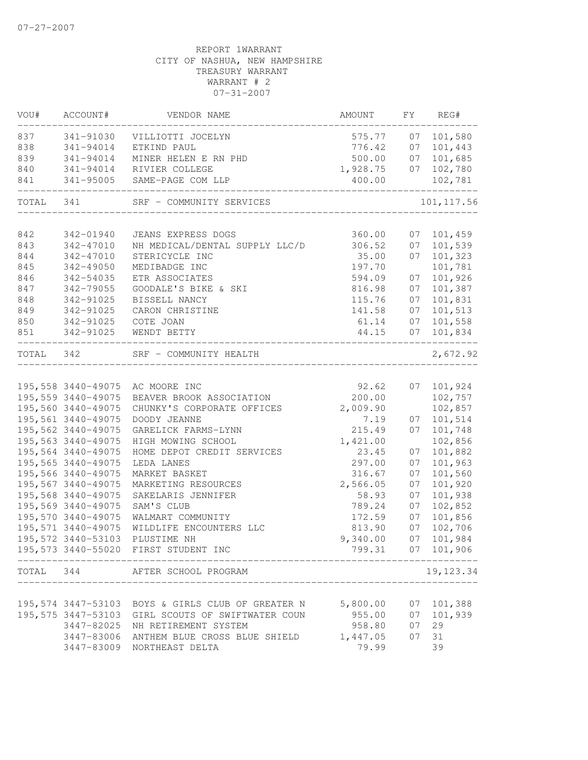| VOU#      | ACCOUNT#            | VENDOR NAME                                       | AMOUNT   | FY | REG#              |
|-----------|---------------------|---------------------------------------------------|----------|----|-------------------|
| 837       | 341-91030           | VILLIOTTI JOCELYN                                 | 575.77   | 07 | 101,580           |
| 838       | 341-94014           | ETKIND PAUL                                       | 776.42   | 07 | 101,443           |
| 839       | 341-94014           | MINER HELEN E RN PHD                              | 500.00   | 07 | 101,685           |
| 840       | 341-94014           | RIVIER COLLEGE                                    | 1,928.75 | 07 | 102,780           |
| 841       | 341-95005           | SAME-PAGE COM LLP                                 | 400.00   |    | 102,781           |
| TOTAL     | 341                 | SRF - COMMUNITY SERVICES                          |          |    | 101, 117.56       |
|           |                     |                                                   |          |    |                   |
| 842       | 342-01940           | JEANS EXPRESS DOGS                                | 360.00   | 07 | 101,459           |
| 843       | 342-47010           | NH MEDICAL/DENTAL SUPPLY LLC/D                    | 306.52   | 07 | 101,539           |
| 844       | 342-47010           | STERICYCLE INC                                    | 35.00    | 07 | 101,323           |
| 845       | $342 - 49050$       | MEDIBADGE INC                                     | 197.70   |    | 101,781           |
| 846       | 342-54035           | ETR ASSOCIATES                                    | 594.09   | 07 | 101,926           |
| 847       | 342-79055           | GOODALE'S BIKE & SKI                              | 816.98   | 07 | 101,387           |
| 848       | 342-91025           | BISSELL NANCY                                     | 115.76   | 07 | 101,831           |
| 849       | 342-91025           | CARON CHRISTINE                                   | 141.58   | 07 | 101,513           |
| 850       | 342-91025           | COTE JOAN                                         | 61.14    | 07 | 101,558           |
| 851       | 342-91025           | WENDT BETTY                                       | 44.15    | 07 | 101,834           |
| TOTAL 342 |                     | SRF - COMMUNITY HEALTH                            |          |    | 2,672.92          |
|           |                     |                                                   |          |    |                   |
|           |                     | 195,558 3440-49075 AC MOORE INC                   | 92.62    |    | 07 101,924        |
|           | 195,559 3440-49075  | BEAVER BROOK ASSOCIATION                          | 200.00   |    | 102,757           |
|           | 195,560 3440-49075  | CHUNKY'S CORPORATE OFFICES                        | 2,009.90 |    | 102,857           |
|           | 195,561 3440-49075  | DOODY JEANNE                                      | 7.19     | 07 | 101,514           |
|           | 195,562 3440-49075  | GARELICK FARMS-LYNN                               | 215.49   | 07 | 101,748           |
|           | 195,563 3440-49075  | HIGH MOWING SCHOOL                                | 1,421.00 |    | 102,856           |
|           | 195,564 3440-49075  | HOME DEPOT CREDIT SERVICES                        | 23.45    | 07 | 101,882           |
|           | 195,565 3440-49075  | LEDA LANES                                        | 297.00   | 07 | 101,963           |
|           | 195,566 3440-49075  | MARKET BASKET                                     | 316.67   | 07 | 101,560           |
|           | 195,567 3440-49075  | MARKETING RESOURCES                               | 2,566.05 | 07 | 101,920           |
|           | 195,568 3440-49075  | SAKELARIS JENNIFER                                | 58.93    | 07 | 101,938           |
|           | 195,569 3440-49075  | SAM'S CLUB                                        | 789.24   | 07 | 102,852           |
|           | 195,570 3440-49075  | WALMART COMMUNITY                                 | 172.59   | 07 | 101,856           |
|           | 195, 571 3440-49075 | WILDLIFE ENCOUNTERS LLC                           | 813.90   | 07 | 102,706           |
|           | 195,572 3440-53103  | PLUSTIME NH                                       | 9,340.00 | 07 | 101,984           |
|           |                     | 195,573 3440-55020 FIRST STUDENT INC              |          |    | 799.31 07 101,906 |
| TOTAL     |                     | ___________________                               |          |    | 19, 123.34        |
|           |                     | ---------------------                             |          |    |                   |
|           |                     | 195,574 3447-53103 BOYS & GIRLS CLUB OF GREATER N | 5,800.00 | 07 | 101,388           |
|           |                     | 195,575 3447-53103 GIRL SCOUTS OF SWIFTWATER COUN | 955.00   | 07 | 101,939           |
|           | 3447-82025          | NH RETIREMENT SYSTEM                              | 958.80   | 07 | 29                |
|           | 3447-83006          | ANTHEM BLUE CROSS BLUE SHIELD                     | 1,447.05 | 07 | 31                |
|           |                     | 3447-83009 NORTHEAST DELTA                        | 79.99    |    | 39                |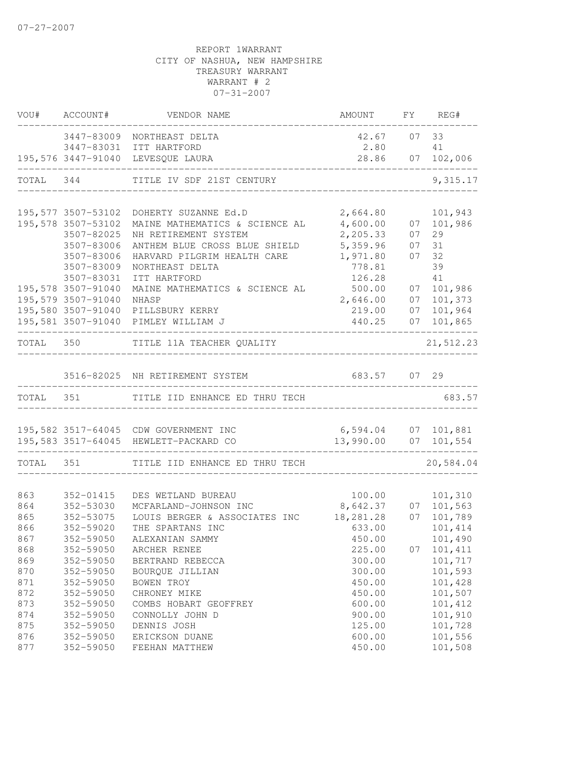|            | VOU# ACCOUNT#                            | VENDOR NAME                                            | AMOUNT               |          | FY REG#               |
|------------|------------------------------------------|--------------------------------------------------------|----------------------|----------|-----------------------|
|            |                                          | 3447-83009 NORTHEAST DELTA                             | 42.67                | 07       | 33                    |
|            |                                          | 3447-83031 ITT HARTFORD                                | 2.80                 |          | 41                    |
|            |                                          | 195,576 3447-91040 LEVESQUE LAURA                      | 28.86                | 07       | 102,006               |
| TOTAL 344  |                                          | TITLE IV SDF 21ST CENTURY                              |                      |          | 9,315.17              |
|            |                                          |                                                        |                      |          |                       |
|            | 195,577 3507-53102<br>195,578 3507-53102 | DOHERTY SUZANNE Ed.D<br>MAINE MATHEMATICS & SCIENCE AL | 2,664.80<br>4,600.00 |          | 101,943<br>07 101,986 |
|            | 3507-82025                               | NH RETIREMENT SYSTEM                                   | 2,205.33             |          | 29                    |
|            | 3507-83006                               | ANTHEM BLUE CROSS BLUE SHIELD                          | 5,359.96             | 07<br>07 | 31                    |
|            | 3507-83006                               | HARVARD PILGRIM HEALTH CARE                            | 1,971.80             | 07       | 32                    |
|            | 3507-83009                               | NORTHEAST DELTA                                        | 778.81               |          | 39                    |
|            | 3507-83031                               | ITT HARTFORD                                           | 126.28               |          | 41                    |
|            | 195,578 3507-91040                       | MAINE MATHEMATICS & SCIENCE AL                         | 500.00               | 07       | 101,986               |
|            | 195,579 3507-91040                       | NHASP                                                  | 2,646.00             | 07       | 101,373               |
|            |                                          | 195,580 3507-91040 PILLSBURY KERRY                     | 219.00               | 07       | 101,964               |
|            |                                          | 195,581 3507-91040 PIMLEY WILLIAM J                    | 440.25               |          | 07 101,865            |
|            |                                          | TOTAL 350 TITLE 11A TEACHER QUALITY<br>____________    |                      |          | 21,512.23             |
|            |                                          |                                                        |                      |          |                       |
|            |                                          | 3516-82025 NH RETIREMENT SYSTEM                        | 683.57 07 29         |          |                       |
| TOTAL 351  |                                          | TITLE IID ENHANCE ED THRU TECH                         |                      |          | 683.57                |
|            |                                          |                                                        |                      |          |                       |
|            |                                          | 195,582 3517-64045 CDW GOVERNMENT INC                  | 6,594.04             |          | 07 101,881            |
|            |                                          | 195,583 3517-64045 HEWLETT-PACKARD CO                  | 13,990.00 07 101,554 |          |                       |
| TOTAL 351  |                                          | TITLE IID ENHANCE ED THRU TECH                         |                      |          | 20,584.04             |
|            |                                          |                                                        |                      |          |                       |
| 863<br>864 | 352-01415<br>352-53030                   | DES WETLAND BUREAU<br>MCFARLAND-JOHNSON INC            | 100.00<br>8,642.37   |          | 101,310<br>07 101,563 |
| 865        | 352-53075                                | LOUIS BERGER & ASSOCIATES INC                          | 18, 281. 28          | 07       | 101,789               |
| 866        | 352-59020                                | THE SPARTANS INC                                       | 633.00               |          | 101,414               |
| 867        | 352-59050                                | ALEXANIAN SAMMY                                        | 450.00               |          | 101,490               |
| 868        | 352-59050                                | ARCHER RENEE                                           | 225.00               | 07       | 101,411               |
| 869        | 352-59050                                | BERTRAND REBECCA                                       | 300.00               |          | 101,717               |
| 870        | 352-59050                                | BOURQUE JILLIAN                                        | 300.00               |          | 101,593               |
| 871        | 352-59050                                | BOWEN TROY                                             | 450.00               |          | 101,428               |
| 872        | 352-59050                                | CHRONEY MIKE                                           | 450.00               |          | 101,507               |
| 873        | 352-59050                                | COMBS HOBART GEOFFREY                                  | 600.00               |          | 101,412               |
| 874        | 352-59050                                | CONNOLLY JOHN D                                        | 900.00               |          | 101,910               |
| 875        | 352-59050                                | DENNIS JOSH                                            | 125.00               |          | 101,728               |
| 876        | 352-59050                                | ERICKSON DUANE                                         | 600.00               |          | 101,556               |
| 877        | 352-59050                                | FEEHAN MATTHEW                                         | 450.00               |          | 101,508               |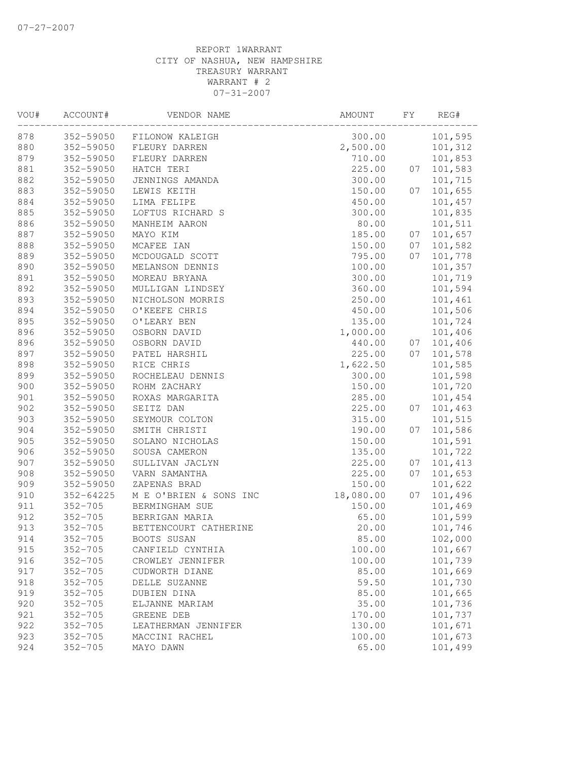| VOU# | ACCOUNT#    | VENDOR NAME            | AMOUNT    | FY. | REG#    |
|------|-------------|------------------------|-----------|-----|---------|
| 878  | 352-59050   | FILONOW KALEIGH        | 300.00    |     | 101,595 |
| 880  | 352-59050   | FLEURY DARREN          | 2,500.00  |     | 101,312 |
| 879  | 352-59050   | FLEURY DARREN          | 710.00    |     | 101,853 |
| 881  | 352-59050   | HATCH TERI             | 225.00    | 07  | 101,583 |
| 882  | 352-59050   | JENNINGS AMANDA        | 300.00    |     | 101,715 |
| 883  | 352-59050   | LEWIS KEITH            | 150.00    | 07  | 101,655 |
| 884  | 352-59050   | LIMA FELIPE            | 450.00    |     | 101,457 |
| 885  | 352-59050   | LOFTUS RICHARD S       | 300.00    |     | 101,835 |
| 886  | 352-59050   | MANHEIM AARON          | 80.00     |     | 101,511 |
| 887  | 352-59050   | MAYO KIM               | 185.00    | 07  | 101,657 |
| 888  | 352-59050   | MCAFEE IAN             | 150.00    | 07  | 101,582 |
| 889  | 352-59050   | MCDOUGALD SCOTT        | 795.00    | 07  | 101,778 |
| 890  | 352-59050   | MELANSON DENNIS        | 100.00    |     | 101,357 |
| 891  | 352-59050   | MOREAU BRYANA          | 300.00    |     | 101,719 |
| 892  | 352-59050   | MULLIGAN LINDSEY       | 360.00    |     | 101,594 |
| 893  | 352-59050   | NICHOLSON MORRIS       | 250.00    |     | 101,461 |
| 894  | 352-59050   | O'KEEFE CHRIS          | 450.00    |     | 101,506 |
| 895  | 352-59050   | O'LEARY BEN            | 135.00    |     | 101,724 |
| 896  | 352-59050   | OSBORN DAVID           | 1,000.00  |     | 101,406 |
| 896  | 352-59050   | OSBORN DAVID           | 440.00    | 07  | 101,406 |
| 897  | 352-59050   | PATEL HARSHIL          | 225.00    | 07  | 101,578 |
| 898  | 352-59050   | RICE CHRIS             | 1,622.50  |     | 101,585 |
| 899  | 352-59050   | ROCHELEAU DENNIS       | 300.00    |     | 101,598 |
| 900  | 352-59050   | ROHM ZACHARY           | 150.00    |     | 101,720 |
| 901  | 352-59050   | ROXAS MARGARITA        | 285.00    |     | 101,454 |
| 902  | 352-59050   | SEITZ DAN              | 225.00    | 07  | 101,463 |
| 903  | 352-59050   | SEYMOUR COLTON         | 315.00    |     | 101,515 |
| 904  | 352-59050   | SMITH CHRISTI          | 190.00    | 07  | 101,586 |
| 905  | 352-59050   | SOLANO NICHOLAS        | 150.00    |     | 101,591 |
| 906  | 352-59050   | SOUSA CAMERON          | 135.00    |     | 101,722 |
| 907  | 352-59050   | SULLIVAN JACLYN        | 225.00    | 07  | 101,413 |
| 908  | 352-59050   | VARN SAMANTHA          | 225.00    | 07  | 101,653 |
| 909  | 352-59050   | ZAPENAS BRAD           | 150.00    |     | 101,622 |
| 910  | 352-64225   | M E O'BRIEN & SONS INC | 18,080.00 | 07  | 101,496 |
| 911  | $352 - 705$ | BERMINGHAM SUE         | 150.00    |     | 101,469 |
| 912  | $352 - 705$ | BERRIGAN MARIA         | 65.00     |     | 101,599 |
| 913  | $352 - 705$ | BETTENCOURT CATHERINE  | 20.00     |     | 101,746 |
| 914  | $352 - 705$ | BOOTS SUSAN            | 85.00     |     | 102,000 |
| 915  | $352 - 705$ | CANFIELD CYNTHIA       | 100.00    |     | 101,667 |
| 916  | $352 - 705$ | CROWLEY JENNIFER       | 100.00    |     | 101,739 |
| 917  | $352 - 705$ | CUDWORTH DIANE         | 85.00     |     | 101,669 |
| 918  | $352 - 705$ | DELLE SUZANNE          | 59.50     |     | 101,730 |
| 919  | $352 - 705$ | DUBIEN DINA            | 85.00     |     | 101,665 |
| 920  | $352 - 705$ | ELJANNE MARIAM         | 35.00     |     | 101,736 |
| 921  | $352 - 705$ | GREENE DEB             | 170.00    |     | 101,737 |
| 922  | $352 - 705$ | LEATHERMAN JENNIFER    | 130.00    |     | 101,671 |
| 923  | $352 - 705$ | MACCINI RACHEL         | 100.00    |     | 101,673 |
| 924  | $352 - 705$ | MAYO DAWN              | 65.00     |     | 101,499 |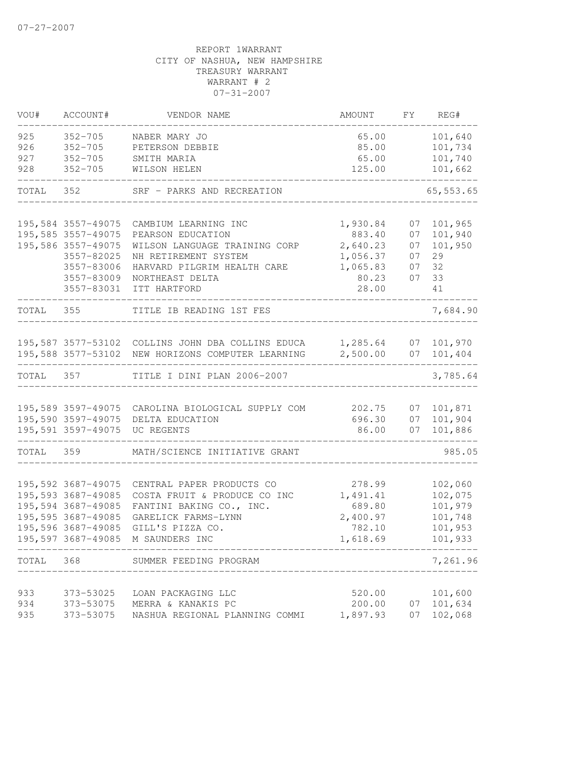| VOU#       | ACCOUNT#                   | VENDOR NAME                                                                             | AMOUNT             | FY       | REG#                  |
|------------|----------------------------|-----------------------------------------------------------------------------------------|--------------------|----------|-----------------------|
| 925<br>926 | $352 - 705$<br>$352 - 705$ | NABER MARY JO<br>PETERSON DEBBIE                                                        | 65.00<br>85.00     |          | 101,640<br>101,734    |
| 927<br>928 | $352 - 705$<br>$352 - 705$ | SMITH MARIA<br>WILSON HELEN                                                             | 65.00<br>125.00    |          | 101,740<br>101,662    |
| TOTAL 352  |                            | SRF - PARKS AND RECREATION                                                              |                    |          | 65, 553.65            |
|            | 195,584 3557-49075         | CAMBIUM LEARNING INC                                                                    | 1,930.84           | 07       | 101,965               |
|            | 195,585 3557-49075         | PEARSON EDUCATION                                                                       | 883.40             | 07       | 101,940               |
|            | 195,586 3557-49075         | WILSON LANGUAGE TRAINING CORP                                                           | 2,640.23           | 07       | 101,950               |
|            | 3557-82025                 | NH RETIREMENT SYSTEM                                                                    | 1,056.37           | 07       | 29                    |
|            | 3557-83006                 | HARVARD PILGRIM HEALTH CARE                                                             | 1,065.83           | 07       | 32                    |
|            | 3557-83009                 | NORTHEAST DELTA                                                                         | 80.23              | 07       | 33                    |
|            | 3557-83031                 | ITT HARTFORD                                                                            | 28.00              |          | 41                    |
| TOTAL 355  |                            | TITLE IB READING 1ST FES                                                                |                    |          | 7,684.90              |
|            |                            | 195,587 3577-53102 COLLINS JOHN DBA COLLINS EDUCA 1,285.64                              |                    | 07       | 101,970               |
|            | 195,588 3577-53102         | NEW HORIZONS COMPUTER LEARNING 2,500.00                                                 |                    | 07       | 101,404               |
| TOTAL 357  |                            | TITLE I DINI PLAN 2006-2007                                                             |                    |          | 3,785.64              |
|            |                            |                                                                                         |                    |          |                       |
|            |                            | 195,589 3597-49075 CAROLINA BIOLOGICAL SUPPLY COM<br>195,590 3597-49075 DELTA EDUCATION | 202.75<br>696.30   | 07       | 07 101,871<br>101,904 |
|            | 195,591 3597-49075         | UC REGENTS                                                                              | 86.00              | 07       | 101,886               |
|            |                            |                                                                                         |                    |          |                       |
| TOTAL 359  |                            | MATH/SCIENCE INITIATIVE GRANT                                                           |                    |          | 985.05                |
|            | 195,592 3687-49075         | CENTRAL PAPER PRODUCTS CO                                                               | 278.99             |          | 102,060               |
|            | 195,593 3687-49085         | COSTA FRUIT & PRODUCE CO INC                                                            | 1,491.41           |          | 102,075               |
|            | 195,594 3687-49085         | FANTINI BAKING CO., INC.                                                                | 689.80             |          | 101,979               |
|            | 195,595 3687-49085         | GARELICK FARMS-LYNN                                                                     | 2,400.97           |          | 101,748               |
|            | 195,596 3687-49085         | GILL'S PIZZA CO.                                                                        | 782.10             |          | 101,953               |
|            | 195,597 3687-49085         | M SAUNDERS INC                                                                          | 1,618.69           |          | 101,933               |
| TOTAL      | 368                        | SUMMER FEEDING PROGRAM                                                                  |                    |          | 7,261.96              |
|            |                            |                                                                                         |                    |          |                       |
| 933        | 373-53025                  | LOAN PACKAGING LLC                                                                      | 520.00             |          | 101,600               |
| 934<br>935 | 373-53075<br>373-53075     | MERRA & KANAKIS PC<br>NASHUA REGIONAL PLANNING COMMI                                    | 200.00<br>1,897.93 | 07<br>07 | 101,634<br>102,068    |
|            |                            |                                                                                         |                    |          |                       |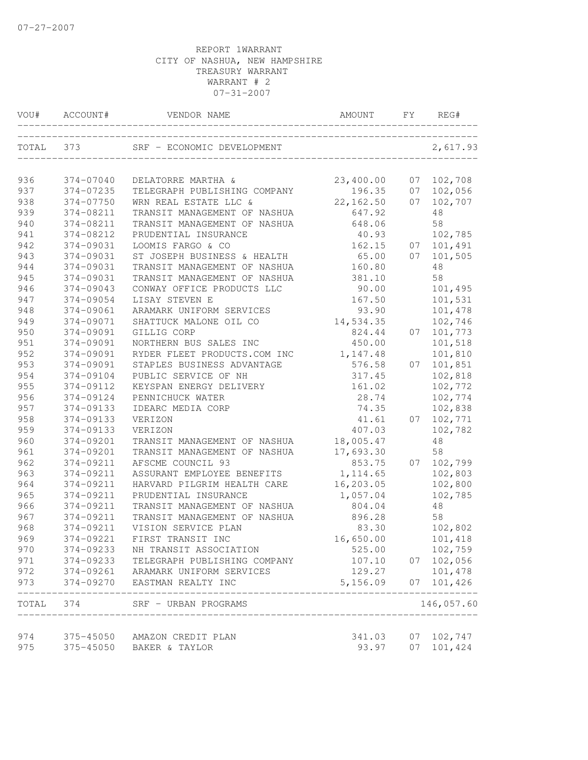| VOU#  | ACCOUNT#  | VENDOR NAME                            | AMOUNT     | FY. | REG#            |
|-------|-----------|----------------------------------------|------------|-----|-----------------|
| TOTAL | 373       | SRF - ECONOMIC DEVELOPMENT             |            |     | 2,617.93        |
| 936   | 374-07040 | DELATORRE MARTHA &                     | 23,400.00  | 07  | 102,708         |
| 937   | 374-07235 | TELEGRAPH PUBLISHING COMPANY           | 196.35     | 07  | 102,056         |
| 938   | 374-07750 | WRN REAL ESTATE LLC &                  | 22, 162.50 | 07  | 102,707         |
| 939   | 374-08211 | TRANSIT MANAGEMENT OF NASHUA           | 647.92     |     | 48              |
| 940   | 374-08211 | TRANSIT MANAGEMENT OF NASHUA           | 648.06     |     | 58              |
| 941   | 374-08212 | PRUDENTIAL INSURANCE                   | 40.93      |     | 102,785         |
| 942   | 374-09031 | LOOMIS FARGO & CO                      | 162.15     | 07  | 101,491         |
| 943   | 374-09031 | ST JOSEPH BUSINESS & HEALTH            | 65.00      | 07  | 101,505         |
| 944   | 374-09031 | TRANSIT MANAGEMENT OF NASHUA           | 160.80     |     | 48              |
| 945   | 374-09031 | TRANSIT MANAGEMENT OF NASHUA           | 381.10     |     | 58              |
| 946   | 374-09043 | CONWAY OFFICE PRODUCTS LLC             | 90.00      |     | 101,495         |
| 947   | 374-09054 | LISAY STEVEN E                         | 167.50     |     | 101,531         |
| 948   | 374-09061 | ARAMARK UNIFORM SERVICES               | 93.90      |     | 101,478         |
| 949   | 374-09071 | SHATTUCK MALONE OIL CO                 | 14,534.35  |     | 102,746         |
| 950   | 374-09091 | GILLIG CORP                            | 824.44     | 07  | 101,773         |
| 951   | 374-09091 | NORTHERN BUS SALES INC                 | 450.00     |     | 101,518         |
| 952   | 374-09091 | RYDER FLEET PRODUCTS.COM INC           | 1,147.48   |     | 101,810         |
| 953   | 374-09091 | STAPLES BUSINESS ADVANTAGE             | 576.58     | 07  | 101,851         |
| 954   | 374-09104 | PUBLIC SERVICE OF NH                   | 317.45     |     | 102,818         |
| 955   | 374-09112 | KEYSPAN ENERGY DELIVERY                | 161.02     |     | 102,772         |
| 956   | 374-09124 | PENNICHUCK WATER                       | 28.74      |     | 102,774         |
| 957   | 374-09133 | IDEARC MEDIA CORP                      | 74.35      |     | 102,838         |
| 958   | 374-09133 | VERIZON                                | 41.61      | 07  | 102,771         |
| 959   | 374-09133 | VERIZON                                | 407.03     |     | 102,782         |
| 960   | 374-09201 | TRANSIT MANAGEMENT OF NASHUA           | 18,005.47  |     | 48              |
| 961   | 374-09201 | TRANSIT MANAGEMENT OF NASHUA           | 17,693.30  |     | 58              |
| 962   | 374-09211 | AFSCME COUNCIL 93                      | 853.75     | 07  | 102,799         |
| 963   | 374-09211 | ASSURANT EMPLOYEE BENEFITS             | 1, 114.65  |     | 102,803         |
| 964   | 374-09211 | HARVARD PILGRIM HEALTH CARE            | 16,203.05  |     | 102,800         |
| 965   | 374-09211 | PRUDENTIAL INSURANCE                   | 1,057.04   |     | 102,785         |
| 966   | 374-09211 | TRANSIT MANAGEMENT OF NASHUA           | 804.04     |     | 48              |
| 967   | 374-09211 | TRANSIT MANAGEMENT OF NASHUA           | 896.28     |     | 58              |
| 968   | 374-09211 | VISION SERVICE PLAN                    | 83.30      |     | 102,802         |
| 969   | 374-09221 | FIRST TRANSIT INC                      | 16,650.00  |     | 101,418         |
| 970   | 374-09233 | NH TRANSIT ASSOCIATION                 | 525.00     |     | 102,759         |
| 971   |           | 374-09233 TELEGRAPH PUBLISHING COMPANY | 107.10     |     | 07 102,056      |
| 972   |           | 374-09261 ARAMARK UNIFORM SERVICES     | 129.27     |     | 101,478         |
| 973   |           | 374-09270 EASTMAN REALTY INC           | 5,156.09   |     | 07 101,426<br>. |
|       | TOTAL 374 | SRF - URBAN PROGRAMS                   |            |     | 146,057.60      |
| 974   |           | 375-45050 AMAZON CREDIT PLAN           | 341.03     | 07  | 102,747         |
| 975   |           | 375-45050 BAKER & TAYLOR               | 93.97      |     | 07 101,424      |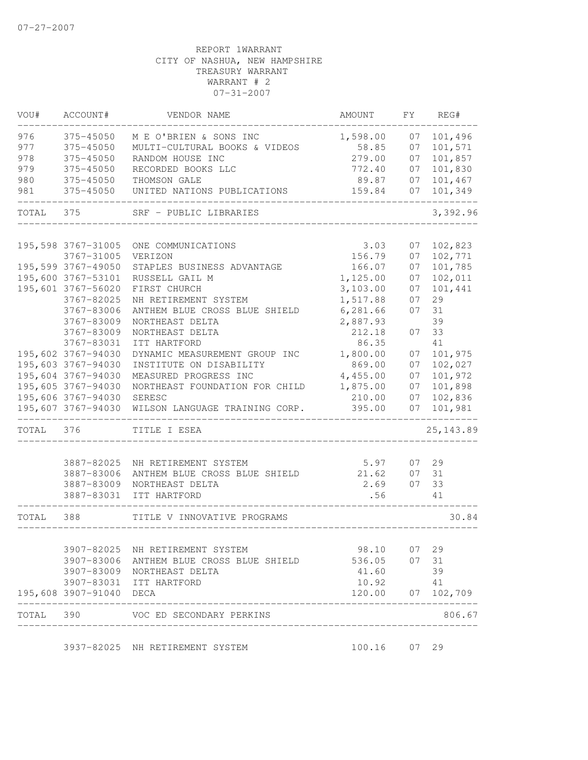| VOU#      | ACCOUNT#                | VENDOR NAME                              | AMOUNT   | FY | REG#              |
|-----------|-------------------------|------------------------------------------|----------|----|-------------------|
| 976       | 375-45050               | M E O'BRIEN & SONS INC                   | 1,598.00 | 07 | 101,496           |
| 977       | 375-45050               | MULTI-CULTURAL BOOKS & VIDEOS            | 58.85    | 07 | 101,571           |
| 978       | 375-45050               | RANDOM HOUSE INC                         | 279.00   | 07 | 101,857           |
| 979       | 375-45050               | RECORDED BOOKS LLC                       | 772.40   | 07 | 101,830           |
| 980       | 375-45050               | THOMSON GALE                             | 89.87    | 07 | 101,467           |
| 981       | 375-45050               | UNITED NATIONS PUBLICATIONS              | 159.84   | 07 | 101,349           |
| TOTAL     | 375                     | SRF - PUBLIC LIBRARIES                   |          |    | 3,392.96          |
|           | 195,598 3767-31005      | ONE COMMUNICATIONS                       | 3.03     | 07 | 102,823           |
|           | 3767-31005              | VERIZON                                  | 156.79   | 07 | 102,771           |
|           | 195,599 3767-49050      | STAPLES BUSINESS ADVANTAGE               | 166.07   | 07 | 101,785           |
|           | 195,600 3767-53101      | RUSSELL GAIL M                           | 1,125.00 | 07 | 102,011           |
|           | 195,601 3767-56020      | FIRST CHURCH                             | 3,103.00 | 07 | 101,441           |
|           | 3767-82025              | NH RETIREMENT SYSTEM                     | 1,517.88 | 07 | 29                |
|           | 3767-83006              | ANTHEM BLUE CROSS BLUE SHIELD            | 6,281.66 | 07 | 31                |
|           | 3767-83009              | NORTHEAST DELTA                          | 2,887.93 |    | 39                |
|           | 3767-83009              | NORTHEAST DELTA                          | 212.18   | 07 | 33                |
|           | 3767-83031              | ITT HARTFORD                             | 86.35    |    | 41                |
|           | 195,602 3767-94030      | DYNAMIC MEASUREMENT GROUP INC            | 1,800.00 | 07 | 101,975           |
|           | 195,603 3767-94030      | INSTITUTE ON DISABILITY                  | 869.00   | 07 | 102,027           |
|           | 195,604 3767-94030      | MEASURED PROGRESS INC                    | 4,455.00 | 07 | 101,972           |
|           | 195,605 3767-94030      | NORTHEAST FOUNDATION FOR CHILD           | 1,875.00 | 07 | 101,898           |
|           | 195,606 3767-94030      | SERESC                                   | 210.00   | 07 | 102,836           |
|           | 195,607 3767-94030      | WILSON LANGUAGE TRAINING CORP.           | 395.00   | 07 | 101,981           |
| TOTAL 376 |                         | TITLE I ESEA                             |          |    | 25, 143.89        |
|           | 3887-82025              | NH RETIREMENT SYSTEM                     | 5.97     | 07 | 29                |
|           | 3887-83006              | ANTHEM BLUE CROSS BLUE SHIELD            | 21.62    | 07 | 31                |
|           | 3887-83009              | NORTHEAST DELTA                          | 2.69     | 07 | 33                |
|           | 3887-83031              | ITT HARTFORD                             | .56      |    | 41                |
| TOTAL     | 388                     | TITLE V INNOVATIVE PROGRAMS              |          |    | 30.84             |
|           |                         |                                          |          |    |                   |
|           |                         | 3907-82025 NH RETIREMENT SYSTEM          | 98.10    | 07 | 29                |
|           |                         | 3907-83006 ANTHEM BLUE CROSS BLUE SHIELD | 536.05   | 07 | 31                |
|           |                         | 3907-83009 NORTHEAST DELTA               | 41.60    |    | 39                |
|           |                         | 3907-83031 ITT HARTFORD                  | 10.92    |    | 41                |
|           | 195,608 3907-91040 DECA |                                          |          |    | 120.00 07 102,709 |
| TOTAL 390 |                         | VOC ED SECONDARY PERKINS                 |          |    | 806.67            |
|           |                         | 3937-82025 NH RETIREMENT SYSTEM          | 100.16   | 07 | 29                |
|           |                         |                                          |          |    |                   |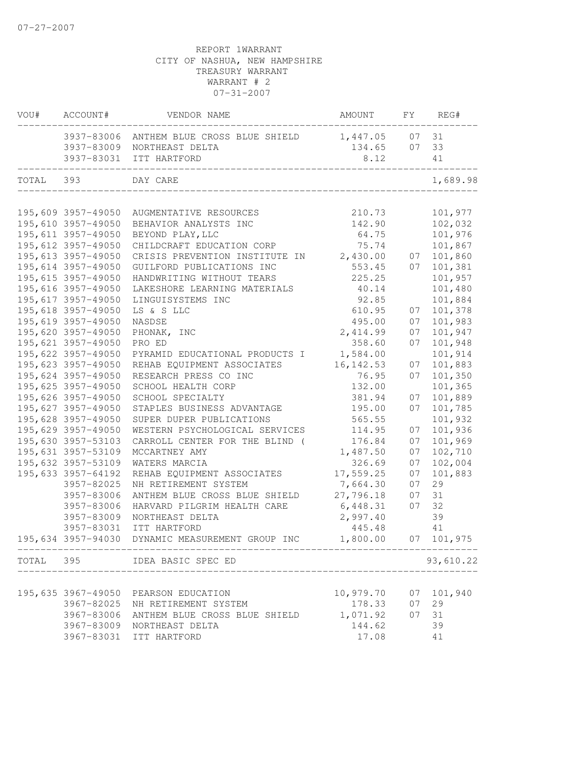|           | VOU# ACCOUNT#       | VENDOR NAME                                                                                                      | AMOUNT         |    | FY REG#        |
|-----------|---------------------|------------------------------------------------------------------------------------------------------------------|----------------|----|----------------|
|           |                     | 3937-83006 ANTHEM BLUE CROSS BLUE SHIELD 1,447.05 07 31<br>3937-83009 NORTHEAST DELTA<br>3937-83031 ITT HARTFORD | 134.65<br>8.12 | 07 | 33<br>41       |
| TOTAL 393 |                     | _________________________________<br>DAY CARE<br>______________________________                                  |                |    | 1,689.98       |
|           |                     |                                                                                                                  |                |    |                |
|           | 195,609 3957-49050  | AUGMENTATIVE RESOURCES                                                                                           | 210.73         |    | 101,977        |
|           | 195,610 3957-49050  | BEHAVIOR ANALYSTS INC                                                                                            | 142.90         |    | 102,032        |
|           | 195,611 3957-49050  | BEYOND PLAY, LLC                                                                                                 | 64.75          |    | 101,976        |
|           | 195,612 3957-49050  | CHILDCRAFT EDUCATION CORP                                                                                        | 75.74          |    | 101,867        |
|           | 195,613 3957-49050  | CRISIS PREVENTION INSTITUTE IN                                                                                   | 2,430.00       | 07 | 101,860        |
|           | 195,614 3957-49050  | GUILFORD PUBLICATIONS INC                                                                                        | 553.45         | 07 | 101,381        |
|           | 195,615 3957-49050  | HANDWRITING WITHOUT TEARS                                                                                        | 225.25         |    | 101,957        |
|           | 195,616 3957-49050  | LAKESHORE LEARNING MATERIALS                                                                                     | 40.14          |    | 101,480        |
|           | 195, 617 3957-49050 | LINGUISYSTEMS INC                                                                                                | 92.85          |    | 101,884        |
|           | 195,618 3957-49050  | LS & S LLC                                                                                                       | 610.95         | 07 | 101,378        |
|           | 195,619 3957-49050  | NASDSE                                                                                                           | 495.00         | 07 | 101,983        |
|           | 195,620 3957-49050  | PHONAK, INC                                                                                                      | 2,414.99       | 07 | 101,947        |
|           | 195,621 3957-49050  | PRO ED                                                                                                           | 358.60         | 07 | 101,948        |
|           | 195,622 3957-49050  | PYRAMID EDUCATIONAL PRODUCTS I                                                                                   | 1,584.00       |    | 101,914        |
|           | 195,623 3957-49050  | REHAB EQUIPMENT ASSOCIATES                                                                                       | 16, 142.53     | 07 | 101,883        |
|           | 195,624 3957-49050  | RESEARCH PRESS CO INC                                                                                            | 76.95          | 07 | 101,350        |
|           | 195,625 3957-49050  | SCHOOL HEALTH CORP                                                                                               | 132.00         |    | 101,365        |
|           | 195,626 3957-49050  | SCHOOL SPECIALTY                                                                                                 | 381.94         | 07 | 101,889        |
|           | 195,627 3957-49050  | STAPLES BUSINESS ADVANTAGE                                                                                       | 195.00         | 07 | 101,785        |
|           | 195,628 3957-49050  | SUPER DUPER PUBLICATIONS                                                                                         | 565.55         |    | 101,932        |
|           | 195,629 3957-49050  | WESTERN PSYCHOLOGICAL SERVICES                                                                                   | 114.95         | 07 | 101,936        |
|           | 195,630 3957-53103  | CARROLL CENTER FOR THE BLIND (                                                                                   | 176.84         | 07 | 101,969        |
|           | 195,631 3957-53109  | MCCARTNEY AMY                                                                                                    | 1,487.50       | 07 | 102,710        |
|           | 195,632 3957-53109  | WATERS MARCIA                                                                                                    | 326.69         | 07 | 102,004        |
|           | 195,633 3957-64192  | REHAB EQUIPMENT ASSOCIATES                                                                                       | 17,559.25      | 07 | 101,883        |
|           | 3957-82025          | NH RETIREMENT SYSTEM                                                                                             | 7,664.30       | 07 | 29             |
|           | 3957-83006          | ANTHEM BLUE CROSS BLUE SHIELD                                                                                    | 27,796.18      | 07 | 31             |
|           | 3957-83006          | HARVARD PILGRIM HEALTH CARE                                                                                      | 6,448.31       | 07 | 32             |
|           | 3957-83009          | NORTHEAST DELTA                                                                                                  | 2,997.40       |    | 39             |
|           | 3957-83031          | ITT HARTFORD                                                                                                     | 445.48         |    | 41             |
|           |                     | 195,634 3957-94030 DYNAMIC MEASUREMENT GROUP INC                                                                 | 1,800.00       |    | $07$ $101,975$ |
| TOTAL 395 |                     | IDEA BASIC SPEC ED                                                                                               |                |    | 93,610.22      |
|           |                     |                                                                                                                  |                |    |                |
|           |                     | 195,635 3967-49050 PEARSON EDUCATION                                                                             | 10,979.70      |    | 07 101,940     |
|           |                     | 3967-82025 NH RETIREMENT SYSTEM                                                                                  | 178.33         | 07 | 29             |
|           |                     | 3967-83006 ANTHEM BLUE CROSS BLUE SHIELD                                                                         | 1,071.92       | 07 | 31             |
|           |                     | 3967-83009 NORTHEAST DELTA                                                                                       | 144.62         |    | 39             |
|           |                     | 3967-83031 ITT HARTFORD                                                                                          | 17.08          |    | 41             |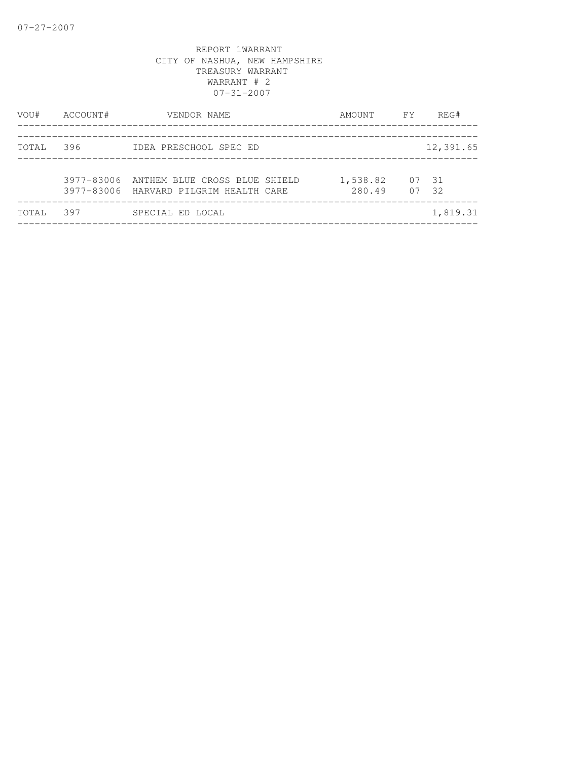| VOU#  | ACCOUNT# | VENDOR NAME                                                                        | AMOUNT FY          | REG#           |
|-------|----------|------------------------------------------------------------------------------------|--------------------|----------------|
| TOTAL | 396      | IDEA PRESCHOOL SPEC ED                                                             |                    | 12,391.65      |
|       |          | 3977-83006 ANTHEM BLUE CROSS BLUE SHIELD<br>3977-83006 HARVARD PILGRIM HEALTH CARE | 1,538.82<br>280.49 | 07 31<br>07 32 |
| TOTAL | 397      | SPECIAL ED LOCAL                                                                   |                    | 1,819.31       |
|       |          |                                                                                    |                    |                |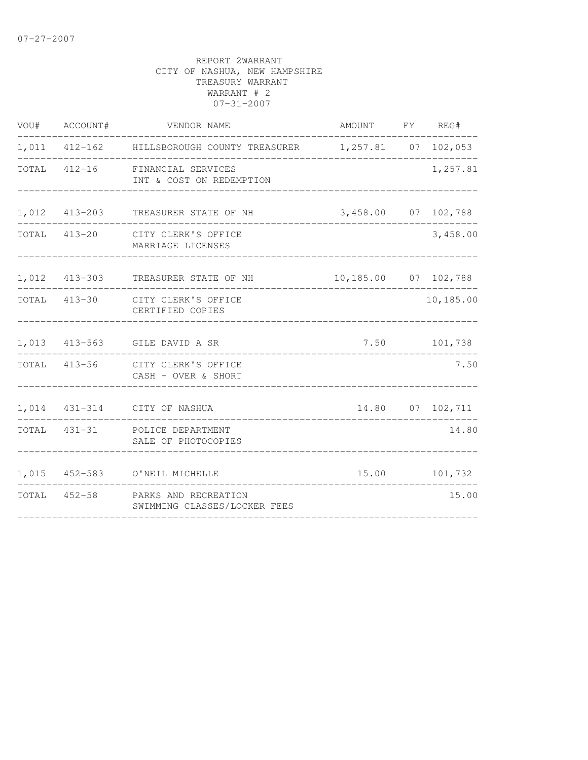| VOU#  | ACCOUNT#      | VENDOR NAME                                          | AMOUNT FY REG#       |                  |
|-------|---------------|------------------------------------------------------|----------------------|------------------|
|       |               | 1,011 412-162 HILLSBOROUGH COUNTY TREASURER          | 1,257.81 07 102,053  |                  |
| TOTAL | $412 - 16$    | FINANCIAL SERVICES<br>INT & COST ON REDEMPTION       |                      | 1,257.81         |
|       | 1,012 413-203 | TREASURER STATE OF NH                                | 3,458.00 07 102,788  |                  |
|       | TOTAL 413-20  | CITY CLERK'S OFFICE<br>MARRIAGE LICENSES             |                      | 3,458.00         |
|       | 1,012 413-303 | TREASURER STATE OF NH                                | 10,185.00 07 102,788 |                  |
|       | TOTAL 413-30  | CITY CLERK'S OFFICE<br>CERTIFIED COPIES              |                      | 10,185.00        |
|       | 1,013 413-563 | GILE DAVID A SR                                      | 7.50                 | 101,738          |
| TOTAL | $413 - 56$    | CITY CLERK'S OFFICE<br>CASH - OVER & SHORT           |                      | 7.50             |
|       |               | 1,014 431-314 CITY OF NASHUA                         |                      | 14.80 07 102,711 |
| TOTAL |               | 431-31 POLICE DEPARTMENT<br>SALE OF PHOTOCOPIES      |                      | 14.80            |
|       |               | 1,015 452-583 O'NEIL MICHELLE                        | 15.00                | 101,732          |
| TOTAL | $452 - 58$    | PARKS AND RECREATION<br>SWIMMING CLASSES/LOCKER FEES |                      | 15.00            |
|       |               |                                                      |                      |                  |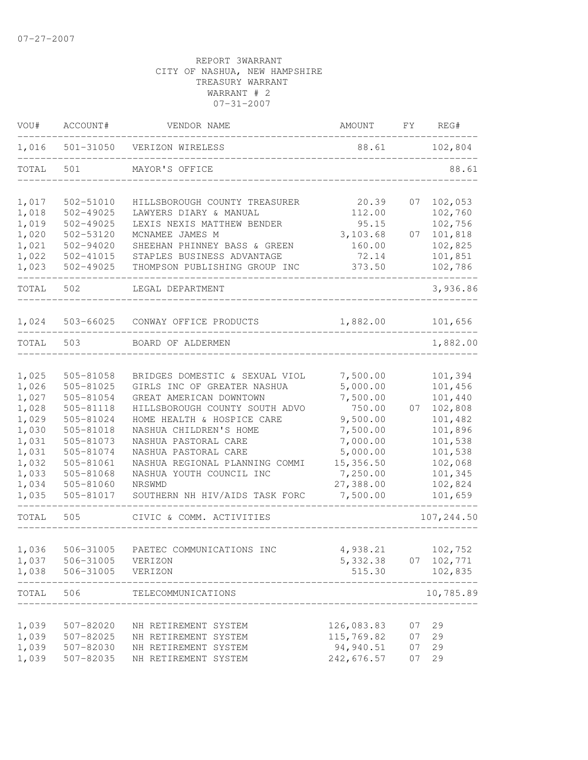| VOU#  | ACCOUNT#      | VENDOR NAME                      | AMOUNT     | FY | REG#       |
|-------|---------------|----------------------------------|------------|----|------------|
| 1,016 |               | 501-31050 VERIZON WIRELESS       | 88.61      |    | 102,804    |
| TOTAL | 501           | MAYOR'S OFFICE                   |            |    | 88.61      |
| 1,017 | 502-51010     | HILLSBOROUGH COUNTY TREASURER    | 20.39      | 07 | 102,053    |
| 1,018 | $502 - 49025$ | LAWYERS DIARY & MANUAL           | 112.00     |    | 102,760    |
| 1,019 | $502 - 49025$ | LEXIS NEXIS MATTHEW BENDER       | 95.15      |    | 102,756    |
| 1,020 | $502 - 53120$ | MCNAMEE JAMES M                  | 3,103.68   | 07 | 101,818    |
| 1,021 | $502 - 94020$ | SHEEHAN PHINNEY BASS & GREEN     | 160.00     |    | 102,825    |
| 1,022 | 502-41015     | STAPLES BUSINESS ADVANTAGE       | 72.14      |    | 101,851    |
| 1,023 | 502-49025     | THOMPSON PUBLISHING GROUP INC    | 373.50     |    | 102,786    |
| TOTAL | 502           | LEGAL DEPARTMENT                 |            |    | 3,936.86   |
| 1,024 |               | 503-66025 CONWAY OFFICE PRODUCTS | 1,882.00   |    | 101,656    |
| TOTAL | 503           | BOARD OF ALDERMEN                |            |    | 1,882.00   |
|       |               |                                  |            |    |            |
| 1,025 | 505-81058     | BRIDGES DOMESTIC & SEXUAL VIOL   | 7,500.00   |    | 101,394    |
| 1,026 | 505-81025     | GIRLS INC OF GREATER NASHUA      | 5,000.00   |    | 101,456    |
| 1,027 | 505-81054     | GREAT AMERICAN DOWNTOWN          | 7,500.00   |    | 101,440    |
| 1,028 | 505-81118     | HILLSBOROUGH COUNTY SOUTH ADVO   | 750.00     | 07 | 102,808    |
| 1,029 | 505-81024     | HOME HEALTH & HOSPICE CARE       | 9,500.00   |    | 101,482    |
| 1,030 | 505-81018     | NASHUA CHILDREN'S HOME           | 7,500.00   |    | 101,896    |
| 1,031 | 505-81073     | NASHUA PASTORAL CARE             | 7,000.00   |    | 101,538    |
| 1,031 | 505-81074     | NASHUA PASTORAL CARE             | 5,000.00   |    | 101,538    |
| 1,032 | 505-81061     | NASHUA REGIONAL PLANNING COMMI   | 15,356.50  |    | 102,068    |
| 1,033 | 505-81068     | NASHUA YOUTH COUNCIL INC         | 7,250.00   |    | 101,345    |
| 1,034 | 505-81060     | NRSWMD                           | 27,388.00  |    | 102,824    |
| 1,035 | 505-81017     | SOUTHERN NH HIV/AIDS TASK FORC   | 7,500.00   |    | 101,659    |
| TOTAL | 505           | CIVIC & COMM. ACTIVITIES         |            |    | 107,244.50 |
|       |               |                                  |            |    |            |
| 1,036 | 506-31005     | PAETEC COMMUNICATIONS INC        | 4,938.21   |    | 102,752    |
| 1,037 | 506-31005     | VERIZON                          | 5,332.38   |    | 07 102,771 |
| 1,038 | 506-31005     | VERIZON                          | 515.30     |    | 102,835    |
| TOTAL | 506           | TELECOMMUNICATIONS               |            |    | 10,785.89  |
|       |               |                                  |            |    |            |
| 1,039 | 507-82020     | NH RETIREMENT SYSTEM             | 126,083.83 | 07 | 29         |
| 1,039 | 507-82025     | NH RETIREMENT SYSTEM             | 115,769.82 | 07 | 29         |
| 1,039 | 507-82030     | NH RETIREMENT SYSTEM             | 94,940.51  | 07 | 29         |
| 1,039 | 507-82035     | NH RETIREMENT SYSTEM             | 242,676.57 | 07 | 29         |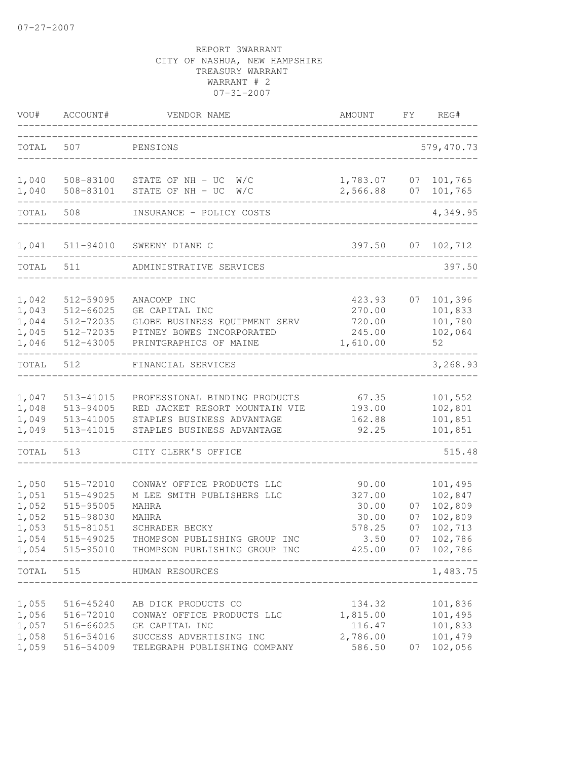| VOU#                                                        | ACCOUNT#                                                                                | VENDOR NAME                                                                                                                                                    | AMOUNT                                                        | FY                         | REG#                                                                      |
|-------------------------------------------------------------|-----------------------------------------------------------------------------------------|----------------------------------------------------------------------------------------------------------------------------------------------------------------|---------------------------------------------------------------|----------------------------|---------------------------------------------------------------------------|
| TOTAL                                                       | 507                                                                                     | PENSIONS                                                                                                                                                       |                                                               |                            | 579, 470.73                                                               |
| 1,040<br>1,040                                              | 508-83101                                                                               | 508-83100 STATE OF NH - UC W/C<br>STATE OF NH - UC<br>W/C                                                                                                      | 1,783.07<br>2,566.88                                          | 07                         | 07 101,765<br>101,765                                                     |
| TOTAL                                                       | 508                                                                                     | INSURANCE - POLICY COSTS                                                                                                                                       |                                                               |                            | 4,349.95                                                                  |
| 1,041                                                       | 511-94010                                                                               | SWEENY DIANE C                                                                                                                                                 | 397.50                                                        | 07                         | 102,712                                                                   |
| TOTAL                                                       | 511                                                                                     | ADMINISTRATIVE SERVICES                                                                                                                                        |                                                               |                            | 397.50                                                                    |
| 1,042<br>1,043<br>1,044<br>1,045<br>1,046                   | 512-59095<br>512-66025<br>512-72035<br>512-72035<br>512-43005                           | ANACOMP INC<br>GE CAPITAL INC<br>GLOBE BUSINESS EQUIPMENT SERV<br>PITNEY BOWES INCORPORATED<br>PRINTGRAPHICS OF MAINE                                          | 423.93<br>270.00<br>720.00<br>245.00<br>1,610.00              | 07                         | 101,396<br>101,833<br>101,780<br>102,064<br>52                            |
| TOTAL                                                       | 512                                                                                     | FINANCIAL SERVICES                                                                                                                                             |                                                               |                            | 3,268.93                                                                  |
| 1,047<br>1,048<br>1,049<br>1,049                            | 513-41015<br>513-94005<br>513-41005<br>513-41015                                        | PROFESSIONAL BINDING PRODUCTS<br>RED JACKET RESORT MOUNTAIN VIE<br>STAPLES BUSINESS ADVANTAGE<br>STAPLES BUSINESS ADVANTAGE                                    | 67.35<br>193.00<br>162.88<br>92.25                            |                            | 101,552<br>102,801<br>101,851<br>101,851                                  |
| TOTAL                                                       | 513                                                                                     | CITY CLERK'S OFFICE                                                                                                                                            |                                                               |                            | 515.48                                                                    |
| 1,050<br>1,051<br>1,052<br>1,052<br>1,053<br>1,054<br>1,054 | 515-72010<br>515-49025<br>515-95005<br>515-98030<br>515-81051<br>515-49025<br>515-95010 | CONWAY OFFICE PRODUCTS LLC<br>M LEE SMITH PUBLISHERS LLC<br>MAHRA<br>MAHRA<br>SCHRADER BECKY<br>THOMPSON PUBLISHING GROUP INC<br>THOMPSON PUBLISHING GROUP INC | 90.00<br>327.00<br>30.00<br>30.00<br>578.25<br>3.50<br>425.00 | 07<br>07<br>07<br>07<br>07 | 101,495<br>102,847<br>102,809<br>102,809<br>102,713<br>102,786<br>102,786 |
| TOTAL                                                       | 515                                                                                     | HUMAN RESOURCES                                                                                                                                                |                                                               |                            | 1,483.75                                                                  |
| 1,055<br>1,056<br>1,057<br>1,058<br>1,059                   | 516-45240<br>516-72010<br>516-66025<br>516-54016<br>516-54009                           | AB DICK PRODUCTS CO<br>CONWAY OFFICE PRODUCTS LLC<br>GE CAPITAL INC<br>SUCCESS ADVERTISING INC<br>TELEGRAPH PUBLISHING COMPANY                                 | 134.32<br>1,815.00<br>116.47<br>2,786.00<br>586.50            | 07                         | 101,836<br>101,495<br>101,833<br>101,479<br>102,056                       |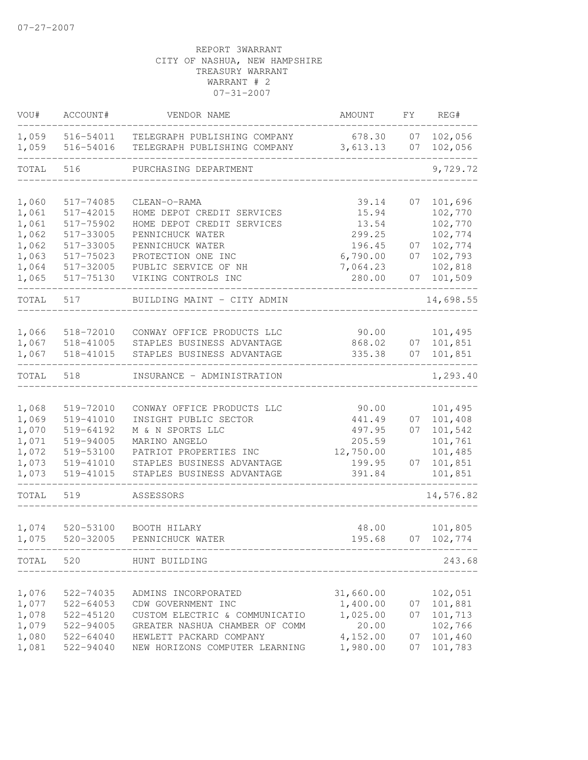| VOU#           | ACCOUNT#               | VENDOR NAME                                                  | AMOUNT              | FΥ       | REG#               |
|----------------|------------------------|--------------------------------------------------------------|---------------------|----------|--------------------|
| 1,059<br>1,059 | 516-54011<br>516-54016 | TELEGRAPH PUBLISHING COMPANY<br>TELEGRAPH PUBLISHING COMPANY | 678.30<br>3,613.13  | 07<br>07 | 102,056<br>102,056 |
| TOTAL          | 516                    | PURCHASING DEPARTMENT                                        |                     |          | 9,729.72           |
| 1,060          | 517-74085              | CLEAN-O-RAMA                                                 | 39.14               | 07       | 101,696            |
| 1,061          | 517-42015              | HOME DEPOT CREDIT SERVICES                                   | 15.94               |          | 102,770            |
| 1,061          | 517-75902              | HOME DEPOT CREDIT SERVICES                                   | 13.54               |          | 102,770            |
| 1,062          | 517-33005              | PENNICHUCK WATER                                             | 299.25              |          | 102,774            |
| 1,062          | 517-33005              | PENNICHUCK WATER                                             | 196.45              | 07       | 102,774            |
| 1,063          | 517-75023              | PROTECTION ONE INC                                           | 6,790.00            | 07       | 102,793            |
| 1,064          | 517-32005              | PUBLIC SERVICE OF NH                                         | 7,064.23            |          | 102,818            |
| 1,065          | 517-75130              | VIKING CONTROLS INC                                          | 280.00              | 07       | 101,509            |
| TOTAL          | 517                    | BUILDING MAINT - CITY ADMIN                                  |                     |          | 14,698.55          |
|                |                        |                                                              |                     |          |                    |
| 1,066          | 518-72010              | CONWAY OFFICE PRODUCTS LLC                                   | 90.00               |          | 101,495            |
| 1,067          | 518-41005              | STAPLES BUSINESS ADVANTAGE                                   | 868.02<br>335.38    | 07<br>07 | 101,851            |
| 1,067          | 518-41015              | STAPLES BUSINESS ADVANTAGE                                   |                     |          | 101,851            |
| TOTAL          | 518                    | INSURANCE - ADMINISTRATION                                   |                     |          | 1,293.40           |
|                |                        |                                                              |                     |          |                    |
| 1,068          | 519-72010              | CONWAY OFFICE PRODUCTS LLC                                   | 90.00               |          | 101,495            |
| 1,069          | 519-41010              | INSIGHT PUBLIC SECTOR                                        | 441.49              | 07       | 101,408            |
| 1,070          | 519-64192              | M & N SPORTS LLC                                             | 497.95              | 07       | 101,542            |
| 1,071          | 519-94005              | MARINO ANGELO<br>PATRIOT PROPERTIES INC                      | 205.59<br>12,750.00 |          | 101,761            |
| 1,072<br>1,073 | 519-53100<br>519-41010 | STAPLES BUSINESS ADVANTAGE                                   | 199.95              | 07       | 101,485<br>101,851 |
| 1,073          | 519-41015              | STAPLES BUSINESS ADVANTAGE                                   | 391.84              |          | 101,851            |
| TOTAL          | 519                    | ASSESSORS                                                    |                     |          | 14,576.82          |
|                |                        |                                                              |                     |          |                    |
| 1,074          | 520-53100              | BOOTH HILARY                                                 | 48.00               |          | 101,805            |
| 1,075          | 520-32005              | PENNICHUCK WATER                                             | 195.68              | 07       | 102,774            |
| TOTAL 520      |                        | HUNT BUILDING                                                |                     |          | 243.68             |
|                |                        |                                                              |                     |          |                    |
| 1,076          | 522-74035              | ADMINS INCORPORATED                                          | 31,660.00           |          | 102,051            |
| 1,077          | 522-64053              | CDW GOVERNMENT INC                                           | 1,400.00            | 07       | 101,881            |
| 1,078          | 522-45120              | CUSTOM ELECTRIC & COMMUNICATIO                               | 1,025.00            | 07       | 101,713            |
| 1,079          | 522-94005              | GREATER NASHUA CHAMBER OF COMM                               | 20.00               |          | 102,766            |
| 1,080          | 522-64040              | HEWLETT PACKARD COMPANY                                      | 4,152.00            | 07       | 101,460            |
| 1,081          | 522-94040              | NEW HORIZONS COMPUTER LEARNING                               | 1,980.00            | 07       | 101,783            |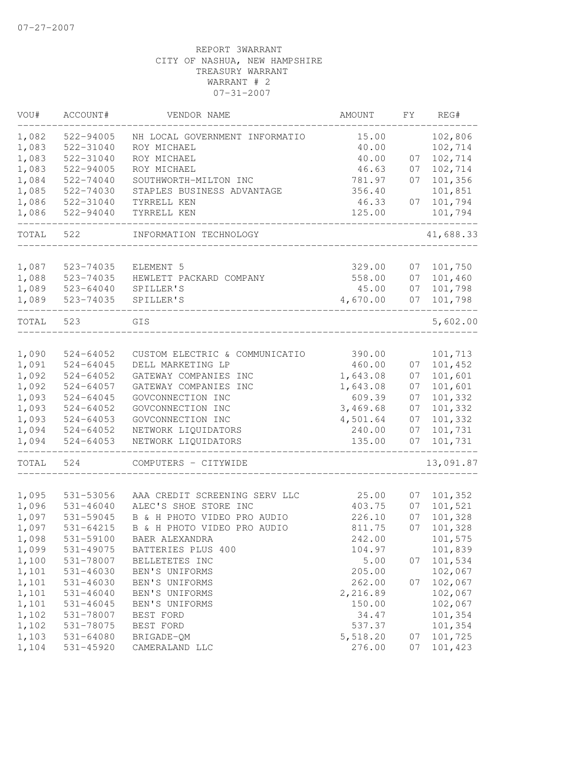| VOU#  | ACCOUNT#      | VENDOR NAME                    | AMOUNT   | FY. | REG#      |
|-------|---------------|--------------------------------|----------|-----|-----------|
| 1,082 | 522-94005     | NH LOCAL GOVERNMENT INFORMATIO | 15.00    |     | 102,806   |
| 1,083 | 522-31040     | ROY MICHAEL                    | 40.00    |     | 102,714   |
| 1,083 | 522-31040     | ROY MICHAEL                    | 40.00    | 07  | 102,714   |
| 1,083 | 522-94005     | ROY MICHAEL                    | 46.63    | 07  | 102,714   |
| 1,084 | 522-74040     | SOUTHWORTH-MILTON INC          | 781.97   | 07  | 101,356   |
| 1,085 | 522-74030     | STAPLES BUSINESS ADVANTAGE     | 356.40   |     | 101,851   |
| 1,086 | 522-31040     | TYRRELL KEN                    | 46.33    | 07  | 101,794   |
| 1,086 | 522-94040     | TYRRELL KEN                    | 125.00   |     | 101,794   |
| TOTAL | 522           | INFORMATION TECHNOLOGY         |          |     | 41,688.33 |
|       |               |                                |          |     |           |
| 1,087 | 523-74035     | ELEMENT 5                      | 329.00   | 07  | 101,750   |
| 1,088 | 523-74035     | HEWLETT PACKARD COMPANY        | 558.00   | 07  | 101,460   |
| 1,089 | $523 - 64040$ | SPILLER'S                      | 45.00    | 07  | 101,798   |
| 1,089 | 523-74035     | SPILLER'S                      | 4,670.00 | 07  | 101,798   |
| TOTAL | 523           | GIS                            |          |     | 5,602.00  |
|       |               |                                |          |     |           |
| 1,090 | $524 - 64052$ | CUSTOM ELECTRIC & COMMUNICATIO | 390.00   |     | 101,713   |
| 1,091 | $524 - 64045$ | DELL MARKETING LP              | 460.00   | 07  | 101,452   |
| 1,092 | $524 - 64052$ | GATEWAY COMPANIES INC          | 1,643.08 | 07  | 101,601   |
| 1,092 | $524 - 64057$ | GATEWAY COMPANIES INC          | 1,643.08 | 07  | 101,601   |
| 1,093 | $524 - 64045$ | GOVCONNECTION INC              | 609.39   | 07  | 101,332   |
| 1,093 | $524 - 64052$ | GOVCONNECTION INC              | 3,469.68 | 07  | 101,332   |
| 1,093 | $524 - 64053$ | GOVCONNECTION INC              | 4,501.64 | 07  | 101,332   |
| 1,094 | $524 - 64052$ | NETWORK LIQUIDATORS            | 240.00   | 07  | 101,731   |
| 1,094 | $524 - 64053$ | NETWORK LIQUIDATORS            | 135.00   | 07  | 101,731   |
| TOTAL | 524           | COMPUTERS - CITYWIDE           |          |     | 13,091.87 |
|       |               |                                |          |     |           |
| 1,095 | 531-53056     | AAA CREDIT SCREENING SERV LLC  | 25.00    | 07  | 101,352   |
| 1,096 | $531 - 46040$ | ALEC'S SHOE STORE INC          | 403.75   | 07  | 101,521   |
| 1,097 | 531-59045     | B & H PHOTO VIDEO PRO AUDIO    | 226.10   | 07  | 101,328   |
| 1,097 | 531-64215     | B & H PHOTO VIDEO PRO AUDIO    | 811.75   | 07  | 101,328   |
| 1,098 | 531-59100     | BAER ALEXANDRA                 | 242.00   |     | 101,575   |
| 1,099 | 531-49075     | BATTERIES PLUS 400             | 104.97   |     | 101,839   |
| 1,100 | 531-78007     | BELLETETES INC                 | 5.00     | 07  | 101,534   |
| 1,101 | $531 - 46030$ | BEN'S UNIFORMS                 | 205.00   |     | 102,067   |
| 1,101 | $531 - 46030$ | BEN'S UNIFORMS                 | 262.00   | 07  | 102,067   |
| 1,101 | $531 - 46040$ | BEN'S UNIFORMS                 | 2,216.89 |     | 102,067   |
| 1,101 | $531 - 46045$ | BEN'S UNIFORMS                 | 150.00   |     | 102,067   |
| 1,102 | 531-78007     | BEST FORD                      | 34.47    |     | 101,354   |
| 1,102 | 531-78075     | BEST FORD                      | 537.37   |     | 101,354   |
| 1,103 | $531 - 64080$ |                                | 5,518.20 |     | 101,725   |
| 1,104 |               | BRIGADE-QM                     | 276.00   | 07  | 101,423   |
|       | 531-45920     | CAMERALAND LLC                 |          | 07  |           |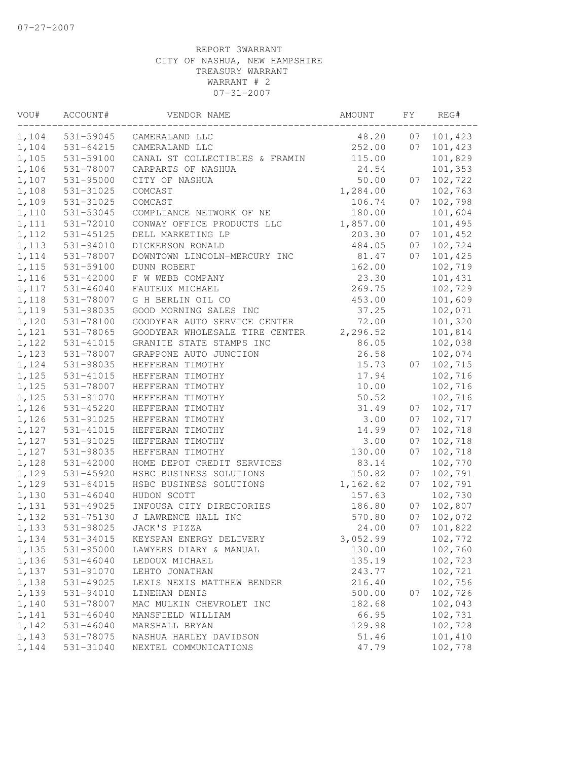| VOU#  | ACCOUNT#      | VENDOR NAME                    | AMOUNT   | FΥ | REG#    |
|-------|---------------|--------------------------------|----------|----|---------|
| 1,104 | 531-59045     | CAMERALAND LLC                 | 48.20    | 07 | 101,423 |
| 1,104 | 531-64215     | CAMERALAND LLC                 | 252.00   | 07 | 101,423 |
| 1,105 | 531-59100     | CANAL ST COLLECTIBLES & FRAMIN | 115.00   |    | 101,829 |
| 1,106 | 531-78007     | CARPARTS OF NASHUA             | 24.54    |    | 101,353 |
| 1,107 | $531 - 95000$ | CITY OF NASHUA                 | 50.00    | 07 | 102,722 |
| 1,108 | 531-31025     | COMCAST                        | 1,284.00 |    | 102,763 |
| 1,109 | 531-31025     | COMCAST                        | 106.74   | 07 | 102,798 |
| 1,110 | 531-53045     | COMPLIANCE NETWORK OF NE       | 180.00   |    | 101,604 |
| 1,111 | 531-72010     | CONWAY OFFICE PRODUCTS LLC     | 1,857.00 |    | 101,495 |
| 1,112 | 531-45125     | DELL MARKETING LP              | 203.30   | 07 | 101,452 |
| 1,113 | 531-94010     | DICKERSON RONALD               | 484.05   | 07 | 102,724 |
| 1,114 | 531-78007     | DOWNTOWN LINCOLN-MERCURY INC   | 81.47    | 07 | 101,425 |
| 1,115 | 531-59100     | DUNN ROBERT                    | 162.00   |    | 102,719 |
| 1,116 | 531-42000     | F W WEBB COMPANY               | 23.30    |    | 101,431 |
| 1,117 | $531 - 46040$ | FAUTEUX MICHAEL                | 269.75   |    | 102,729 |
| 1,118 | 531-78007     | G H BERLIN OIL CO              | 453.00   |    | 101,609 |
| 1,119 | 531-98035     | GOOD MORNING SALES INC         | 37.25    |    | 102,071 |
| 1,120 | 531-78100     | GOODYEAR AUTO SERVICE CENTER   | 72.00    |    | 101,320 |
| 1,121 | 531-78065     | GOODYEAR WHOLESALE TIRE CENTER | 2,296.52 |    | 101,814 |
| 1,122 | 531-41015     | GRANITE STATE STAMPS INC       | 86.05    |    | 102,038 |
| 1,123 | 531-78007     | GRAPPONE AUTO JUNCTION         | 26.58    |    | 102,074 |
| 1,124 | 531-98035     | HEFFERAN TIMOTHY               | 15.73    | 07 | 102,715 |
| 1,125 | 531-41015     | HEFFERAN TIMOTHY               | 17.94    |    | 102,716 |
| 1,125 | 531-78007     | HEFFERAN TIMOTHY               | 10.00    |    | 102,716 |
| 1,125 | 531-91070     | HEFFERAN TIMOTHY               | 50.52    |    | 102,716 |
| 1,126 | 531-45220     | HEFFERAN TIMOTHY               | 31.49    | 07 | 102,717 |
| 1,126 | 531-91025     | HEFFERAN TIMOTHY               | 3.00     | 07 | 102,717 |
| 1,127 | 531-41015     | HEFFERAN TIMOTHY               | 14.99    | 07 | 102,718 |
| 1,127 | 531-91025     | HEFFERAN TIMOTHY               | 3.00     | 07 | 102,718 |
| 1,127 | 531-98035     | HEFFERAN TIMOTHY               | 130.00   | 07 | 102,718 |
| 1,128 | 531-42000     | HOME DEPOT CREDIT SERVICES     | 83.14    |    | 102,770 |
| 1,129 | 531-45920     | HSBC BUSINESS SOLUTIONS        | 150.82   | 07 | 102,791 |
| 1,129 | $531 - 64015$ | HSBC BUSINESS SOLUTIONS        | 1,162.62 | 07 | 102,791 |
| 1,130 | $531 - 46040$ | HUDON SCOTT                    | 157.63   |    | 102,730 |
| 1,131 | 531-49025     | INFOUSA CITY DIRECTORIES       | 186.80   | 07 | 102,807 |
| 1,132 | 531-75130     | J LAWRENCE HALL INC            | 570.80   | 07 | 102,072 |
| 1,133 | 531-98025     | JACK'S PIZZA                   | 24.00    | 07 | 101,822 |
| 1,134 | 531-34015     | KEYSPAN ENERGY DELIVERY        | 3,052.99 |    | 102,772 |
| 1,135 | 531-95000     | LAWYERS DIARY & MANUAL         | 130.00   |    | 102,760 |
| 1,136 | $531 - 46040$ | LEDOUX MICHAEL                 | 135.19   |    | 102,723 |
| 1,137 | 531-91070     | LEHTO JONATHAN                 | 243.77   |    | 102,721 |
| 1,138 | 531-49025     | LEXIS NEXIS MATTHEW BENDER     | 216.40   |    | 102,756 |
| 1,139 | 531-94010     | LINEHAN DENIS                  | 500.00   | 07 | 102,726 |
| 1,140 | 531-78007     | MAC MULKIN CHEVROLET INC       | 182.68   |    | 102,043 |
| 1,141 | $531 - 46040$ | MANSFIELD WILLIAM              | 66.95    |    | 102,731 |
| 1,142 | $531 - 46040$ | MARSHALL BRYAN                 | 129.98   |    | 102,728 |
| 1,143 | 531-78075     | NASHUA HARLEY DAVIDSON         | 51.46    |    | 101,410 |
| 1,144 | 531-31040     | NEXTEL COMMUNICATIONS          | 47.79    |    | 102,778 |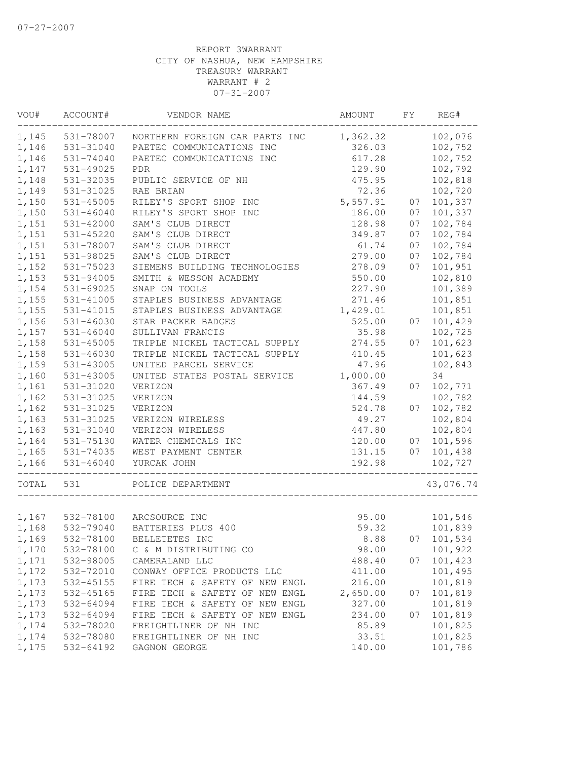| VOU#  | ACCOUNT#        | VENDOR NAME                    | AMOUNT   | FY | REG#       |
|-------|-----------------|--------------------------------|----------|----|------------|
| 1,145 | 531-78007       | NORTHERN FOREIGN CAR PARTS INC | 1,362.32 |    | 102,076    |
| 1,146 | 531-31040       | PAETEC COMMUNICATIONS INC      | 326.03   |    | 102,752    |
| 1,146 | 531-74040       | PAETEC COMMUNICATIONS INC      | 617.28   |    | 102,752    |
| 1,147 | 531-49025       | PDR                            | 129.90   |    | 102,792    |
| 1,148 | 531-32035       | PUBLIC SERVICE OF NH           | 475.95   |    | 102,818    |
| 1,149 | 531-31025       | RAE BRIAN                      | 72.36    |    | 102,720    |
| 1,150 | 531-45005       | RILEY'S SPORT SHOP INC         | 5,557.91 | 07 | 101,337    |
| 1,150 | $531 - 46040$   | RILEY'S SPORT SHOP INC         | 186.00   | 07 | 101,337    |
| 1,151 | 531-42000       | SAM'S CLUB DIRECT              | 128.98   | 07 | 102,784    |
| 1,151 | 531-45220       | SAM'S CLUB DIRECT              | 349.87   | 07 | 102,784    |
| 1,151 | 531-78007       | SAM'S CLUB DIRECT              | 61.74    | 07 | 102,784    |
| 1,151 | 531-98025       | SAM'S CLUB DIRECT              | 279.00   | 07 | 102,784    |
| 1,152 | 531-75023       | SIEMENS BUILDING TECHNOLOGIES  | 278.09   | 07 | 101,951    |
| 1,153 | 531-94005       | SMITH & WESSON ACADEMY         | 550.00   |    | 102,810    |
| 1,154 | $531 - 69025$   | SNAP ON TOOLS                  | 227.90   |    | 101,389    |
| 1,155 | 531-41005       | STAPLES BUSINESS ADVANTAGE     | 271.46   |    | 101,851    |
| 1,155 | 531-41015       | STAPLES BUSINESS ADVANTAGE     | 1,429.01 |    | 101,851    |
| 1,156 | 531-46030       | STAR PACKER BADGES             | 525.00   | 07 | 101,429    |
| 1,157 | $531 - 46040$   | SULLIVAN FRANCIS               | 35.98    |    | 102,725    |
| 1,158 | 531-45005       | TRIPLE NICKEL TACTICAL SUPPLY  | 274.55   | 07 | 101,623    |
| 1,158 | 531-46030       | TRIPLE NICKEL TACTICAL SUPPLY  | 410.45   |    | 101,623    |
| 1,159 | 531-43005       | UNITED PARCEL SERVICE          | 47.96    |    | 102,843    |
| 1,160 | 531-43005       | UNITED STATES POSTAL SERVICE   | 1,000.00 |    | 34         |
| 1,161 | 531-31020       | VERIZON                        | 367.49   | 07 | 102,771    |
| 1,162 | 531-31025       | VERIZON                        | 144.59   |    | 102,782    |
| 1,162 | 531-31025       | VERIZON                        | 524.78   | 07 | 102,782    |
| 1,163 | 531-31025       | VERIZON WIRELESS               | 49.27    |    | 102,804    |
| 1,163 | 531-31040       | VERIZON WIRELESS               | 447.80   |    | 102,804    |
| 1,164 | 531-75130       | WATER CHEMICALS INC            | 120.00   | 07 | 101,596    |
| 1,165 | 531-74035       | WEST PAYMENT CENTER            | 131.15   | 07 | 101,438    |
| 1,166 | $531 - 46040$   | YURCAK JOHN                    | 192.98   |    | 102,727    |
| TOTAL | 531             | POLICE DEPARTMENT              |          |    | 43,076.74  |
|       | 1,167 532-78100 | ARCSOURCE INC                  | 95.00    |    | 101,546    |
| 1,168 | 532-79040       | BATTERIES PLUS 400             | 59.32    |    | 101,839    |
| 1,169 | 532-78100       | BELLETETES INC                 | 8.88     |    | 07 101,534 |
| 1,170 | 532-78100       | C & M DISTRIBUTING CO          | 98.00    |    | 101,922    |
| 1,171 | 532-98005       | CAMERALAND LLC                 | 488.40   | 07 | 101,423    |
| 1,172 | 532-72010       | CONWAY OFFICE PRODUCTS LLC     | 411.00   |    | 101,495    |
| 1,173 | 532-45155       | FIRE TECH & SAFETY OF NEW ENGL | 216.00   |    | 101,819    |
| 1,173 | 532-45165       | FIRE TECH & SAFETY OF NEW ENGL | 2,650.00 | 07 | 101,819    |
| 1,173 | 532-64094       | FIRE TECH & SAFETY OF NEW ENGL | 327.00   |    | 101,819    |
| 1,173 | 532-64094       | FIRE TECH & SAFETY OF NEW ENGL | 234.00   | 07 | 101,819    |
| 1,174 | 532-78020       | FREIGHTLINER OF NH INC         | 85.89    |    | 101,825    |
| 1,174 | 532-78080       | FREIGHTLINER OF NH INC         | 33.51    |    | 101,825    |
| 1,175 | 532-64192       | GAGNON GEORGE                  | 140.00   |    | 101,786    |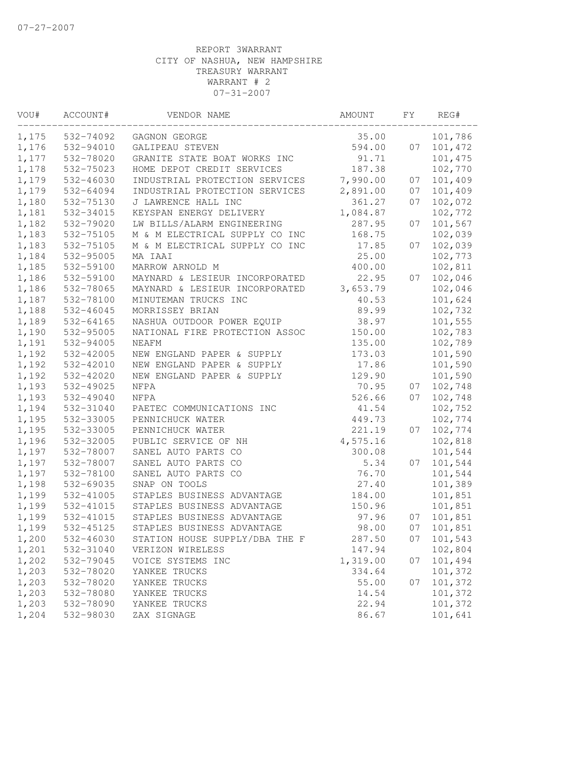| VOU#  | ACCOUNT#  | VENDOR NAME                    | AMOUNT   | FΥ | REG#    |
|-------|-----------|--------------------------------|----------|----|---------|
| 1,175 | 532-74092 | GAGNON GEORGE                  | 35.00    |    | 101,786 |
| 1,176 | 532-94010 | GALIPEAU STEVEN                | 594.00   | 07 | 101,472 |
| 1,177 | 532-78020 | GRANITE STATE BOAT WORKS INC   | 91.71    |    | 101,475 |
| 1,178 | 532-75023 | HOME DEPOT CREDIT SERVICES     | 187.38   |    | 102,770 |
| 1,179 | 532-46030 | INDUSTRIAL PROTECTION SERVICES | 7,990.00 | 07 | 101,409 |
| 1,179 | 532-64094 | INDUSTRIAL PROTECTION SERVICES | 2,891.00 | 07 | 101,409 |
| 1,180 | 532-75130 | J LAWRENCE HALL INC            | 361.27   | 07 | 102,072 |
| 1,181 | 532-34015 | KEYSPAN ENERGY DELIVERY        | 1,084.87 |    | 102,772 |
| 1,182 | 532-79020 | LW BILLS/ALARM ENGINEERING     | 287.95   | 07 | 101,567 |
| 1,183 | 532-75105 | M & M ELECTRICAL SUPPLY CO INC | 168.75   |    | 102,039 |
| 1,183 | 532-75105 | M & M ELECTRICAL SUPPLY CO INC | 17.85    | 07 | 102,039 |
| 1,184 | 532-95005 | MA IAAI                        | 25.00    |    | 102,773 |
| 1,185 | 532-59100 | MARROW ARNOLD M                | 400.00   |    | 102,811 |
| 1,186 | 532-59100 | MAYNARD & LESIEUR INCORPORATED | 22.95    | 07 | 102,046 |
| 1,186 | 532-78065 | MAYNARD & LESIEUR INCORPORATED | 3,653.79 |    | 102,046 |
| 1,187 | 532-78100 | MINUTEMAN TRUCKS INC           | 40.53    |    | 101,624 |
| 1,188 | 532-46045 | MORRISSEY BRIAN                | 89.99    |    | 102,732 |
| 1,189 | 532-64165 | NASHUA OUTDOOR POWER EQUIP     | 38.97    |    | 101,555 |
| 1,190 | 532-95005 | NATIONAL FIRE PROTECTION ASSOC | 150.00   |    | 102,783 |
| 1,191 | 532-94005 | NEAFM                          | 135.00   |    | 102,789 |
| 1,192 | 532-42005 | NEW ENGLAND PAPER & SUPPLY     | 173.03   |    | 101,590 |
| 1,192 | 532-42010 | NEW ENGLAND PAPER & SUPPLY     | 17.86    |    | 101,590 |
| 1,192 | 532-42020 | NEW ENGLAND PAPER & SUPPLY     | 129.90   |    | 101,590 |
| 1,193 | 532-49025 | NFPA                           | 70.95    | 07 | 102,748 |
| 1,193 | 532-49040 | NFPA                           | 526.66   | 07 | 102,748 |
| 1,194 | 532-31040 | PAETEC COMMUNICATIONS INC      | 41.54    |    | 102,752 |
| 1,195 | 532-33005 | PENNICHUCK WATER               | 449.73   |    | 102,774 |
| 1,195 | 532-33005 | PENNICHUCK WATER               | 221.19   | 07 | 102,774 |
| 1,196 | 532-32005 | PUBLIC SERVICE OF NH           | 4,575.16 |    | 102,818 |
| 1,197 | 532-78007 | SANEL AUTO PARTS CO            | 300.08   |    | 101,544 |
| 1,197 | 532-78007 | SANEL AUTO PARTS CO            | 5.34     | 07 | 101,544 |
| 1,197 | 532-78100 | SANEL AUTO PARTS CO            | 76.70    |    | 101,544 |
| 1,198 | 532-69035 | SNAP ON TOOLS                  | 27.40    |    | 101,389 |
| 1,199 | 532-41005 | STAPLES BUSINESS ADVANTAGE     | 184.00   |    | 101,851 |
| 1,199 | 532-41015 | STAPLES BUSINESS ADVANTAGE     | 150.96   |    | 101,851 |
| 1,199 | 532-41015 | STAPLES BUSINESS ADVANTAGE     | 97.96    | 07 | 101,851 |
| 1,199 | 532-45125 | STAPLES BUSINESS ADVANTAGE     | 98.00    | 07 | 101,851 |
| 1,200 | 532-46030 | STATION HOUSE SUPPLY/DBA THE F | 287.50   | 07 | 101,543 |
| 1,201 | 532-31040 | VERIZON WIRELESS               | 147.94   |    | 102,804 |
| 1,202 | 532-79045 | VOICE SYSTEMS INC              | 1,319.00 | 07 | 101,494 |
| 1,203 | 532-78020 | YANKEE TRUCKS                  | 334.64   |    | 101,372 |
| 1,203 | 532-78020 | YANKEE TRUCKS                  | 55.00    | 07 | 101,372 |
| 1,203 | 532-78080 | YANKEE TRUCKS                  | 14.54    |    | 101,372 |
| 1,203 | 532-78090 | YANKEE TRUCKS                  | 22.94    |    | 101,372 |
| 1,204 | 532-98030 | ZAX SIGNAGE                    | 86.67    |    | 101,641 |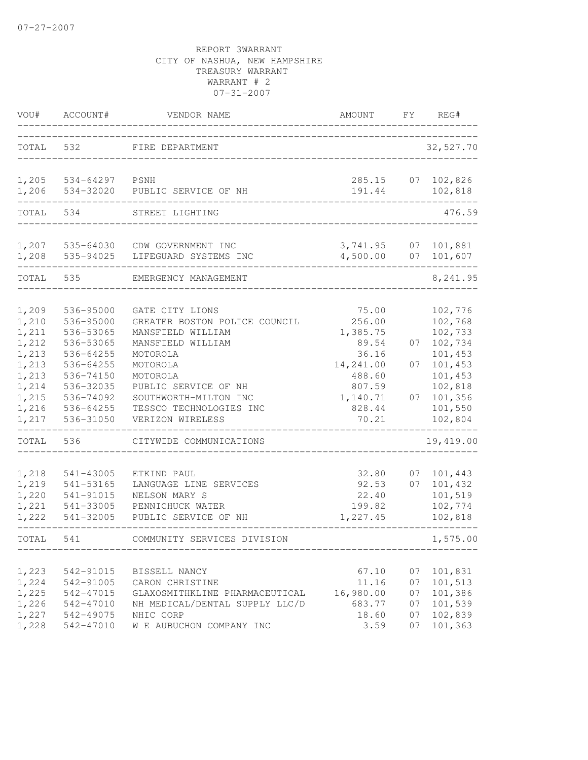| VOU#                                      | ACCOUNT#                                                      | VENDOR NAME                                                                                                       | AMOUNT                                         | FΥ                         | REG#                                                |
|-------------------------------------------|---------------------------------------------------------------|-------------------------------------------------------------------------------------------------------------------|------------------------------------------------|----------------------------|-----------------------------------------------------|
| TOTAL                                     | 532                                                           | FIRE DEPARTMENT                                                                                                   |                                                |                            | 32,527.70                                           |
| 1,205<br>1,206                            | 534-64297<br>534-32020                                        | PSNH<br>PUBLIC SERVICE OF NH                                                                                      | 285.15<br>191.44                               | 07                         | 102,826<br>102,818                                  |
| TOTAL                                     | 534                                                           | STREET LIGHTING                                                                                                   |                                                |                            | 476.59                                              |
| 1,207                                     | 535-64030                                                     | CDW GOVERNMENT INC                                                                                                | 3,741.95                                       | 07                         | 101,881                                             |
| 1,208                                     | 535-94025                                                     | LIFEGUARD SYSTEMS INC                                                                                             | 4,500.00                                       | 07                         | 101,607                                             |
| TOTAL                                     | 535                                                           | EMERGENCY MANAGEMENT                                                                                              |                                                |                            | 8,241.95                                            |
| 1,209<br>1,210                            | 536-95000<br>536-95000                                        | GATE CITY LIONS<br>GREATER BOSTON POLICE COUNCIL                                                                  | 75.00<br>256.00                                |                            | 102,776<br>102,768                                  |
| 1,211<br>1,212<br>1,213                   | 536-53065<br>536-53065<br>536-64255                           | MANSFIELD WILLIAM<br>MANSFIELD WILLIAM<br>MOTOROLA                                                                | 1,385.75<br>89.54<br>36.16                     | 07                         | 102,733<br>102,734<br>101,453                       |
| 1,213<br>1,213                            | 536-64255<br>536-74150                                        | MOTOROLA<br>MOTOROLA                                                                                              | 14,241.00<br>488.60                            | 07                         | 101,453<br>101,453                                  |
| 1,214<br>1,215<br>1,216<br>1,217          | 536-32035<br>536-74092<br>536-64255<br>536-31050              | PUBLIC SERVICE OF NH<br>SOUTHWORTH-MILTON INC<br>TESSCO TECHNOLOGIES INC<br>VERIZON WIRELESS                      | 807.59<br>1,140.71<br>828.44<br>70.21          | 07                         | 102,818<br>101,356<br>101,550<br>102,804            |
| TOTAL                                     | 536                                                           | CITYWIDE COMMUNICATIONS                                                                                           |                                                |                            | 19,419.00                                           |
| 1,218<br>1,219<br>1,220<br>1,221<br>1,222 | 541-43005<br>541-53165<br>541-91015<br>541-33005<br>541-32005 | ETKIND PAUL<br>LANGUAGE LINE SERVICES<br>NELSON MARY S<br>PENNICHUCK WATER<br>PUBLIC SERVICE OF NH                | 32.80<br>92.53<br>22.40<br>199.82<br>1,227.45  | 07<br>07                   | 101,443<br>101,432<br>101,519<br>102,774<br>102,818 |
| TOTAL                                     | 541                                                           | COMMUNITY SERVICES DIVISION                                                                                       |                                                |                            | 1,575.00                                            |
| 1,223<br>1,224<br>1,225<br>1,226<br>1,227 | 542-91015<br>542-91005<br>542-47015<br>542-47010<br>542-49075 | BISSELL NANCY<br>CARON CHRISTINE<br>GLAXOSMITHKLINE PHARMACEUTICAL<br>NH MEDICAL/DENTAL SUPPLY LLC/D<br>NHIC CORP | 67.10<br>11.16<br>16,980.00<br>683.77<br>18.60 | 07<br>07<br>07<br>07<br>07 | 101,831<br>101,513<br>101,386<br>101,539<br>102,839 |
| 1,228                                     | 542-47010                                                     | W E AUBUCHON COMPANY INC                                                                                          | 3.59                                           | 07                         | 101,363                                             |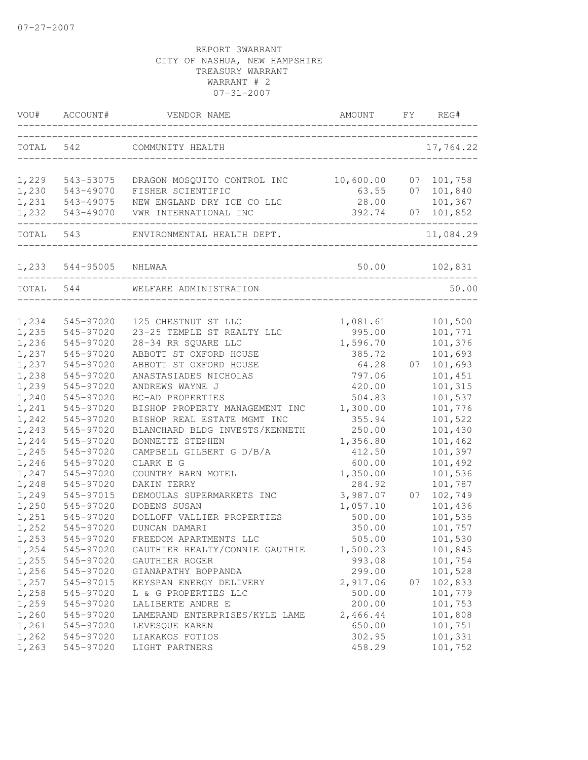| WOU#           | ACCOUNT#               | VENDOR NAME                                       | AMOUNT             | FΥ | REG#               |
|----------------|------------------------|---------------------------------------------------|--------------------|----|--------------------|
| TOTAL          | 542                    | COMMUNITY HEALTH                                  |                    |    | 17,764.22          |
| 1,229          | 543-53075              | DRAGON MOSQUITO CONTROL INC                       | 10,600.00          | 07 | 101,758            |
| 1,230          | 543-49070              | FISHER SCIENTIFIC                                 | 63.55              | 07 | 101,840            |
| 1,231          | 543-49075              | NEW ENGLAND DRY ICE CO LLC                        | 28.00              |    | 101,367            |
| 1,232          | 543-49070              | VWR INTERNATIONAL INC                             | 392.74             | 07 | 101,852            |
| TOTAL          | 543                    | ENVIRONMENTAL HEALTH DEPT.                        |                    |    | 11,084.29          |
| 1,233          | 544-95005              | NHLWAA                                            | 50.00              |    | 102,831            |
| TOTAL          | 544                    | WELFARE ADMINISTRATION                            |                    |    | 50.00              |
|                |                        |                                                   |                    |    |                    |
| 1,234<br>1,235 | 545-97020<br>545-97020 | 125 CHESTNUT ST LLC<br>23-25 TEMPLE ST REALTY LLC | 1,081.61<br>995.00 |    | 101,500<br>101,771 |
| 1,236          | 545-97020              | 28-34 RR SQUARE LLC                               | 1,596.70           |    | 101,376            |
| 1,237          | 545-97020              | ABBOTT ST OXFORD HOUSE                            | 385.72             |    | 101,693            |
| 1,237          | 545-97020              | ABBOTT ST OXFORD HOUSE                            | 64.28              | 07 | 101,693            |
| 1,238          | 545-97020              | ANASTASIADES NICHOLAS                             | 797.06             |    | 101,451            |
| 1,239          | 545-97020              | ANDREWS WAYNE J                                   | 420.00             |    | 101,315            |
| 1,240          | 545-97020              | BC-AD PROPERTIES                                  | 504.83             |    | 101,537            |
| 1,241          | 545-97020              | BISHOP PROPERTY MANAGEMENT INC                    | 1,300.00           |    | 101,776            |
| 1,242          | 545-97020              | BISHOP REAL ESTATE MGMT INC                       | 355.94             |    | 101,522            |
| 1,243          | 545-97020              | BLANCHARD BLDG INVESTS/KENNETH                    | 250.00             |    | 101,430            |
| 1,244          | 545-97020              | BONNETTE STEPHEN                                  | 1,356.80           |    | 101,462            |
| 1,245          | 545-97020              | CAMPBELL GILBERT G D/B/A                          | 412.50             |    | 101,397            |
| 1,246          | 545-97020              | CLARK E G                                         | 600.00             |    | 101,492            |
| 1,247          | 545-97020              | COUNTRY BARN MOTEL                                | 1,350.00           |    | 101,536            |
| 1,248          | 545-97020              | DAKIN TERRY                                       | 284.92             |    | 101,787            |
| 1,249          | 545-97015              | DEMOULAS SUPERMARKETS INC                         | 3,987.07           | 07 | 102,749            |
| 1,250          | 545-97020              | DOBENS SUSAN                                      | 1,057.10           |    | 101,436            |
| 1,251          | 545-97020              | DOLLOFF VALLIER PROPERTIES                        | 500.00             |    | 101,535            |
| 1,252          | 545-97020              | DUNCAN DAMARI                                     | 350.00             |    | 101,757            |
| 1,253          | 545-97020              | FREEDOM APARTMENTS LLC                            | 505.00             |    | 101,530            |
| 1,254          | 545-97020              | GAUTHIER REALTY/CONNIE GAUTHIE                    | 1,500.23           |    | 101,845            |
| 1,255          | 545-97020              | GAUTHIER ROGER                                    | 993.08             |    | 101,754            |
| 1,256          | 545-97020              | GIANAPATHY BOPPANDA                               | 299.00             |    | 101,528            |
| 1,257          | 545-97015              | KEYSPAN ENERGY DELIVERY                           | 2,917.06           | 07 | 102,833            |
| 1,258          | 545-97020              | L & G PROPERTIES LLC                              | 500.00             |    | 101,779            |
| 1,259          | 545-97020              | LALIBERTE ANDRE E                                 | 200.00             |    | 101,753            |
| 1,260          | 545-97020              | LAMERAND ENTERPRISES/KYLE LAME                    | 2,466.44           |    | 101,808            |
| 1,261          | 545-97020              | LEVESQUE KAREN                                    | 650.00             |    | 101,751            |
| 1,262          | 545-97020              | LIAKAKOS FOTIOS                                   | 302.95             |    | 101,331            |
| 1,263          | 545-97020              | LIGHT PARTNERS                                    | 458.29             |    | 101,752            |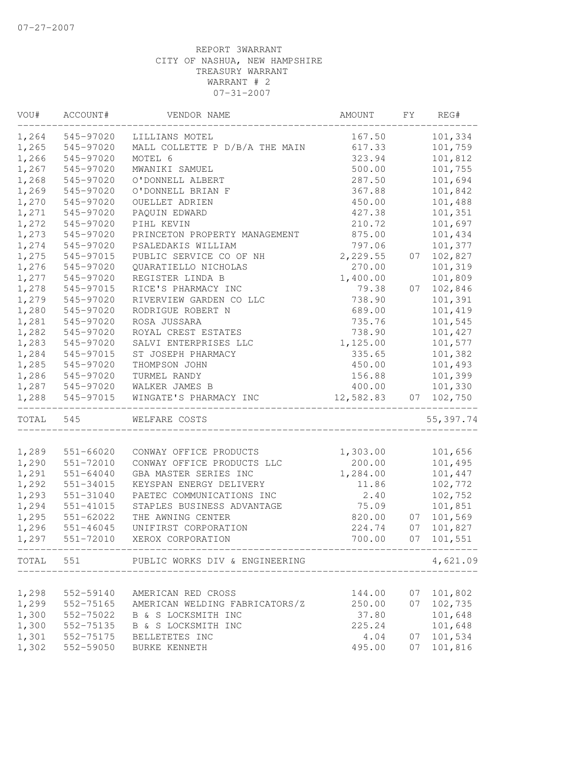| VOU#      | ACCOUNT#      | VENDOR NAME                              | AMOUNT    | FY | REG#       |
|-----------|---------------|------------------------------------------|-----------|----|------------|
| 1,264     | 545-97020     | LILLIANS MOTEL                           | 167.50    |    | 101,334    |
| 1,265     | 545-97020     | MALL COLLETTE P D/B/A THE MAIN           | 617.33    |    | 101,759    |
| 1,266     | 545-97020     | MOTEL 6                                  | 323.94    |    | 101,812    |
| 1,267     | 545-97020     | MWANIKI SAMUEL                           | 500.00    |    | 101,755    |
| 1,268     | 545-97020     | O'DONNELL ALBERT                         | 287.50    |    | 101,694    |
| 1,269     | 545-97020     | O'DONNELL BRIAN F                        | 367.88    |    | 101,842    |
| 1,270     | 545-97020     | OUELLET ADRIEN                           | 450.00    |    | 101,488    |
| 1,271     | 545-97020     | PAQUIN EDWARD                            | 427.38    |    | 101,351    |
| 1,272     | 545-97020     | PIHL KEVIN                               | 210.72    |    | 101,697    |
| 1,273     | 545-97020     | PRINCETON PROPERTY MANAGEMENT            | 875.00    |    | 101,434    |
| 1,274     | 545-97020     | PSALEDAKIS WILLIAM                       | 797.06    |    | 101,377    |
| 1,275     | 545-97015     | PUBLIC SERVICE CO OF NH                  | 2,229.55  | 07 | 102,827    |
| 1,276     | 545-97020     | QUARATIELLO NICHOLAS                     | 270.00    |    | 101,319    |
| 1,277     | 545-97020     | REGISTER LINDA B                         | 1,400.00  |    | 101,809    |
| 1,278     | 545-97015     | RICE'S PHARMACY INC                      | 79.38     | 07 | 102,846    |
| 1,279     | 545-97020     | RIVERVIEW GARDEN CO LLC                  | 738.90    |    | 101,391    |
| 1,280     | 545-97020     | RODRIGUE ROBERT N                        | 689.00    |    | 101,419    |
| 1,281     | 545-97020     | ROSA JUSSARA                             | 735.76    |    | 101,545    |
| 1,282     | 545-97020     | ROYAL CREST ESTATES                      | 738.90    |    | 101,427    |
| 1,283     | 545-97020     | SALVI ENTERPRISES LLC                    | 1,125.00  |    | 101,577    |
| 1,284     | 545-97015     | ST JOSEPH PHARMACY                       | 335.65    |    | 101,382    |
| 1,285     | 545-97020     | THOMPSON JOHN                            | 450.00    |    | 101,493    |
| 1,286     | 545-97020     | TURMEL RANDY                             | 156.88    |    | 101,399    |
| 1,287     | 545-97020     | WALKER JAMES B                           | 400.00    |    | 101,330    |
| 1,288     | 545-97015     | WINGATE'S PHARMACY INC                   | 12,582.83 | 07 | 102,750    |
| TOTAL 545 |               | WELFARE COSTS                            |           |    | 55, 397.74 |
|           |               |                                          |           |    |            |
| 1,289     | 551-66020     | CONWAY OFFICE PRODUCTS                   | 1,303.00  |    | 101,656    |
| 1,290     | 551-72010     | CONWAY OFFICE PRODUCTS LLC               | 200.00    |    | 101,495    |
| 1,291     | 551-64040     | GBA MASTER SERIES INC                    | 1,284.00  |    | 101,447    |
| 1,292     | 551-34015     | KEYSPAN ENERGY DELIVERY                  | 11.86     |    | 102,772    |
| 1,293     | 551-31040     | PAETEC COMMUNICATIONS INC                | 2.40      |    | 102,752    |
| 1,294     | 551-41015     | STAPLES BUSINESS ADVANTAGE               | 75.09     |    | 101,851    |
| 1,295     | 551-62022     | THE AWNING CENTER                        | 820.00    | 07 | 101,569    |
| 1,296     | $551 - 46045$ | UNIFIRST CORPORATION                     | 224.74    | 07 | 101,827    |
| 1,297     | 551-72010     | XEROX CORPORATION                        | 700.00    | 07 | 101,551    |
|           |               | TOTAL 551 PUBLIC WORKS DIV & ENGINEERING |           |    | 4,621.09   |
|           |               |                                          |           |    |            |
| 1,298     | 552-59140     | AMERICAN RED CROSS                       | 144.00    | 07 | 101,802    |
| 1,299     | 552-75165     | AMERICAN WELDING FABRICATORS/Z           | 250.00    | 07 | 102,735    |
| 1,300     | 552-75022     | B & S LOCKSMITH INC                      | 37.80     |    | 101,648    |
| 1,300     | 552-75135     | B & S LOCKSMITH INC                      | 225.24    |    | 101,648    |
| 1,301     | 552-75175     | BELLETETES INC                           | 4.04      | 07 | 101,534    |
| 1,302     | 552-59050     | BURKE KENNETH                            | 495.00    | 07 | 101,816    |
|           |               |                                          |           |    |            |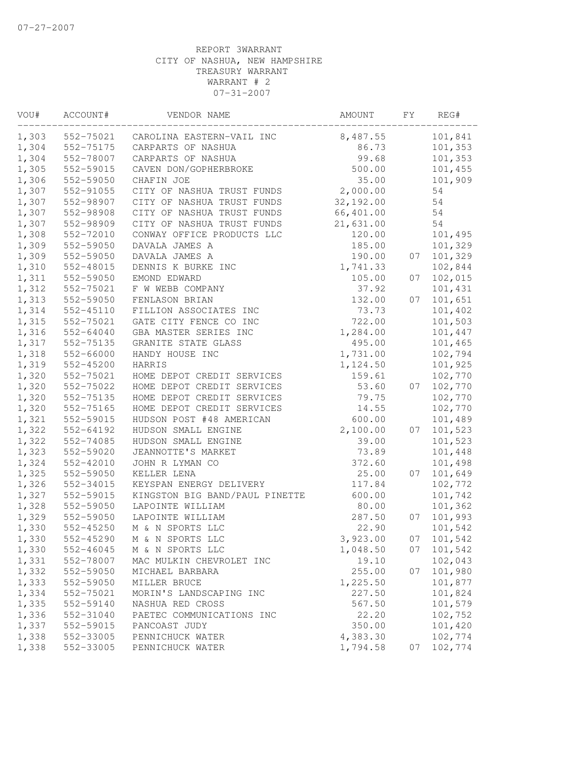| VOU#  | ACCOUNT#      | VENDOR NAME                    | AMOUNT    | FY | REG#    |
|-------|---------------|--------------------------------|-----------|----|---------|
| 1,303 | 552-75021     | CAROLINA EASTERN-VAIL INC      | 8,487.55  |    | 101,841 |
| 1,304 | 552-75175     | CARPARTS OF NASHUA             | 86.73     |    | 101,353 |
| 1,304 | 552-78007     | CARPARTS OF NASHUA             | 99.68     |    | 101,353 |
| 1,305 | 552-59015     | CAVEN DON/GOPHERBROKE          | 500.00    |    | 101,455 |
| 1,306 | 552-59050     | CHAFIN JOE                     | 35.00     |    | 101,909 |
| 1,307 | 552-91055     | CITY OF NASHUA TRUST FUNDS     | 2,000.00  |    | 54      |
| 1,307 | 552-98907     | CITY OF NASHUA TRUST FUNDS     | 32,192.00 |    | 54      |
| 1,307 | 552-98908     | CITY OF NASHUA TRUST FUNDS     | 66,401.00 |    | 54      |
| 1,307 | 552-98909     | CITY OF NASHUA TRUST FUNDS     | 21,631.00 |    | 54      |
| 1,308 | 552-72010     | CONWAY OFFICE PRODUCTS LLC     | 120.00    |    | 101,495 |
| 1,309 | 552-59050     | DAVALA JAMES A                 | 185.00    |    | 101,329 |
| 1,309 | 552-59050     | DAVALA JAMES A                 | 190.00    | 07 | 101,329 |
| 1,310 | 552-48015     | DENNIS K BURKE INC             | 1,741.33  |    | 102,844 |
| 1,311 | 552-59050     | EMOND EDWARD                   | 105.00    | 07 | 102,015 |
| 1,312 | 552-75021     | F W WEBB COMPANY               | 37.92     |    | 101,431 |
| 1,313 | 552-59050     | FENLASON BRIAN                 | 132.00    | 07 | 101,651 |
| 1,314 | 552-45110     | FILLION ASSOCIATES INC         | 73.73     |    | 101,402 |
| 1,315 | 552-75021     | GATE CITY FENCE CO INC         | 722.00    |    | 101,503 |
| 1,316 | 552-64040     | GBA MASTER SERIES INC          | 1,284.00  |    | 101,447 |
| 1,317 | 552-75135     | GRANITE STATE GLASS            | 495.00    |    | 101,465 |
| 1,318 | 552-66000     | HANDY HOUSE INC                | 1,731.00  |    | 102,794 |
| 1,319 | 552-45200     | HARRIS                         | 1,124.50  |    | 101,925 |
| 1,320 | 552-75021     | HOME DEPOT CREDIT SERVICES     | 159.61    |    | 102,770 |
| 1,320 | 552-75022     | HOME DEPOT CREDIT SERVICES     | 53.60     | 07 | 102,770 |
| 1,320 | 552-75135     | HOME DEPOT CREDIT SERVICES     | 79.75     |    | 102,770 |
| 1,320 | 552-75165     | HOME DEPOT CREDIT SERVICES     | 14.55     |    | 102,770 |
| 1,321 | 552-59015     | HUDSON POST #48 AMERICAN       | 600.00    |    | 101,489 |
| 1,322 | 552-64192     | HUDSON SMALL ENGINE            | 2,100.00  | 07 | 101,523 |
| 1,322 | 552-74085     | HUDSON SMALL ENGINE            | 39.00     |    | 101,523 |
| 1,323 | 552-59020     | JEANNOTTE'S MARKET             | 73.89     |    | 101,448 |
| 1,324 | 552-42010     | JOHN R LYMAN CO                | 372.60    |    | 101,498 |
| 1,325 | 552-59050     | KELLER LENA                    | 25.00     | 07 | 101,649 |
| 1,326 | 552-34015     | KEYSPAN ENERGY DELIVERY        | 117.84    |    | 102,772 |
| 1,327 | 552-59015     | KINGSTON BIG BAND/PAUL PINETTE | 600.00    |    | 101,742 |
| 1,328 | 552-59050     | LAPOINTE WILLIAM               | 80.00     |    | 101,362 |
| 1,329 | 552-59050     | LAPOINTE WILLIAM               | 287.50    | 07 | 101,993 |
| 1,330 | 552-45250     | M & N SPORTS LLC               | 22.90     |    | 101,542 |
| 1,330 | $552 - 45290$ | M & N SPORTS LLC               | 3,923.00  | 07 | 101,542 |
| 1,330 | 552-46045     | M & N SPORTS LLC               | 1,048.50  | 07 | 101,542 |
| 1,331 | 552-78007     | MAC MULKIN CHEVROLET INC       | 19.10     |    | 102,043 |
| 1,332 | 552-59050     | MICHAEL BARBARA                | 255.00    | 07 | 101,980 |
| 1,333 | 552-59050     | MILLER BRUCE                   | 1,225.50  |    | 101,877 |
| 1,334 | 552-75021     | MORIN'S LANDSCAPING INC        | 227.50    |    | 101,824 |
| 1,335 | 552-59140     | NASHUA RED CROSS               | 567.50    |    | 101,579 |
| 1,336 | 552-31040     | PAETEC COMMUNICATIONS INC      | 22.20     |    | 102,752 |
| 1,337 | 552-59015     | PANCOAST JUDY                  | 350.00    |    | 101,420 |
| 1,338 | 552-33005     | PENNICHUCK WATER               | 4,383.30  |    | 102,774 |
| 1,338 | 552-33005     | PENNICHUCK WATER               | 1,794.58  | 07 | 102,774 |
|       |               |                                |           |    |         |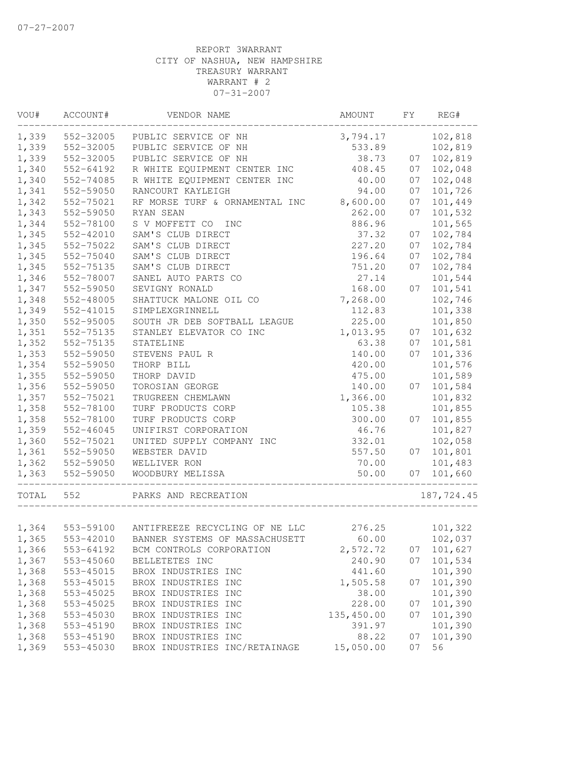| VOU#      | ACCOUNT#      | VENDOR NAME                             | AMOUNT     | FY | REG#       |
|-----------|---------------|-----------------------------------------|------------|----|------------|
| 1,339     | 552-32005     | PUBLIC SERVICE OF NH                    | 3,794.17   |    | 102,818    |
| 1,339     | 552-32005     | PUBLIC SERVICE OF NH                    | 533.89     |    | 102,819    |
| 1,339     | 552-32005     | PUBLIC SERVICE OF NH                    | 38.73      | 07 | 102,819    |
| 1,340     | 552-64192     | R WHITE EQUIPMENT CENTER INC            | 408.45     | 07 | 102,048    |
| 1,340     | 552-74085     | R WHITE EQUIPMENT CENTER INC            | 40.00      | 07 | 102,048    |
| 1,341     | 552-59050     | RANCOURT KAYLEIGH                       | 94.00      | 07 | 101,726    |
| 1,342     | 552-75021     | RF MORSE TURF & ORNAMENTAL INC          | 8,600.00   | 07 | 101,449    |
| 1,343     | 552-59050     | RYAN SEAN                               | 262.00     | 07 | 101,532    |
| 1,344     | 552-78100     | S V MOFFETT CO<br>INC                   | 886.96     |    | 101,565    |
| 1,345     | 552-42010     | SAM'S CLUB DIRECT                       | 37.32      | 07 | 102,784    |
| 1,345     | 552-75022     | SAM'S CLUB DIRECT                       | 227.20     | 07 | 102,784    |
| 1,345     | 552-75040     | SAM'S CLUB DIRECT                       | 196.64     | 07 | 102,784    |
| 1,345     | 552-75135     | SAM'S CLUB DIRECT                       | 751.20     | 07 | 102,784    |
| 1,346     | 552-78007     | SANEL AUTO PARTS CO                     | 27.14      |    | 101,544    |
| 1,347     | 552-59050     | SEVIGNY RONALD                          | 168.00     | 07 | 101,541    |
| 1,348     | 552-48005     | SHATTUCK MALONE OIL CO                  | 7,268.00   |    | 102,746    |
| 1,349     | 552-41015     | SIMPLEXGRINNELL                         | 112.83     |    | 101,338    |
| 1,350     | 552-95005     | SOUTH JR DEB SOFTBALL LEAGUE            | 225.00     |    | 101,850    |
| 1,351     | 552-75135     | STANLEY ELEVATOR CO INC                 | 1,013.95   | 07 | 101,632    |
| 1,352     | 552-75135     | STATELINE                               | 63.38      | 07 | 101,581    |
| 1,353     | 552-59050     | STEVENS PAUL R                          | 140.00     | 07 | 101,336    |
| 1,354     | 552-59050     | THORP BILL                              | 420.00     |    | 101,576    |
| 1,355     | 552-59050     | THORP DAVID                             | 475.00     |    | 101,589    |
| 1,356     | 552-59050     | TOROSIAN GEORGE                         | 140.00     | 07 | 101,584    |
| 1,357     | 552-75021     | TRUGREEN CHEMLAWN                       | 1,366.00   |    | 101,832    |
| 1,358     | 552-78100     | TURF PRODUCTS CORP                      | 105.38     |    | 101,855    |
| 1,358     | 552-78100     | TURF PRODUCTS CORP                      | 300.00     | 07 | 101,855    |
| 1,359     | $552 - 46045$ | UNIFIRST CORPORATION                    | 46.76      |    | 101,827    |
| 1,360     | 552-75021     | UNITED SUPPLY COMPANY INC               | 332.01     |    | 102,058    |
| 1,361     | 552-59050     | WEBSTER DAVID                           | 557.50     | 07 | 101,801    |
| 1,362     | 552-59050     | WELLIVER RON                            | 70.00      |    | 101,483    |
| 1,363     | 552-59050     | WOODBURY MELISSA<br>___________________ | 50.00      |    | 07 101,660 |
| TOTAL 552 |               | PARKS AND RECREATION                    |            |    | 187,724.45 |
|           |               |                                         |            |    |            |
| 1,364     | 553-59100     | ANTIFREEZE RECYCLING OF NE LLC          | 276.25     |    | 101,322    |
| 1,365     | 553-42010     | BANNER SYSTEMS OF MASSACHUSETT          | 60.00      |    | 102,037    |
| 1,366     | 553-64192     | BCM CONTROLS CORPORATION                | 2,572.72   | 07 | 101,627    |
| 1,367     | 553-45060     | BELLETETES INC                          | 240.90     | 07 | 101,534    |
| 1,368     | 553-45015     | BROX INDUSTRIES INC                     | 441.60     |    | 101,390    |
| 1,368     | 553-45015     | BROX INDUSTRIES INC                     | 1,505.58   | 07 | 101,390    |
| 1,368     | 553-45025     | BROX INDUSTRIES INC                     | 38.00      |    | 101,390    |
| 1,368     | 553-45025     | BROX INDUSTRIES INC                     | 228.00     | 07 | 101,390    |
| 1,368     | 553-45030     | BROX INDUSTRIES INC                     | 135,450.00 | 07 | 101,390    |
| 1,368     | 553-45190     | BROX INDUSTRIES INC                     | 391.97     |    | 101,390    |
| 1,368     | 553-45190     | BROX INDUSTRIES INC                     | 88.22      | 07 | 101,390    |
| 1,369     | 553-45030     | BROX INDUSTRIES INC/RETAINAGE           | 15,050.00  | 07 | 56         |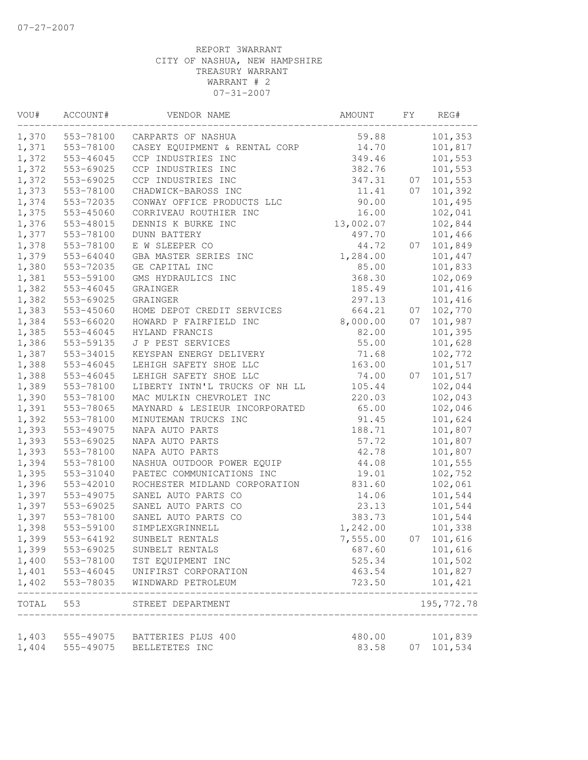| VOU#  | ACCOUNT#  | VENDOR NAME                    | AMOUNT    | FY | REG#       |
|-------|-----------|--------------------------------|-----------|----|------------|
| 1,370 | 553-78100 | CARPARTS OF NASHUA             | 59.88     |    | 101,353    |
| 1,371 | 553-78100 | CASEY EQUIPMENT & RENTAL CORP  | 14.70     |    | 101,817    |
| 1,372 | 553-46045 | CCP INDUSTRIES INC             | 349.46    |    | 101,553    |
| 1,372 | 553-69025 | CCP INDUSTRIES INC             | 382.76    |    | 101,553    |
| 1,372 | 553-69025 | CCP INDUSTRIES INC             | 347.31    | 07 | 101,553    |
| 1,373 | 553-78100 | CHADWICK-BAROSS INC            | 11.41     | 07 | 101,392    |
| 1,374 | 553-72035 | CONWAY OFFICE PRODUCTS LLC     | 90.00     |    | 101,495    |
| 1,375 | 553-45060 | CORRIVEAU ROUTHIER INC         | 16.00     |    | 102,041    |
| 1,376 | 553-48015 | DENNIS K BURKE INC             | 13,002.07 |    | 102,844    |
| 1,377 | 553-78100 | <b>DUNN BATTERY</b>            | 497.70    |    | 101,466    |
| 1,378 | 553-78100 | E W SLEEPER CO                 | 44.72     | 07 | 101,849    |
| 1,379 | 553-64040 | GBA MASTER SERIES INC          | 1,284.00  |    | 101,447    |
| 1,380 | 553-72035 | GE CAPITAL INC                 | 85.00     |    | 101,833    |
| 1,381 | 553-59100 | GMS HYDRAULICS INC             | 368.30    |    | 102,069    |
| 1,382 | 553-46045 | GRAINGER                       | 185.49    |    | 101,416    |
| 1,382 | 553-69025 | <b>GRAINGER</b>                | 297.13    |    | 101,416    |
| 1,383 | 553-45060 | HOME DEPOT CREDIT SERVICES     | 664.21    | 07 | 102,770    |
| 1,384 | 553-66020 | HOWARD P FAIRFIELD INC         | 8,000.00  | 07 | 101,987    |
| 1,385 | 553-46045 | HYLAND FRANCIS                 | 82.00     |    | 101,395    |
| 1,386 | 553-59135 | J P PEST SERVICES              | 55.00     |    | 101,628    |
| 1,387 | 553-34015 | KEYSPAN ENERGY DELIVERY        | 71.68     |    | 102,772    |
| 1,388 | 553-46045 | LEHIGH SAFETY SHOE LLC         | 163.00    |    | 101,517    |
| 1,388 | 553-46045 | LEHIGH SAFETY SHOE LLC         | 74.00     | 07 | 101,517    |
| 1,389 | 553-78100 | LIBERTY INTN'L TRUCKS OF NH LL | 105.44    |    | 102,044    |
| 1,390 | 553-78100 | MAC MULKIN CHEVROLET INC       | 220.03    |    | 102,043    |
| 1,391 | 553-78065 | MAYNARD & LESIEUR INCORPORATED | 65.00     |    | 102,046    |
| 1,392 | 553-78100 | MINUTEMAN TRUCKS INC           | 91.45     |    | 101,624    |
| 1,393 | 553-49075 | NAPA AUTO PARTS                | 188.71    |    | 101,807    |
| 1,393 | 553-69025 | NAPA AUTO PARTS                | 57.72     |    | 101,807    |
| 1,393 | 553-78100 | NAPA AUTO PARTS                | 42.78     |    | 101,807    |
| 1,394 | 553-78100 | NASHUA OUTDOOR POWER EQUIP     | 44.08     |    | 101,555    |
| 1,395 | 553-31040 | PAETEC COMMUNICATIONS INC      | 19.01     |    | 102,752    |
| 1,396 | 553-42010 | ROCHESTER MIDLAND CORPORATION  | 831.60    |    | 102,061    |
| 1,397 | 553-49075 | SANEL AUTO PARTS CO            | 14.06     |    | 101,544    |
| 1,397 | 553-69025 | SANEL AUTO PARTS CO            | 23.13     |    | 101,544    |
| 1,397 | 553-78100 | SANEL AUTO PARTS CO            | 383.73    |    | 101,544    |
| 1,398 | 553-59100 | SIMPLEXGRINNELL                | 1,242.00  |    | 101,338    |
| 1,399 | 553-64192 | SUNBELT RENTALS                | 7,555.00  | 07 | 101,616    |
| 1,399 | 553-69025 | SUNBELT RENTALS                | 687.60    |    | 101,616    |
| 1,400 | 553-78100 | TST EQUIPMENT INC              | 525.34    |    | 101,502    |
| 1,401 | 553-46045 | UNIFIRST CORPORATION           | 463.54    |    | 101,827    |
| 1,402 | 553-78035 | WINDWARD PETROLEUM             | 723.50    |    | 101,421    |
| TOTAL | 553       | STREET DEPARTMENT              |           |    | 195,772.78 |
| 1,403 | 555-49075 | BATTERIES PLUS 400             | 480.00    |    | 101,839    |
| 1,404 | 555-49075 | BELLETETES INC                 | 83.58     | 07 | 101,534    |
|       |           |                                |           |    |            |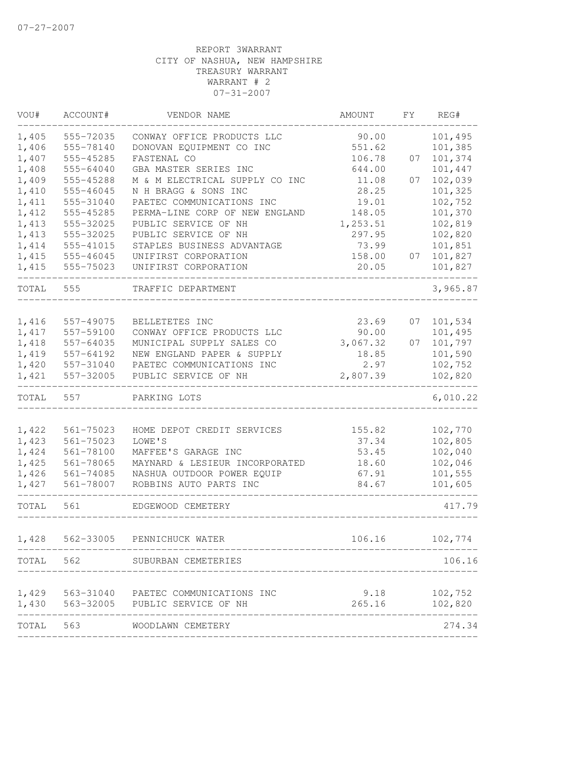| VOU#  | ACCOUNT#        | VENDOR NAME                                                 | AMOUNT   | FΥ | REG#               |
|-------|-----------------|-------------------------------------------------------------|----------|----|--------------------|
| 1,405 | 555-72035       | CONWAY OFFICE PRODUCTS LLC                                  | 90.00    |    | 101,495            |
| 1,406 | 555-78140       | DONOVAN EQUIPMENT CO INC                                    | 551.62   |    | 101,385            |
| 1,407 | 555-45285       | FASTENAL CO                                                 | 106.78   | 07 | 101,374            |
| 1,408 | 555-64040       | GBA MASTER SERIES INC                                       | 644.00   |    | 101,447            |
| 1,409 | 555-45288       | M & M ELECTRICAL SUPPLY CO INC                              | 11.08    | 07 | 102,039            |
| 1,410 | 555-46045       | N H BRAGG & SONS INC                                        | 28.25    |    | 101,325            |
| 1,411 | 555-31040       | PAETEC COMMUNICATIONS INC                                   | 19.01    |    | 102,752            |
| 1,412 | 555-45285       | PERMA-LINE CORP OF NEW ENGLAND                              | 148.05   |    | 101,370            |
| 1,413 | 555-32025       | PUBLIC SERVICE OF NH                                        | 1,253.51 |    | 102,819            |
| 1,413 | 555-32025       | PUBLIC SERVICE OF NH                                        | 297.95   |    | 102,820            |
| 1,414 | 555-41015       | STAPLES BUSINESS ADVANTAGE                                  | 73.99    |    | 101,851            |
| 1,415 | $555 - 46045$   | UNIFIRST CORPORATION                                        | 158.00   | 07 | 101,827            |
| 1,415 | 555-75023       | UNIFIRST CORPORATION                                        | 20.05    |    | 101,827            |
| TOTAL | 555             | TRAFFIC DEPARTMENT                                          |          |    | 3,965.87           |
|       |                 |                                                             |          |    |                    |
| 1,416 | 557-49075       | BELLETETES INC                                              | 23.69    | 07 | 101,534            |
| 1,417 | 557-59100       | CONWAY OFFICE PRODUCTS LLC                                  | 90.00    |    | 101,495            |
| 1,418 | 557-64035       | MUNICIPAL SUPPLY SALES CO                                   | 3,067.32 | 07 | 101,797            |
| 1,419 | 557-64192       | NEW ENGLAND PAPER & SUPPLY                                  | 18.85    |    | 101,590            |
| 1,420 | 557-31040       | PAETEC COMMUNICATIONS INC                                   | 2.97     |    | 102,752            |
| 1,421 | 557-32005       | PUBLIC SERVICE OF NH                                        | 2,807.39 |    | 102,820            |
| TOTAL | 557             | PARKING LOTS                                                |          |    | 6,010.22           |
|       |                 |                                                             |          |    |                    |
| 1,422 | 561-75023       | HOME DEPOT CREDIT SERVICES                                  | 155.82   |    | 102,770            |
| 1,423 | $561 - 75023$   | LOWE'S                                                      | 37.34    |    | 102,805            |
| 1,424 | 561-78100       | MAFFEE'S GARAGE INC                                         | 53.45    |    | 102,040            |
| 1,425 | 561-78065       | MAYNARD & LESIEUR INCORPORATED                              | 18.60    |    | 102,046            |
| 1,426 | 561-74085       | NASHUA OUTDOOR POWER EQUIP<br>ROBBINS AUTO PARTS INC        | 67.91    |    | 101,555<br>101,605 |
| 1,427 | 561-78007       |                                                             | 84.67    |    |                    |
| TOTAL | 561             | EDGEWOOD CEMETERY                                           |          |    | 417.79             |
| 1,428 | 562-33005       | PENNICHUCK WATER                                            | 106.16   |    | 102,774            |
|       |                 | TOTAL 562 SUBURBAN CEMETERIES                               |          |    | 106.16             |
|       |                 |                                                             |          |    |                    |
|       |                 | 1,429 563-31040 PAETEC COMMUNICATIONS INC                   |          |    | $9.18$ $102,752$   |
|       | --------------- | 1,430 563-32005 PUBLIC SERVICE OF NH<br>------------------- | 265.16   |    | 102,820            |
| TOTAL | 563             | WOODLAWN CEMETERY                                           |          |    | 274.34             |
|       |                 |                                                             |          |    |                    |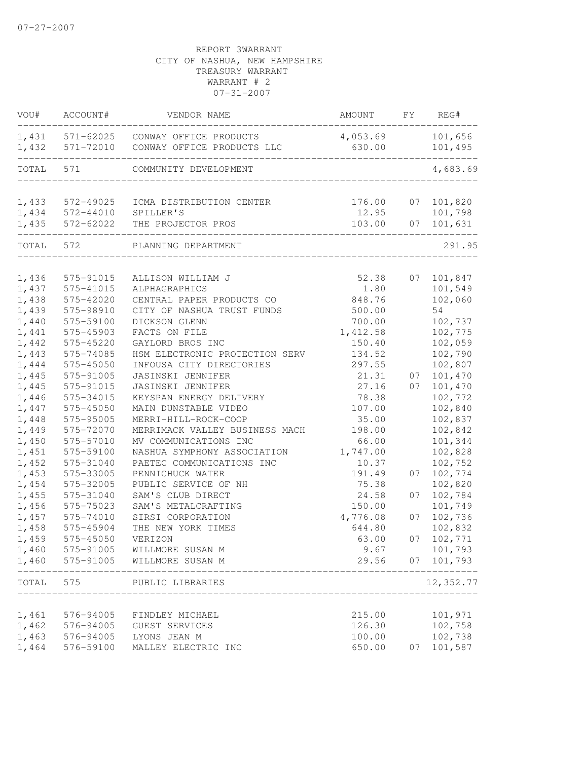| VOU#  | ACCOUNT#               | VENDOR NAME                                          | AMOUNT           | FY | REG#                |
|-------|------------------------|------------------------------------------------------|------------------|----|---------------------|
| 1,431 | 571-62025<br>571-72010 | CONWAY OFFICE PRODUCTS<br>CONWAY OFFICE PRODUCTS LLC | 4,053.69         |    | 101,656             |
| 1,432 |                        |                                                      | 630.00           |    | 101,495             |
| TOTAL | 571                    | COMMUNITY DEVELOPMENT                                |                  |    | 4,683.69            |
| 1,433 | 572-49025              | ICMA DISTRIBUTION CENTER                             | 176.00           | 07 | 101,820             |
| 1,434 | 572-44010              | SPILLER'S                                            | 12.95            |    | 101,798             |
| 1,435 | 572-62022              | THE PROJECTOR PROS                                   | 103.00           | 07 | 101,631             |
| TOTAL | 572                    | PLANNING DEPARTMENT                                  |                  |    | 291.95              |
| 1,436 | 575-91015              | ALLISON WILLIAM J                                    | 52.38            |    | 07 101,847          |
| 1,437 | 575-41015              | ALPHAGRAPHICS                                        | 1.80             |    | 101,549             |
| 1,438 | 575-42020              | CENTRAL PAPER PRODUCTS CO                            | 848.76           |    | 102,060             |
| 1,439 | 575-98910              | CITY OF NASHUA TRUST FUNDS                           | 500.00           |    | 54                  |
| 1,440 | 575-59100              | DICKSON GLENN                                        | 700.00           |    | 102,737             |
| 1,441 | 575-45903              | FACTS ON FILE                                        | 1,412.58         |    | 102,775             |
| 1,442 | 575-45220              | GAYLORD BROS INC                                     | 150.40           |    | 102,059             |
| 1,443 | 575-74085              | HSM ELECTRONIC PROTECTION SERV                       | 134.52           |    | 102,790             |
| 1,444 | 575-45050              | INFOUSA CITY DIRECTORIES                             | 297.55           |    | 102,807             |
| 1,445 | 575-91005              | JASINSKI JENNIFER                                    | 21.31            | 07 | 101,470             |
| 1,445 | 575-91015              | JASINSKI JENNIFER                                    | 27.16            | 07 | 101,470             |
| 1,446 | 575-34015              | KEYSPAN ENERGY DELIVERY                              | 78.38            |    | 102,772             |
| 1,447 | 575-45050              | MAIN DUNSTABLE VIDEO                                 | 107.00           |    | 102,840             |
| 1,448 | 575-95005              | MERRI-HILL-ROCK-COOP                                 | 35.00            |    | 102,837             |
| 1,449 | 575-72070              | MERRIMACK VALLEY BUSINESS MACH                       | 198.00           |    | 102,842             |
| 1,450 | 575-57010              | MV COMMUNICATIONS INC                                | 66.00            |    | 101,344             |
| 1,451 | 575-59100              | NASHUA SYMPHONY ASSOCIATION                          | 1,747.00         |    | 102,828             |
| 1,452 | 575-31040              | PAETEC COMMUNICATIONS INC                            | 10.37            |    | 102,752             |
| 1,453 | 575-33005              | PENNICHUCK WATER                                     | 191.49           | 07 | 102,774             |
| 1,454 | 575-32005              | PUBLIC SERVICE OF NH                                 | 75.38            |    | 102,820             |
| 1,455 | 575-31040              | SAM'S CLUB DIRECT                                    | 24.58            | 07 | 102,784             |
| 1,456 | 575-75023              | SAM'S METALCRAFTING                                  | 150.00           |    | 101,749             |
| 1,457 | 575-74010              | SIRSI CORPORATION                                    | 4,776.08         | 07 | 102,736             |
| 1,458 | 575-45904              | THE NEW YORK TIMES                                   | 644.80           |    | 102,832             |
| 1,459 | 575-45050              | VERIZON                                              | 63.00            | 07 | 102,771             |
| 1,460 | 575-91005              | WILLMORE SUSAN M                                     | 9.67             |    | 101,793             |
| 1,460 | 575-91005              | WILLMORE SUSAN M                                     | 29.56            |    | 07 101,793<br>----- |
| TOTAL | 575                    | PUBLIC LIBRARIES                                     |                  |    | 12,352.77           |
| 1,461 |                        | FINDLEY MICHAEL                                      |                  |    | 101,971             |
| 1,462 | 576-94005<br>576-94005 | GUEST SERVICES                                       | 215.00<br>126.30 |    | 102,758             |
| 1,463 | 576-94005              | LYONS JEAN M                                         | 100.00           |    | 102,738             |
| 1,464 | 576-59100              | MALLEY ELECTRIC INC                                  | 650.00           | 07 | 101,587             |
|       |                        |                                                      |                  |    |                     |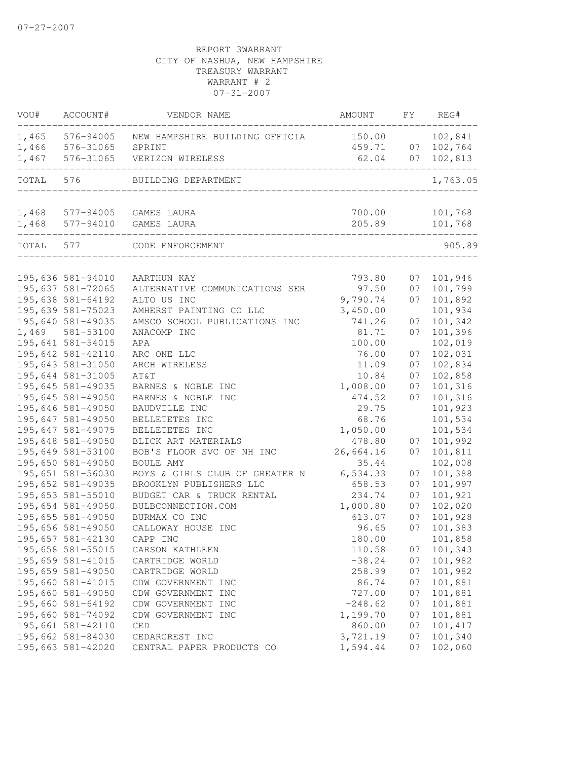| VOU#      | ACCOUNT#                               | VENDOR NAME                                                   | AMOUNT             | FY | REG#               |
|-----------|----------------------------------------|---------------------------------------------------------------|--------------------|----|--------------------|
| 1,465     | 576-94005                              | NEW HAMPSHIRE BUILDING OFFICIA                                | 150.00             |    | 102,841            |
| 1,466     | 576-31065                              | SPRINT                                                        | 459.71             | 07 | 102,764            |
| 1,467     | 576-31065                              | VERIZON WIRELESS                                              | 62.04              | 07 | 102,813            |
| TOTAL     | 576                                    | BUILDING DEPARTMENT                                           |                    |    | 1,763.05           |
|           |                                        |                                                               |                    |    |                    |
|           |                                        | 1,468 577-94005 GAMES LAURA                                   | 700.00             |    | 101,768            |
|           |                                        | 1,468 577-94010 GAMES LAURA<br>______________________________ | 205.89             |    | 101,768            |
| TOTAL 577 |                                        | CODE ENFORCEMENT                                              |                    |    | 905.89             |
|           |                                        |                                                               |                    |    |                    |
|           | 195,636 581-94010                      | AARTHUN KAY                                                   | 793.80             | 07 | 101,946            |
|           | 195,637 581-72065<br>195,638 581-64192 | ALTERNATIVE COMMUNICATIONS SER                                | 97.50              | 07 | 101,799            |
|           | 195,639 581-75023                      | ALTO US INC                                                   | 9,790.74           | 07 | 101,892<br>101,934 |
|           | 195,640 581-49035                      | AMHERST PAINTING CO LLC<br>AMSCO SCHOOL PUBLICATIONS INC      | 3,450.00<br>741.26 | 07 | 101,342            |
|           | 1,469 581-53100                        | ANACOMP INC                                                   | 81.71              | 07 | 101,396            |
|           | 195,641 581-54015                      | APA                                                           | 100.00             |    | 102,019            |
|           | 195,642 581-42110                      | ARC ONE LLC                                                   | 76.00              | 07 | 102,031            |
|           | 195,643 581-31050                      | ARCH WIRELESS                                                 | 11.09              | 07 | 102,834            |
|           | 195,644 581-31005                      | AT&T                                                          | 10.84              | 07 | 102,858            |
|           | 195,645 581-49035                      | BARNES & NOBLE INC                                            | 1,008.00           | 07 | 101,316            |
|           | 195,645 581-49050                      | BARNES & NOBLE INC                                            | 474.52             | 07 | 101,316            |
|           | 195,646 581-49050                      | BAUDVILLE INC                                                 | 29.75              |    | 101,923            |
|           | 195,647 581-49050                      | BELLETETES INC                                                | 68.76              |    | 101,534            |
|           | 195,647 581-49075                      | BELLETETES INC                                                | 1,050.00           |    | 101,534            |
|           | 195,648 581-49050                      | BLICK ART MATERIALS                                           | 478.80             | 07 | 101,992            |
|           | 195,649 581-53100                      | BOB'S FLOOR SVC OF NH INC                                     | 26,664.16          | 07 | 101,811            |
|           | 195,650 581-49050                      | BOULE AMY                                                     | 35.44              |    | 102,008            |
|           | 195,651 581-56030                      | BOYS & GIRLS CLUB OF GREATER N                                | 6, 534.33          | 07 | 101,388            |
|           | 195,652 581-49035                      | BROOKLYN PUBLISHERS LLC                                       | 658.53             | 07 | 101,997            |
|           | 195,653 581-55010                      | BUDGET CAR & TRUCK RENTAL                                     | 234.74             | 07 | 101,921            |
|           | 195,654 581-49050                      | BULBCONNECTION.COM                                            | 1,000.80           | 07 | 102,020            |
|           | 195,655 581-49050                      | BURMAX CO INC                                                 | 613.07             | 07 | 101,928            |
|           | 195,656 581-49050                      | CALLOWAY HOUSE INC                                            | 96.65              | 07 | 101,383            |
|           | 195,657 581-42130                      | CAPP INC                                                      | 180.00             |    | 101,858            |
|           | 195,658 581-55015                      | CARSON KATHLEEN                                               | 110.58             | 07 | 101,343            |
|           | 195,659 581-41015                      | CARTRIDGE WORLD                                               | $-38.24$           | 07 | 101,982            |
|           | 195,659 581-49050                      | CARTRIDGE WORLD                                               | 258.99             | 07 | 101,982            |
|           | 195,660 581-41015                      | CDW GOVERNMENT INC                                            | 86.74              | 07 | 101,881            |
|           | 195,660 581-49050                      | CDW GOVERNMENT INC                                            | 727.00             | 07 | 101,881            |
|           | 195,660 581-64192                      | CDW GOVERNMENT INC                                            | $-248.62$          | 07 | 101,881            |
|           | 195,660 581-74092                      | CDW GOVERNMENT INC                                            | 1,199.70           | 07 | 101,881            |
|           | 195,661 581-42110                      | CED                                                           | 860.00             | 07 | 101, 417           |
|           | 195,662 581-84030                      | CEDARCREST INC                                                | 3,721.19           | 07 | 101,340            |
|           | 195,663 581-42020                      | CENTRAL PAPER PRODUCTS CO                                     | 1,594.44           | 07 | 102,060            |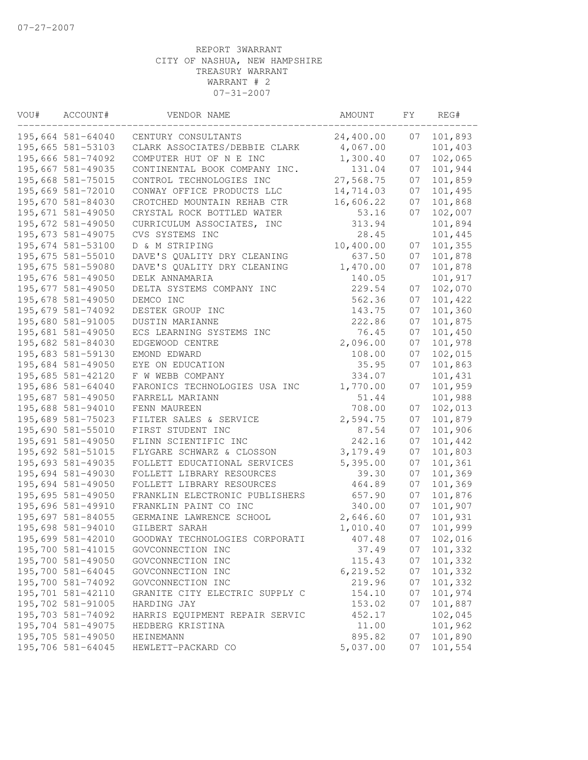| VOU# | ACCOUNT#          | VENDOR NAME                    | AMOUNT    | FΥ | REG#    |
|------|-------------------|--------------------------------|-----------|----|---------|
|      | 195,664 581-64040 | CENTURY CONSULTANTS            | 24,400.00 | 07 | 101,893 |
|      | 195,665 581-53103 | CLARK ASSOCIATES/DEBBIE CLARK  | 4,067.00  |    | 101,403 |
|      | 195,666 581-74092 | COMPUTER HUT OF N E INC        | 1,300.40  | 07 | 102,065 |
|      | 195,667 581-49035 | CONTINENTAL BOOK COMPANY INC.  | 131.04    | 07 | 101,944 |
|      | 195,668 581-75015 | CONTROL TECHNOLOGIES INC       | 27,568.75 | 07 | 101,859 |
|      | 195,669 581-72010 | CONWAY OFFICE PRODUCTS LLC     | 14,714.03 | 07 | 101,495 |
|      | 195,670 581-84030 | CROTCHED MOUNTAIN REHAB CTR    | 16,606.22 | 07 | 101,868 |
|      | 195,671 581-49050 | CRYSTAL ROCK BOTTLED WATER     | 53.16     | 07 | 102,007 |
|      | 195,672 581-49050 | CURRICULUM ASSOCIATES, INC     | 313.94    |    | 101,894 |
|      | 195,673 581-49075 | CVS SYSTEMS INC                | 28.45     |    | 101,445 |
|      | 195,674 581-53100 | D & M STRIPING                 | 10,400.00 | 07 | 101,355 |
|      | 195,675 581-55010 | DAVE'S QUALITY DRY CLEANING    | 637.50    | 07 | 101,878 |
|      | 195,675 581-59080 | DAVE'S QUALITY DRY CLEANING    | 1,470.00  | 07 | 101,878 |
|      | 195,676 581-49050 | DELK ANNAMARIA                 | 140.05    |    | 101,917 |
|      | 195,677 581-49050 | DELTA SYSTEMS COMPANY INC      | 229.54    | 07 | 102,070 |
|      | 195,678 581-49050 | DEMCO INC                      | 562.36    | 07 | 101,422 |
|      | 195,679 581-74092 | DESTEK GROUP INC               | 143.75    | 07 | 101,360 |
|      | 195,680 581-91005 | DUSTIN MARIANNE                | 222.86    | 07 | 101,875 |
|      | 195,681 581-49050 | ECS LEARNING SYSTEMS INC       | 76.45     | 07 | 101,450 |
|      | 195,682 581-84030 | EDGEWOOD CENTRE                | 2,096.00  | 07 | 101,978 |
|      | 195,683 581-59130 | EMOND EDWARD                   | 108.00    | 07 | 102,015 |
|      | 195,684 581-49050 | EYE ON EDUCATION               | 35.95     | 07 | 101,863 |
|      | 195,685 581-42120 | F W WEBB COMPANY               | 334.07    |    | 101,431 |
|      | 195,686 581-64040 | FARONICS TECHNOLOGIES USA INC  | 1,770.00  | 07 | 101,959 |
|      | 195,687 581-49050 | FARRELL MARIANN                | 51.44     |    | 101,988 |
|      | 195,688 581-94010 | FENN MAUREEN                   | 708.00    | 07 | 102,013 |
|      | 195,689 581-75023 | FILTER SALES & SERVICE         | 2,594.75  | 07 | 101,879 |
|      | 195,690 581-55010 | FIRST STUDENT INC              | 87.54     | 07 | 101,906 |
|      | 195,691 581-49050 | FLINN SCIENTIFIC INC           | 242.16    | 07 | 101,442 |
|      | 195,692 581-51015 | FLYGARE SCHWARZ & CLOSSON      | 3, 179.49 | 07 | 101,803 |
|      | 195,693 581-49035 | FOLLETT EDUCATIONAL SERVICES   | 5,395.00  | 07 | 101,361 |
|      | 195,694 581-49030 | FOLLETT LIBRARY RESOURCES      | 39.30     | 07 | 101,369 |
|      | 195,694 581-49050 | FOLLETT LIBRARY RESOURCES      | 464.89    | 07 | 101,369 |
|      | 195,695 581-49050 | FRANKLIN ELECTRONIC PUBLISHERS | 657.90    | 07 | 101,876 |
|      | 195,696 581-49910 | FRANKLIN PAINT CO INC          | 340.00    | 07 | 101,907 |
|      | 195,697 581-84055 | GERMAINE LAWRENCE SCHOOL       | 2,646.60  | 07 | 101,931 |
|      | 195,698 581-94010 | GILBERT SARAH                  | 1,010.40  | 07 | 101,999 |
|      | 195,699 581-42010 | GOODWAY TECHNOLOGIES CORPORATI | 407.48    | 07 | 102,016 |
|      | 195,700 581-41015 | GOVCONNECTION INC              | 37.49     | 07 | 101,332 |
|      | 195,700 581-49050 | GOVCONNECTION INC              | 115.43    | 07 | 101,332 |
|      | 195,700 581-64045 | GOVCONNECTION INC              | 6, 219.52 | 07 | 101,332 |
|      | 195,700 581-74092 | GOVCONNECTION INC              | 219.96    | 07 | 101,332 |
|      | 195,701 581-42110 | GRANITE CITY ELECTRIC SUPPLY C | 154.10    | 07 | 101,974 |
|      | 195,702 581-91005 | HARDING JAY                    | 153.02    | 07 | 101,887 |
|      | 195,703 581-74092 | HARRIS EQUIPMENT REPAIR SERVIC | 452.17    |    | 102,045 |
|      | 195,704 581-49075 | HEDBERG KRISTINA               | 11.00     |    | 101,962 |
|      | 195,705 581-49050 | HEINEMANN                      | 895.82    | 07 | 101,890 |
|      | 195,706 581-64045 | HEWLETT-PACKARD CO             | 5,037.00  | 07 | 101,554 |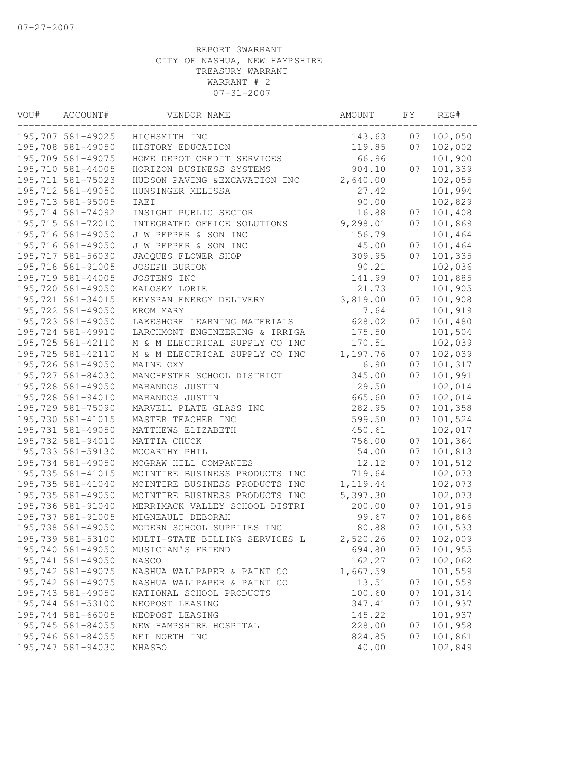| VOU# | ACCOUNT#          | VENDOR NAME                    | AMOUNT    | FΥ | REG#    |
|------|-------------------|--------------------------------|-----------|----|---------|
|      | 195,707 581-49025 | HIGHSMITH INC                  | 143.63    | 07 | 102,050 |
|      | 195,708 581-49050 | HISTORY EDUCATION              | 119.85    | 07 | 102,002 |
|      | 195,709 581-49075 | HOME DEPOT CREDIT SERVICES     | 66.96     |    | 101,900 |
|      | 195,710 581-44005 | HORIZON BUSINESS SYSTEMS       | 904.10    | 07 | 101,339 |
|      | 195,711 581-75023 | HUDSON PAVING & EXCAVATION INC | 2,640.00  |    | 102,055 |
|      | 195,712 581-49050 | HUNSINGER MELISSA              | 27.42     |    | 101,994 |
|      | 195,713 581-95005 | IAEI                           | 90.00     |    | 102,829 |
|      | 195,714 581-74092 | INSIGHT PUBLIC SECTOR          | 16.88     | 07 | 101,408 |
|      | 195,715 581-72010 | INTEGRATED OFFICE SOLUTIONS    | 9,298.01  | 07 | 101,869 |
|      | 195,716 581-49050 | J W PEPPER & SON INC           | 156.79    |    | 101,464 |
|      | 195,716 581-49050 | J W PEPPER & SON INC           | 45.00     | 07 | 101,464 |
|      | 195,717 581-56030 | JACQUES FLOWER SHOP            | 309.95    | 07 | 101,335 |
|      | 195,718 581-91005 | JOSEPH BURTON                  | 90.21     |    | 102,036 |
|      | 195,719 581-44005 | JOSTENS INC                    | 141.99    | 07 | 101,885 |
|      | 195,720 581-49050 | KALOSKY LORIE                  | 21.73     |    | 101,905 |
|      | 195,721 581-34015 | KEYSPAN ENERGY DELIVERY        | 3,819.00  | 07 | 101,908 |
|      | 195,722 581-49050 | KROM MARY                      | 7.64      |    | 101,919 |
|      | 195,723 581-49050 | LAKESHORE LEARNING MATERIALS   | 628.02    | 07 | 101,480 |
|      | 195,724 581-49910 | LARCHMONT ENGINEERING & IRRIGA | 175.50    |    | 101,504 |
|      | 195,725 581-42110 | M & M ELECTRICAL SUPPLY CO INC | 170.51    |    | 102,039 |
|      | 195,725 581-42110 | M & M ELECTRICAL SUPPLY CO INC | 1,197.76  | 07 | 102,039 |
|      | 195,726 581-49050 | MAINE OXY                      | 6.90      | 07 | 101,317 |
|      | 195,727 581-84030 | MANCHESTER SCHOOL DISTRICT     | 345.00    | 07 | 101,991 |
|      | 195,728 581-49050 | MARANDOS JUSTIN                | 29.50     |    | 102,014 |
|      | 195,728 581-94010 | MARANDOS JUSTIN                | 665.60    | 07 | 102,014 |
|      | 195,729 581-75090 | MARVELL PLATE GLASS INC        | 282.95    | 07 | 101,358 |
|      | 195,730 581-41015 | MASTER TEACHER INC             | 599.50    | 07 | 101,524 |
|      | 195,731 581-49050 | MATTHEWS ELIZABETH             | 450.61    |    | 102,017 |
|      | 195,732 581-94010 | MATTIA CHUCK                   | 756.00    | 07 | 101,364 |
|      | 195,733 581-59130 | MCCARTHY PHIL                  | 54.00     | 07 | 101,813 |
|      | 195,734 581-49050 | MCGRAW HILL COMPANIES          | 12.12     | 07 | 101,512 |
|      | 195,735 581-41015 | MCINTIRE BUSINESS PRODUCTS INC | 719.64    |    | 102,073 |
|      | 195,735 581-41040 | MCINTIRE BUSINESS PRODUCTS INC | 1, 119.44 |    | 102,073 |
|      | 195,735 581-49050 | MCINTIRE BUSINESS PRODUCTS INC | 5,397.30  |    | 102,073 |
|      | 195,736 581-91040 | MERRIMACK VALLEY SCHOOL DISTRI | 200.00    | 07 | 101,915 |
|      | 195,737 581-91005 | MIGNEAULT DEBORAH              | 99.67     | 07 | 101,866 |
|      | 195,738 581-49050 | MODERN SCHOOL SUPPLIES INC     | 80.88     | 07 | 101,533 |
|      | 195,739 581-53100 | MULTI-STATE BILLING SERVICES L | 2,520.26  | 07 | 102,009 |
|      | 195,740 581-49050 | MUSICIAN'S FRIEND              | 694.80    | 07 | 101,955 |
|      | 195,741 581-49050 | NASCO                          | 162.27    | 07 | 102,062 |
|      | 195,742 581-49075 | NASHUA WALLPAPER & PAINT CO    | 1,667.59  |    | 101,559 |
|      | 195,742 581-49075 | NASHUA WALLPAPER & PAINT CO    | 13.51     | 07 | 101,559 |
|      | 195,743 581-49050 | NATIONAL SCHOOL PRODUCTS       | 100.60    | 07 | 101,314 |
|      | 195,744 581-53100 | NEOPOST LEASING                | 347.41    | 07 | 101,937 |
|      | 195,744 581-66005 | NEOPOST LEASING                | 145.22    |    | 101,937 |
|      | 195,745 581-84055 | NEW HAMPSHIRE HOSPITAL         | 228.00    | 07 | 101,958 |
|      | 195,746 581-84055 | NFI NORTH INC                  | 824.85    | 07 | 101,861 |
|      | 195,747 581-94030 | NHASBO                         | 40.00     |    | 102,849 |
|      |                   |                                |           |    |         |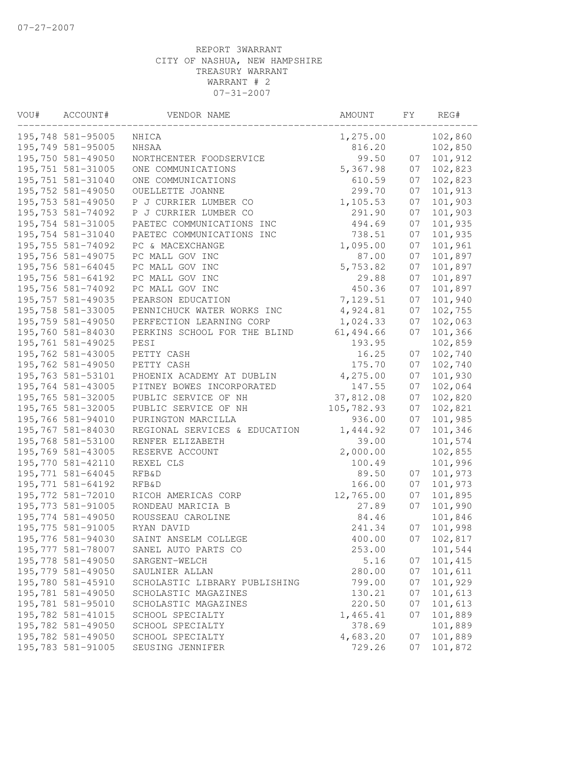| VOU# | ACCOUNT#           | VENDOR NAME                   | AMOUNT     | FΥ | REG#    |
|------|--------------------|-------------------------------|------------|----|---------|
|      | 195,748 581-95005  | NHICA                         | 1,275.00   |    | 102,860 |
|      | 195,749 581-95005  | NHSAA                         | 816.20     |    | 102,850 |
|      | 195,750 581-49050  | NORTHCENTER FOODSERVICE       | 99.50      | 07 | 101,912 |
|      | 195,751 581-31005  | ONE COMMUNICATIONS            | 5,367.98   | 07 | 102,823 |
|      | 195,751 581-31040  | ONE COMMUNICATIONS            | 610.59     | 07 | 102,823 |
|      | 195,752 581-49050  | OUELLETTE JOANNE              | 299.70     | 07 | 101,913 |
|      | 195,753 581-49050  | P J CURRIER LUMBER CO         | 1,105.53   | 07 | 101,903 |
|      | 195,753 581-74092  | P J CURRIER LUMBER CO         | 291.90     | 07 | 101,903 |
|      | 195,754 581-31005  | PAETEC COMMUNICATIONS INC     | 494.69     | 07 | 101,935 |
|      | 195,754 581-31040  | PAETEC COMMUNICATIONS INC     | 738.51     | 07 | 101,935 |
|      | 195,755 581-74092  | PC & MACEXCHANGE              | 1,095.00   | 07 | 101,961 |
|      | 195,756 581-49075  | PC MALL GOV INC               | 87.00      | 07 | 101,897 |
|      | 195,756 581-64045  | PC MALL GOV INC               | 5,753.82   | 07 | 101,897 |
|      | 195,756 581-64192  | PC MALL GOV INC               | 29.88      | 07 | 101,897 |
|      | 195,756 581-74092  | PC MALL GOV INC               | 450.36     | 07 | 101,897 |
|      | 195,757 581-49035  | PEARSON EDUCATION             | 7,129.51   | 07 | 101,940 |
|      | 195,758 581-33005  | PENNICHUCK WATER WORKS INC    | 4,924.81   | 07 | 102,755 |
|      | 195,759 581-49050  | PERFECTION LEARNING CORP      | 1,024.33   | 07 | 102,063 |
|      | 195,760 581-84030  | PERKINS SCHOOL FOR THE BLIND  | 61, 494.66 | 07 | 101,366 |
|      | 195,761 581-49025  | PESI                          | 193.95     |    | 102,859 |
|      | 195,762 581-43005  | PETTY CASH                    | 16.25      | 07 | 102,740 |
|      | 195,762 581-49050  | PETTY CASH                    | 175.70     | 07 | 102,740 |
|      | 195,763 581-53101  | PHOENIX ACADEMY AT DUBLIN     | 4,275.00   | 07 | 101,930 |
|      | 195,764 581-43005  | PITNEY BOWES INCORPORATED     | 147.55     | 07 | 102,064 |
|      | 195,765 581-32005  | PUBLIC SERVICE OF NH          | 37,812.08  | 07 | 102,820 |
|      | 195,765 581-32005  | PUBLIC SERVICE OF NH          | 105,782.93 | 07 | 102,821 |
|      | 195,766 581-94010  | PURINGTON MARCILLA            | 936.00     | 07 | 101,985 |
|      | 195,767 581-84030  | REGIONAL SERVICES & EDUCATION | 1,444.92   | 07 | 101,346 |
|      | 195,768 581-53100  | RENFER ELIZABETH              | 39.00      |    | 101,574 |
|      | 195,769 581-43005  | RESERVE ACCOUNT               | 2,000.00   |    | 102,855 |
|      | 195,770 581-42110  | REXEL CLS                     | 100.49     |    | 101,996 |
|      | 195,771 581-64045  | <b>RFB&amp;D</b>              | 89.50      | 07 | 101,973 |
|      | 195,771 581-64192  | <b>RFB&amp;D</b>              | 166.00     | 07 | 101,973 |
|      | 195,772 581-72010  | RICOH AMERICAS CORP           | 12,765.00  | 07 | 101,895 |
|      | 195,773 581-91005  | RONDEAU MARICIA B             | 27.89      | 07 | 101,990 |
|      | 195,774 581-49050  | ROUSSEAU CAROLINE             | 84.46      |    | 101,846 |
|      | 195,775 581-91005  | RYAN DAVID                    | 241.34     | 07 | 101,998 |
|      | 195,776 581-94030  | SAINT ANSELM COLLEGE          | 400.00     | 07 | 102,817 |
|      | 195, 777 581-78007 | SANEL AUTO PARTS CO           | 253.00     |    | 101,544 |
|      | 195,778 581-49050  | SARGENT-WELCH                 | 5.16       | 07 | 101,415 |
|      | 195,779 581-49050  | SAULNIER ALLAN                | 280.00     | 07 | 101,611 |
|      | 195,780 581-45910  | SCHOLASTIC LIBRARY PUBLISHING | 799.00     | 07 | 101,929 |
|      | 195,781 581-49050  | SCHOLASTIC MAGAZINES          | 130.21     | 07 | 101,613 |
|      | 195,781 581-95010  | SCHOLASTIC MAGAZINES          | 220.50     | 07 | 101,613 |
|      | 195,782 581-41015  | SCHOOL SPECIALTY              | 1,465.41   | 07 | 101,889 |
|      | 195,782 581-49050  | SCHOOL SPECIALTY              | 378.69     |    | 101,889 |
|      | 195,782 581-49050  | SCHOOL SPECIALTY              | 4,683.20   | 07 | 101,889 |
|      | 195,783 581-91005  | SEUSING JENNIFER              | 729.26     | 07 | 101,872 |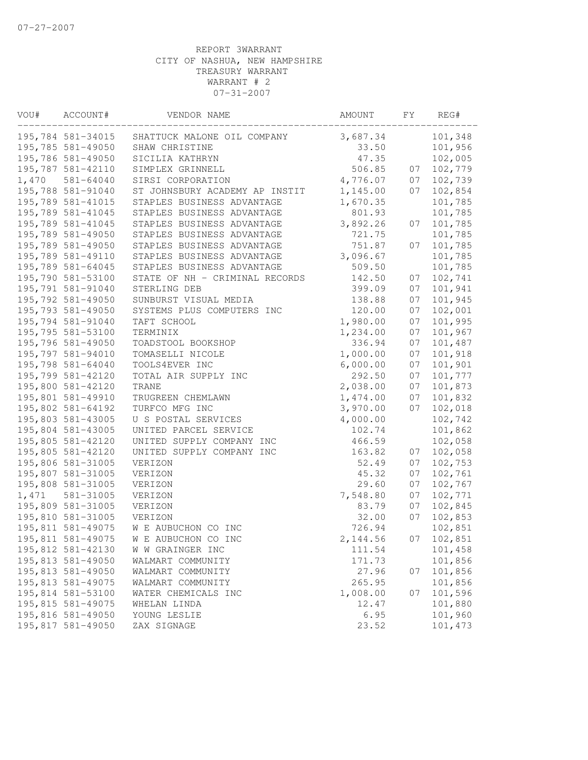| VOU#  | ACCOUNT#          | VENDOR NAME                    | AMOUNT   | FΥ | REG#    |
|-------|-------------------|--------------------------------|----------|----|---------|
|       | 195,784 581-34015 | SHATTUCK MALONE OIL COMPANY    | 3,687.34 |    | 101,348 |
|       | 195,785 581-49050 | SHAW CHRISTINE                 | 33.50    |    | 101,956 |
|       | 195,786 581-49050 | SICILIA KATHRYN                | 47.35    |    | 102,005 |
|       | 195,787 581-42110 | SIMPLEX GRINNELL               | 506.85   | 07 | 102,779 |
| 1,470 | 581-64040         | SIRSI CORPORATION              | 4,776.07 | 07 | 102,739 |
|       | 195,788 581-91040 | ST JOHNSBURY ACADEMY AP INSTIT | 1,145.00 | 07 | 102,854 |
|       | 195,789 581-41015 | STAPLES BUSINESS ADVANTAGE     | 1,670.35 |    | 101,785 |
|       | 195,789 581-41045 | STAPLES BUSINESS ADVANTAGE     | 801.93   |    | 101,785 |
|       | 195,789 581-41045 | STAPLES BUSINESS ADVANTAGE     | 3,892.26 | 07 | 101,785 |
|       | 195,789 581-49050 | STAPLES BUSINESS ADVANTAGE     | 721.75   |    | 101,785 |
|       | 195,789 581-49050 | STAPLES BUSINESS ADVANTAGE     | 751.87   | 07 | 101,785 |
|       | 195,789 581-49110 | STAPLES BUSINESS ADVANTAGE     | 3,096.67 |    | 101,785 |
|       | 195,789 581-64045 | STAPLES BUSINESS ADVANTAGE     | 509.50   |    | 101,785 |
|       | 195,790 581-53100 | STATE OF NH - CRIMINAL RECORDS | 142.50   | 07 | 102,741 |
|       | 195,791 581-91040 | STERLING DEB                   | 399.09   | 07 | 101,941 |
|       | 195,792 581-49050 | SUNBURST VISUAL MEDIA          | 138.88   | 07 | 101,945 |
|       | 195,793 581-49050 | SYSTEMS PLUS COMPUTERS INC     | 120.00   | 07 | 102,001 |
|       | 195,794 581-91040 | TAFT SCHOOL                    | 1,980.00 | 07 | 101,995 |
|       | 195,795 581-53100 | TERMINIX                       | 1,234.00 | 07 | 101,967 |
|       | 195,796 581-49050 | TOADSTOOL BOOKSHOP             | 336.94   | 07 | 101,487 |
|       | 195,797 581-94010 | TOMASELLI NICOLE               | 1,000.00 | 07 | 101,918 |
|       | 195,798 581-64040 | TOOLS4EVER INC                 | 6,000.00 | 07 | 101,901 |
|       | 195,799 581-42120 | TOTAL AIR SUPPLY INC           | 292.50   | 07 | 101,777 |
|       | 195,800 581-42120 | TRANE                          | 2,038.00 | 07 | 101,873 |
|       | 195,801 581-49910 | TRUGREEN CHEMLAWN              | 1,474.00 | 07 | 101,832 |
|       | 195,802 581-64192 | TURFCO MFG INC                 | 3,970.00 | 07 | 102,018 |
|       | 195,803 581-43005 | U S POSTAL SERVICES            | 4,000.00 |    | 102,742 |
|       | 195,804 581-43005 | UNITED PARCEL SERVICE          | 102.74   |    | 101,862 |
|       | 195,805 581-42120 | UNITED SUPPLY COMPANY INC      | 466.59   |    | 102,058 |
|       | 195,805 581-42120 | UNITED SUPPLY COMPANY INC      | 163.82   | 07 | 102,058 |
|       | 195,806 581-31005 | VERIZON                        | 52.49    | 07 | 102,753 |
|       | 195,807 581-31005 | VERIZON                        | 45.32    | 07 | 102,761 |
|       | 195,808 581-31005 | VERIZON                        | 29.60    | 07 | 102,767 |
| 1,471 | 581-31005         | VERIZON                        | 7,548.80 | 07 | 102,771 |
|       | 195,809 581-31005 | VERIZON                        | 83.79    | 07 | 102,845 |
|       | 195,810 581-31005 | VERIZON                        | 32.00    | 07 | 102,853 |
|       | 195,811 581-49075 | W E AUBUCHON CO INC            | 726.94   |    | 102,851 |
|       | 195,811 581-49075 | W E AUBUCHON CO INC            | 2,144.56 | 07 | 102,851 |
|       | 195,812 581-42130 | W W GRAINGER INC               | 111.54   |    | 101,458 |
|       | 195,813 581-49050 | WALMART COMMUNITY              | 171.73   |    | 101,856 |
|       | 195,813 581-49050 | WALMART COMMUNITY              | 27.96    | 07 | 101,856 |
|       | 195,813 581-49075 | WALMART COMMUNITY              | 265.95   |    | 101,856 |
|       | 195,814 581-53100 | WATER CHEMICALS INC            | 1,008.00 | 07 | 101,596 |
|       | 195,815 581-49075 | WHELAN LINDA                   | 12.47    |    | 101,880 |
|       | 195,816 581-49050 | YOUNG LESLIE                   | 6.95     |    | 101,960 |
|       | 195,817 581-49050 | ZAX SIGNAGE                    | 23.52    |    | 101,473 |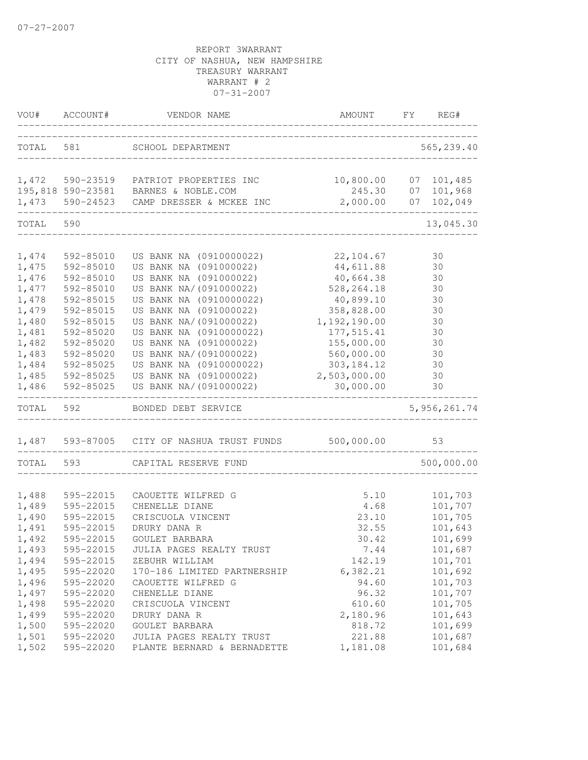| VOU#  | ACCOUNT#  | VENDOR NAME                          | AMOUNT                     | FY | REG#           |
|-------|-----------|--------------------------------------|----------------------------|----|----------------|
| TOTAL | 581       | SCHOOL DEPARTMENT                    | -------------------------- |    | 565,239.40     |
| 1,472 | 590-23519 | PATRIOT PROPERTIES INC               | 10,800.00 07 101,485       |    |                |
|       |           | 195,818 590-23581 BARNES & NOBLE.COM | 245.30                     | 07 | 101,968        |
| 1,473 |           | 590-24523 CAMP DRESSER & MCKEE INC   | 2,000.00                   | 07 | 102,049        |
| TOTAL | 590       |                                      |                            |    | 13,045.30      |
|       |           |                                      |                            |    |                |
| 1,474 | 592-85010 | US BANK NA (0910000022)              | 22, 104.67                 |    | 30             |
| 1,475 | 592-85010 | US BANK NA (091000022)               | 44,611.88                  |    | 30             |
| 1,476 | 592-85010 | US BANK NA (091000022)               | 40,664.38                  |    | 30             |
| 1,477 | 592-85010 | US BANK NA/ (091000022)              | 528, 264.18                |    | 30             |
| 1,478 | 592-85015 | US BANK NA (0910000022)              | 40,899.10                  |    | 30             |
| 1,479 | 592-85015 | US BANK NA (091000022)               | 358,828.00                 |    | 30             |
| 1,480 | 592-85015 | US BANK NA/ (091000022)              | 1,192,190.00               |    | 30             |
| 1,481 | 592-85020 | US BANK NA (0910000022)              | 177, 515.41                |    | 30             |
| 1,482 | 592-85020 | US BANK NA (091000022)               | 155,000.00                 |    | 30             |
| 1,483 | 592-85020 | US BANK NA/(091000022)               | 560,000.00                 |    | 30             |
| 1,484 | 592-85025 | US BANK NA (0910000022)              | 303, 184.12                |    | 30             |
| 1,485 | 592-85025 | US BANK NA (091000022)               | 2,503,000.00               |    | 30             |
| 1,486 | 592-85025 | US BANK NA/(091000022)               | 30,000.00                  |    | 30             |
| TOTAL | 592       | BONDED DEBT SERVICE                  |                            |    | 5, 956, 261.74 |
| 1,487 | 593-87005 | CITY OF NASHUA TRUST FUNDS           | 500,000.00                 |    | 53             |
| TOTAL | 593       | CAPITAL RESERVE FUND                 |                            |    | 500,000.00     |
|       |           |                                      |                            |    |                |
| 1,488 | 595-22015 | CAOUETTE WILFRED G                   | 5.10                       |    | 101,703        |
| 1,489 | 595-22015 | CHENELLE DIANE                       | 4.68                       |    | 101,707        |
| 1,490 | 595-22015 | CRISCUOLA VINCENT                    | 23.10                      |    | 101,705        |
| 1,491 | 595-22015 | DRURY DANA R                         | 32.55                      |    | 101,643        |
| 1,492 | 595-22015 | GOULET BARBARA                       | 30.42                      |    | 101,699        |
| 1,493 | 595-22015 | JULIA PAGES REALTY TRUST             | 7.44                       |    | 101,687        |
| 1,494 | 595-22015 | ZEBUHR WILLIAM                       | 142.19                     |    | 101,701        |
| 1,495 | 595-22020 | 170-186 LIMITED PARTNERSHIP          | 6,382.21                   |    | 101,692        |
| 1,496 | 595-22020 | CAOUETTE WILFRED G                   | 94.60                      |    | 101,703        |
| 1,497 | 595-22020 | CHENELLE DIANE                       | 96.32                      |    | 101,707        |
| 1,498 | 595-22020 | CRISCUOLA VINCENT                    | 610.60                     |    | 101,705        |
| 1,499 | 595-22020 | DRURY DANA R                         | 2,180.96                   |    | 101,643        |
| 1,500 | 595-22020 | GOULET BARBARA                       | 818.72                     |    | 101,699        |
| 1,501 | 595-22020 | JULIA PAGES REALTY TRUST             | 221.88                     |    | 101,687        |
| 1,502 | 595-22020 | PLANTE BERNARD & BERNADETTE          | 1,181.08                   |    | 101,684        |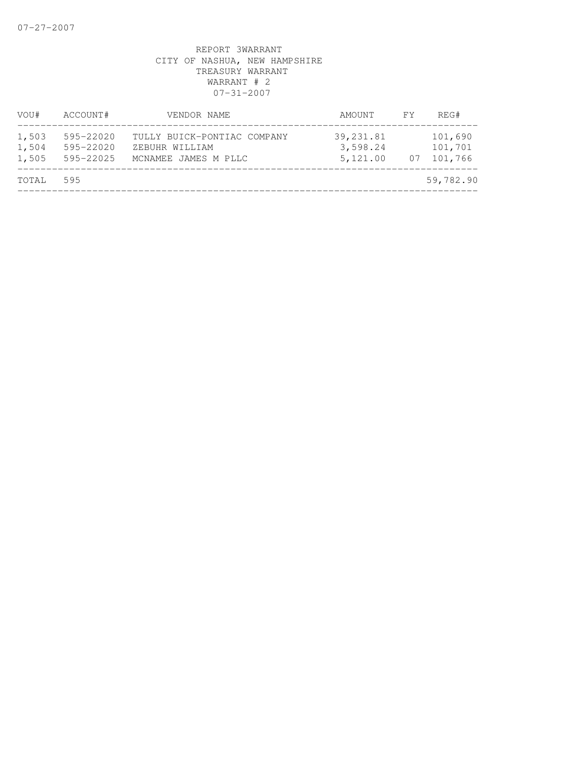| VOU#                    | ACCOUNT#                                    | VENDOR NAME                                                           | AMOUNT                            | FY | REG#                          |
|-------------------------|---------------------------------------------|-----------------------------------------------------------------------|-----------------------------------|----|-------------------------------|
| 1,503<br>1,504<br>1,505 | $595 - 22020$<br>$595 - 22020$<br>595-22025 | TULLY BUICK-PONTIAC COMPANY<br>ZEBUHR WILLIAM<br>MCNAMEE JAMES M PLLC | 39,231.81<br>3,598.24<br>5,121.00 | 07 | 101,690<br>101,701<br>101,766 |
| TOTAL                   | 595                                         |                                                                       |                                   |    | 59,782.90                     |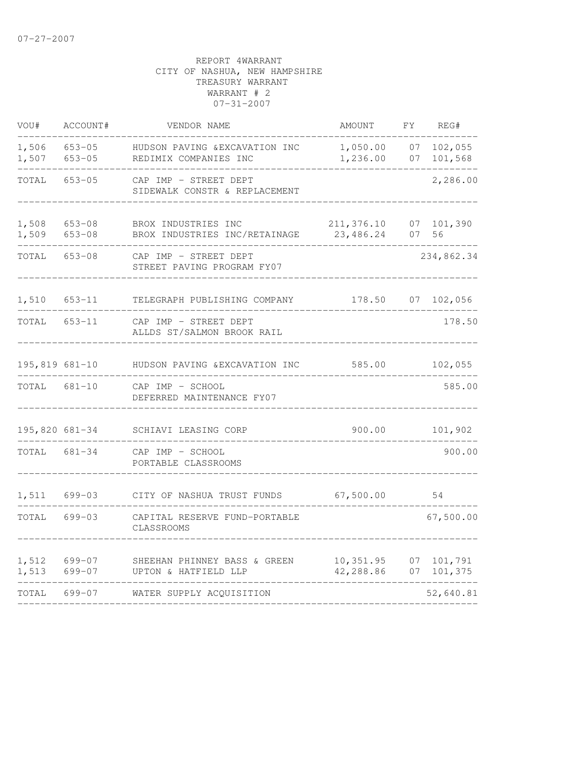| VOU#               | ACCOUNT#                 | VENDOR NAME                                             | AMOUNT                  | FΥ       | REG#               |
|--------------------|--------------------------|---------------------------------------------------------|-------------------------|----------|--------------------|
| 1,506<br>1,507     | $653 - 05$<br>$653 - 05$ | HUDSON PAVING & EXCAVATION INC<br>REDIMIX COMPANIES INC | 1,050.00<br>1,236.00    | 07<br>07 | 102,055<br>101,568 |
| TOTAL              | $653 - 05$               | CAP IMP - STREET DEPT<br>SIDEWALK CONSTR & REPLACEMENT  |                         |          | 2,286.00           |
| 1,508<br>1,509     | $653 - 08$<br>$653 - 08$ | BROX INDUSTRIES INC<br>BROX INDUSTRIES INC/RETAINAGE    | 211,376.10<br>23,486.24 | 07<br>07 | 101,390<br>56      |
| TOTAL              | $653 - 08$               | CAP IMP - STREET DEPT<br>STREET PAVING PROGRAM FY07     |                         |          | 234,862.34         |
| 1,510              | $653 - 11$               | TELEGRAPH PUBLISHING COMPANY                            | 178.50                  | 07       | 102,056            |
| TOTAL              | $653 - 11$               | CAP IMP - STREET DEPT<br>ALLDS ST/SALMON BROOK RAIL     |                         |          | 178.50             |
| $195,819$ $681-10$ |                          | HUDSON PAVING & EXCAVATION INC                          | 585.00                  |          | 102,055            |
| TOTAL              | 681-10                   | CAP IMP - SCHOOL<br>DEFERRED MAINTENANCE FY07           |                         |          | 585.00             |
| 195,820 681-34     |                          | SCHIAVI LEASING CORP                                    | 900.00                  |          | 101,902            |
| TOTAL              | 681-34                   | CAP IMP - SCHOOL<br>PORTABLE CLASSROOMS                 |                         |          | 900.00             |
| 1,511              | 699-03                   | CITY OF NASHUA TRUST FUNDS                              | 67,500.00               |          | 54                 |
| TOTAL              | $699 - 03$               | CAPITAL RESERVE FUND-PORTABLE<br>CLASSROOMS             |                         |          | 67,500.00          |
| 1,512<br>1,513     | 699-07<br>699-07         | SHEEHAN PHINNEY BASS & GREEN<br>UPTON & HATFIELD LLP    | 10,351.95<br>42,288.86  | 07<br>07 | 101,791<br>101,375 |
| TOTAL              | $699 - 07$               | WATER SUPPLY ACQUISITION                                |                         |          | 52,640.81          |
|                    |                          |                                                         |                         |          |                    |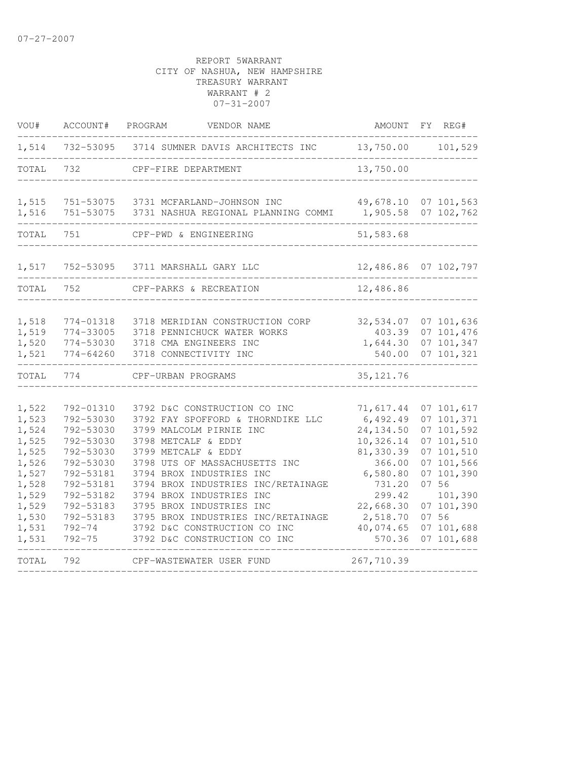| VOU#                                                                                                              | ACCOUNT#                                                                                                                                                                | PROGRAM<br>VENDOR NAME                                                                                                                                                                                                                                                                                                                                                                                      | AMOUNT                                                                                                                                                  | FY REG#                                                                                                                                                               |
|-------------------------------------------------------------------------------------------------------------------|-------------------------------------------------------------------------------------------------------------------------------------------------------------------------|-------------------------------------------------------------------------------------------------------------------------------------------------------------------------------------------------------------------------------------------------------------------------------------------------------------------------------------------------------------------------------------------------------------|---------------------------------------------------------------------------------------------------------------------------------------------------------|-----------------------------------------------------------------------------------------------------------------------------------------------------------------------|
| 1,514                                                                                                             |                                                                                                                                                                         | 732-53095 3714 SUMNER DAVIS ARCHITECTS INC                                                                                                                                                                                                                                                                                                                                                                  | 13,750.00                                                                                                                                               | 101,529                                                                                                                                                               |
| TOTAL                                                                                                             | 732                                                                                                                                                                     | CPF-FIRE DEPARTMENT                                                                                                                                                                                                                                                                                                                                                                                         | 13,750.00                                                                                                                                               |                                                                                                                                                                       |
| 1,515<br>1,516                                                                                                    | 751-53075<br>751-53075                                                                                                                                                  | 3731 MCFARLAND-JOHNSON INC<br>3731 NASHUA REGIONAL PLANNING COMMI                                                                                                                                                                                                                                                                                                                                           | 49,678.10<br>1,905.58                                                                                                                                   | 07 101,563<br>07 102,762                                                                                                                                              |
| TOTAL                                                                                                             | 751                                                                                                                                                                     | CPF-PWD & ENGINEERING                                                                                                                                                                                                                                                                                                                                                                                       | 51,583.68                                                                                                                                               |                                                                                                                                                                       |
| 1,517                                                                                                             | 752-53095                                                                                                                                                               | 3711 MARSHALL GARY LLC                                                                                                                                                                                                                                                                                                                                                                                      | 12,486.86 07 102,797                                                                                                                                    |                                                                                                                                                                       |
| TOTAL                                                                                                             | 752                                                                                                                                                                     | CPF-PARKS & RECREATION                                                                                                                                                                                                                                                                                                                                                                                      | 12,486.86                                                                                                                                               |                                                                                                                                                                       |
| 1,518<br>1,519<br>1,520<br>1,521                                                                                  | 774-01318<br>774-33005<br>774-53030<br>$774 - 64260$                                                                                                                    | 3718 MERIDIAN CONSTRUCTION CORP<br>3718 PENNICHUCK WATER WORKS<br>3718 CMA ENGINEERS INC<br>3718 CONNECTIVITY INC                                                                                                                                                                                                                                                                                           | 32,534.07<br>403.39<br>1,644.30<br>540.00                                                                                                               | 07 101,636<br>07 101,476<br>07 101,347<br>07 101,321                                                                                                                  |
| TOTAL                                                                                                             | 774                                                                                                                                                                     | CPF-URBAN PROGRAMS                                                                                                                                                                                                                                                                                                                                                                                          | 35, 121.76                                                                                                                                              |                                                                                                                                                                       |
| 1,522<br>1,523<br>1,524<br>1,525<br>1,525<br>1,526<br>1,527<br>1,528<br>1,529<br>1,529<br>1,530<br>1,531<br>1,531 | 792-01310<br>792-53030<br>792-53030<br>792-53030<br>792-53030<br>792-53030<br>792-53181<br>792-53181<br>792-53182<br>792-53183<br>792-53183<br>$792 - 74$<br>$792 - 75$ | 3792 D&C CONSTRUCTION CO INC<br>3792 FAY SPOFFORD & THORNDIKE LLC<br>3799 MALCOLM PIRNIE INC<br>3798 METCALF & EDDY<br>3799 METCALF & EDDY<br>3798 UTS OF MASSACHUSETTS INC<br>3794 BROX INDUSTRIES INC<br>3794 BROX INDUSTRIES INC/RETAINAGE<br>3794 BROX INDUSTRIES INC<br>3795 BROX INDUSTRIES INC<br>3795 BROX INDUSTRIES INC/RETAINAGE<br>3792 D&C CONSTRUCTION CO INC<br>3792 D&C CONSTRUCTION CO INC | 71,617.44<br>6,492.49<br>24, 134.50<br>10,326.14<br>81,330.39<br>366.00<br>6,580.80<br>731.20<br>299.42<br>22,668.30<br>2,518.70<br>40,074.65<br>570.36 | 07 101,617<br>07 101,371<br>07 101,592<br>07 101,510<br>07 101,510<br>07 101,566<br>07 101,390<br>07 56<br>101,390<br>07 101,390<br>07 56<br>07 101,688<br>07 101,688 |
| TOTAL                                                                                                             | 792                                                                                                                                                                     | CPF-WASTEWATER USER FUND                                                                                                                                                                                                                                                                                                                                                                                    | 267,710.39                                                                                                                                              |                                                                                                                                                                       |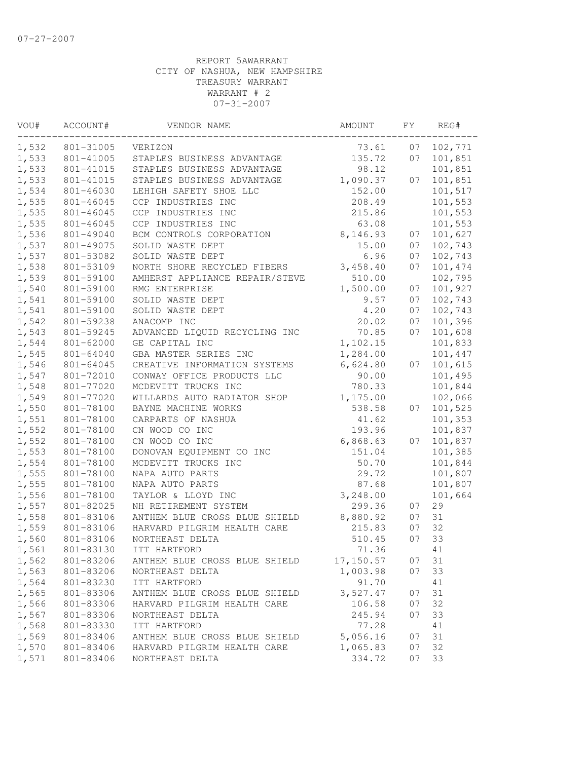| VOU#           | ACCOUNT#               | VENDOR NAME                          | AMOUNT          | FΥ | REG#               |
|----------------|------------------------|--------------------------------------|-----------------|----|--------------------|
| 1,532          | 801-31005              | VERIZON                              | 73.61           | 07 | 102,771            |
| 1,533          | 801-41005              | STAPLES BUSINESS ADVANTAGE           | 135.72          | 07 | 101,851            |
| 1,533          | 801-41015              | STAPLES BUSINESS ADVANTAGE           | 98.12           |    | 101,851            |
| 1,533          | 801-41015              | STAPLES BUSINESS ADVANTAGE           | 1,090.37        | 07 | 101,851            |
| 1,534          | 801-46030              | LEHIGH SAFETY SHOE LLC               | 152.00          |    | 101,517            |
| 1,535          | 801-46045              | CCP INDUSTRIES INC                   | 208.49          |    | 101,553            |
| 1,535          | 801-46045              | CCP INDUSTRIES INC                   | 215.86          |    | 101,553            |
| 1,535          | 801-46045              | CCP INDUSTRIES INC                   | 63.08           |    | 101,553            |
| 1,536          | 801-49040              | BCM CONTROLS CORPORATION             | 8,146.93        | 07 | 101,627            |
| 1,537          | 801-49075              | SOLID WASTE DEPT                     | 15.00           | 07 | 102,743            |
| 1,537          | 801-53082              | SOLID WASTE DEPT                     | 6.96            | 07 | 102,743            |
| 1,538          | 801-53109              | NORTH SHORE RECYCLED FIBERS          | 3,458.40        | 07 | 101,474            |
| 1,539          | 801-59100              | AMHERST APPLIANCE REPAIR/STEVE       | 510.00          |    | 102,795            |
| 1,540          | 801-59100              | RMG ENTERPRISE                       | 1,500.00        | 07 | 101,927            |
| 1,541          | 801-59100              | SOLID WASTE DEPT                     | 9.57            | 07 | 102,743            |
| 1,541          | 801-59100              | SOLID WASTE DEPT                     | 4.20            | 07 | 102,743            |
| 1,542          | 801-59238              | ANACOMP INC                          | 20.02           | 07 | 101,396            |
| 1,543          | 801-59245              | ADVANCED LIQUID RECYCLING INC        | 70.85           | 07 | 101,608            |
| 1,544          | 801-62000              | GE CAPITAL INC                       | 1,102.15        |    | 101,833            |
| 1,545          | 801-64040              | GBA MASTER SERIES INC                | 1,284.00        |    | 101,447            |
| 1,546          | 801-64045              | CREATIVE INFORMATION SYSTEMS         | 6,624.80        | 07 | 101,615            |
| 1,547          | 801-72010              | CONWAY OFFICE PRODUCTS LLC           | 90.00           |    | 101,495            |
| 1,548          | 801-77020              | MCDEVITT TRUCKS INC                  | 780.33          |    | 101,844            |
| 1,549          | 801-77020              | WILLARDS AUTO RADIATOR SHOP          | 1,175.00        |    | 102,066            |
| 1,550          | 801-78100              | BAYNE MACHINE WORKS                  | 538.58          | 07 | 101,525            |
| 1,551<br>1,552 | 801-78100<br>801-78100 | CARPARTS OF NASHUA<br>CN WOOD CO INC | 41.62<br>193.96 |    | 101,353<br>101,837 |
| 1,552          | 801-78100              | CN WOOD CO INC                       | 6,868.63        | 07 | 101,837            |
| 1,553          | 801-78100              | DONOVAN EQUIPMENT CO INC             | 151.04          |    | 101,385            |
| 1,554          | 801-78100              | MCDEVITT TRUCKS INC                  | 50.70           |    | 101,844            |
| 1,555          | 801-78100              | NAPA AUTO PARTS                      | 29.72           |    | 101,807            |
| 1,555          | 801-78100              | NAPA AUTO PARTS                      | 87.68           |    | 101,807            |
| 1,556          | 801-78100              | TAYLOR & LLOYD INC                   | 3,248.00        |    | 101,664            |
| 1,557          | 801-82025              | NH RETIREMENT SYSTEM                 | 299.36          | 07 | 29                 |
| 1,558          | 801-83106              | ANTHEM BLUE CROSS BLUE SHIELD        | 8,880.92        | 07 | 31                 |
| 1,559          | 801-83106              | HARVARD PILGRIM HEALTH CARE          | 215.83          | 07 | 32                 |
| 1,560          | 801-83106              | NORTHEAST DELTA                      | 510.45          | 07 | 33                 |
| 1,561          | 801-83130              | ITT HARTFORD                         | 71.36           |    | 41                 |
| 1,562          | 801-83206              | ANTHEM BLUE CROSS BLUE SHIELD        | 17,150.57       | 07 | 31                 |
| 1,563          | 801-83206              | NORTHEAST DELTA                      | 1,003.98        | 07 | 33                 |
| 1,564          | 801-83230              | ITT HARTFORD                         | 91.70           |    | 41                 |
| 1,565          | 801-83306              | ANTHEM BLUE CROSS BLUE SHIELD        | 3,527.47        | 07 | 31                 |
| 1,566          | 801-83306              | HARVARD PILGRIM HEALTH CARE          | 106.58          | 07 | 32                 |
| 1,567          | 801-83306              | NORTHEAST DELTA                      | 245.94          | 07 | 33                 |
| 1,568          | 801-83330              | ITT HARTFORD                         | 77.28           |    | 41                 |
| 1,569          | 801-83406              | ANTHEM BLUE CROSS BLUE SHIELD        | 5,056.16        | 07 | 31                 |
| 1,570          | 801-83406              | HARVARD PILGRIM HEALTH CARE          | 1,065.83        | 07 | 32                 |
| 1,571          | 801-83406              | NORTHEAST DELTA                      | 334.72          | 07 | 33                 |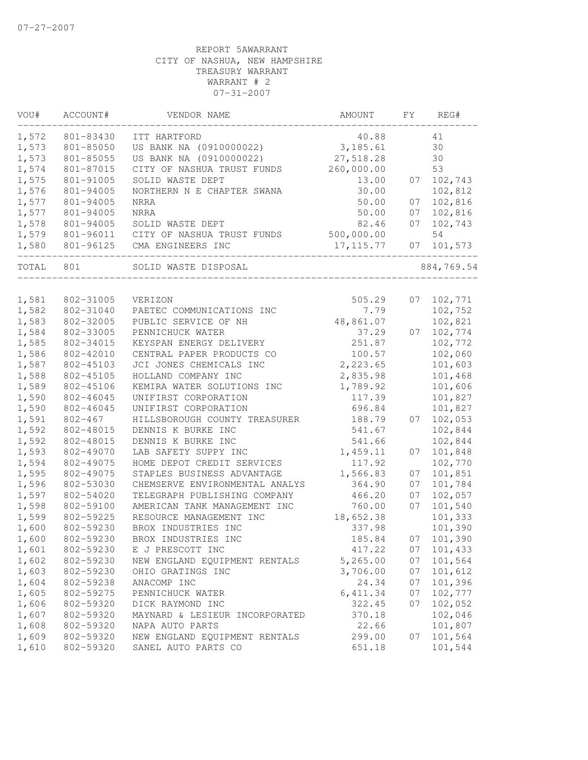| VOU#  | ACCOUNT#    | VENDOR NAME                    | AMOUNT     | FΥ | REG#       |
|-------|-------------|--------------------------------|------------|----|------------|
| 1,572 | 801-83430   | ITT HARTFORD                   | 40.88      |    | 41         |
| 1,573 | 801-85050   | US BANK NA (0910000022)        | 3,185.61   |    | 30         |
| 1,573 | 801-85055   | US BANK NA (0910000022)        | 27,518.28  |    | 30         |
| 1,574 | 801-87015   | CITY OF NASHUA TRUST FUNDS     | 260,000.00 |    | 53         |
| 1,575 | 801-91005   | SOLID WASTE DEPT               | 13.00      | 07 | 102,743    |
| 1,576 | 801-94005   | NORTHERN N E CHAPTER SWANA     | 30.00      |    | 102,812    |
| 1,577 | 801-94005   | NRRA                           | 50.00      | 07 | 102,816    |
| 1,577 | 801-94005   | <b>NRRA</b>                    | 50.00      | 07 | 102,816    |
| 1,578 | 801-94005   | SOLID WASTE DEPT               | 82.46      | 07 | 102,743    |
| 1,579 | 801-96011   | CITY OF NASHUA TRUST FUNDS     | 500,000.00 |    | 54         |
| 1,580 | 801-96125   | CMA ENGINEERS INC              | 17, 115.77 | 07 | 101,573    |
| TOTAL | 801         | SOLID WASTE DISPOSAL           |            |    | 884,769.54 |
|       |             |                                |            |    |            |
| 1,581 | 802-31005   | VERIZON                        | 505.29     | 07 | 102,771    |
| 1,582 | 802-31040   | PAETEC COMMUNICATIONS INC      | 7.79       |    | 102,752    |
| 1,583 | 802-32005   | PUBLIC SERVICE OF NH           | 48,861.07  |    | 102,821    |
| 1,584 | 802-33005   | PENNICHUCK WATER               | 37.29      | 07 | 102,774    |
| 1,585 | 802-34015   | KEYSPAN ENERGY DELIVERY        | 251.87     |    | 102,772    |
| 1,586 | 802-42010   | CENTRAL PAPER PRODUCTS CO      | 100.57     |    | 102,060    |
| 1,587 | 802-45103   | JCI JONES CHEMICALS INC        | 2,223.65   |    | 101,603    |
| 1,588 | 802-45105   | HOLLAND COMPANY INC            | 2,835.98   |    | 101,468    |
| 1,589 | 802-45106   | KEMIRA WATER SOLUTIONS INC     | 1,789.92   |    | 101,606    |
| 1,590 | 802-46045   | UNIFIRST CORPORATION           | 117.39     |    | 101,827    |
| 1,590 | 802-46045   | UNIFIRST CORPORATION           | 696.84     |    | 101,827    |
| 1,591 | $802 - 467$ | HILLSBOROUGH COUNTY TREASURER  | 188.79     | 07 | 102,053    |
| 1,592 | 802-48015   | DENNIS K BURKE INC             | 541.67     |    | 102,844    |
| 1,592 | 802-48015   | DENNIS K BURKE INC             | 541.66     |    | 102,844    |
| 1,593 | 802-49070   | LAB SAFETY SUPPY INC           | 1,459.11   | 07 | 101,848    |
| 1,594 | 802-49075   | HOME DEPOT CREDIT SERVICES     | 117.92     |    | 102,770    |
| 1,595 | 802-49075   | STAPLES BUSINESS ADVANTAGE     | 1,566.83   | 07 | 101,851    |
| 1,596 | 802-53030   | CHEMSERVE ENVIRONMENTAL ANALYS | 364.90     | 07 | 101,784    |
| 1,597 | 802-54020   | TELEGRAPH PUBLISHING COMPANY   | 466.20     | 07 | 102,057    |
| 1,598 | 802-59100   | AMERICAN TANK MANAGEMENT INC   | 760.00     | 07 | 101,540    |
| 1,599 | 802-59225   | RESOURCE MANAGEMENT INC        | 18,652.38  |    | 101,333    |
| 1,600 | 802-59230   | BROX INDUSTRIES INC            | 337.98     |    | 101,390    |
| 1,600 | 802-59230   | BROX INDUSTRIES INC            | 185.84     | 07 | 101,390    |
| 1,601 | 802-59230   | E J PRESCOTT INC               | 417.22     | 07 | 101,433    |
| 1,602 | 802-59230   | NEW ENGLAND EQUIPMENT RENTALS  | 5,265.00   | 07 | 101,564    |
| 1,603 | 802-59230   | OHIO GRATINGS INC              | 3,706.00   | 07 | 101,612    |
| 1,604 | 802-59238   | ANACOMP INC                    | 24.34      | 07 | 101,396    |
| 1,605 | 802-59275   | PENNICHUCK WATER               | 6, 411.34  | 07 | 102,777    |
| 1,606 | 802-59320   | DICK RAYMOND INC               | 322.45     | 07 | 102,052    |
| 1,607 | 802-59320   | MAYNARD & LESIEUR INCORPORATED | 370.18     |    | 102,046    |
| 1,608 | 802-59320   | NAPA AUTO PARTS                | 22.66      |    | 101,807    |
| 1,609 | 802-59320   | NEW ENGLAND EQUIPMENT RENTALS  | 299.00     | 07 | 101,564    |
| 1,610 | 802-59320   | SANEL AUTO PARTS CO            | 651.18     |    | 101,544    |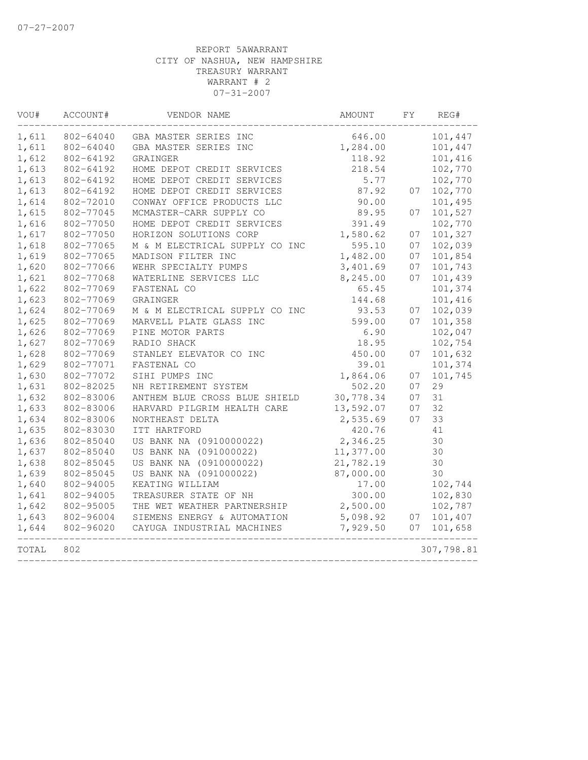| VOU#  | ACCOUNT#  | VENDOR NAME                    | AMOUNT    | FΥ | REG#       |
|-------|-----------|--------------------------------|-----------|----|------------|
| 1,611 | 802-64040 | GBA MASTER SERIES INC          | 646.00    |    | 101,447    |
| 1,611 | 802-64040 | GBA MASTER SERIES INC          | 1,284.00  |    | 101,447    |
| 1,612 | 802-64192 | GRAINGER                       | 118.92    |    | 101,416    |
| 1,613 | 802-64192 | HOME DEPOT CREDIT SERVICES     | 218.54    |    | 102,770    |
| 1,613 | 802-64192 | HOME DEPOT CREDIT SERVICES     | 5.77      |    | 102,770    |
| 1,613 | 802-64192 | HOME DEPOT CREDIT SERVICES     | 87.92     | 07 | 102,770    |
| 1,614 | 802-72010 | CONWAY OFFICE PRODUCTS LLC     | 90.00     |    | 101,495    |
| 1,615 | 802-77045 | MCMASTER-CARR SUPPLY CO        | 89.95     | 07 | 101,527    |
| 1,616 | 802-77050 | HOME DEPOT CREDIT SERVICES     | 391.49    |    | 102,770    |
| 1,617 | 802-77050 | HORIZON SOLUTIONS CORP         | 1,580.62  | 07 | 101,327    |
| 1,618 | 802-77065 | M & M ELECTRICAL SUPPLY CO INC | 595.10    | 07 | 102,039    |
| 1,619 | 802-77065 | MADISON FILTER INC             | 1,482.00  | 07 | 101,854    |
| 1,620 | 802-77066 | WEHR SPECIALTY PUMPS           | 3,401.69  | 07 | 101,743    |
| 1,621 | 802-77068 | WATERLINE SERVICES LLC         | 8,245.00  | 07 | 101,439    |
| 1,622 | 802-77069 | FASTENAL CO                    | 65.45     |    | 101,374    |
| 1,623 | 802-77069 | GRAINGER                       | 144.68    |    | 101,416    |
| 1,624 | 802-77069 | M & M ELECTRICAL SUPPLY CO INC | 93.53     | 07 | 102,039    |
| 1,625 | 802-77069 | MARVELL PLATE GLASS INC        | 599.00    | 07 | 101,358    |
| 1,626 | 802-77069 | PINE MOTOR PARTS               | 6.90      |    | 102,047    |
| 1,627 | 802-77069 | RADIO SHACK                    | 18.95     |    | 102,754    |
| 1,628 | 802-77069 | STANLEY ELEVATOR CO INC        | 450.00    | 07 | 101,632    |
| 1,629 | 802-77071 | FASTENAL CO                    | 39.01     |    | 101,374    |
| 1,630 | 802-77072 | SIHI PUMPS INC                 | 1,864.06  | 07 | 101,745    |
| 1,631 | 802-82025 | NH RETIREMENT SYSTEM           | 502.20    | 07 | 29         |
| 1,632 | 802-83006 | ANTHEM BLUE CROSS BLUE SHIELD  | 30,778.34 | 07 | 31         |
| 1,633 | 802-83006 | HARVARD PILGRIM HEALTH CARE    | 13,592.07 | 07 | 32         |
| 1,634 | 802-83006 | NORTHEAST DELTA                | 2,535.69  | 07 | 33         |
| 1,635 | 802-83030 | ITT HARTFORD                   | 420.76    |    | 41         |
| 1,636 | 802-85040 | US BANK NA (0910000022)        | 2,346.25  |    | 30         |
| 1,637 | 802-85040 | US BANK NA (091000022)         | 11,377.00 |    | 30         |
| 1,638 | 802-85045 | US BANK NA (0910000022)        | 21,782.19 |    | 30         |
| 1,639 | 802-85045 | US BANK NA (091000022)         | 87,000.00 |    | 30         |
| 1,640 | 802-94005 | KEATING WILLIAM                | 17.00     |    | 102,744    |
| 1,641 | 802-94005 | TREASURER STATE OF NH          | 300.00    |    | 102,830    |
| 1,642 | 802-95005 | THE WET WEATHER PARTNERSHIP    | 2,500.00  |    | 102,787    |
| 1,643 | 802-96004 | SIEMENS ENERGY & AUTOMATION    | 5,098.92  | 07 | 101,407    |
| 1,644 | 802-96020 | CAYUGA INDUSTRIAL MACHINES     | 7,929.50  | 07 | 101,658    |
| TOTAL | 802       |                                |           |    | 307,798.81 |
|       |           |                                |           |    |            |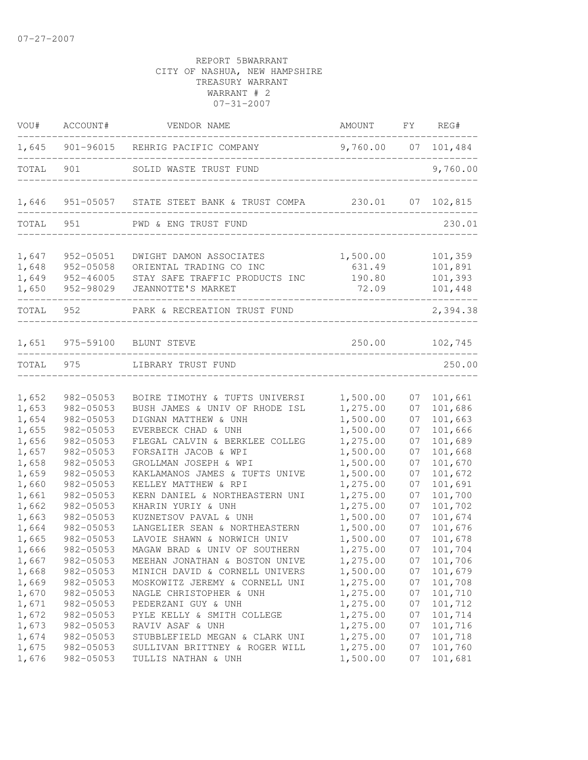| VOU#  | ACCOUNT#  | VENDOR NAME                                      | AMOUNT              | FY | REG#       |
|-------|-----------|--------------------------------------------------|---------------------|----|------------|
|       |           | 1,645 901-96015 REHRIG PACIFIC COMPANY           | 9,760.00 07 101,484 |    |            |
| TOTAL | 901       | SOLID WASTE TRUST FUND<br>______________________ |                     |    | 9,760.00   |
| 1,646 |           | 951-05057 STATE STEET BANK & TRUST COMPA 230.01  |                     |    | 07 102,815 |
| TOTAL | 951       | PWD & ENG TRUST FUND                             |                     |    | 230.01     |
| 1,647 | 952-05051 | DWIGHT DAMON ASSOCIATES                          | 1,500.00            |    | 101,359    |
| 1,648 | 952-05058 | ORIENTAL TRADING CO INC                          | 631.49              |    | 101,891    |
| 1,649 | 952-46005 | STAY SAFE TRAFFIC PRODUCTS INC                   | 190.80              |    | 101,393    |
| 1,650 | 952-98029 | JEANNOTTE'S MARKET                               | 72.09               |    | 101,448    |
| TOTAL | 952       | PARK & RECREATION TRUST FUND                     |                     |    | 2,394.38   |
| 1,651 |           | 975-59100 BLUNT STEVE                            | 250.00              |    | 102,745    |
| TOTAL | 975       | LIBRARY TRUST FUND                               |                     |    | 250.00     |
| 1,652 | 982-05053 | BOIRE TIMOTHY & TUFTS UNIVERSI                   | 1,500.00            | 07 | 101,661    |
| 1,653 | 982-05053 | BUSH JAMES & UNIV OF RHODE ISL                   | 1,275.00            | 07 | 101,686    |
| 1,654 | 982-05053 | DIGNAN MATTHEW & UNH                             | 1,500.00            | 07 | 101,663    |
| 1,655 | 982-05053 | EVERBECK CHAD & UNH                              | 1,500.00            | 07 | 101,666    |
| 1,656 | 982-05053 | FLEGAL CALVIN & BERKLEE COLLEG                   | 1,275.00            | 07 | 101,689    |
| 1,657 | 982-05053 | FORSAITH JACOB & WPI                             | 1,500.00            | 07 | 101,668    |
| 1,658 | 982-05053 | GROLLMAN JOSEPH & WPI                            | 1,500.00            | 07 | 101,670    |
| 1,659 | 982-05053 | KAKLAMANOS JAMES & TUFTS UNIVE                   | 1,500.00            | 07 | 101,672    |
| 1,660 | 982-05053 | KELLEY MATTHEW & RPI                             | 1,275.00            | 07 | 101,691    |
| 1,661 | 982-05053 | KERN DANIEL & NORTHEASTERN UNI                   | 1,275.00            | 07 | 101,700    |
| 1,662 | 982-05053 | KHARIN YURIY & UNH                               | 1,275.00            | 07 | 101,702    |
| 1,663 | 982-05053 | KUZNETSOV PAVAL & UNH                            | 1,500.00            | 07 | 101,674    |
| 1,664 | 982-05053 | LANGELIER SEAN & NORTHEASTERN                    | 1,500.00            | 07 | 101,676    |
| 1,665 | 982-05053 | LAVOIE SHAWN & NORWICH UNIV                      | 1,500.00            | 07 | 101,678    |
| 1,666 | 982-05053 | MAGAW BRAD & UNIV OF SOUTHERN                    | 1,275.00            | 07 | 101,704    |
| 1,667 | 982-05053 | MEEHAN JONATHAN & BOSTON UNIVE                   | 1,275.00            | 07 | 101,706    |
| 1,668 | 982-05053 | MINICH DAVID & CORNELL UNIVERS                   | 1,500.00            | 07 | 101,679    |
| 1,669 | 982-05053 | MOSKOWITZ JEREMY & CORNELL UNI                   | 1,275.00            | 07 | 101,708    |
| 1,670 | 982-05053 | NAGLE CHRISTOPHER & UNH                          | 1,275.00            | 07 | 101,710    |
| 1,671 | 982-05053 | PEDERZANI GUY & UNH                              | 1,275.00            | 07 | 101,712    |
| 1,672 | 982-05053 | PYLE KELLY & SMITH COLLEGE                       | 1,275.00            | 07 | 101,714    |
| 1,673 | 982-05053 | RAVIV ASAF & UNH                                 | 1,275.00            | 07 | 101,716    |
| 1,674 | 982-05053 | STUBBLEFIELD MEGAN & CLARK UNI                   | 1,275.00            | 07 | 101,718    |
| 1,675 | 982-05053 | SULLIVAN BRITTNEY & ROGER WILL                   | 1,275.00            | 07 | 101,760    |
| 1,676 | 982-05053 | TULLIS NATHAN & UNH                              | 1,500.00            | 07 | 101,681    |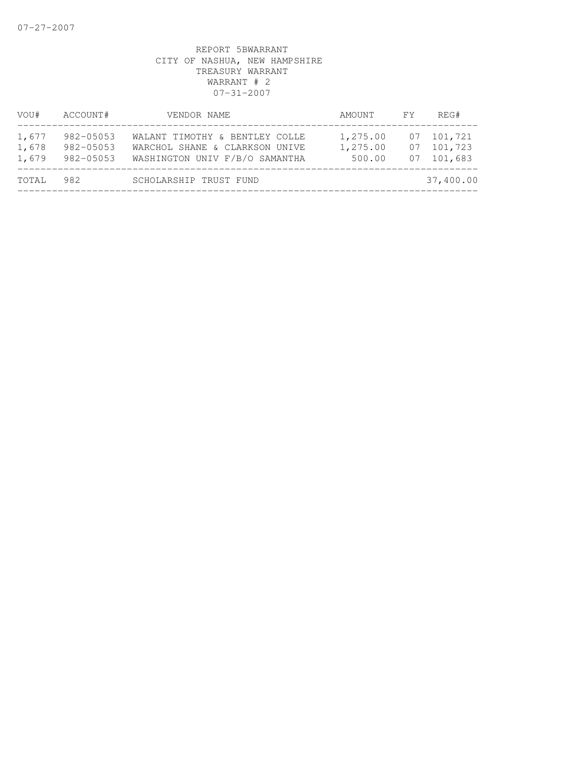| VOU#                    | ACCOUNT#                            | VENDOR NAME                                                                                        | AMOUNT                         | FY       | REG#                             |
|-------------------------|-------------------------------------|----------------------------------------------------------------------------------------------------|--------------------------------|----------|----------------------------------|
| 1,677<br>1,678<br>1,679 | 982-05053<br>982-05053<br>982-05053 | WALANT TIMOTHY & BENTLEY COLLE<br>WARCHOL SHANE & CLARKSON UNIVE<br>WASHINGTON UNIV F/B/O SAMANTHA | 1,275.00<br>1,275.00<br>500.00 | 07<br>07 | 101,721<br>101,723<br>07 101,683 |
| TOTAL                   | 982                                 | SCHOLARSHIP TRUST FUND                                                                             |                                |          | 37,400.00                        |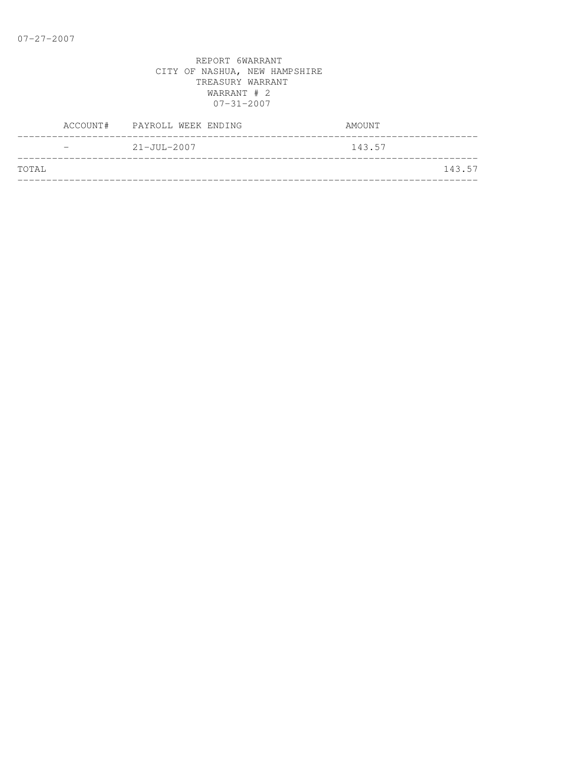|                   | ACCOUNT# PAYROLL WEEK ENDING | AMOUNT |
|-------------------|------------------------------|--------|
| $\qquad \qquad =$ | $21 - JUL - 2007$            | 143.57 |
| <b>TOTAL</b>      |                              | 143.57 |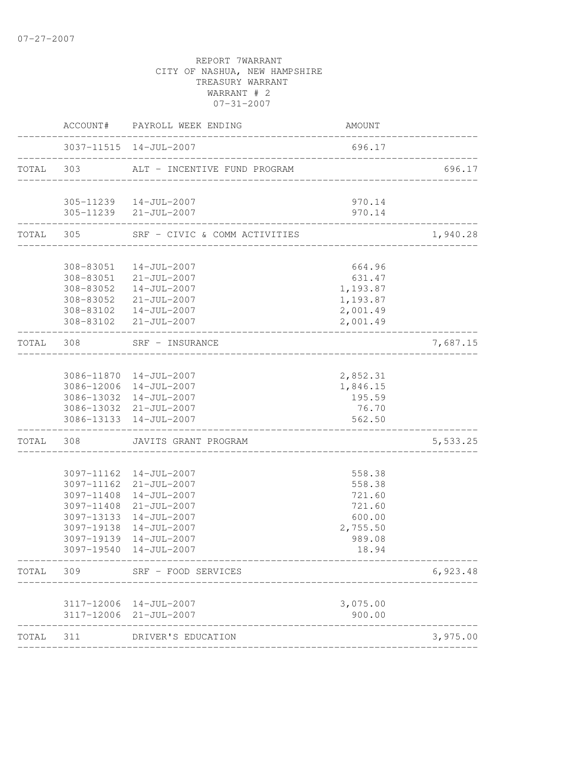|           |                         | ACCOUNT# PAYROLL WEEK ENDING                                         | AMOUNT                                 |          |
|-----------|-------------------------|----------------------------------------------------------------------|----------------------------------------|----------|
|           |                         | 3037-11515  14-JUL-2007                                              | 696.17                                 |          |
|           | TOTAL 303               | ALT - INCENTIVE FUND PROGRAM                                         |                                        | 696.17   |
|           |                         | 305-11239  14-JUL-2007                                               | 970.14                                 |          |
|           |                         | 305-11239 21-JUL-2007                                                | 970.14                                 |          |
|           | ----------------------- | TOTAL 305 SRF - CIVIC & COMM ACTIVITIES                              | ______________________________________ | 1,940.28 |
|           | 308-83051               | $14 - JUL - 2007$                                                    | 664.96                                 |          |
|           |                         | 308-83051 21-JUL-2007                                                | 631.47                                 |          |
|           |                         | 308-83052  14-JUL-2007                                               | 1,193.87                               |          |
|           |                         | 308-83052 21-JUL-2007                                                | 1,193.87                               |          |
|           |                         | 308-83102  14-JUL-2007                                               | 2,001.49                               |          |
|           |                         | 308-83102 21-JUL-2007                                                | 2,001.49                               |          |
|           | TOTAL 308               | ________________________<br>SRF - INSURANCE<br>_____________________ |                                        | 7,687.15 |
|           |                         |                                                                      |                                        |          |
|           |                         | 3086-11870  14-JUL-2007                                              | 2,852.31                               |          |
|           |                         | 3086-12006 14-JUL-2007                                               | 1,846.15                               |          |
|           |                         | 3086-13032 14-JUL-2007                                               | 195.59                                 |          |
|           |                         | 3086-13032 21-JUL-2007<br>3086-13133 14-JUL-2007                     | 76.70<br>562.50                        |          |
| TOTAL 308 |                         | JAVITS GRANT PROGRAM                                                 |                                        | 5,533.25 |
|           |                         |                                                                      |                                        |          |
|           |                         | 3097-11162  14-JUL-2007                                              | 558.38                                 |          |
|           |                         | 3097-11162 21-JUL-2007                                               | 558.38                                 |          |
|           |                         | 3097-11408 14-JUL-2007                                               | 721.60                                 |          |
|           |                         | 3097-11408 21-JUL-2007                                               | 721.60                                 |          |
|           |                         | 3097-13133 14-JUL-2007                                               | 600.00                                 |          |
|           |                         | 3097-19138 14-JUL-2007<br>3097-19139 14-JUL-2007                     | 2,755.50<br>989.08                     |          |
|           |                         | 3097-19540  14-JUL-2007                                              | 18.94                                  |          |
| TOTAL     | 309                     | SRF - FOOD SERVICES                                                  |                                        | 6,923.48 |
|           |                         |                                                                      |                                        |          |
|           |                         | 3117-12006 14-JUL-2007<br>3117-12006 21-JUL-2007                     | 3,075.00<br>900.00                     |          |
| TOTAL     | 311                     | DRIVER'S EDUCATION                                                   |                                        | 3,975.00 |
|           |                         |                                                                      |                                        |          |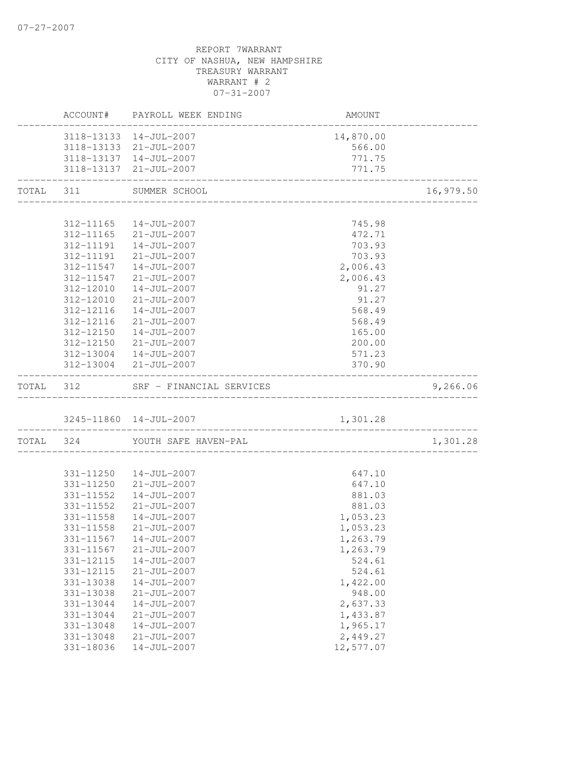|           |                        | ACCOUNT# PAYROLL WEEK ENDING<br>____________________ | AMOUNT                     |           |
|-----------|------------------------|------------------------------------------------------|----------------------------|-----------|
|           |                        | 3118-13133 14-JUL-2007                               | 14,870.00                  |           |
|           |                        | 3118-13133 21-JUL-2007                               | 566.00                     |           |
|           |                        | 3118-13137  14-JUL-2007                              | 771.75                     |           |
|           |                        | 3118-13137 21-JUL-2007                               | 771.75                     |           |
| TOTAL 311 |                        | SUMMER SCHOOL                                        |                            | 16,979.50 |
|           |                        | 312-11165  14-JUL-2007                               | 745.98                     |           |
|           |                        | 312-11165 21-JUL-2007                                |                            |           |
|           |                        | 312-11191  14-JUL-2007                               | 472.71<br>703.93           |           |
|           |                        | 312-11191 21-JUL-2007                                | 703.93                     |           |
|           | 312-11547              | 14-JUL-2007                                          | 2,006.43                   |           |
|           | 312-11547              | 21-JUL-2007                                          | 2,006.43                   |           |
|           | 312-12010              | 14-JUL-2007                                          | 91.27                      |           |
|           | 312-12010              | $21 - JUL - 2007$                                    | 91.27                      |           |
|           | 312-12116              | $14 - JUL - 2007$                                    | 568.49                     |           |
|           | 312-12116              | $21 - JUL - 2007$                                    | 568.49                     |           |
|           | 312-12150              | 14-JUL-2007                                          | 165.00                     |           |
|           |                        | 312-12150 21-JUL-2007                                | 200.00                     |           |
|           |                        | 312-13004  14-JUL-2007                               | 571.23                     |           |
|           |                        | 312-13004 21-JUL-2007                                | 370.90                     |           |
|           |                        | TOTAL 312 SRF - FINANCIAL SERVICES                   |                            | 9,266.06  |
|           |                        | 3245-11860  14-JUL-2007                              | 1,301.28                   |           |
|           |                        | TOTAL 324 YOUTH SAFE HAVEN-PAL                       | __________________________ | 1,301.28  |
|           |                        |                                                      |                            |           |
|           |                        | 331-11250  14-JUL-2007                               | 647.10                     |           |
|           |                        | 331-11250 21-JUL-2007                                | 647.10                     |           |
|           | 331-11552              | 14-JUL-2007                                          | 881.03                     |           |
|           | $331 - 11552$          | $21 - JUL - 2007$                                    | 881.03                     |           |
|           | 331-11558              | 14-JUL-2007                                          | 1,053.23                   |           |
|           | 331-11558              | 21-JUL-2007                                          | 1,053.23                   |           |
|           |                        | 331-11567  14-JUL-2007                               | 1,263.79                   |           |
|           | 331-11567              | $21 - JUL - 2007$                                    | 1,263.79                   |           |
|           | 331-12115              | $14 - JUL - 2007$                                    | 524.61                     |           |
|           | 331-12115              | $21 - JUL - 2007$                                    | 524.61                     |           |
|           | 331-13038<br>331-13038 | $14 - JUL - 2007$<br>$21 - JUL - 2007$               | 1,422.00<br>948.00         |           |
|           |                        | $14 - JUL - 2007$                                    |                            |           |
|           | 331-13044<br>331-13044 | $21 - JUL - 2007$                                    | 2,637.33<br>1,433.87       |           |
|           | 331-13048              | $14 - JUL - 2007$                                    | 1,965.17                   |           |
|           | 331-13048              | $21 - JUL - 2007$                                    | 2,449.27                   |           |
|           | 331-18036              | $14 - JUL - 2007$                                    | 12,577.07                  |           |
|           |                        |                                                      |                            |           |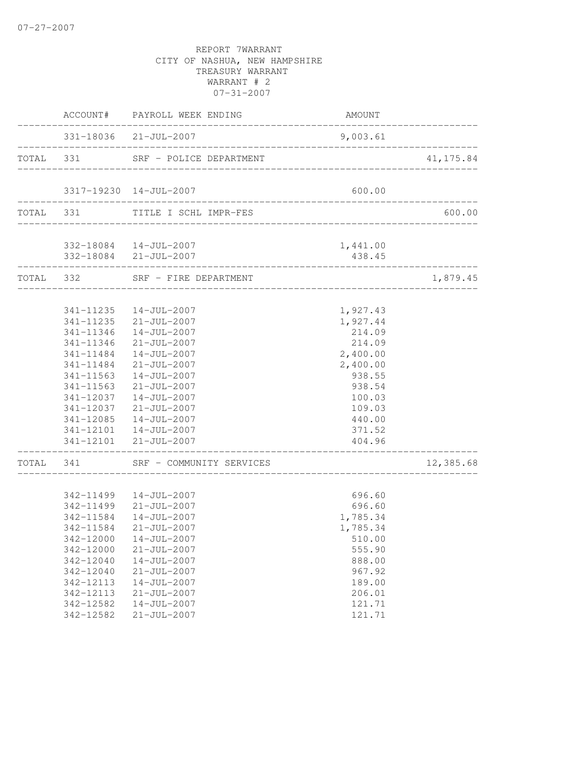|                                   | ACCOUNT# PAYROLL WEEK ENDING                    | AMOUNT           | ________________ |
|-----------------------------------|-------------------------------------------------|------------------|------------------|
|                                   | 331-18036 21-JUL-2007                           | 9,003.61         |                  |
|                                   | TOTAL 331 SRF - POLICE DEPARTMENT               |                  | 41,175.84        |
|                                   | 3317-19230 14-JUL-2007                          | 600.00           |                  |
|                                   | TOTAL 331 TITLE I SCHL IMPR-FES                 |                  | 600.00           |
|                                   | 332-18084  14-JUL-2007                          | 1,441.00         |                  |
| . _ _ _ _ _ _ _ _ _ _ _ _ _ _ _ _ | 332-18084 21-JUL-2007                           | 438.45           |                  |
|                                   | TOTAL 332 SRF - FIRE DEPARTMENT                 |                  | 1,879.45         |
|                                   | 341-11235  14-JUL-2007                          | 1,927.43         |                  |
|                                   | 341-11235 21-JUL-2007                           | 1,927.44         |                  |
|                                   | 341-11346  14-JUL-2007                          | 214.09           |                  |
| 341-11346                         | 21-JUL-2007                                     | 214.09           |                  |
| 341-11484                         | 14-JUL-2007                                     | 2,400.00         |                  |
| 341-11484                         | $21 - JUL - 2007$                               | 2,400.00         |                  |
|                                   | 341-11563  14-JUL-2007                          | 938.55           |                  |
|                                   | 341-11563 21-JUL-2007                           | 938.54           |                  |
|                                   | 341-12037  14-JUL-2007                          | 100.03           |                  |
|                                   | 341-12037 21-JUL-2007                           | 109.03           |                  |
|                                   | 341-12085  14-JUL-2007                          | 440.00           |                  |
|                                   | 341-12101  14-JUL-2007<br>341-12101 21-JUL-2007 | 371.52<br>404.96 |                  |
| ________________                  | TOTAL 341 SRF - COMMUNITY SERVICES              |                  | 12,385.68        |
|                                   |                                                 |                  |                  |
|                                   | 342-11499  14-JUL-2007                          | 696.60           |                  |
|                                   | 342-11499 21-JUL-2007                           | 696.60           |                  |
|                                   | 342-11584  14-JUL-2007                          | 1,785.34         |                  |
| 342-11584                         | $21 - JUL - 2007$                               | 1,785.34         |                  |
|                                   | 342-12000  14-JUL-2007                          | 510.00           |                  |
| 342-12000                         | $21 - JUL - 2007$                               | 555.90           |                  |
| 342-12040                         | $14 - JUL - 2007$                               | 888.00           |                  |
| 342-12040                         | $21 - JUL - 2007$                               | 967.92           |                  |
| 342-12113                         | $14 - JUL - 2007$                               | 189.00           |                  |
| 342-12113                         | $21 - JUL - 2007$                               | 206.01           |                  |
| 342-12582                         | $14 - JUL - 2007$                               | 121.71           |                  |
| 342-12582                         | $21 - JUL - 2007$                               | 121.71           |                  |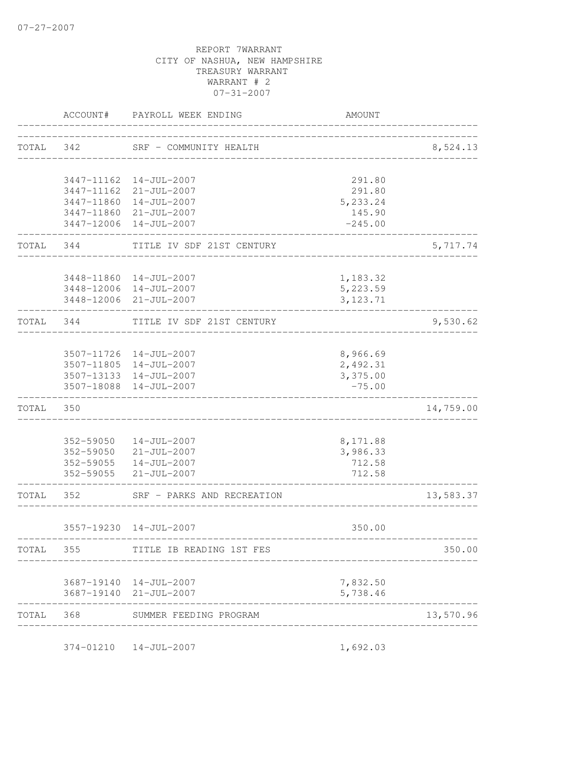|       | ACCOUNT#  | PAYROLL WEEK ENDING                               | AMOUNT                                 |           |
|-------|-----------|---------------------------------------------------|----------------------------------------|-----------|
| TOTAL | 342       | SRF - COMMUNITY HEALTH                            |                                        | 8,524.13  |
|       |           |                                                   |                                        |           |
|       |           | 3447-11162  14-JUL-2007                           | 291.80                                 |           |
|       |           | 3447-11162 21-JUL-2007<br>3447-11860  14-JUL-2007 | 291.80<br>5,233.24                     |           |
|       |           | 3447-11860 21-JUL-2007                            | 145.90                                 |           |
|       |           | 3447-12006 14-JUL-2007                            | $-245.00$                              |           |
| TOTAL | 344       | TITLE IV SDF 21ST CENTURY                         |                                        | 5,717.74  |
|       |           | 3448-11860  14-JUL-2007                           | 1,183.32                               |           |
|       |           | 3448-12006 14-JUL-2007                            | 5,223.59                               |           |
|       |           | 3448-12006 21-JUL-2007                            | 3, 123.71                              |           |
| TOTAL | 344       | TITLE IV SDF 21ST CENTURY                         |                                        | 9,530.62  |
|       |           | 3507-11726 14-JUL-2007                            | 8,966.69                               |           |
|       |           | 3507-11805 14-JUL-2007                            | 2,492.31                               |           |
|       |           | 3507-13133 14-JUL-2007                            | 3,375.00                               |           |
|       |           | 3507-18088  14-JUL-2007                           | $-75.00$                               |           |
| TOTAL | 350       |                                                   |                                        | 14,759.00 |
|       |           |                                                   |                                        |           |
|       | 352-59050 | 14-JUL-2007                                       | 8,171.88                               |           |
|       |           | 352-59050 21-JUL-2007                             | 3,986.33                               |           |
|       |           | 352-59055  14-JUL-2007<br>352-59055 21-JUL-2007   | 712.58<br>712.58                       |           |
| TOTAL | 352       | SRF - PARKS AND RECREATION                        |                                        | 13,583.37 |
|       |           | 3557-19230 14-JUL-2007                            | 350.00                                 |           |
| TOTAL | 355       | TITLE IB READING 1ST FES                          |                                        | 350.00    |
|       |           |                                                   |                                        |           |
|       |           | 3687-19140  14-JUL-2007                           | 7,832.50                               |           |
|       |           | 3687-19140 21-JUL-2007                            | 5,738.46                               |           |
| TOTAL | 368       | SUMMER FEEDING PROGRAM                            | ______________________________________ | 13,570.96 |
|       |           | 374-01210  14-JUL-2007                            | 1,692.03                               |           |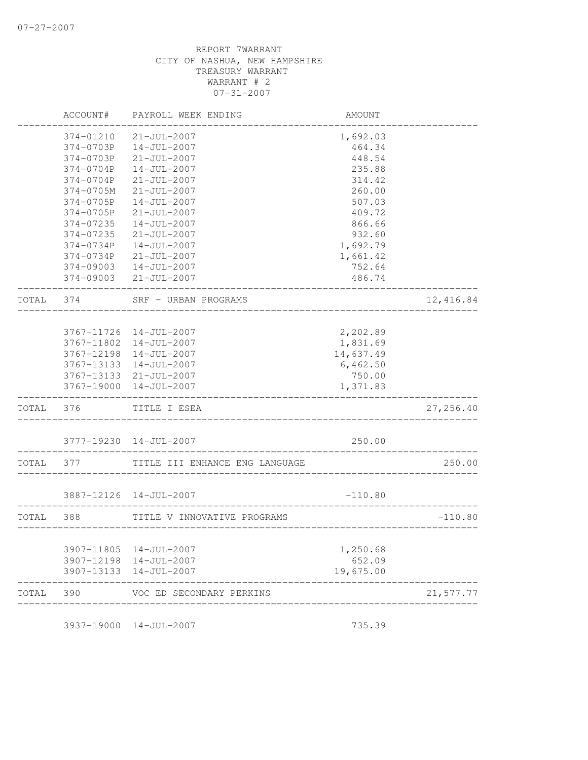|       | ACCOUNT#   | PAYROLL WEEK ENDING            | AMOUNT    |           |
|-------|------------|--------------------------------|-----------|-----------|
|       | 374-01210  | $21 - JUL - 2007$              | 1,692.03  |           |
|       | 374-0703P  | $14 - JUL - 2007$              | 464.34    |           |
|       | 374-0703P  | $21 - JUL - 2007$              | 448.54    |           |
|       | 374-0704P  | $14 - JUL - 2007$              | 235.88    |           |
|       | 374-0704P  | $21 - JUL - 2007$              | 314.42    |           |
|       | 374-0705M  | $21 - JUL - 2007$              | 260.00    |           |
|       | 374-0705P  | $14 - JUL - 2007$              | 507.03    |           |
|       | 374-0705P  | $21 - JUL - 2007$              | 409.72    |           |
|       | 374-07235  | $14 - JUL - 2007$              | 866.66    |           |
|       | 374-07235  | $21 - JUL - 2007$              | 932.60    |           |
|       | 374-0734P  | $14 - JUL - 2007$              | 1,692.79  |           |
|       | 374-0734P  | $21 - JUL - 2007$              | 1,661.42  |           |
|       | 374-09003  | $14 - JUL - 2007$              | 752.64    |           |
|       | 374-09003  | $21 - JUL - 2007$              | 486.74    |           |
| TOTAL | 374        | SRF - URBAN PROGRAMS           |           | 12,416.84 |
|       |            |                                |           |           |
|       | 3767-11726 | 14-JUL-2007                    | 2,202.89  |           |
|       | 3767-11802 | $14 - JUL - 2007$              | 1,831.69  |           |
|       | 3767-12198 | $14 - JUL - 2007$              | 14,637.49 |           |
|       | 3767-13133 | 14-JUL-2007                    | 6,462.50  |           |
|       |            | 3767-13133 21-JUL-2007         | 750.00    |           |
|       | 3767-19000 | $14 - JUL - 2007$              | 1,371.83  |           |
| TOTAL | 376        | TITLE I ESEA                   |           | 27,256.40 |
|       |            | 3777-19230 14-JUL-2007         | 250.00    |           |
| TOTAL | 377        | TITLE III ENHANCE ENG LANGUAGE |           | 250.00    |
|       |            |                                |           |           |
|       |            | 3887-12126 14-JUL-2007         | $-110.80$ |           |
| TOTAL | 388        | TITLE V INNOVATIVE PROGRAMS    |           | $-110.80$ |
|       |            | 3907-11805 14-JUL-2007         | 1,250.68  |           |
|       |            | 3907-12198 14-JUL-2007         | 652.09    |           |
|       | 3907-13133 | 14-JUL-2007                    | 19,675.00 |           |
| TOTAL | 390        | VOC ED SECONDARY PERKINS       |           | 21,577.77 |

3937-19000 14-JUL-2007 735.39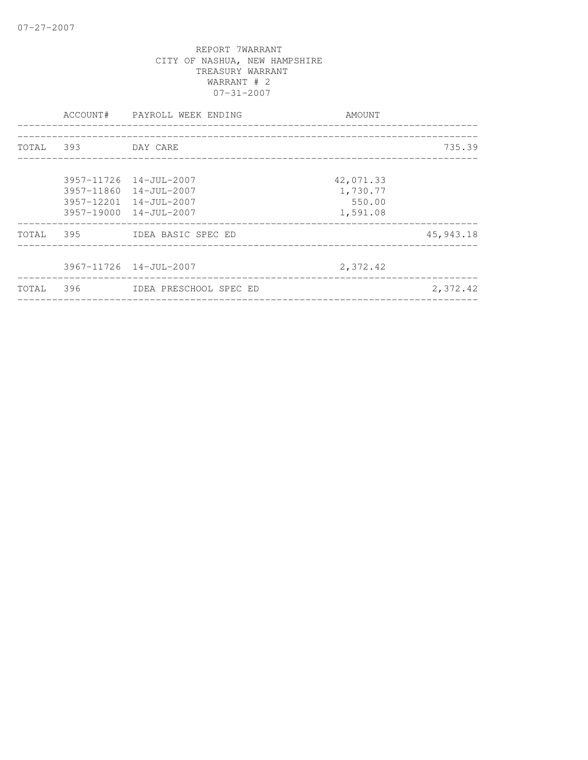|           |                    | ACCOUNT# PAYROLL WEEK ENDING                                                                                   | AMOUNT                                      |             |
|-----------|--------------------|----------------------------------------------------------------------------------------------------------------|---------------------------------------------|-------------|
|           | TOTAL 393 DAY CARE |                                                                                                                |                                             | 735.39      |
|           |                    | 3957-11726 14-JUL-2007<br>$3957 - 11860$ $14 - JUL - 2007$<br>3957-12201 14-JUL-2007<br>3957-19000 14-JUL-2007 | 42,071.33<br>1,730.77<br>550.00<br>1,591.08 |             |
|           |                    | TOTAL 395 IDEA BASIC SPEC ED                                                                                   |                                             | 45, 943. 18 |
|           |                    | $3967 - 11726$ $14 - JU$ L-2007                                                                                | 2,372.42                                    |             |
| TOTAL 396 |                    | IDEA PRESCHOOL SPEC ED                                                                                         |                                             | 2,372.42    |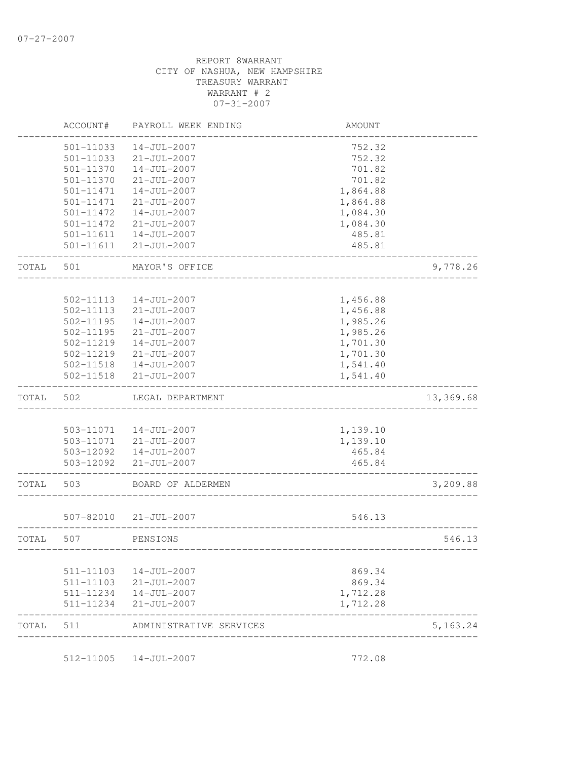| TOTAL | 511                    | ADMINISTRATIVE SERVICES          |                      | 5,163.24  |
|-------|------------------------|----------------------------------|----------------------|-----------|
|       | 511-11234              | $21 - JUL - 2007$                | 1,712.28             |           |
|       | 511-11234              | $14 - JUL - 2007$                | 1,712.28             |           |
|       | 511-11103              | $21 - JUL - 2007$                | 869.34               |           |
|       | 511-11103              | 14-JUL-2007                      | 869.34               |           |
| TOTAL | 507                    | PENSIONS                         |                      | 546.13    |
|       | 507-82010              | 21-JUL-2007                      | 546.13               |           |
| TOTAL | 503                    | BOARD OF ALDERMEN                |                      | 3,209.88  |
|       | 503-12092              | $21 - JUL - 2007$                | 465.84               |           |
|       |                        | 503-12092  14-JUL-2007           | 465.84               |           |
|       |                        | 503-11071 21-JUL-2007            | 1,139.10             |           |
|       | 503-11071              | 14-JUL-2007                      | 1,139.10             |           |
| TOTAL | 502                    | LEGAL DEPARTMENT                 |                      | 13,369.68 |
|       | 502-11518              | $21 - JUL - 2007$                | 1,541.40             |           |
|       | 502-11518              | $14 - JUL - 2007$                | 1,541.40             |           |
|       | 502-11219              | $21 - JUL - 2007$                | 1,701.30             |           |
|       | 502-11219              | $14 - JUL - 2007$                | 1,701.30             |           |
|       | $502 - 11195$          | $21 - JUL - 2007$                | 1,985.26             |           |
|       | $502 - 11195$          | 14-JUL-2007                      | 1,985.26             |           |
|       | 502-11113<br>502-11113 | 14-JUL-2007<br>$21 - JUL - 2007$ | 1,456.88<br>1,456.88 |           |
| TOTAL | 501                    | MAYOR'S OFFICE                   |                      | 9,778.26  |
|       | 501-11611              | $21 - JUL - 2007$                | 485.81               |           |
|       | 501-11611              | $14 - JUL - 2007$                | 485.81               |           |
|       | 501-11472              | $21 - JUL - 2007$                | 1,084.30             |           |
|       | 501-11472              | $14 - JUL - 2007$                | 1,084.30             |           |
|       | 501-11471              | $21 - JUL - 2007$                | 1,864.88             |           |
|       | 501-11471              | $14 - JUL - 2007$                | 1,864.88             |           |
|       | 501-11370              | $21 - JUL - 2007$                | 701.82               |           |
|       | 501-11370              | $14 - JUL - 2007$                | 701.82               |           |
|       | 501-11033              | $21 - JUL - 2007$                | 752.32               |           |
|       | 501-11033              | $14 - JUL - 2007$                | 752.32               |           |
|       | ACCOUNT#               | PAYROLL WEEK ENDING              | AMOUNT               |           |

512-11005 14-JUL-2007 772.08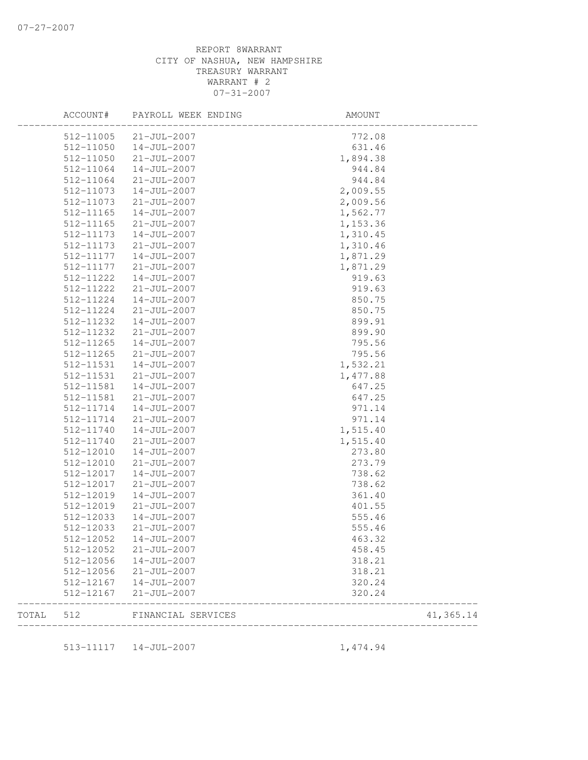|       | ACCOUNT#  | PAYROLL WEEK ENDING | AMOUNT   |           |
|-------|-----------|---------------------|----------|-----------|
|       | 512-11005 | $21 - JUL - 2007$   | 772.08   |           |
|       | 512-11050 | $14 - JUL - 2007$   | 631.46   |           |
|       | 512-11050 | $21 - JUL - 2007$   | 1,894.38 |           |
|       | 512-11064 | 14-JUL-2007         | 944.84   |           |
|       | 512-11064 | $21 - JUL - 2007$   | 944.84   |           |
|       | 512-11073 | $14 - JUL - 2007$   | 2,009.55 |           |
|       | 512-11073 | $21 - JUL - 2007$   | 2,009.56 |           |
|       | 512-11165 | $14 - JUL - 2007$   | 1,562.77 |           |
|       | 512-11165 | $21 - JUL - 2007$   | 1,153.36 |           |
|       | 512-11173 | $14 - JUL - 2007$   | 1,310.45 |           |
|       | 512-11173 | $21 - JUL - 2007$   | 1,310.46 |           |
|       | 512-11177 | $14 - JUL - 2007$   | 1,871.29 |           |
|       | 512-11177 | $21 - JUL - 2007$   | 1,871.29 |           |
|       | 512-11222 | 14-JUL-2007         | 919.63   |           |
|       | 512-11222 | $21 - JUL - 2007$   | 919.63   |           |
|       | 512-11224 | 14-JUL-2007         | 850.75   |           |
|       | 512-11224 | $21 - JUL - 2007$   | 850.75   |           |
|       | 512-11232 | 14-JUL-2007         | 899.91   |           |
|       | 512-11232 | $21 - JUL - 2007$   | 899.90   |           |
|       | 512-11265 | $14 - JUL - 2007$   | 795.56   |           |
|       | 512-11265 | $21 - JUL - 2007$   | 795.56   |           |
|       | 512-11531 | 14-JUL-2007         | 1,532.21 |           |
|       | 512-11531 | $21 - JUL - 2007$   | 1,477.88 |           |
|       | 512-11581 | $14 - JUL - 2007$   | 647.25   |           |
|       | 512-11581 | $21 - JUL - 2007$   | 647.25   |           |
|       | 512-11714 | $14 - JUL - 2007$   | 971.14   |           |
|       | 512-11714 | $21 - JUL - 2007$   | 971.14   |           |
|       | 512-11740 | $14 - JUL - 2007$   | 1,515.40 |           |
|       | 512-11740 | $21 - JUL - 2007$   | 1,515.40 |           |
|       | 512-12010 | $14 - JUL - 2007$   | 273.80   |           |
|       | 512-12010 | $21 - JUL - 2007$   | 273.79   |           |
|       | 512-12017 | $14 - JUL - 2007$   | 738.62   |           |
|       | 512-12017 | $21 - JUL - 2007$   | 738.62   |           |
|       |           | $14 - JUL - 2007$   |          |           |
|       | 512-12019 |                     | 361.40   |           |
|       | 512-12019 | $21 - JUL - 2007$   | 401.55   |           |
|       | 512-12033 | $14 - JUL - 2007$   | 555.46   |           |
|       | 512-12033 | $21 - JUL - 2007$   | 555.46   |           |
|       | 512-12052 | 14-JUL-2007         | 463.32   |           |
|       | 512-12052 | $21 - JUL - 2007$   | 458.45   |           |
|       | 512-12056 | $14 - JUL - 2007$   | 318.21   |           |
|       | 512-12056 | $21 - JUL - 2007$   | 318.21   |           |
|       | 512-12167 | $14 - JUL - 2007$   | 320.24   |           |
|       | 512-12167 | $21 - JUL - 2007$   | 320.24   |           |
| TOTAL | 512       | FINANCIAL SERVICES  |          | 41,365.14 |
|       |           |                     |          |           |
|       | 513-11117 | 14-JUL-2007         | 1,474.94 |           |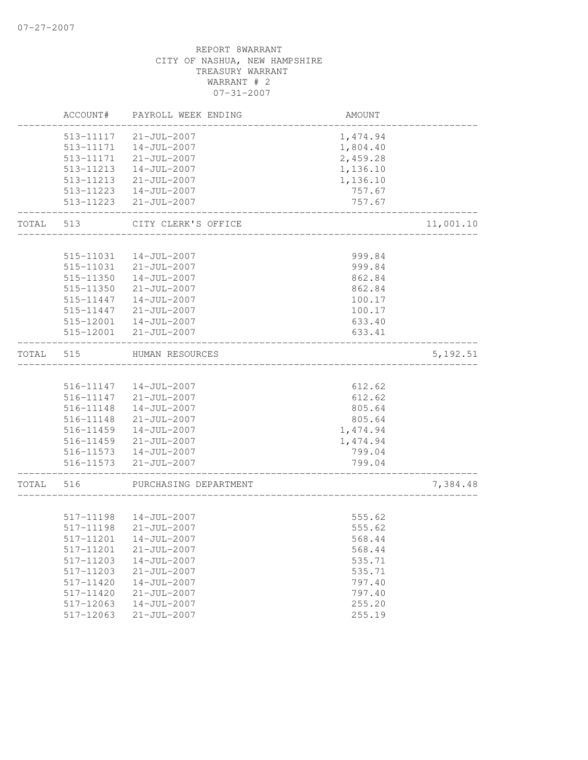|       | ACCOUNT#               | PAYROLL WEEK ENDING                    | AMOUNT                               |           |
|-------|------------------------|----------------------------------------|--------------------------------------|-----------|
|       | 513-11117              | $21 - JUL - 2007$                      | 1,474.94                             |           |
|       |                        | 513-11171  14-JUL-2007                 | 1,804.40                             |           |
|       | 513-11171              | $21 - JUL - 2007$                      | 2,459.28                             |           |
|       | 513-11213              | 14-JUL-2007                            | 1,136.10                             |           |
|       | 513-11213              | 21-JUL-2007                            | 1,136.10                             |           |
|       |                        | 513-11223  14-JUL-2007                 | 757.67                               |           |
|       | 513-11223              | $21 - JUL - 2007$                      | 757.67<br>__________________________ |           |
| TOTAL | 513                    | CITY CLERK'S OFFICE                    | ______________________               | 11,001.10 |
|       |                        |                                        |                                      |           |
|       | 515-11031              | 14-JUL-2007                            | 999.84                               |           |
|       | 515-11031              | $21 - JUL - 2007$                      | 999.84                               |           |
|       | 515-11350              | 14-JUL-2007                            | 862.84                               |           |
|       | 515-11350              | $21 - JUL - 2007$                      | 862.84                               |           |
|       | 515-11447              | 14-JUL-2007                            | 100.17                               |           |
|       | 515-11447              | $21 - JUL - 2007$                      | 100.17                               |           |
|       | 515-12001              | $14 - JUL - 2007$                      | 633.40                               |           |
|       | 515-12001              | 21-JUL-2007                            | 633.41                               |           |
| TOTAL | 515                    | HUMAN RESOURCES                        |                                      | 5, 192.51 |
|       |                        |                                        |                                      |           |
|       |                        | 516-11147  14-JUL-2007                 | 612.62                               |           |
|       |                        | 516-11147 21-JUL-2007                  | 612.62                               |           |
|       | 516-11148              | $14 - JUL - 2007$                      | 805.64                               |           |
|       | 516-11148              | 21-JUL-2007                            | 805.64                               |           |
|       | 516-11459              | 14-JUL-2007                            | 1,474.94                             |           |
|       |                        | 516-11459 21-JUL-2007                  | 1,474.94                             |           |
|       |                        | 516-11573  14-JUL-2007                 | 799.04                               |           |
|       |                        | 516-11573 21-JUL-2007                  | 799.04<br>__________________         |           |
| TOTAL | 516                    | PURCHASING DEPARTMENT                  |                                      | 7,384.48  |
|       |                        |                                        |                                      |           |
|       | 517-11198              | 517-11198  14-JUL-2007                 | 555.62                               |           |
|       |                        | $21 - JUL - 2007$                      | 555.62                               |           |
|       | 517-11201              | 14-JUL-2007                            | 568.44                               |           |
|       | 517-11201<br>517-11203 | $21 - JUL - 2007$                      | 568.44                               |           |
|       |                        | $14 - JUL - 2007$                      | 535.71                               |           |
|       | 517-11203<br>517-11420 | $21 - JUL - 2007$<br>$14 - JUL - 2007$ | 535.71<br>797.40                     |           |
|       | 517-11420              | $21 - JUL - 2007$                      | 797.40                               |           |
|       | 517-12063              | $14 - JUL - 2007$                      | 255.20                               |           |
|       | 517-12063              | $21 - JUL - 2007$                      | 255.19                               |           |
|       |                        |                                        |                                      |           |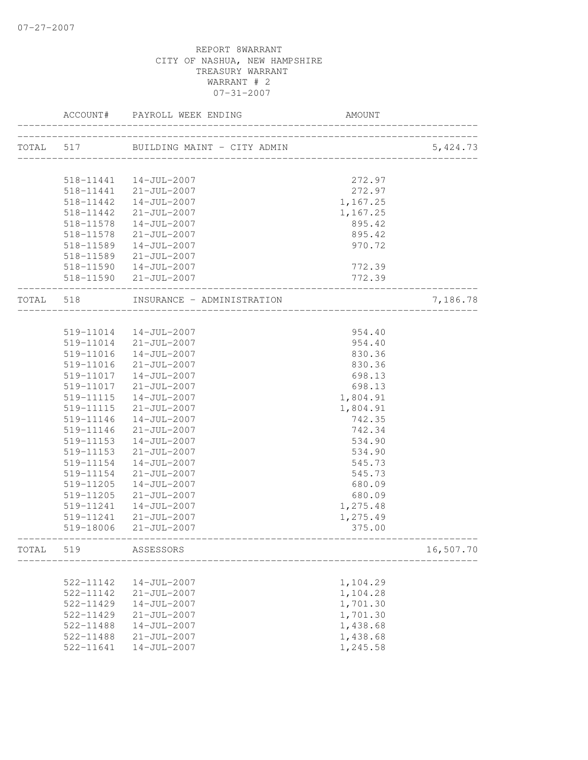|           |               | ACCOUNT# PAYROLL WEEK ENDING         | <b>AMOUNT</b>   |           |
|-----------|---------------|--------------------------------------|-----------------|-----------|
| TOTAL 517 |               | _____________________                |                 | 5,424.73  |
|           |               |                                      |                 |           |
|           |               | 518-11441  14-JUL-2007               | 272.97          |           |
|           |               | 518-11441 21-JUL-2007                | 272.97          |           |
|           | 518-11442     | 14-JUL-2007                          | 1,167.25        |           |
|           | 518-11442     | $21 - JUL - 2007$                    | 1,167.25        |           |
|           | 518-11578     | 14-JUL-2007                          | 895.42          |           |
|           | 518-11578     | $21 - JUL - 2007$                    | 895.42          |           |
|           | 518-11589     | 14-JUL-2007                          | 970.72          |           |
|           |               | 518-11589 21-JUL-2007                |                 |           |
|           |               | 518-11590  14-JUL-2007               | 772.39          |           |
|           |               | 518-11590 21-JUL-2007                | 772.39          |           |
|           |               | TOTAL 518 INSURANCE - ADMINISTRATION | _______________ | 7,186.78  |
|           |               |                                      |                 |           |
|           |               | 519-11014  14-JUL-2007               | 954.40          |           |
|           |               | 519-11014 21-JUL-2007                | 954.40          |           |
|           |               | 519-11016  14-JUL-2007               | 830.36          |           |
|           | 519-11016     | $21 - JUL - 2007$                    | 830.36          |           |
|           |               | 519-11017  14-JUL-2007               | 698.13          |           |
|           | 519-11017     | 21-JUL-2007                          | 698.13          |           |
|           | 519-11115     | 14-JUL-2007                          | 1,804.91        |           |
|           | 519-11115     | $21 - JUL - 2007$                    | 1,804.91        |           |
|           | 519-11146     | $14 - JUL - 2007$                    | 742.35          |           |
|           | 519-11146     | $21 - JUL - 2007$                    | 742.34          |           |
|           | 519-11153     | 14-JUL-2007                          | 534.90          |           |
|           | 519-11153     | $21 - JUL - 2007$                    | 534.90          |           |
|           | 519-11154     | 14-JUL-2007                          | 545.73          |           |
|           | 519-11154     | $21 - JUL - 2007$                    | 545.73          |           |
|           | 519-11205     | 14-JUL-2007                          | 680.09          |           |
|           | 519-11205     | $21 - JUL - 2007$                    | 680.09          |           |
|           | 519-11241     | 14-JUL-2007                          | 1,275.48        |           |
|           | 519-11241     | $21 - JUL - 2007$                    | 1,275.49        |           |
|           | 519-18006     | 21-JUL-2007                          | 375.00          |           |
| TOTAL     | 519           | ASSESSORS                            |                 | 16,507.70 |
|           |               |                                      |                 |           |
|           | 522-11142     | $14 - JUL - 2007$                    | 1,104.29        |           |
|           | 522-11142     | $21 - JUL - 2007$                    | 1,104.28        |           |
|           | 522-11429     | $14 - JUL - 2007$                    | 1,701.30        |           |
|           | 522-11429     | $21 - JUL - 2007$                    | 1,701.30        |           |
|           | $522 - 11488$ | $14 - JUL - 2007$                    | 1,438.68        |           |
|           | 522-11488     | $21 - JUL - 2007$                    | 1,438.68        |           |
|           | 522-11641     | $14 - JUL - 2007$                    | 1,245.58        |           |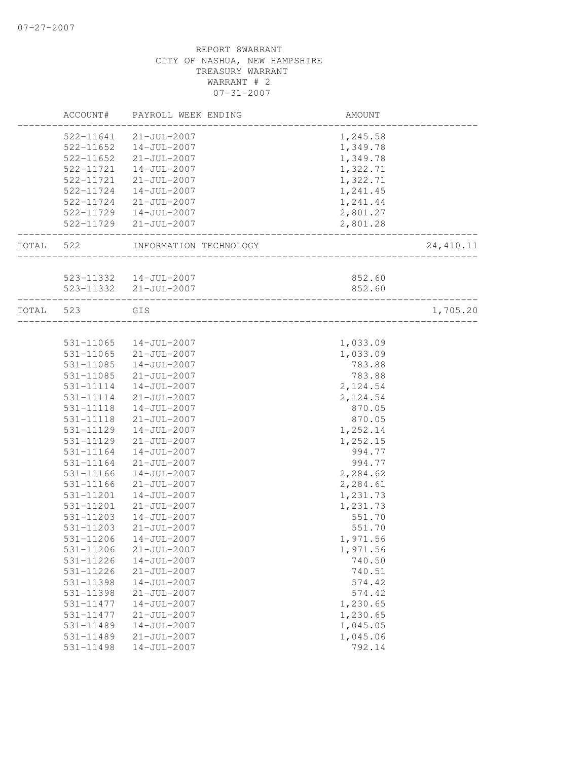|           | ACCOUNT#               | PAYROLL WEEK ENDING                                     | AMOUNT                              |           |
|-----------|------------------------|---------------------------------------------------------|-------------------------------------|-----------|
|           |                        | 522-11641 21-JUL-2007                                   | 1,245.58                            |           |
|           |                        | 522-11652  14-JUL-2007                                  | 1,349.78                            |           |
|           | 522-11652              | 21-JUL-2007                                             | 1,349.78                            |           |
|           | 522-11721              | 14-JUL-2007                                             | 1,322.71                            |           |
|           |                        | 522-11721 21-JUL-2007                                   | 1,322.71                            |           |
|           | 522-11724              | 14-JUL-2007                                             | 1,241.45                            |           |
|           |                        | 522-11724 21-JUL-2007                                   | 1,241.44                            |           |
|           |                        | 522-11729  14-JUL-2007                                  | 2,801.27                            |           |
|           | ______________________ | 522-11729 21-JUL-2007                                   | 2,801.28<br>_______________________ |           |
| TOTAL 522 |                        | INFORMATION TECHNOLOGY                                  |                                     | 24,410.11 |
|           |                        |                                                         |                                     |           |
|           |                        | 523-11332  14-JUL-2007                                  | 852.60                              |           |
|           |                        | 523-11332 21-JUL-2007<br>______________________________ | 852.60                              |           |
| TOTAL 523 |                        | GIS                                                     |                                     | 1,705.20  |
|           |                        |                                                         |                                     |           |
|           |                        | 531-11065  14-JUL-2007                                  | 1,033.09                            |           |
|           |                        | 531-11065 21-JUL-2007                                   | 1,033.09                            |           |
|           | 531-11085              | $14 - JUL - 2007$                                       | 783.88                              |           |
|           | 531-11085              | 21-JUL-2007                                             | 783.88                              |           |
|           | 531-11114              | 14-JUL-2007                                             | 2,124.54                            |           |
|           | 531-11114              | 21-JUL-2007                                             | 2,124.54                            |           |
|           | 531-11118              | $14 - JUL - 2007$                                       | 870.05                              |           |
|           | 531-11118              | $21 - JUL - 2007$                                       | 870.05                              |           |
|           | 531-11129              | 14-JUL-2007                                             | 1,252.14                            |           |
|           | 531-11129              | $21 - JUL - 2007$                                       | 1,252.15                            |           |
|           | 531-11164              | 14-JUL-2007                                             | 994.77                              |           |
|           | 531-11164              | $21 - JUL - 2007$                                       | 994.77                              |           |
|           | 531-11166              | 14-JUL-2007                                             | 2,284.62                            |           |
|           | $531 - 11166$          | $21 - JUL - 2007$                                       | 2,284.61                            |           |
|           | 531-11201              | 14-JUL-2007                                             | 1,231.73                            |           |
|           | 531-11201              | $21 - JUL - 2007$                                       | 1,231.73                            |           |
|           | 531-11203              | $14 - JUL - 2007$                                       | 551.70                              |           |
|           | 531-11203              | $21 - JUL - 2007$                                       | 551.70                              |           |
|           | 531-11206              | $14 - JUL - 2007$                                       | 1,971.56                            |           |
|           | 531-11206              | $21 - JUL - 2007$                                       | 1,971.56                            |           |
|           | 531-11226              | $14 - JUL - 2007$                                       | 740.50                              |           |
|           | 531-11226              | $21 - JUL - 2007$                                       | 740.51                              |           |
|           | 531-11398              | $14 - JUL - 2007$                                       | 574.42                              |           |
|           | 531-11398              | $21 - JUL - 2007$                                       | 574.42                              |           |
|           | 531-11477              | $14 - JUL - 2007$                                       | 1,230.65                            |           |
|           | 531-11477              | $21 - JUL - 2007$                                       | 1,230.65                            |           |
|           | 531-11489              | $14 - JUL - 2007$                                       | 1,045.05                            |           |
|           | 531-11489              | $21 - JUL - 2007$                                       | 1,045.06                            |           |
|           | 531-11498              | $14 - JUL - 2007$                                       | 792.14                              |           |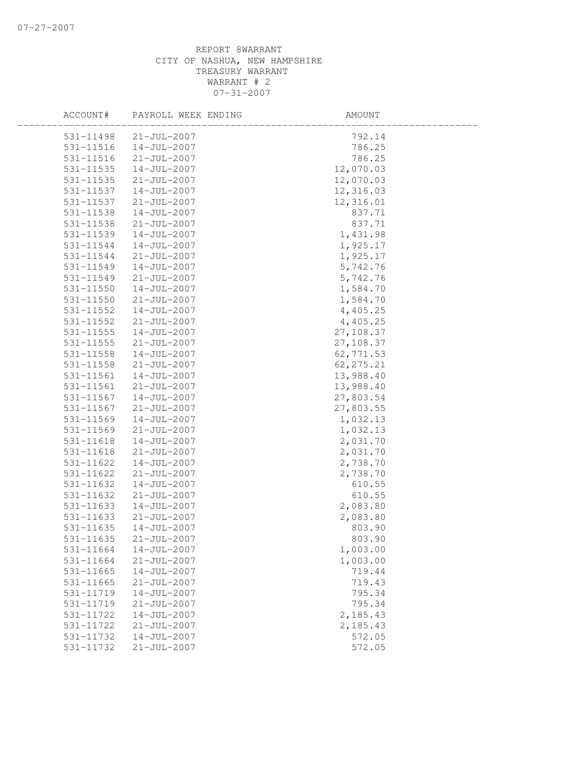| ACCOUNT#      | PAYROLL WEEK ENDING | AMOUNT     |  |
|---------------|---------------------|------------|--|
| 531-11498     | $21 - JUL - 2007$   | 792.14     |  |
| 531-11516     | $14 - JUL - 2007$   | 786.25     |  |
| 531-11516     | $21 - JUL - 2007$   | 786.25     |  |
| 531-11535     | 14-JUL-2007         | 12,070.03  |  |
| 531-11535     | $21 - JUL - 2007$   | 12,070.03  |  |
| 531-11537     | $14 - JUL - 2007$   | 12,316.03  |  |
| 531-11537     | $21 - JUL - 2007$   | 12,316.01  |  |
| 531-11538     | 14-JUL-2007         | 837.71     |  |
| 531-11538     | $21 - JUL - 2007$   | 837.71     |  |
| 531-11539     | $14 - JUL - 2007$   | 1,431.98   |  |
| 531-11544     | $14 - JUL - 2007$   | 1,925.17   |  |
| 531-11544     | $21 - JUL - 2007$   | 1,925.17   |  |
| 531-11549     | 14-JUL-2007         | 5,742.76   |  |
| 531-11549     | $21 - JUL - 2007$   | 5,742.76   |  |
| 531-11550     | $14 - JUL - 2007$   | 1,584.70   |  |
| 531-11550     | $21 - JUL - 2007$   | 1,584.70   |  |
| 531-11552     | 14-JUL-2007         | 4,405.25   |  |
| 531-11552     | $21 - JUL - 2007$   | 4,405.25   |  |
| $531 - 11555$ | $14 - JUL - 2007$   | 27,108.37  |  |
| $531 - 11555$ | $21 - JUL - 2007$   | 27,108.37  |  |
| 531-11558     | $14 - JUL - 2007$   | 62,771.53  |  |
| 531-11558     | $21 - JUL - 2007$   | 62, 275.21 |  |
| 531-11561     | 14-JUL-2007         | 13,988.40  |  |
| 531-11561     | $21 - JUL - 2007$   | 13,988.40  |  |
| 531-11567     | 14-JUL-2007         | 27,803.54  |  |
| 531-11567     | $21 - JUL - 2007$   | 27,803.55  |  |
| 531-11569     | 14-JUL-2007         | 1,032.13   |  |
| 531-11569     | $21 - JUL - 2007$   | 1,032.13   |  |
| 531-11618     | $14 - JUL - 2007$   | 2,031.70   |  |
| 531-11618     | $21 - JUL - 2007$   | 2,031.70   |  |
| 531-11622     | 14-JUL-2007         | 2,738.70   |  |
| 531-11622     | $21 - JUL - 2007$   | 2,738.70   |  |
| 531-11632     | $14 - JUL - 2007$   | 610.55     |  |
| 531-11632     | $21 - JUL - 2007$   | 610.55     |  |
| 531-11633     | 14-JUL-2007         | 2,083.80   |  |
| 531-11633     | $21 - JUL - 2007$   | 2,083.80   |  |
| 531-11635     | $14 - JUL - 2007$   | 803.90     |  |
| 531-11635     | $21 - JUL - 2007$   | 803.90     |  |
| 531-11664     | $14 - JUL - 2007$   | 1,003.00   |  |
| 531-11664     | $21 - JUL - 2007$   | 1,003.00   |  |
| $531 - 11665$ | $14 - JUL - 2007$   | 719.44     |  |
| 531-11665     | $21 - JUL - 2007$   | 719.43     |  |
| 531-11719     | $14 - JUL - 2007$   | 795.34     |  |
| 531-11719     | $21 - JUL - 2007$   | 795.34     |  |
| 531-11722     | $14 - JUL - 2007$   | 2,185.43   |  |
| 531-11722     | $21 - JUL - 2007$   | 2,185.43   |  |
| 531-11732     | $14 - JUL - 2007$   | 572.05     |  |
| 531-11732     | $21 - JUL - 2007$   | 572.05     |  |
|               |                     |            |  |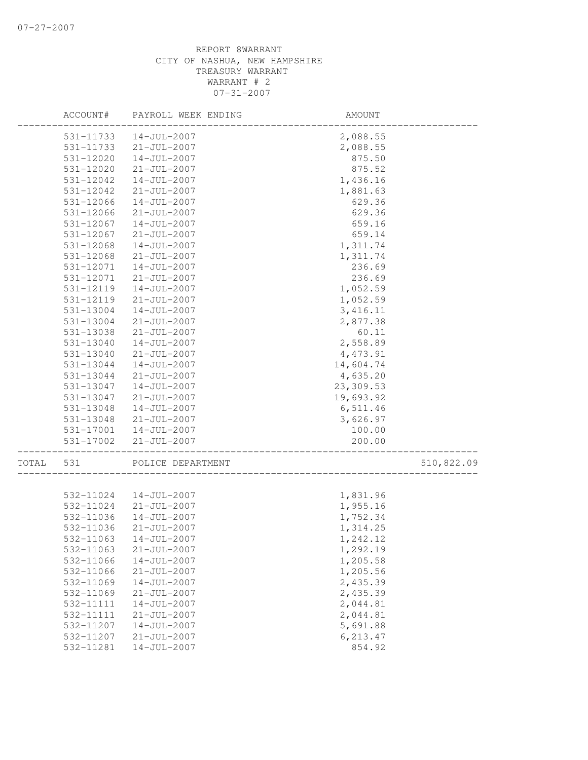|       | ACCOUNT#      | PAYROLL WEEK ENDING | AMOUNT                             |            |
|-------|---------------|---------------------|------------------------------------|------------|
|       | 531-11733     | $14 - JUL - 2007$   | 2,088.55                           |            |
|       | 531-11733     | $21 - JUL - 2007$   | 2,088.55                           |            |
|       | 531-12020     | $14 - JUL - 2007$   | 875.50                             |            |
|       | 531-12020     | $21 - JUL - 2007$   | 875.52                             |            |
|       | 531-12042     | 14-JUL-2007         | 1,436.16                           |            |
|       | 531-12042     | $21 - JUL - 2007$   | 1,881.63                           |            |
|       | 531-12066     | 14-JUL-2007         | 629.36                             |            |
|       | 531-12066     | $21 - JUL - 2007$   | 629.36                             |            |
|       | 531-12067     | 14-JUL-2007         | 659.16                             |            |
|       | 531-12067     | $21 - JUL - 2007$   | 659.14                             |            |
|       | 531-12068     | $14 - JUL - 2007$   | 1,311.74                           |            |
|       | 531-12068     | $21 - JUL - 2007$   | 1,311.74                           |            |
|       | 531-12071     | $14 - JUL - 2007$   | 236.69                             |            |
|       | 531-12071     | $21 - JUL - 2007$   | 236.69                             |            |
|       | 531-12119     | $14 - JUL - 2007$   | 1,052.59                           |            |
|       | 531-12119     | $21 - JUL - 2007$   | 1,052.59                           |            |
|       | 531-13004     | 14-JUL-2007         | 3, 416.11                          |            |
|       | 531-13004     | $21 - JUL - 2007$   | 2,877.38                           |            |
|       | 531-13038     | $21 - JUL - 2007$   | 60.11                              |            |
|       | $531 - 13040$ | $14 - JUL - 2007$   | 2,558.89                           |            |
|       | 531-13040     | $21 - JUL - 2007$   | 4,473.91                           |            |
|       | 531-13044     | $14 - JUL - 2007$   | 14,604.74                          |            |
|       | 531-13044     | $21 - JUL - 2007$   | 4,635.20                           |            |
|       | 531-13047     | $14 - JUL - 2007$   | 23,309.53                          |            |
|       | 531-13047     | $21 - JUL - 2007$   | 19,693.92                          |            |
|       | 531-13048     | $14 - JUL - 2007$   | 6,511.46                           |            |
|       | 531-13048     | $21 - JUL - 2007$   | 3,626.97                           |            |
|       | 531-17001     | 14-JUL-2007         | 100.00                             |            |
|       | 531-17002     | $21 - JUL - 2007$   | 200.00<br>________________________ |            |
| TOTAL | 531           | POLICE DEPARTMENT   |                                    | 510,822.09 |
|       |               |                     |                                    |            |
|       | 532-11024     | 14-JUL-2007         | 1,831.96                           |            |
|       | 532-11024     | $21 - JUL - 2007$   | 1,955.16                           |            |
|       | 532-11036     | 14-JUL-2007         | 1,752.34                           |            |
|       | 532-11036     | $21 - JUL - 2007$   | 1,314.25                           |            |
|       | 532-11063     | 14-JUL-2007         | 1,242.12                           |            |
|       | 532-11063     | $21 - JUL - 2007$   | 1,292.19                           |            |
|       | 532-11066     | $14 - JUL - 2007$   | 1,205.58                           |            |
|       | 532-11066     | $21 - JUL - 2007$   | 1,205.56                           |            |
|       | 532-11069     | $14 - JUL - 2007$   | 2,435.39                           |            |
|       | 532-11069     | $21 - JUL - 2007$   | 2,435.39                           |            |
|       | 532-11111     | $14 - JUL - 2007$   | 2,044.81                           |            |
|       | 532-11111     | $21 - JUL - 2007$   | 2,044.81                           |            |
|       | 532-11207     | $14 - JUL - 2007$   | 5,691.88                           |            |
|       | 532-11207     | $21 - JUL - 2007$   | 6, 213.47                          |            |
|       | 532-11281     | $14 - JUL - 2007$   | 854.92                             |            |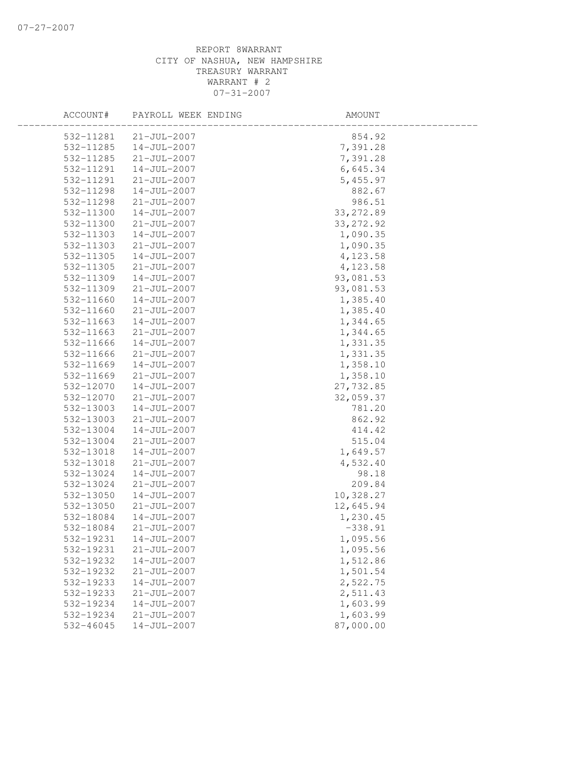| ACCOUNT#  | PAYROLL WEEK ENDING | AMOUNT     |  |
|-----------|---------------------|------------|--|
| 532-11281 | $21 - JUL - 2007$   | 854.92     |  |
| 532-11285 | $14 - JUL - 2007$   | 7,391.28   |  |
| 532-11285 | $21 - JUL - 2007$   | 7,391.28   |  |
| 532-11291 | 14-JUL-2007         | 6,645.34   |  |
| 532-11291 | $21 - JUL - 2007$   | 5,455.97   |  |
| 532-11298 | $14 - JUL - 2007$   | 882.67     |  |
| 532-11298 | $21 - JUL - 2007$   | 986.51     |  |
| 532-11300 | $14 - JUL - 2007$   | 33, 272.89 |  |
| 532-11300 | $21 - JUL - 2007$   | 33, 272.92 |  |
| 532-11303 | 14-JUL-2007         | 1,090.35   |  |
| 532-11303 | $21 - JUL - 2007$   | 1,090.35   |  |
| 532-11305 | 14-JUL-2007         | 4,123.58   |  |
| 532-11305 | $21 - JUL - 2007$   | 4,123.58   |  |
| 532-11309 | 14-JUL-2007         | 93,081.53  |  |
| 532-11309 | $21 - JUL - 2007$   | 93,081.53  |  |
| 532-11660 | $14 - JUL - 2007$   | 1,385.40   |  |
| 532-11660 | $21 - JUL - 2007$   | 1,385.40   |  |
| 532-11663 | $14 - JUL - 2007$   | 1,344.65   |  |
| 532-11663 | $21 - JUL - 2007$   | 1,344.65   |  |
| 532-11666 | $14 - JUL - 2007$   | 1,331.35   |  |
| 532-11666 | $21 - JUL - 2007$   | 1,331.35   |  |
| 532-11669 | 14-JUL-2007         | 1,358.10   |  |
| 532-11669 | $21 - JUL - 2007$   | 1,358.10   |  |
| 532-12070 | 14-JUL-2007         | 27,732.85  |  |
| 532-12070 | $21 - JUL - 2007$   | 32,059.37  |  |
| 532-13003 | $14 - JUL - 2007$   | 781.20     |  |
| 532-13003 | $21 - JUL - 2007$   | 862.92     |  |
| 532-13004 | $14 - JUL - 2007$   | 414.42     |  |
| 532-13004 | $21 - JUL - 2007$   | 515.04     |  |
| 532-13018 | $14 - JUL - 2007$   | 1,649.57   |  |
| 532-13018 | $21 - JUL - 2007$   | 4,532.40   |  |
| 532-13024 | 14-JUL-2007         | 98.18      |  |
| 532-13024 | $21 - JUL - 2007$   | 209.84     |  |
| 532-13050 | $14 - JUL - 2007$   | 10,328.27  |  |
| 532-13050 | $21 - JUL - 2007$   | 12,645.94  |  |
| 532-18084 | 14-JUL-2007         | 1,230.45   |  |
| 532-18084 | $21 - JUL - 2007$   | $-338.91$  |  |
| 532-19231 | $14 - JUL - 2007$   | 1,095.56   |  |
| 532-19231 | $21 - JUL - 2007$   | 1,095.56   |  |
| 532-19232 | $14 - JUL - 2007$   | 1,512.86   |  |
| 532-19232 | $21 - JUL - 2007$   | 1,501.54   |  |
| 532-19233 | $14 - JUL - 2007$   | 2,522.75   |  |
| 532-19233 | $21 - JUL - 2007$   | 2,511.43   |  |
| 532-19234 | $14 - JUL - 2007$   | 1,603.99   |  |
| 532-19234 | $21 - JUL - 2007$   | 1,603.99   |  |
| 532-46045 | $14 - JUL - 2007$   | 87,000.00  |  |
|           |                     |            |  |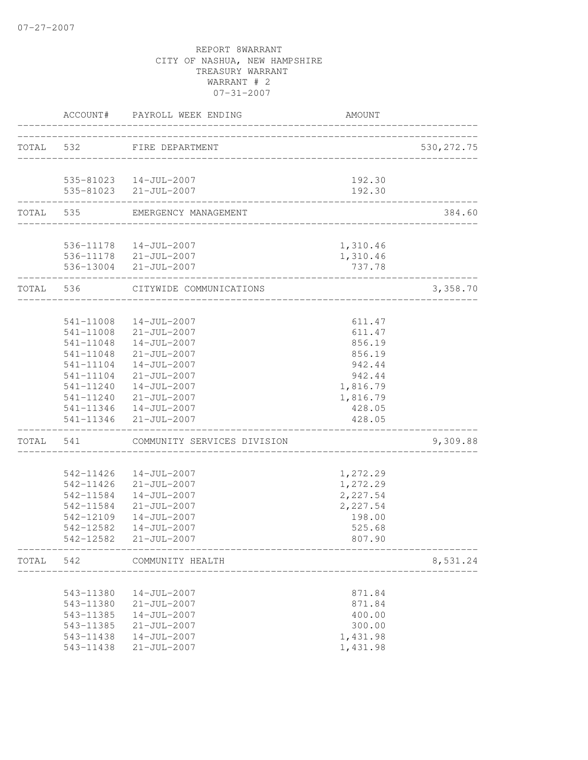|           | ACCOUNT#  | PAYROLL WEEK ENDING                             | <b>AMOUNT</b>      |             |
|-----------|-----------|-------------------------------------------------|--------------------|-------------|
| TOTAL 532 |           | FIRE DEPARTMENT<br>______________________       |                    | 530, 272.75 |
|           |           | 535-81023  14-JUL-2007                          | 192.30             |             |
|           |           | 535-81023 21-JUL-2007                           | 192.30             |             |
|           | TOTAL 535 | EMERGENCY MANAGEMENT                            |                    | 384.60      |
|           |           | 536-11178  14-JUL-2007                          | 1,310.46           |             |
|           |           | 536-11178 21-JUL-2007<br>536-13004 21-JUL-2007  | 1,310.46<br>737.78 |             |
|           | TOTAL 536 | CITYWIDE COMMUNICATIONS                         |                    | 3,358.70    |
|           |           |                                                 |                    |             |
|           | 541-11008 | $14 - JUL - 2007$                               | 611.47             |             |
|           |           | 541-11008 21-JUL-2007                           | 611.47             |             |
|           | 541-11048 | 14-JUL-2007                                     | 856.19             |             |
|           |           | 541-11048 21-JUL-2007                           | 856.19             |             |
|           |           | 541-11104  14-JUL-2007                          | 942.44             |             |
|           |           | 541-11104 21-JUL-2007                           | 942.44             |             |
|           |           | 541-11240  14-JUL-2007                          | 1,816.79           |             |
|           |           | 541-11240 21-JUL-2007                           | 1,816.79           |             |
|           |           | 541-11346  14-JUL-2007<br>541-11346 21-JUL-2007 | 428.05<br>428.05   |             |
|           |           |                                                 |                    |             |
| TOTAL     | 541       | COMMUNITY SERVICES DIVISION                     |                    | 9,309.88    |
|           | 542-11426 | 14-JUL-2007                                     | 1,272.29           |             |
|           |           | 542-11426 21-JUL-2007                           | 1,272.29           |             |
|           | 542-11584 | 14-JUL-2007                                     | 2,227.54           |             |
|           | 542-11584 | $21 - JUL - 2007$                               | 2,227.54           |             |
|           | 542-12109 | $14 - JUL - 2007$                               | 198.00             |             |
|           | 542-12582 | 14-JUL-2007                                     | 525.68             |             |
|           | 542-12582 | 21-JUL-2007                                     | 807.90             |             |
| TOTAL     | 542       | COMMUNITY HEALTH                                |                    | 8,531.24    |
|           | 543-11380 | 14-JUL-2007                                     | 871.84             |             |
|           | 543-11380 | $21 - JUL - 2007$                               | 871.84             |             |
|           | 543-11385 | $14 - JUL - 2007$                               | 400.00             |             |
|           | 543-11385 | $21 - JUL - 2007$                               | 300.00             |             |
|           | 543-11438 | $14 - JUL - 2007$                               | 1,431.98           |             |
|           | 543-11438 | $21 - JUL - 2007$                               | 1,431.98           |             |
|           |           |                                                 |                    |             |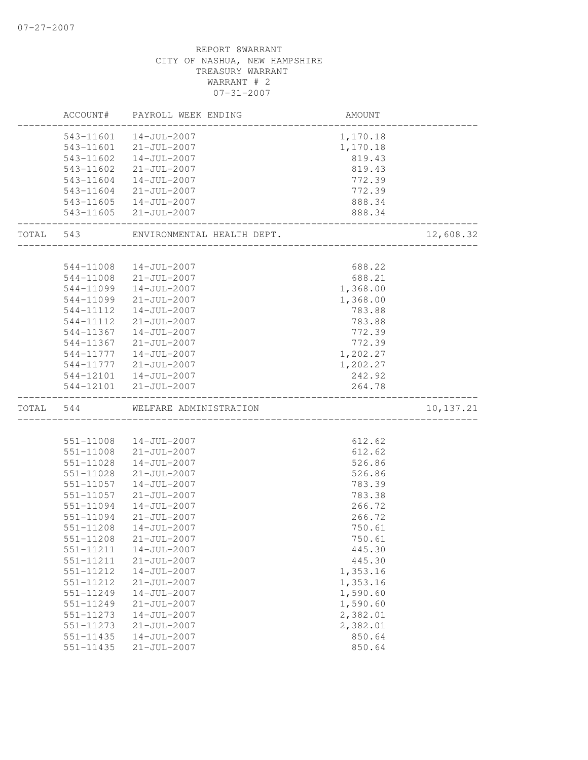|       | ACCOUNT#      | PAYROLL WEEK ENDING        | <b>AMOUNT</b>                       |           |
|-------|---------------|----------------------------|-------------------------------------|-----------|
|       |               | 543-11601  14-JUL-2007     | 1,170.18                            |           |
|       |               | 543-11601 21-JUL-2007      | 1,170.18                            |           |
|       | 543-11602     | 14-JUL-2007                | 819.43                              |           |
|       | 543-11602     | $21 - JUL - 2007$          | 819.43                              |           |
|       | 543-11604     | 14-JUL-2007                | 772.39                              |           |
|       | 543-11604     | 21-JUL-2007                | 772.39                              |           |
|       |               | 543-11605  14-JUL-2007     | 888.34                              |           |
|       | _____________ | 543-11605 21-JUL-2007      | 888.34<br>_________________________ |           |
| TOTAL | 543           | ENVIRONMENTAL HEALTH DEPT. |                                     | 12,608.32 |
|       |               |                            |                                     |           |
|       | 544-11008     | 14-JUL-2007                | 688.22                              |           |
|       | 544-11008     | $21 - JUL - 2007$          | 688.21                              |           |
|       | 544-11099     | 14-JUL-2007                | 1,368.00                            |           |
|       | 544-11099     | $21 - JUL - 2007$          | 1,368.00                            |           |
|       | 544-11112     | $14 - JUL - 2007$          | 783.88                              |           |
|       | 544-11112     | $21 - JUL - 2007$          | 783.88                              |           |
|       | 544-11367     | $14 - JUL - 2007$          | 772.39                              |           |
|       | 544-11367     | 21-JUL-2007                | 772.39                              |           |
|       |               | 544-11777  14-JUL-2007     | 1,202.27                            |           |
|       | 544-11777     | 21-JUL-2007                | 1,202.27                            |           |
|       |               | 544-12101  14-JUL-2007     | 242.92                              |           |
|       |               | 544-12101 21-JUL-2007      | 264.78                              |           |
| TOTAL | 544           | WELFARE ADMINISTRATION     |                                     | 10,137.21 |
|       |               |                            |                                     |           |
|       |               | 551-11008  14-JUL-2007     | 612.62                              |           |
|       | 551-11008     | $21 - JUL - 2007$          | 612.62                              |           |
|       | 551-11028     | $14 - JUL - 2007$          | 526.86                              |           |
|       | 551-11028     | $21 - JUL - 2007$          | 526.86                              |           |
|       | 551-11057     | 14-JUL-2007                | 783.39                              |           |
|       | 551-11057     | $21 - JUL - 2007$          | 783.38                              |           |
|       | 551-11094     | $14 - JUL - 2007$          | 266.72                              |           |
|       | 551-11094     | $21 - JUL - 2007$          | 266.72                              |           |
|       | 551-11208     | $14 - JUL - 2007$          | 750.61                              |           |
|       | 551-11208     | $21 - JUL - 2007$          | 750.61                              |           |
|       | 551-11211     | $14 - JUL - 2007$          | 445.30                              |           |
|       | 551-11211     | $21 - JUL - 2007$          | 445.30                              |           |
|       | 551-11212     | $14 - JUL - 2007$          | 1,353.16                            |           |
|       | 551-11212     | $21 - JUL - 2007$          | 1,353.16                            |           |
|       | 551-11249     | $14 - JUL - 2007$          | 1,590.60                            |           |
|       | 551-11249     | $21 - JUL - 2007$          | 1,590.60                            |           |
|       | 551-11273     | $14 - JUL - 2007$          | 2,382.01                            |           |
|       | 551-11273     | $21 - JUL - 2007$          | 2,382.01                            |           |
|       | $551 - 11435$ | $14 - JUL - 2007$          | 850.64                              |           |
|       | 551-11435     | $21 - JUL - 2007$          | 850.64                              |           |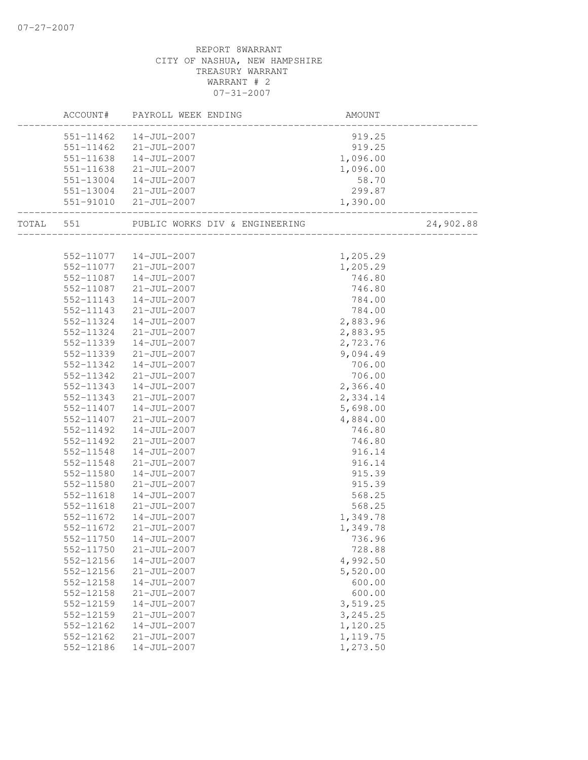|           |                        | ACCOUNT# PAYROLL WEEK ENDING   | AMOUNT           |           |
|-----------|------------------------|--------------------------------|------------------|-----------|
|           |                        | 551-11462  14-JUL-2007         | 919.25           |           |
|           |                        | 551-11462 21-JUL-2007          | 919.25           |           |
|           |                        | 551-11638  14-JUL-2007         | 1,096.00         |           |
|           | 551-11638              | $21 - JUL - 2007$              | 1,096.00         |           |
|           |                        | 551-13004  14-JUL-2007         | 58.70            |           |
|           |                        | 551-13004 21-JUL-2007          | 299.87           |           |
|           |                        | 551-91010 21-JUL-2007          | 1,390.00         |           |
| TOTAL 551 |                        | PUBLIC WORKS DIV & ENGINEERING |                  | 24,902.88 |
|           |                        |                                |                  |           |
|           |                        | 552-11077  14-JUL-2007         | 1,205.29         |           |
|           |                        | 552-11077 21-JUL-2007          | 1,205.29         |           |
|           |                        | 552-11087  14-JUL-2007         | 746.80           |           |
|           | 552-11087              | 21-JUL-2007                    | 746.80           |           |
|           | 552-11143              | 14-JUL-2007                    | 784.00           |           |
|           | 552-11143              | $21 - JUL - 2007$              | 784.00           |           |
|           | 552-11324              | $14 - JUL - 2007$              | 2,883.96         |           |
|           | 552-11324              | 21-JUL-2007                    | 2,883.95         |           |
|           | 552-11339              | $14 - JUL - 2007$              | 2,723.76         |           |
|           | 552-11339              | 21-JUL-2007                    | 9,094.49         |           |
|           | 552-11342              | 14-JUL-2007                    | 706.00           |           |
|           | 552-11342              | $21 - JUL - 2007$              | 706.00           |           |
|           | 552-11343              | $14 - JUL - 2007$              | 2,366.40         |           |
|           | 552-11343              | 21-JUL-2007                    | 2,334.14         |           |
|           | 552-11407              | $14 - JUL - 2007$              | 5,698.00         |           |
|           | 552-11407<br>552-11492 | $21 - JUL - 2007$              | 4,884.00         |           |
|           |                        | 14-JUL-2007                    | 746.80           |           |
|           | 552-11492<br>552-11548 | 21-JUL-2007                    | 746.80<br>916.14 |           |
|           |                        | 14-JUL-2007                    |                  |           |
|           | 552-11548<br>552-11580 | 21-JUL-2007<br>14-JUL-2007     | 916.14<br>915.39 |           |
|           | 552-11580              | 21-JUL-2007                    | 915.39           |           |
|           | 552-11618              | 14-JUL-2007                    | 568.25           |           |
|           | 552-11618              | $21 - JUL - 2007$              | 568.25           |           |
|           | 552-11672              | 14-JUL-2007                    | 1,349.78         |           |
|           | 552-11672              | 21-JUL-2007                    | 1,349.78         |           |
|           | 552-11750              | 14-JUL-2007                    | 736.96           |           |
|           | 552-11750              | $21 - JUL - 2007$              | 728.88           |           |
|           | 552-12156              | $14 - JUL - 2007$              | 4,992.50         |           |
|           | 552-12156              | $21 - JUL - 2007$              | 5,520.00         |           |
|           | $552 - 12158$          | $14 - JUL - 2007$              | 600.00           |           |
|           | 552-12158              | $21 - JUL - 2007$              | 600.00           |           |
|           | 552-12159              | $14 - JUL - 2007$              | 3,519.25         |           |
|           | 552-12159              | $21 - JUL - 2007$              | 3,245.25         |           |
|           | 552-12162              | $14 - JUL - 2007$              | 1,120.25         |           |
|           | 552-12162              | $21 - JUL - 2007$              | 1,119.75         |           |
|           | 552-12186              | $14 - JUL - 2007$              | 1,273.50         |           |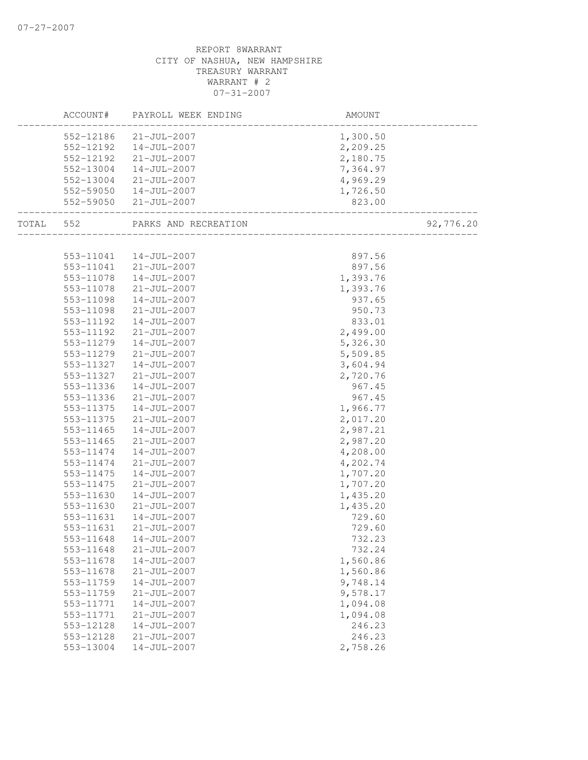|       | ACCOUNT#  | PAYROLL WEEK ENDING    | AMOUNT                   |           |
|-------|-----------|------------------------|--------------------------|-----------|
|       | 552-12186 | 21-JUL-2007            | 1,300.50                 |           |
|       | 552-12192 | 14-JUL-2007            | 2,209.25                 |           |
|       | 552-12192 | 21-JUL-2007            | 2,180.75                 |           |
|       | 552-13004 | 14-JUL-2007            | 7,364.97                 |           |
|       | 552-13004 | 21-JUL-2007            | 4,969.29                 |           |
|       |           | 552-59050  14-JUL-2007 | 1,726.50                 |           |
|       | 552-59050 | 21-JUL-2007            | 823.00                   |           |
| TOTAL | 552       | PARKS AND RECREATION   | ________________________ | 92,776.20 |
|       |           |                        |                          |           |
|       |           | 553-11041  14-JUL-2007 | 897.56                   |           |
|       | 553-11041 | $21 - JUL - 2007$      | 897.56                   |           |
|       | 553-11078 | 14-JUL-2007            | 1,393.76                 |           |
|       | 553-11078 | $21 - JUL - 2007$      | 1,393.76                 |           |
|       | 553-11098 | $14 - JUL - 2007$      | 937.65                   |           |
|       | 553-11098 | $21 - JUL - 2007$      | 950.73                   |           |
|       | 553-11192 | $14 - JUL - 2007$      | 833.01                   |           |
|       | 553-11192 | $21 - JUL - 2007$      | 2,499.00                 |           |
|       | 553-11279 | $14 - JUL - 2007$      | 5,326.30                 |           |
|       | 553-11279 | $21 - JUL - 2007$      | 5,509.85                 |           |
|       | 553-11327 | 14-JUL-2007            | 3,604.94                 |           |
|       | 553-11327 | $21 - JUL - 2007$      | 2,720.76                 |           |
|       | 553-11336 | 14-JUL-2007            | 967.45                   |           |
|       | 553-11336 | $21 - JUL - 2007$      | 967.45                   |           |
|       | 553-11375 | 14-JUL-2007            | 1,966.77                 |           |
|       | 553-11375 | $21 - JUL - 2007$      | 2,017.20                 |           |
|       | 553-11465 | 14-JUL-2007            | 2,987.21                 |           |
|       | 553-11465 | $21 - JUL - 2007$      | 2,987.20                 |           |
|       | 553-11474 | $14 - JUL - 2007$      | 4,208.00                 |           |
|       | 553-11474 | $21 - JUL - 2007$      | 4,202.74                 |           |
|       | 553-11475 | 14-JUL-2007            | 1,707.20                 |           |
|       | 553-11475 | $21 - JUL - 2007$      | 1,707.20                 |           |
|       | 553-11630 | $14 - JUL - 2007$      | 1,435.20                 |           |
|       | 553-11630 | $21 - JUL - 2007$      | 1,435.20                 |           |
|       | 553-11631 | $14 - JUL - 2007$      | 729.60                   |           |
|       | 553-11631 | $21 - JUL - 2007$      | 729.60                   |           |
|       | 553-11648 | 14-JUL-2007            | 732.23                   |           |
|       | 553-11648 | $21 - JUL - 2007$      | 732.24                   |           |
|       | 553-11678 | $14 - JUL - 2007$      | 1,560.86                 |           |
|       | 553-11678 | $21 - JUL - 2007$      | 1,560.86                 |           |
|       | 553-11759 | $14 - JUL - 2007$      | 9,748.14                 |           |
|       | 553-11759 | $21 - JUL - 2007$      | 9,578.17                 |           |
|       | 553-11771 | $14 - JUL - 2007$      | 1,094.08                 |           |
|       | 553-11771 | $21 - JUL - 2007$      | 1,094.08                 |           |
|       | 553-12128 | $14 - JUL - 2007$      | 246.23                   |           |
|       | 553-12128 | $21 - JUL - 2007$      | 246.23                   |           |
|       | 553-13004 | $14 - JUL - 2007$      | 2,758.26                 |           |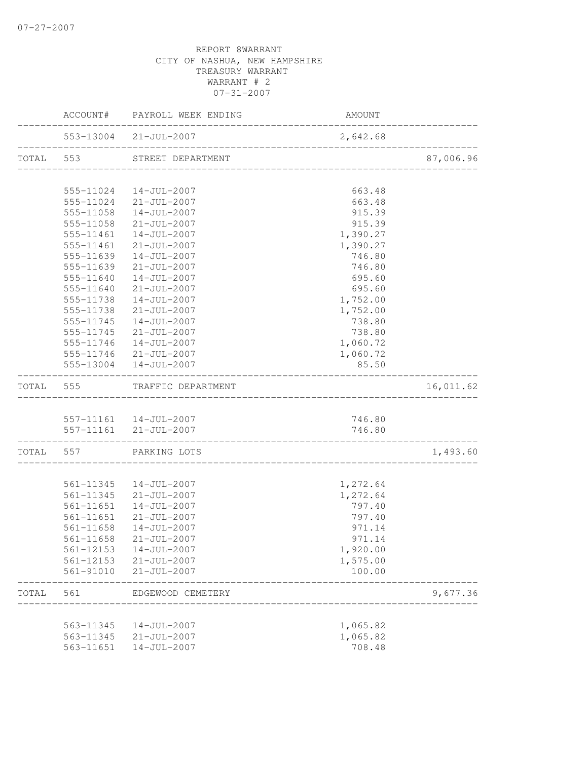|                                                                                                                                                                                                                                                                                                                                                                                                                                                                                                                                                                                                                                                                                                                                                                                                                                                                                                                                                                                                                                                                                                                                                                                                                                                                                                                                                                                                                                                               |           |                                        | 2,642.68 | ______________ |
|---------------------------------------------------------------------------------------------------------------------------------------------------------------------------------------------------------------------------------------------------------------------------------------------------------------------------------------------------------------------------------------------------------------------------------------------------------------------------------------------------------------------------------------------------------------------------------------------------------------------------------------------------------------------------------------------------------------------------------------------------------------------------------------------------------------------------------------------------------------------------------------------------------------------------------------------------------------------------------------------------------------------------------------------------------------------------------------------------------------------------------------------------------------------------------------------------------------------------------------------------------------------------------------------------------------------------------------------------------------------------------------------------------------------------------------------------------------|-----------|----------------------------------------|----------|----------------|
| ACCOUNT# PAYROLL WEEK ENDING<br>AMOUNT<br>553-13004 21-JUL-2007<br>TOTAL 553<br>STREET DEPARTMENT<br>________________________________<br>555-11024<br>14-JUL-2007<br>663.48<br>555-11024 21-JUL-2007<br>663.48<br>555-11058<br>14-JUL-2007<br>915.39<br>555-11058<br>21-JUL-2007<br>915.39<br>555-11461  14-JUL-2007<br>1,390.27<br>$21 - JUL - 2007$<br>555-11461<br>1,390.27<br>555-11639<br>14-JUL-2007<br>746.80<br>555-11639<br>$21 - JUL - 2007$<br>746.80<br>555-11640<br>14-JUL-2007<br>695.60<br>695.60<br>555-11640<br>$21 - JUL - 2007$<br>1,752.00<br>555-11738<br>$14 - JUL - 2007$<br>555-11738<br>$21 - JUL - 2007$<br>1,752.00<br>$14 - JUL - 2007$<br>738.80<br>555-11745<br>555-11745<br>$21 - JUL - 2007$<br>738.80<br>555-11746  14-JUL-2007<br>1,060.72<br>555-11746 21-JUL-2007<br>1,060.72<br>555-13004  14-JUL-2007<br>85.50<br>TRAFFIC DEPARTMENT<br>TOTAL<br>555<br>557-11161  14-JUL-2007<br>746.80<br>557-11161 21-JUL-2007<br>746.80<br>. <u>_ _ _ _ _ _ _ _ _ _ _ _ _ _ _ _ _</u> _ _<br>TOTAL 557<br>PARKING LOTS<br>561-11345  14-JUL-2007<br>1,272.64<br>$21 - JUL - 2007$<br>1,272.64<br>561-11345<br>797.40<br>561-11651<br>14-JUL-2007<br>561-11651 21-JUL-2007<br>797.40<br>561-11658<br>14-JUL-2007<br>971.14<br>561-11658 21-JUL-2007<br>971.14<br>561-12153<br>1,920.00<br>14-JUL-2007<br>561-12153<br>$21 - JUL - 2007$<br>1,575.00<br>$21 - JUL - 2007$<br>100.00<br>561-91010<br>TOTAL<br>561<br>EDGEWOOD CEMETERY |           | 87,006.96                              |          |                |
|                                                                                                                                                                                                                                                                                                                                                                                                                                                                                                                                                                                                                                                                                                                                                                                                                                                                                                                                                                                                                                                                                                                                                                                                                                                                                                                                                                                                                                                               |           |                                        |          |                |
|                                                                                                                                                                                                                                                                                                                                                                                                                                                                                                                                                                                                                                                                                                                                                                                                                                                                                                                                                                                                                                                                                                                                                                                                                                                                                                                                                                                                                                                               |           |                                        |          |                |
|                                                                                                                                                                                                                                                                                                                                                                                                                                                                                                                                                                                                                                                                                                                                                                                                                                                                                                                                                                                                                                                                                                                                                                                                                                                                                                                                                                                                                                                               |           |                                        |          |                |
|                                                                                                                                                                                                                                                                                                                                                                                                                                                                                                                                                                                                                                                                                                                                                                                                                                                                                                                                                                                                                                                                                                                                                                                                                                                                                                                                                                                                                                                               |           |                                        |          |                |
|                                                                                                                                                                                                                                                                                                                                                                                                                                                                                                                                                                                                                                                                                                                                                                                                                                                                                                                                                                                                                                                                                                                                                                                                                                                                                                                                                                                                                                                               |           |                                        |          |                |
|                                                                                                                                                                                                                                                                                                                                                                                                                                                                                                                                                                                                                                                                                                                                                                                                                                                                                                                                                                                                                                                                                                                                                                                                                                                                                                                                                                                                                                                               |           |                                        |          |                |
|                                                                                                                                                                                                                                                                                                                                                                                                                                                                                                                                                                                                                                                                                                                                                                                                                                                                                                                                                                                                                                                                                                                                                                                                                                                                                                                                                                                                                                                               |           |                                        |          |                |
|                                                                                                                                                                                                                                                                                                                                                                                                                                                                                                                                                                                                                                                                                                                                                                                                                                                                                                                                                                                                                                                                                                                                                                                                                                                                                                                                                                                                                                                               |           |                                        |          |                |
|                                                                                                                                                                                                                                                                                                                                                                                                                                                                                                                                                                                                                                                                                                                                                                                                                                                                                                                                                                                                                                                                                                                                                                                                                                                                                                                                                                                                                                                               |           |                                        |          |                |
|                                                                                                                                                                                                                                                                                                                                                                                                                                                                                                                                                                                                                                                                                                                                                                                                                                                                                                                                                                                                                                                                                                                                                                                                                                                                                                                                                                                                                                                               |           |                                        |          |                |
|                                                                                                                                                                                                                                                                                                                                                                                                                                                                                                                                                                                                                                                                                                                                                                                                                                                                                                                                                                                                                                                                                                                                                                                                                                                                                                                                                                                                                                                               |           |                                        |          |                |
|                                                                                                                                                                                                                                                                                                                                                                                                                                                                                                                                                                                                                                                                                                                                                                                                                                                                                                                                                                                                                                                                                                                                                                                                                                                                                                                                                                                                                                                               |           |                                        |          |                |
|                                                                                                                                                                                                                                                                                                                                                                                                                                                                                                                                                                                                                                                                                                                                                                                                                                                                                                                                                                                                                                                                                                                                                                                                                                                                                                                                                                                                                                                               |           |                                        |          |                |
|                                                                                                                                                                                                                                                                                                                                                                                                                                                                                                                                                                                                                                                                                                                                                                                                                                                                                                                                                                                                                                                                                                                                                                                                                                                                                                                                                                                                                                                               |           |                                        |          |                |
|                                                                                                                                                                                                                                                                                                                                                                                                                                                                                                                                                                                                                                                                                                                                                                                                                                                                                                                                                                                                                                                                                                                                                                                                                                                                                                                                                                                                                                                               |           |                                        |          |                |
|                                                                                                                                                                                                                                                                                                                                                                                                                                                                                                                                                                                                                                                                                                                                                                                                                                                                                                                                                                                                                                                                                                                                                                                                                                                                                                                                                                                                                                                               |           |                                        |          |                |
|                                                                                                                                                                                                                                                                                                                                                                                                                                                                                                                                                                                                                                                                                                                                                                                                                                                                                                                                                                                                                                                                                                                                                                                                                                                                                                                                                                                                                                                               |           |                                        |          |                |
|                                                                                                                                                                                                                                                                                                                                                                                                                                                                                                                                                                                                                                                                                                                                                                                                                                                                                                                                                                                                                                                                                                                                                                                                                                                                                                                                                                                                                                                               |           |                                        |          | 16,011.62      |
|                                                                                                                                                                                                                                                                                                                                                                                                                                                                                                                                                                                                                                                                                                                                                                                                                                                                                                                                                                                                                                                                                                                                                                                                                                                                                                                                                                                                                                                               |           |                                        |          |                |
|                                                                                                                                                                                                                                                                                                                                                                                                                                                                                                                                                                                                                                                                                                                                                                                                                                                                                                                                                                                                                                                                                                                                                                                                                                                                                                                                                                                                                                                               |           |                                        |          |                |
|                                                                                                                                                                                                                                                                                                                                                                                                                                                                                                                                                                                                                                                                                                                                                                                                                                                                                                                                                                                                                                                                                                                                                                                                                                                                                                                                                                                                                                                               |           |                                        |          |                |
|                                                                                                                                                                                                                                                                                                                                                                                                                                                                                                                                                                                                                                                                                                                                                                                                                                                                                                                                                                                                                                                                                                                                                                                                                                                                                                                                                                                                                                                               |           |                                        |          | 1,493.60       |
|                                                                                                                                                                                                                                                                                                                                                                                                                                                                                                                                                                                                                                                                                                                                                                                                                                                                                                                                                                                                                                                                                                                                                                                                                                                                                                                                                                                                                                                               |           |                                        |          |                |
|                                                                                                                                                                                                                                                                                                                                                                                                                                                                                                                                                                                                                                                                                                                                                                                                                                                                                                                                                                                                                                                                                                                                                                                                                                                                                                                                                                                                                                                               |           |                                        |          |                |
|                                                                                                                                                                                                                                                                                                                                                                                                                                                                                                                                                                                                                                                                                                                                                                                                                                                                                                                                                                                                                                                                                                                                                                                                                                                                                                                                                                                                                                                               |           |                                        |          |                |
|                                                                                                                                                                                                                                                                                                                                                                                                                                                                                                                                                                                                                                                                                                                                                                                                                                                                                                                                                                                                                                                                                                                                                                                                                                                                                                                                                                                                                                                               |           |                                        |          |                |
|                                                                                                                                                                                                                                                                                                                                                                                                                                                                                                                                                                                                                                                                                                                                                                                                                                                                                                                                                                                                                                                                                                                                                                                                                                                                                                                                                                                                                                                               |           |                                        |          |                |
|                                                                                                                                                                                                                                                                                                                                                                                                                                                                                                                                                                                                                                                                                                                                                                                                                                                                                                                                                                                                                                                                                                                                                                                                                                                                                                                                                                                                                                                               |           |                                        |          |                |
|                                                                                                                                                                                                                                                                                                                                                                                                                                                                                                                                                                                                                                                                                                                                                                                                                                                                                                                                                                                                                                                                                                                                                                                                                                                                                                                                                                                                                                                               |           |                                        |          |                |
|                                                                                                                                                                                                                                                                                                                                                                                                                                                                                                                                                                                                                                                                                                                                                                                                                                                                                                                                                                                                                                                                                                                                                                                                                                                                                                                                                                                                                                                               |           |                                        |          |                |
|                                                                                                                                                                                                                                                                                                                                                                                                                                                                                                                                                                                                                                                                                                                                                                                                                                                                                                                                                                                                                                                                                                                                                                                                                                                                                                                                                                                                                                                               |           |                                        |          |                |
|                                                                                                                                                                                                                                                                                                                                                                                                                                                                                                                                                                                                                                                                                                                                                                                                                                                                                                                                                                                                                                                                                                                                                                                                                                                                                                                                                                                                                                                               |           |                                        |          | 9,677.36       |
|                                                                                                                                                                                                                                                                                                                                                                                                                                                                                                                                                                                                                                                                                                                                                                                                                                                                                                                                                                                                                                                                                                                                                                                                                                                                                                                                                                                                                                                               |           |                                        |          |                |
|                                                                                                                                                                                                                                                                                                                                                                                                                                                                                                                                                                                                                                                                                                                                                                                                                                                                                                                                                                                                                                                                                                                                                                                                                                                                                                                                                                                                                                                               | 563-11345 | $14 - JUL - 2007$                      | 1,065.82 |                |
|                                                                                                                                                                                                                                                                                                                                                                                                                                                                                                                                                                                                                                                                                                                                                                                                                                                                                                                                                                                                                                                                                                                                                                                                                                                                                                                                                                                                                                                               | 563-11345 | $21 - JUL - 2007$<br>$14 - JUL - 2007$ | 1,065.82 |                |
|                                                                                                                                                                                                                                                                                                                                                                                                                                                                                                                                                                                                                                                                                                                                                                                                                                                                                                                                                                                                                                                                                                                                                                                                                                                                                                                                                                                                                                                               | 563-11651 |                                        | 708.48   |                |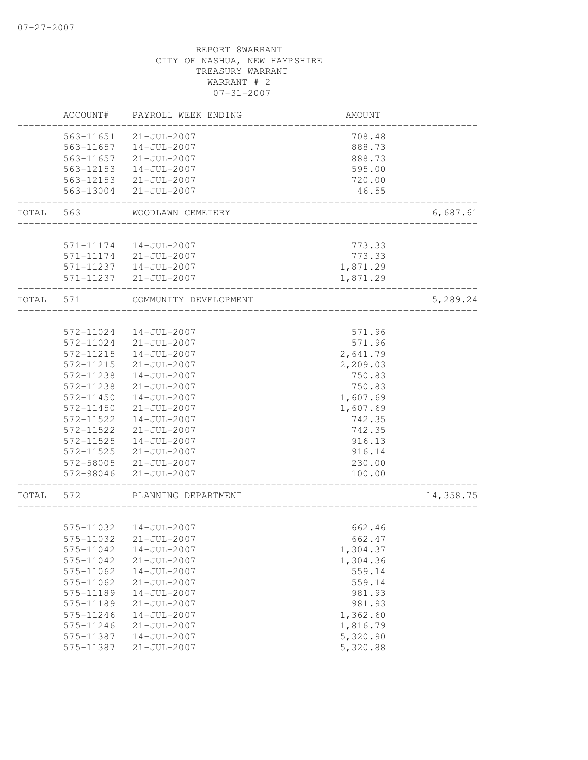|       | ACCOUNT#  | PAYROLL WEEK ENDING   | AMOUNT   |           |
|-------|-----------|-----------------------|----------|-----------|
|       | 563-11651 | $21 - JUL - 2007$     | 708.48   |           |
|       | 563-11657 | $14 - JUL - 2007$     | 888.73   |           |
|       | 563-11657 | $21 - JUL - 2007$     | 888.73   |           |
|       | 563-12153 | $14 - JUL - 2007$     | 595.00   |           |
|       | 563-12153 | $21 - JUL - 2007$     | 720.00   |           |
|       | 563-13004 | $21 - JUL - 2007$     | 46.55    |           |
| TOTAL | 563       | WOODLAWN CEMETERY     |          | 6,687.61  |
|       |           |                       |          |           |
|       | 571-11174 | $14 - JUL - 2007$     | 773.33   |           |
|       |           | 571-11174 21-JUL-2007 | 773.33   |           |
|       | 571-11237 | 14-JUL-2007           | 1,871.29 |           |
|       |           | 571-11237 21-JUL-2007 | 1,871.29 |           |
| TOTAL | 571       | COMMUNITY DEVELOPMENT |          | 5,289.24  |
|       |           |                       |          |           |
|       | 572-11024 | $14 - JUL - 2007$     | 571.96   |           |
|       | 572-11024 | $21 - JUL - 2007$     | 571.96   |           |
|       | 572-11215 | $14 - JUL - 2007$     | 2,641.79 |           |
|       | 572-11215 | $21 - JUL - 2007$     | 2,209.03 |           |
|       | 572-11238 | $14 - JUL - 2007$     | 750.83   |           |
|       | 572-11238 | $21 - JUL - 2007$     | 750.83   |           |
|       | 572-11450 | $14 - JUL - 2007$     | 1,607.69 |           |
|       | 572-11450 | $21 - JUL - 2007$     | 1,607.69 |           |
|       | 572-11522 | $14 - JUL - 2007$     | 742.35   |           |
|       | 572-11522 | $21 - JUL - 2007$     | 742.35   |           |
|       | 572-11525 | $14 - JUL - 2007$     | 916.13   |           |
|       | 572-11525 | $21 - JUL - 2007$     | 916.14   |           |
|       | 572-58005 | $21 - JUL - 2007$     | 230.00   |           |
|       | 572-98046 | $21 - JUL - 2007$     | 100.00   |           |
| TOTAL | 572       | PLANNING DEPARTMENT   |          | 14,358.75 |
|       |           |                       |          |           |
|       | 575-11032 | 14-JUL-2007           | 662.46   |           |
|       |           | 575-11032 21-JUL-2007 | 662.47   |           |
|       | 575-11042 | $14 - JUL - 2007$     | 1,304.37 |           |
|       | 575-11042 | $21 - JUL - 2007$     | 1,304.36 |           |
|       | 575-11062 | $14 - JUL - 2007$     | 559.14   |           |
|       | 575-11062 | $21 - JUL - 2007$     | 559.14   |           |
|       | 575-11189 | $14 - JUL - 2007$     | 981.93   |           |
|       | 575-11189 | $21 - JUL - 2007$     | 981.93   |           |
|       | 575-11246 | $14 - JUL - 2007$     | 1,362.60 |           |
|       | 575-11246 | $21 - JUL - 2007$     | 1,816.79 |           |
|       | 575-11387 | $14 - JUL - 2007$     | 5,320.90 |           |
|       | 575-11387 | $21 - JUL - 2007$     | 5,320.88 |           |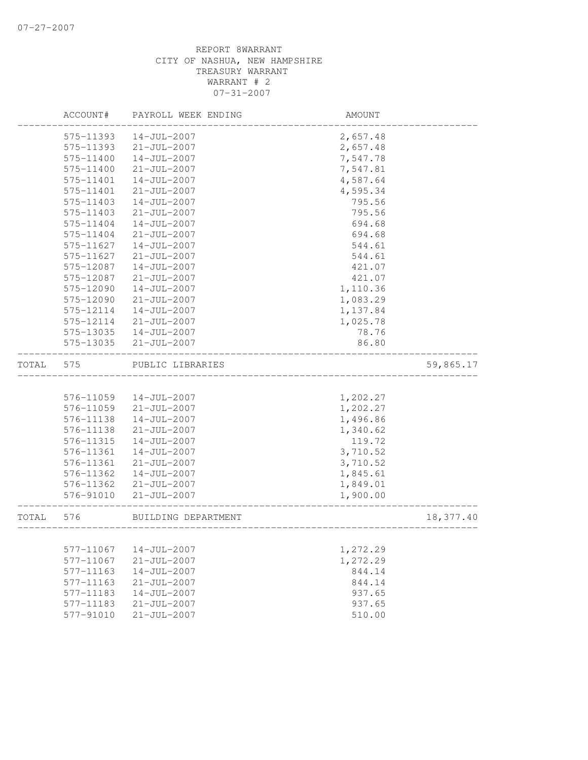|       | ACCOUNT#  | PAYROLL WEEK ENDING | AMOUNT   |           |
|-------|-----------|---------------------|----------|-----------|
|       | 575-11393 | $14 - JUL - 2007$   | 2,657.48 |           |
|       | 575-11393 | $21 - JUL - 2007$   | 2,657.48 |           |
|       | 575-11400 | $14 - JUL - 2007$   | 7,547.78 |           |
|       | 575-11400 | $21 - JUL - 2007$   | 7,547.81 |           |
|       | 575-11401 | 14-JUL-2007         | 4,587.64 |           |
|       | 575-11401 | $21 - JUL - 2007$   | 4,595.34 |           |
|       | 575-11403 | $14 - JUL - 2007$   | 795.56   |           |
|       | 575-11403 | $21 - JUL - 2007$   | 795.56   |           |
|       | 575-11404 | $14 - JUL - 2007$   | 694.68   |           |
|       | 575-11404 | $21 - JUL - 2007$   | 694.68   |           |
|       | 575-11627 | $14 - JUL - 2007$   | 544.61   |           |
|       | 575-11627 | $21 - JUL - 2007$   | 544.61   |           |
|       | 575-12087 | 14-JUL-2007         | 421.07   |           |
|       | 575-12087 | $21 - JUL - 2007$   | 421.07   |           |
|       | 575-12090 | $14 - JUL - 2007$   | 1,110.36 |           |
|       | 575-12090 | $21 - JUL - 2007$   | 1,083.29 |           |
|       | 575-12114 | $14 - JUL - 2007$   | 1,137.84 |           |
|       | 575-12114 | $21 - JUL - 2007$   | 1,025.78 |           |
|       | 575-13035 | $14 - JUL - 2007$   | 78.76    |           |
|       | 575-13035 | $21 - JUL - 2007$   | 86.80    |           |
|       |           |                     |          |           |
| TOTAL | 575       | PUBLIC LIBRARIES    |          | 59,865.17 |
|       |           |                     |          |           |
|       | 576-11059 | $14 - JUL - 2007$   | 1,202.27 |           |
|       | 576-11059 | $21 - JUL - 2007$   | 1,202.27 |           |
|       | 576-11138 | $14 - JUL - 2007$   | 1,496.86 |           |
|       | 576-11138 | $21 - JUL - 2007$   | 1,340.62 |           |
|       | 576-11315 | $14 - JUL - 2007$   | 119.72   |           |
|       | 576-11361 | $14 - JUL - 2007$   | 3,710.52 |           |
|       | 576-11361 | $21 - JUL - 2007$   | 3,710.52 |           |
|       | 576-11362 | $14 - JUL - 2007$   | 1,845.61 |           |
|       | 576-11362 | $21 - JUL - 2007$   | 1,849.01 |           |
|       | 576-91010 | $21 - JUL - 2007$   | 1,900.00 |           |
| TOTAL | 576       | BUILDING DEPARTMENT |          | 18,377.40 |
|       |           |                     |          |           |
|       | 577-11067 | $14 - JUL - 2007$   | 1,272.29 |           |
|       | 577-11067 | $21 - JUL - 2007$   | 1,272.29 |           |
|       | 577-11163 | $14 - JUL - 2007$   | 844.14   |           |
|       | 577-11163 | $21 - JUL - 2007$   | 844.14   |           |
|       | 577-11183 | $14 - JUL - 2007$   | 937.65   |           |
|       | 577-11183 | $21 - JUL - 2007$   | 937.65   |           |
|       | 577-91010 | $21 - JUL - 2007$   | 510.00   |           |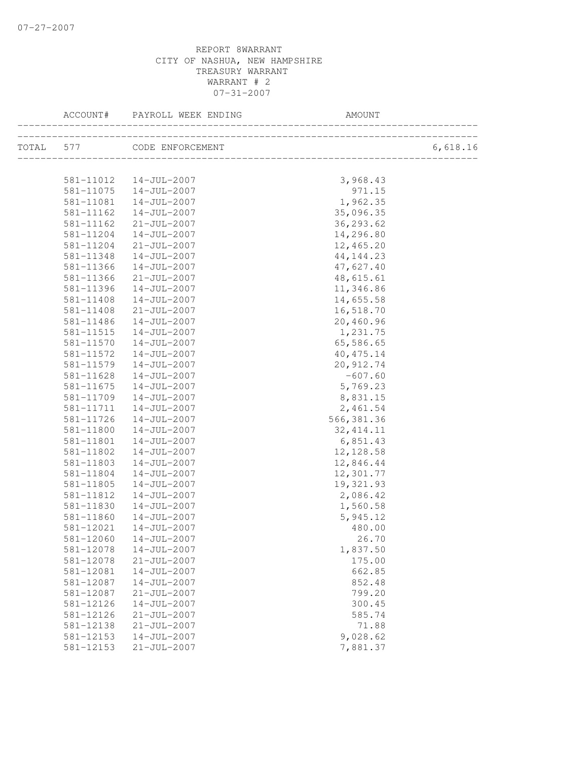| ACCOUNT#  | PAYROLL WEEK ENDING                   | <b>AMOUNT</b>      |          |
|-----------|---------------------------------------|--------------------|----------|
|           | TOTAL 577 CODE ENFORCEMENT            |                    | 6,618.16 |
|           |                                       |                    |          |
| 581-11075 | 581-11012  14-JUL-2007<br>14-JUL-2007 | 3,968.43<br>971.15 |          |
| 581-11081 | 14-JUL-2007                           | 1,962.35           |          |
| 581-11162 | 14-JUL-2007                           | 35,096.35          |          |
| 581-11162 | $21 - JUL - 2007$                     | 36, 293.62         |          |
| 581-11204 | 14-JUL-2007                           | 14,296.80          |          |
| 581-11204 | 21-JUL-2007                           | 12,465.20          |          |
| 581-11348 | 14-JUL-2007                           | 44, 144.23         |          |
| 581-11366 | 14-JUL-2007                           | 47,627.40          |          |
| 581-11366 | $21 - JUL - 2007$                     | 48,615.61          |          |
| 581-11396 | $14 - JUL - 2007$                     | 11,346.86          |          |
| 581-11408 | 14-JUL-2007                           | 14,655.58          |          |
| 581-11408 | 21-JUL-2007                           | 16,518.70          |          |
| 581-11486 | 14-JUL-2007                           | 20,460.96          |          |
| 581-11515 | 14-JUL-2007                           | 1,231.75           |          |
| 581-11570 | 14-JUL-2007                           | 65,586.65          |          |
| 581-11572 | $14 - JUL - 2007$                     | 40, 475.14         |          |
| 581-11579 | 14-JUL-2007                           | 20, 912.74         |          |
| 581-11628 | 14-JUL-2007                           | $-607.60$          |          |
| 581-11675 | 14-JUL-2007                           | 5,769.23           |          |
| 581-11709 | 14-JUL-2007                           | 8,831.15           |          |
| 581-11711 | 14-JUL-2007                           | 2,461.54           |          |
| 581-11726 | 14-JUL-2007                           | 566, 381.36        |          |
| 581-11800 | $14 - JUL - 2007$                     | 32, 414.11         |          |
| 581-11801 | 14-JUL-2007                           | 6,851.43           |          |
| 581-11802 | $14 - JUL - 2007$                     | 12, 128.58         |          |
| 581-11803 | 14-JUL-2007                           | 12,846.44          |          |
| 581-11804 | 14-JUL-2007                           | 12,301.77          |          |
| 581-11805 | 14-JUL-2007                           | 19,321.93          |          |
| 581-11812 | $14 - JUL - 2007$                     | 2,086.42           |          |
| 581-11830 | $14 - JUL - 2007$                     | 1,560.58           |          |
| 581-11860 | 14-JUL-2007                           | 5,945.12           |          |
| 581-12021 | 14-JUL-2007                           | 480.00             |          |
| 581-12060 | $14 - JUL - 2007$                     | 26.70              |          |
| 581-12078 | $14 - JUL - 2007$                     | 1,837.50           |          |
| 581-12078 | $21 - JUL - 2007$                     | 175.00             |          |
| 581-12081 | $14 - JUL - 2007$                     | 662.85             |          |
| 581-12087 | $14 - JUL - 2007$                     | 852.48             |          |
| 581-12087 | $21 - JUL - 2007$                     | 799.20             |          |
| 581-12126 | $14 - JUL - 2007$                     | 300.45             |          |
| 581-12126 | $21 - JUL - 2007$                     | 585.74             |          |
| 581-12138 | $21 - JUL - 2007$                     | 71.88              |          |
| 581-12153 | $14 - JUL - 2007$                     | 9,028.62           |          |
| 581-12153 | $21 - JUL - 2007$                     | 7,881.37           |          |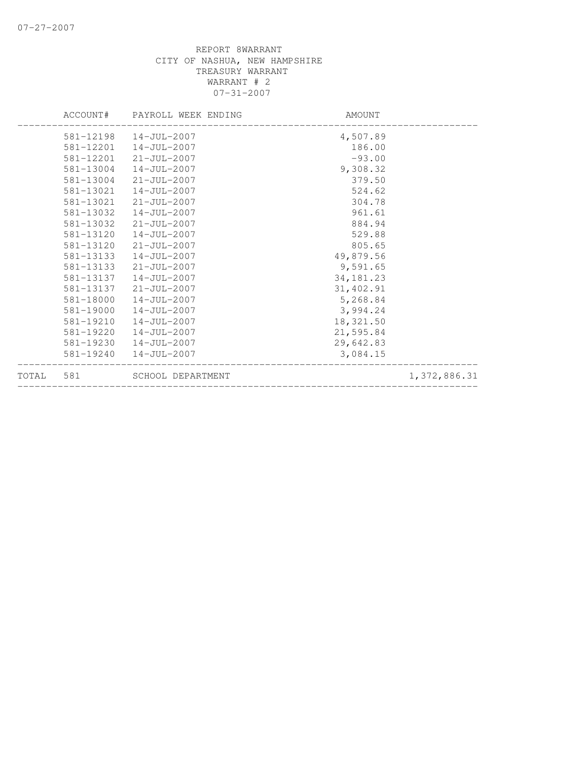|           |           | ACCOUNT# PAYROLL WEEK ENDING | AMOUNT      |              |
|-----------|-----------|------------------------------|-------------|--------------|
|           |           | 581-12198  14-JUL-2007       | 4,507.89    |              |
|           |           | 581-12201  14-JUL-2007       | 186.00      |              |
|           | 581-12201 | 21-JUL-2007                  | $-93.00$    |              |
|           | 581-13004 | 14-JUL-2007                  | 9,308.32    |              |
|           | 581-13004 | $21 - JUL - 2007$            | 379.50      |              |
|           | 581-13021 | 14-JUL-2007                  | 524.62      |              |
|           | 581-13021 | 21-JUL-2007                  | 304.78      |              |
|           | 581-13032 | 14-JUL-2007                  | 961.61      |              |
|           | 581-13032 | 21-JUL-2007                  | 884.94      |              |
|           | 581-13120 | 14-JUL-2007                  | 529.88      |              |
|           | 581-13120 | 21-JUL-2007                  | 805.65      |              |
|           | 581-13133 | 14-JUL-2007                  | 49,879.56   |              |
|           | 581-13133 | 21-JUL-2007                  | 9,591.65    |              |
|           | 581-13137 | 14-JUL-2007                  | 34, 181. 23 |              |
|           | 581-13137 | 21-JUL-2007                  | 31,402.91   |              |
|           | 581-18000 | 14-JUL-2007                  | 5,268.84    |              |
|           | 581-19000 | 14-JUL-2007                  | 3,994.24    |              |
|           | 581-19210 | 14-JUL-2007                  | 18,321.50   |              |
|           | 581-19220 | 14-JUL-2007                  | 21,595.84   |              |
|           | 581-19230 | 14-JUL-2007                  | 29,642.83   |              |
|           |           | 581-19240  14-JUL-2007       | 3,084.15    |              |
| TOTAL 581 |           | SCHOOL DEPARTMENT            |             | 1,372,886.31 |
|           |           |                              |             |              |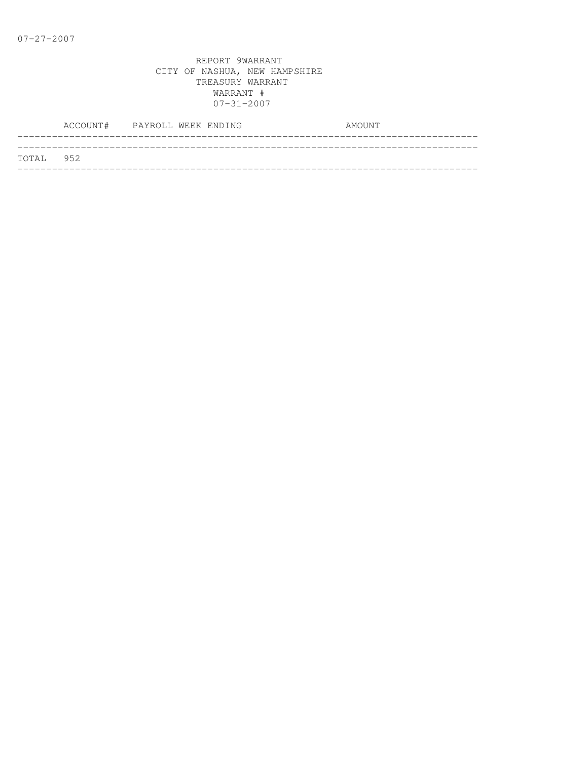|           | ACCOUNT# PAYROLL WEEK ENDING |  |  | AMOUNT |
|-----------|------------------------------|--|--|--------|
|           |                              |  |  |        |
| TOTAL 952 |                              |  |  |        |
|           |                              |  |  |        |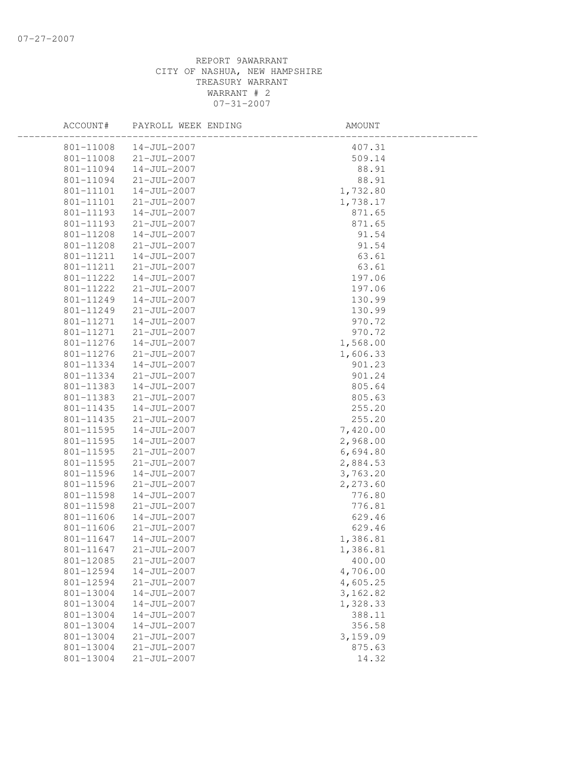| ACCOUNT#  | PAYROLL WEEK ENDING | AMOUNT   |  |
|-----------|---------------------|----------|--|
| 801-11008 | 14-JUL-2007         | 407.31   |  |
| 801-11008 | 21-JUL-2007         | 509.14   |  |
| 801-11094 | 14-JUL-2007         | 88.91    |  |
| 801-11094 | $21 - JUL - 2007$   | 88.91    |  |
| 801-11101 | 14-JUL-2007         | 1,732.80 |  |
| 801-11101 | $21 - JUL - 2007$   | 1,738.17 |  |
| 801-11193 | 14-JUL-2007         | 871.65   |  |
| 801-11193 | 21-JUL-2007         | 871.65   |  |
| 801-11208 | $14 - JUL - 2007$   | 91.54    |  |
| 801-11208 | 21-JUL-2007         | 91.54    |  |
| 801-11211 | 14-JUL-2007         | 63.61    |  |
| 801-11211 | 21-JUL-2007         | 63.61    |  |
| 801-11222 | 14-JUL-2007         | 197.06   |  |
| 801-11222 | $21 - JUL - 2007$   | 197.06   |  |
| 801-11249 | 14-JUL-2007         | 130.99   |  |
| 801-11249 | $21 - JUL - 2007$   | 130.99   |  |
| 801-11271 | 14-JUL-2007         | 970.72   |  |
| 801-11271 | $21 - JUL - 2007$   | 970.72   |  |
| 801-11276 | 14-JUL-2007         | 1,568.00 |  |
| 801-11276 | $21 - JUL - 2007$   | 1,606.33 |  |
| 801-11334 | 14-JUL-2007         | 901.23   |  |
| 801-11334 | $21 - JUL - 2007$   | 901.24   |  |
| 801-11383 | 14-JUL-2007         | 805.64   |  |
| 801-11383 | 21-JUL-2007         | 805.63   |  |
| 801-11435 | 14-JUL-2007         | 255.20   |  |
| 801-11435 | 21-JUL-2007         | 255.20   |  |
| 801-11595 | 14-JUL-2007         | 7,420.00 |  |
| 801-11595 | 14-JUL-2007         | 2,968.00 |  |
| 801-11595 | $21 - JUL - 2007$   | 6,694.80 |  |
| 801-11595 | $21 - JUL - 2007$   | 2,884.53 |  |
| 801-11596 | 14-JUL-2007         | 3,763.20 |  |
| 801-11596 | $21 - JUL - 2007$   | 2,273.60 |  |
| 801-11598 | $14 - JUL - 2007$   | 776.80   |  |
| 801-11598 | $21 - JUL - 2007$   | 776.81   |  |
| 801-11606 | $14 - JUL - 2007$   | 629.46   |  |
| 801-11606 | $21 - JUL - 2007$   | 629.46   |  |
| 801-11647 | $14 - JUL - 2007$   | 1,386.81 |  |
| 801-11647 | 21-JUL-2007         | 1,386.81 |  |
| 801-12085 | $21 - JUL - 2007$   | 400.00   |  |
| 801-12594 | $14 - JUL - 2007$   | 4,706.00 |  |
| 801-12594 | $21 - JUL - 2007$   | 4,605.25 |  |
| 801-13004 | 14-JUL-2007         | 3,162.82 |  |
| 801-13004 | $14 - JUL - 2007$   | 1,328.33 |  |
| 801-13004 | $14 - JUL - 2007$   | 388.11   |  |
| 801-13004 | $14 - JUL - 2007$   | 356.58   |  |
| 801-13004 | $21 - JUL - 2007$   | 3,159.09 |  |
| 801-13004 | $21 - JUL - 2007$   | 875.63   |  |
| 801-13004 | $21 - JUL - 2007$   | 14.32    |  |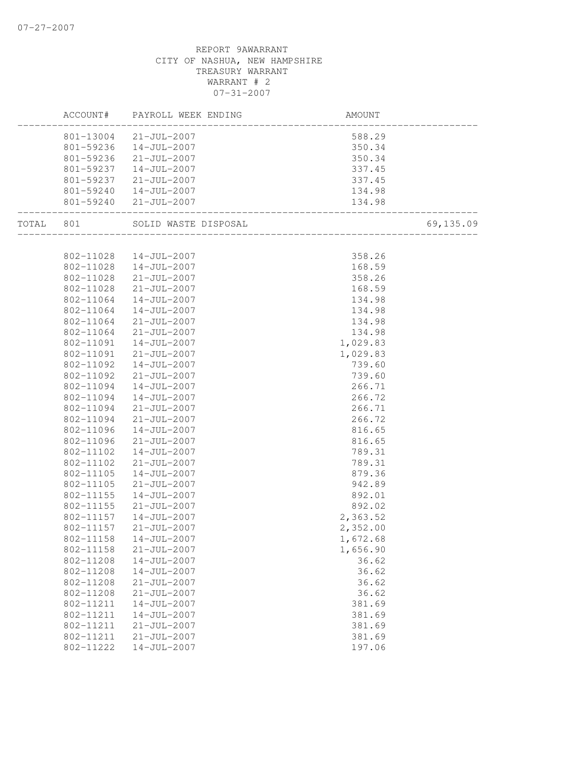|       | ACCOUNT#  | PAYROLL WEEK ENDING    | AMOUNT                       |           |
|-------|-----------|------------------------|------------------------------|-----------|
|       |           | 801-13004 21-JUL-2007  | 588.29                       |           |
|       |           | 801-59236  14-JUL-2007 | 350.34                       |           |
|       |           | 801-59236 21-JUL-2007  | 350.34                       |           |
|       | 801-59237 | $14 - JUL - 2007$      | 337.45                       |           |
|       |           | 801-59237 21-JUL-2007  | 337.45                       |           |
|       |           | 801-59240  14-JUL-2007 | 134.98                       |           |
|       |           | 801-59240 21-JUL-2007  | 134.98                       |           |
| TOTAL | 801       | SOLID WASTE DISPOSAL   | ____________________________ | 69,135.09 |
|       |           |                        |                              |           |
|       |           | 802-11028  14-JUL-2007 | 358.26                       |           |
|       | 802-11028 | $14 - JUL - 2007$      | 168.59                       |           |
|       | 802-11028 | 21-JUL-2007            | 358.26                       |           |
|       | 802-11028 | $21 - JUL - 2007$      | 168.59                       |           |
|       | 802-11064 | 14-JUL-2007            | 134.98                       |           |
|       | 802-11064 | $14 - JUL - 2007$      | 134.98                       |           |
|       | 802-11064 | 21-JUL-2007            | 134.98                       |           |
|       | 802-11064 | $21 - JUL - 2007$      | 134.98                       |           |
|       | 802-11091 | 14-JUL-2007            | 1,029.83                     |           |
|       | 802-11091 | 21-JUL-2007            | 1,029.83                     |           |
|       | 802-11092 | 14-JUL-2007            | 739.60                       |           |
|       | 802-11092 | 21-JUL-2007            | 739.60                       |           |
|       | 802-11094 | 14-JUL-2007            | 266.71                       |           |
|       | 802-11094 | 14-JUL-2007            | 266.72                       |           |
|       | 802-11094 | 21-JUL-2007            | 266.71                       |           |
|       | 802-11094 | 21-JUL-2007            | 266.72                       |           |
|       | 802-11096 | 14-JUL-2007            | 816.65                       |           |
|       | 802-11096 | $21 - JUL - 2007$      | 816.65                       |           |
|       | 802-11102 | 14-JUL-2007            | 789.31                       |           |
|       | 802-11102 | $21 - JUL - 2007$      | 789.31                       |           |
|       | 802-11105 | 14-JUL-2007            | 879.36                       |           |
|       | 802-11105 | 21-JUL-2007            | 942.89                       |           |
|       | 802-11155 | $14 - JUL - 2007$      | 892.01                       |           |
|       | 802-11155 | $21 - JUL - 2007$      | 892.02                       |           |
|       | 802-11157 | 14-JUL-2007            | 2,363.52                     |           |
|       | 802-11157 | 21-JUL-2007            | 2,352.00                     |           |
|       | 802-11158 | 14-JUL-2007            | 1,672.68                     |           |
|       | 802-11158 | $21 - JUL - 2007$      | 1,656.90                     |           |
|       | 802-11208 | $14 - JUL - 2007$      | 36.62                        |           |
|       | 802-11208 | $14 - JUL - 2007$      | 36.62                        |           |
|       | 802-11208 | $21 - JUL - 2007$      | 36.62                        |           |
|       | 802-11208 | $21 - JUL - 2007$      | 36.62                        |           |
|       | 802-11211 | $14 - JUL - 2007$      | 381.69                       |           |
|       | 802-11211 | $14 - JUL - 2007$      | 381.69                       |           |
|       | 802-11211 | $21 - JUL - 2007$      | 381.69                       |           |
|       | 802-11211 | $21 - JUL - 2007$      | 381.69                       |           |
|       | 802-11222 | $14 - JUL - 2007$      | 197.06                       |           |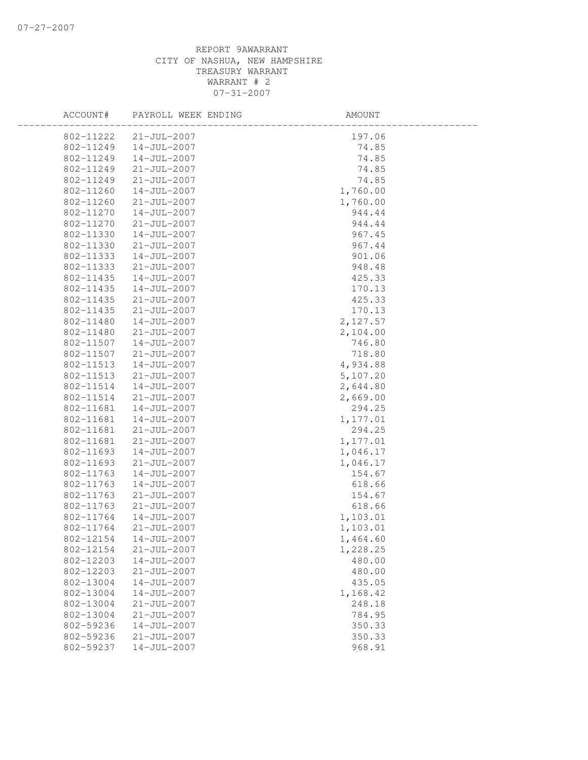| ACCOUNT#  | PAYROLL WEEK ENDING | AMOUNT   |
|-----------|---------------------|----------|
| 802-11222 | $21 - JUL - 2007$   | 197.06   |
| 802-11249 | $14 - JUL - 2007$   | 74.85    |
| 802-11249 | 14-JUL-2007         | 74.85    |
| 802-11249 | $21 - JUL - 2007$   | 74.85    |
| 802-11249 | $21 - JUL - 2007$   | 74.85    |
| 802-11260 | $14 - JUL - 2007$   | 1,760.00 |
| 802-11260 | $21 - JUL - 2007$   | 1,760.00 |
| 802-11270 | $14 - JUL - 2007$   | 944.44   |
| 802-11270 | $21 - JUL - 2007$   | 944.44   |
| 802-11330 | $14 - JUL - 2007$   | 967.45   |
| 802-11330 | $21 - JUL - 2007$   | 967.44   |
| 802-11333 | $14 - JUL - 2007$   | 901.06   |
| 802-11333 | $21 - JUL - 2007$   | 948.48   |
| 802-11435 | 14-JUL-2007         | 425.33   |
| 802-11435 | 14-JUL-2007         | 170.13   |
| 802-11435 | $21 - JUL - 2007$   | 425.33   |
| 802-11435 | $21 - JUL - 2007$   | 170.13   |
| 802-11480 | $14 - JUL - 2007$   | 2,127.57 |
| 802-11480 | $21 - JUL - 2007$   | 2,104.00 |
| 802-11507 | 14-JUL-2007         | 746.80   |
| 802-11507 | $21 - JUL - 2007$   | 718.80   |
| 802-11513 | 14-JUL-2007         | 4,934.88 |
| 802-11513 | $21 - JUL - 2007$   | 5,107.20 |
| 802-11514 | $14 - JUL - 2007$   | 2,644.80 |
| 802-11514 | $21 - JUL - 2007$   | 2,669.00 |
| 802-11681 | $14 - JUL - 2007$   | 294.25   |
| 802-11681 | $14 - JUL - 2007$   | 1,177.01 |
| 802-11681 | $21 - JUL - 2007$   | 294.25   |
| 802-11681 | $21 - JUL - 2007$   | 1,177.01 |
| 802-11693 | $14 - JUL - 2007$   | 1,046.17 |
| 802-11693 | $21 - JUL - 2007$   | 1,046.17 |
| 802-11763 | 14-JUL-2007         | 154.67   |
| 802-11763 | 14-JUL-2007         | 618.66   |
| 802-11763 | $21 - JUL - 2007$   | 154.67   |
| 802-11763 | $21 - JUL - 2007$   | 618.66   |
| 802-11764 | 14-JUL-2007         | 1,103.01 |
| 802-11764 | $21 - JUL - 2007$   | 1,103.01 |
| 802-12154 | $14 - JUL - 2007$   | 1,464.60 |
| 802-12154 | $21 - JUL - 2007$   | 1,228.25 |
| 802-12203 | $14 - JUL - 2007$   | 480.00   |
| 802-12203 | $21 - JUL - 2007$   | 480.00   |
| 802-13004 | $14 - JUL - 2007$   | 435.05   |
| 802-13004 | $14 - JUL - 2007$   | 1,168.42 |
| 802-13004 | $21 - JUL - 2007$   | 248.18   |
| 802-13004 | $21 - JUL - 2007$   | 784.95   |
| 802-59236 | $14 - JUL - 2007$   | 350.33   |
| 802-59236 | $21 - JUL - 2007$   | 350.33   |
| 802-59237 | $14 - JUL - 2007$   | 968.91   |
|           |                     |          |